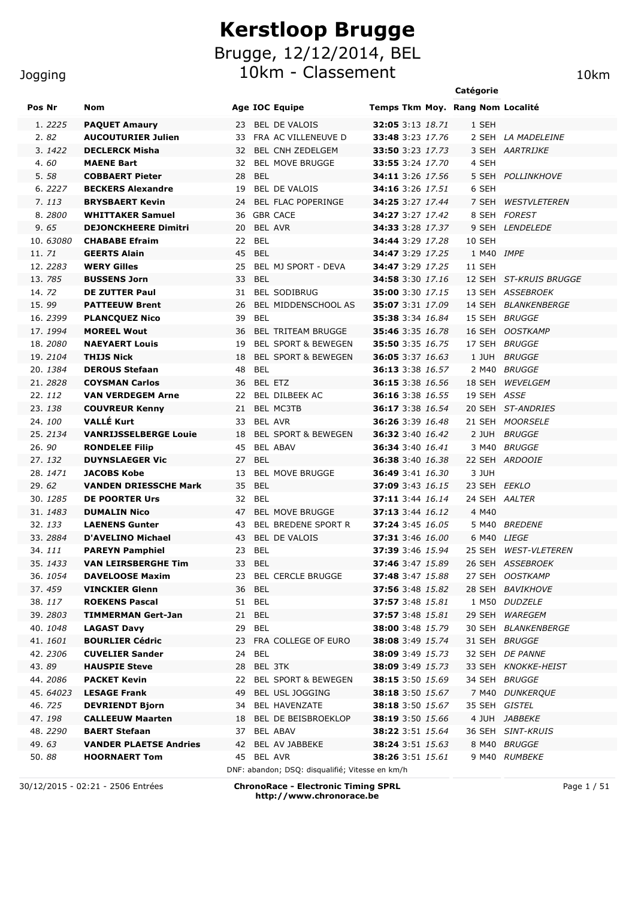#### Jogging

## **Kerstloop Brugge** Brugge, 12/12/2014, BEL 10km - Classement 10km 10km

|                  |                                                       |                                                               |                                                    | Catégorie                        |
|------------------|-------------------------------------------------------|---------------------------------------------------------------|----------------------------------------------------|----------------------------------|
| Pos Nr           | <b>Nom</b>                                            | <b>Age IOC Equipe</b>                                         |                                                    | Temps Tkm Moy. Rang Nom Localité |
| 1. 2225          | <b>PAQUET Amaury</b>                                  | <b>BEL DE VALOIS</b><br>23                                    | <b>32:05</b> 3:13 18.71                            | 1 SEH                            |
| 2.82             | <b>AUCOUTURIER Julien</b>                             | FRA AC VILLENEUVE D<br>33                                     | <b>33:48</b> 3:23 17.76                            | 2 SEH LA MADELEINE               |
| 3.1422           | <b>DECLERCK Misha</b>                                 | <b>BEL CNH ZEDELGEM</b><br>32                                 | <b>33:50</b> 3:23 17.73                            | 3 SEH AARTRIJKE                  |
| 4.60             | <b>MAENE Bart</b>                                     | <b>BEL MOVE BRUGGE</b><br>32                                  | 33:55 3:24 17.70                                   | 4 SEH                            |
| 5.58             | <b>COBBAERT Pieter</b>                                | <b>BEL</b><br>28                                              | <b>34:11</b> 3:26 17.56                            | 5 SEH POLLINKHOVE                |
| 6.2227           | <b>BECKERS Alexandre</b>                              | BEL DE VALOIS<br>19                                           | <b>34:16</b> 3:26 17.51                            | 6 SEH                            |
| 7.113            | <b>BRYSBAERT Kevin</b>                                | <b>BEL FLAC POPERINGE</b><br>24                               | <b>34:25</b> 3:27 17.44                            | 7 SEH WESTVLETEREN               |
| 8.2800           | <b>WHITTAKER Samuel</b>                               | <b>GBR CACE</b><br>36                                         | 34:27 3:27 17.42                                   | 8 SEH FOREST                     |
| 9.65             | <b>DEJONCKHEERE Dimitri</b>                           | <b>BEL AVR</b><br>20                                          | <b>34:33</b> 3:28 17.37                            | 9 SEH LENDELEDE                  |
| 10.63080         | <b>CHABABE Efraim</b>                                 | <b>BEL</b><br>22                                              | <b>34:44</b> 3:29 17.28                            | 10 SEH                           |
| 11, 71           | <b>GEERTS Alain</b>                                   | 45 BEL                                                        | <b>34:47</b> 3:29 17.25                            | 1 M40 <i>IMPE</i>                |
| 12.2283          | <b>WERY Gilles</b>                                    | BEL MJ SPORT - DEVA<br>25                                     | <b>34:47</b> 3:29 17.25                            | 11 SEH                           |
| 13.785           | <b>BUSSENS Jorn</b>                                   | <b>BEL</b><br>33                                              | <b>34:58</b> 3:30 17.16                            | 12 SEH ST-KRUIS BRUGGE           |
| 14.72            | <b>DE ZUTTER Paul</b>                                 | <b>BEL SODIBRUG</b><br>31                                     | <b>35:00</b> 3:30 17.15                            | 13 SEH ASSEBROEK                 |
| 15.99            | <b>PATTEEUW Brent</b>                                 | 26<br>BEL MIDDENSCHOOL AS                                     | <b>35:07</b> 3:31 17.09                            | 14 SEH BLANKENBERGE              |
| 16.2399          | <b>PLANCOUEZ Nico</b>                                 | <b>BEL</b><br>39                                              | <b>35:38</b> 3:34 16.84                            | 15 SEH BRUGGE                    |
| 17.1994          | <b>MOREEL Wout</b>                                    | <b>BEL TRITEAM BRUGGE</b><br>36                               | <b>35:46</b> 3:35 16.78                            | 16 SEH OOSTKAMP                  |
| 18.2080          | <b>NAEYAERT Louis</b>                                 | 19<br><b>BEL SPORT &amp; BEWEGEN</b>                          | <b>35:50</b> 3:35 16.75                            | 17 SEH BRUGGE                    |
| 19.2104          | <b>THIJS Nick</b>                                     | <b>BEL SPORT &amp; BEWEGEN</b><br>18                          | <b>36:05</b> 3:37 16.63                            | 1 JUH<br><i>BRUGGE</i>           |
| 20.1384          | <b>DEROUS Stefaan</b>                                 | <b>BEL</b><br>48                                              | <b>36:13</b> 3:38 16.57                            | 2 M40 BRUGGE                     |
| 21, 2828         | <b>COYSMAN Carlos</b>                                 | <b>BEL ETZ</b><br>36                                          | 36:15 3:38 16.56                                   | 18 SEH WEVELGEM                  |
| 22.112           | <b>VAN VERDEGEM Arne</b>                              | BEL DILBEEK AC<br>22                                          | <b>36:16</b> 3:38 16.55                            | 19 SEH ASSE                      |
| 23.138           | <b>COUVREUR Kenny</b>                                 | 21<br><b>BEL MC3TB</b>                                        | <b>36:17</b> 3:38 16.54                            | 20 SEH ST-ANDRIES                |
| 24.100           | <b>VALLÉ Kurt</b>                                     | <b>BEL AVR</b><br>33                                          | 36:26 3:39 16.48                                   | 21 SEH MOORSELE                  |
| 25.2134<br>26.90 | <b>VANRIJSSELBERGE Louie</b><br><b>RONDELEE Filip</b> | <b>BEL SPORT &amp; BEWEGEN</b><br>18<br><b>BEL ABAV</b><br>45 | <b>36:32</b> 3:40 16.42                            | 2 JUH<br><i>BRUGGE</i><br>3 M40  |
| 27.132           |                                                       | <b>BEL</b><br>27                                              | <b>36:34</b> 3:40 16.41                            | <i>BRUGGE</i><br>22 SEH ARDOOIE  |
| 28.1471          | <b>DUYNSLAEGER Vic</b><br><b>JACOBS Kobe</b>          | 13<br><b>BEL MOVE BRUGGE</b>                                  | <b>36:38</b> 3:40 16.38<br><b>36:49</b> 3:41 16.30 | 3 JUH                            |
| 29.62            | <b>VANDEN DRIESSCHE Mark</b>                          | <b>BEL</b><br>35                                              | <b>37:09</b> 3:43 16.15                            | 23 SEH <i>EEKLO</i>              |
| 30.1285          | <b>DE POORTER Urs</b>                                 | <b>BEL</b><br>32                                              | <b>37:11</b> 3:44 16.14                            | 24 SEH AALTER                    |
| 31, 1483         | <b>DUMALIN Nico</b>                                   | <b>BEL MOVE BRUGGE</b><br>47                                  | 37:13 3:44 16.12                                   | 4 M40                            |
| 32.133           | <b>LAENENS Gunter</b>                                 | 43<br><b>BEL BREDENE SPORT R</b>                              | 37:24 3:45 16.05                                   | 5 M40 BREDENE                    |
| 33.2884          | D'AVELINO Michael                                     | <b>BEL DE VALOIS</b><br>43                                    | <b>37:31</b> 3:46 16.00                            | 6 M40 LIEGE                      |
| 34.111           | <b>PAREYN Pamphiel</b>                                | 23<br><b>BEL</b>                                              | <b>37:39</b> 3:46 15.94                            | 25 SEH WEST-VLETEREN             |
| 35. 1433         | <b>VAN LEIRSBERGHE Tim</b>                            | 33 BEL                                                        | 37:46 3:47 15.89                                   | 26 SEH ASSEBROEK                 |
| 36.1054          | <b>DAVELOOSE Maxim</b>                                | 23 BEL CERCLE BRUGGE                                          | <b>37:48</b> 3:47 15.88                            | 27 SEH OOSTKAMP                  |
| 37.459           | <b>VINCKIER Glenn</b>                                 | 36 BEL                                                        | <b>37:56</b> 3:48 15.82                            | 28 SEH BAVIKHOVE                 |
| 38.117           | <b>ROEKENS Pascal</b>                                 | 51 BEL                                                        | <b>37:57</b> 3:48 15.81                            | 1 M50 DUDZELE                    |
| 39.2803          | <b>TIMMERMAN Gert-Jan</b>                             | 21 BEL                                                        | 37:57 3:48 15.81                                   | 29 SEH WAREGEM                   |
| 40.1048          | <b>LAGAST Davy</b>                                    | 29 BEL                                                        | <b>38:00</b> 3:48 15.79                            | 30 SEH BLANKENBERGE              |
| 41.1601          | <b>BOURLIER Cédric</b>                                | 23 FRA COLLEGE OF EURO                                        | <b>38:08</b> 3:49 15.74                            | 31 SEH BRUGGE                    |
| 42.2306          | <b>CUVELIER Sander</b>                                | 24 BEL                                                        | <b>38:09</b> 3:49 15.73                            | 32 SEH DE PANNE                  |
| 43.89            | <b>HAUSPIE Steve</b>                                  | BEL 3TK<br>28                                                 | <b>38:09</b> 3:49 15.73                            | 33 SEH KNOKKE-HEIST              |
| 44.2086          | <b>PACKET Kevin</b>                                   | 22 BEL SPORT & BEWEGEN                                        | <b>38:15</b> 3:50 15.69                            | 34 SEH BRUGGE                    |
| 45.64023         | <b>LESAGE Frank</b>                                   | BEL USL JOGGING<br>49                                         | 38:18 3:50 15.67                                   | 7 M40 DUNKERQUE                  |
| 46.725           | <b>DEVRIENDT Bjorn</b>                                | BEL HAVENZATE<br>34                                           | 38:18 3:50 15.67                                   | 35 SEH GISTEL                    |
| 47.198           | <b>CALLEEUW Maarten</b>                               | BEL DE BEISBROEKLOP<br>18                                     | <b>38:19</b> 3:50 15.66                            | 4 JUH <i>JABBEKE</i>             |
| 48.2290          | <b>BAERT Stefaan</b>                                  | BEL ABAV<br>37                                                | <b>38:22</b> 3:51 15.64                            | 36 SEH SINT-KRUIS                |
| 49.63            | <b>VANDER PLAETSE Andries</b>                         | BEL AV JABBEKE<br>42                                          | 38:24 3:51 15.63                                   | 8 M40 BRUGGE                     |
| 50.88            | <b>HOORNAERT Tom</b>                                  | 45<br>BEL AVR                                                 | <b>38:26</b> 3:51 15.61                            | 9 M40 RUMBEKE                    |
|                  |                                                       | DNF: abandon; DSQ: disqualifié; Vitesse en km/h               |                                                    |                                  |

30/12/2015 - 02:21 - 2506 Entrées **ChronoRace - Electronic Timing SPRL http://www.chronorace.be**

Page 1 / 51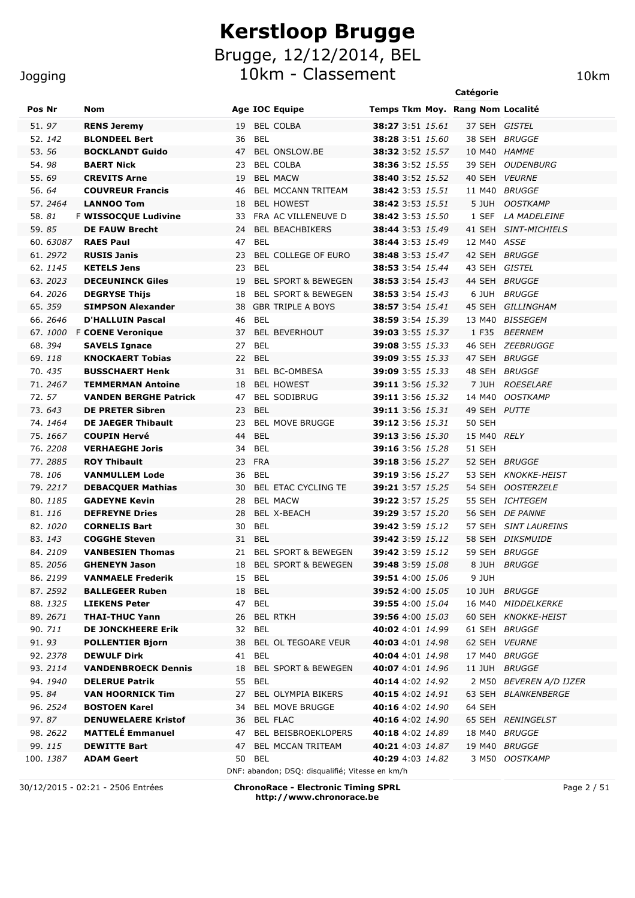|                   |                                              |                                      | Catégorie                                                                                                      |
|-------------------|----------------------------------------------|--------------------------------------|----------------------------------------------------------------------------------------------------------------|
| Pos Nr            | <b>Nom</b>                                   | <b>Age IOC Equipe</b>                | Temps Tkm Moy. Rang Nom Localité                                                                               |
| 51.97             | <b>RENS Jeremy</b>                           | <b>BEL COLBA</b><br>19               | 37 SEH GISTEL<br><b>38:27</b> 3:51 15.61                                                                       |
| 52.142            | <b>BLONDEEL Bert</b>                         | 36<br><b>BEL</b>                     | <b>38:28</b> 3:51 15.60<br>38 SEH BRUGGE                                                                       |
| 53.56             | <b>BOCKLANDT Guido</b>                       | 47 BEL ONSLOW.BE                     | <b>38:32</b> 3:52 15.57<br>10 M40 HAMME                                                                        |
| 54.98             | <b>BAERT Nick</b>                            | 23<br><b>BEL COLBA</b>               | <b>38:36</b> 3:52 15.55<br>39 SEH OUDENBURG                                                                    |
| 55.69             | <b>CREVITS Arne</b>                          | 19<br><b>BEL MACW</b>                | <b>38:40</b> 3:52 15.52<br>40 SEH VEURNE                                                                       |
| 56.64             | <b>COUVREUR Francis</b>                      | 46<br>BEL MCCANN TRITEAM             | <b>38:42</b> 3:53 15.51<br>11 M40 BRUGGE                                                                       |
| 57.2464           | <b>LANNOO Tom</b>                            | 18<br><b>BEL HOWEST</b>              | 38:42 3:53 15.51<br>5 JUH<br><i>OOSTKAMP</i>                                                                   |
| 58.81             | F WISSOCQUE Ludivine                         | 33<br>FRA AC VILLENEUVE D            | <b>38:42</b> 3:53 15.50<br>1 SEF<br><i>LA MADELEINE</i>                                                        |
| 59.85             | <b>DE FAUW Brecht</b>                        | 24<br><b>BEL BEACHBIKERS</b>         | <b>38:44</b> 3:53 15.49<br>41 SEH SINT-MICHIELS                                                                |
| 60.63087          | <b>RAES Paul</b>                             | 47<br><b>BEL</b>                     | <b>38:44</b> 3:53 15.49<br>12 M40 ASSE                                                                         |
| 61.2972           | <b>RUSIS Janis</b>                           | BEL COLLEGE OF EURO<br>23            | <b>38:48</b> 3:53 15.47<br>42 SEH BRUGGE                                                                       |
| 62.1145           | <b>KETELS Jens</b>                           | 23<br><b>BEL</b>                     | 43 SEH GISTEL<br><b>38:53</b> 3:54 15.44                                                                       |
| 63.2023           | <b>DECEUNINCK Giles</b>                      | 19<br><b>BEL SPORT &amp; BEWEGEN</b> | <b>38:53</b> 3:54 15.43<br>44 SEH BRUGGE                                                                       |
| 64.2026           | <b>DEGRYSE Thijs</b>                         | <b>BEL SPORT &amp; BEWEGEN</b><br>18 | <b>38:53</b> 3:54 15.43<br>6 JUH<br>BRUGGE                                                                     |
| 65.359            | <b>SIMPSON Alexander</b>                     | <b>GBR TRIPLE A BOYS</b><br>38       | <b>38:57</b> 3:54 15.41<br>45 SEH GILLINGHAM                                                                   |
| 66.2646           | <b>D'HALLUIN Pascal</b>                      | 46<br>BEL                            | <b>38:59</b> 3:54 15.39<br>13 M40 BISSEGEM                                                                     |
| 67.1000           | <b>F COENE Veronique</b>                     | 37<br><b>BEL BEVERHOUT</b>           | 39:03 3:55 15.37<br>1 F35<br><b>BEERNEM</b>                                                                    |
| 68.394            | <b>SAVELS Ignace</b>                         | BEL<br>27                            | <b>39:08</b> 3:55 15.33<br>46 SEH ZEEBRUGGE                                                                    |
| 69.118            | <b>KNOCKAERT Tobias</b>                      | 22 BEL                               | <b>39:09</b> 3:55 15.33<br>47 SEH BRUGGE                                                                       |
| 70.435            | <b>BUSSCHAERT Henk</b>                       | 31<br><b>BEL BC-OMBESA</b>           | <b>39:09</b> 3:55 15.33<br>48 SEH<br>BRUGGE                                                                    |
| 71.2467           | <b>TEMMERMAN Antoine</b>                     | 18<br><b>BEL HOWEST</b>              | <b>39:11</b> 3:56 15.32<br><b>ROESELARE</b><br>7 JUH                                                           |
| 72.57             | <b>VANDEN BERGHE Patrick</b>                 | <b>BEL SODIBRUG</b><br>47            | <b>39:11</b> 3:56 15.32<br>14 M40<br><b>OOSTKAMP</b>                                                           |
| 73.643            | <b>DE PRETER Sibren</b>                      | <b>BEL</b><br>23                     | <b>39:11</b> 3:56 15.31<br>49 SEH PUTTE                                                                        |
| 74.1464           | <b>DE JAEGER Thibault</b>                    | <b>BEL MOVE BRUGGE</b><br>23         | <b>39:12</b> 3:56 15.31<br><b>50 SEH</b>                                                                       |
| 75.1667           | <b>COUPIN Hervé</b>                          | <b>BEL</b><br>44                     | 15 M40<br>RELY<br><b>39:13</b> 3:56 15.30                                                                      |
| 76.2208           | <b>VERHAEGHE Joris</b>                       | <b>BEL</b><br>34                     | <b>51 SEH</b><br><b>39:16</b> 3:56 15.28                                                                       |
| 77.2885<br>78.106 | <b>ROY Thibault</b><br><b>VANMULLEM Lode</b> | <b>FRA</b><br>23<br>36<br><b>BEL</b> | <b>39:18</b> 3:56 15.27<br>52 SEH<br>BRUGGE<br><b>39:19</b> 3:56 15.27<br>53 SEH<br><i><b>KNOKKE-HEIST</b></i> |
| 79.2217           | <b>DEBACQUER Mathias</b>                     | BEL ETAC CYCLING TE<br>30            | <b>39:21</b> 3:57 15.25<br>54 SEH<br><b>OOSTERZELE</b>                                                         |
| 80.1185           | <b>GADEYNE Kevin</b>                         | <b>BEL MACW</b><br>28                | <b>39:22</b> 3:57 15.25<br><b>55 SEH</b><br><i>ICHTEGEM</i>                                                    |
| 81.116            | <b>DEFREYNE Dries</b>                        | BEL X-BEACH<br>28                    | <b>39:29</b> 3:57 15.20<br>56 SEH DE PANNE                                                                     |
| 82.1020           | <b>CORNELIS Bart</b>                         | <b>BEL</b><br>30                     | <b>39:42</b> 3:59 15.12<br>57 SEH SINT LAUREINS                                                                |
| 83.143            | <b>COGGHE Steven</b>                         | 31 BEL                               | <b>39:42</b> 3:59 15.12<br>58 SEH DIKSMUIDE                                                                    |
| 84.2109           | <b>VANBESIEN Thomas</b>                      | BEL SPORT & BEWEGEN<br>21            | <b>39:42</b> 3:59 15.12<br>59 SEH BRUGGE                                                                       |
| 85.2056           | <b>GHENEYN Jason</b>                         | BEL SPORT & BEWEGEN<br>18            | 8 JUH BRUGGE<br><b>39:48</b> 3:59 15.08                                                                        |
| 86.2199           | <b>VANMAELE Frederik</b>                     | 15 BEL                               | 9 JUH<br><b>39:51</b> 4:00 15.06                                                                               |
| 87.2592           | <b>BALLEGEER Ruben</b>                       | 18 BEL                               | 39:52 4:00 15.05<br>10 JUH BRUGGE                                                                              |
| 88.1325           | <b>LIEKENS Peter</b>                         | 47 BEL                               | 39:55 4:00 15.04<br>16 M40 MIDDELKERKE                                                                         |
| 89.2671           | <b>THAI-THUC Yann</b>                        | 26 BEL RTKH                          | <b>39:56</b> 4:00 15.03<br>60 SEH KNOKKE-HEIST                                                                 |
| 90. 711           | <b>DE JONCKHEERE Erik</b>                    | 32 BEL                               | 40:02 4:01 14.99<br>61 SEH BRUGGE                                                                              |
| 91.93             | <b>POLLENTIER Bjorn</b>                      | 38 BEL OL TEGOARE VEUR               | 40:03 4:01 14.98<br>62 SEH VEURNE                                                                              |
| 92.2378           | <b>DEWULF Dirk</b>                           | 41 BEL                               | 40:04 4:01 14.98<br>17 M40 BRUGGE                                                                              |
| 93.2114           | <b>VANDENBROECK Dennis</b>                   | 18 BEL SPORT & BEWEGEN               | 40:07 4:01 14.96<br>11 JUH BRUGGE                                                                              |

99. *115* **DEWITTE Bart** 47 BEL MCCAN TRITEAM **40:21** 4:03 *14.87* 19 M40 *BRUGGE* 100. *1387* **ADAM Geert** 50 BEL **40:29** 4:03 *14.82* 3 M50 *OOSTKAMP*

DNF: abandon; DSQ: disqualifié; Vitesse en km/h 30/12/2015 - 02:21 - 2506 Entrées **ChronoRace - Electronic Timing SPRL http://www.chronorace.be**

94. *1940* **DELERUE Patrik** 55 BEL **40:14** 4:02 *14.92* 2 M50 *BEVEREN A/D IJZER* 95. *84* **VAN HOORNICK Tim** 27 BEL OLYMPIA BIKERS **40:15** 4:02 *14.91* 63 SEH *BLANKENBERGE*

97. *87* **DENUWELAERE Kristof** 36 BEL FLAC **40:16** 4:02 *14.90* 65 SEH *RENINGELST* 98. *2622* **MATTELÉ Emmanuel** 47 BEL BEISBROEKLOPERS **40:18** 4:02 *14.89* 18 M40 *BRUGGE*

96. *2524* **BOSTOEN Karel** 34 BEL MOVE BRUGGE **40:16** 4:02 *14.90* 64 SEH

Page 2 / 51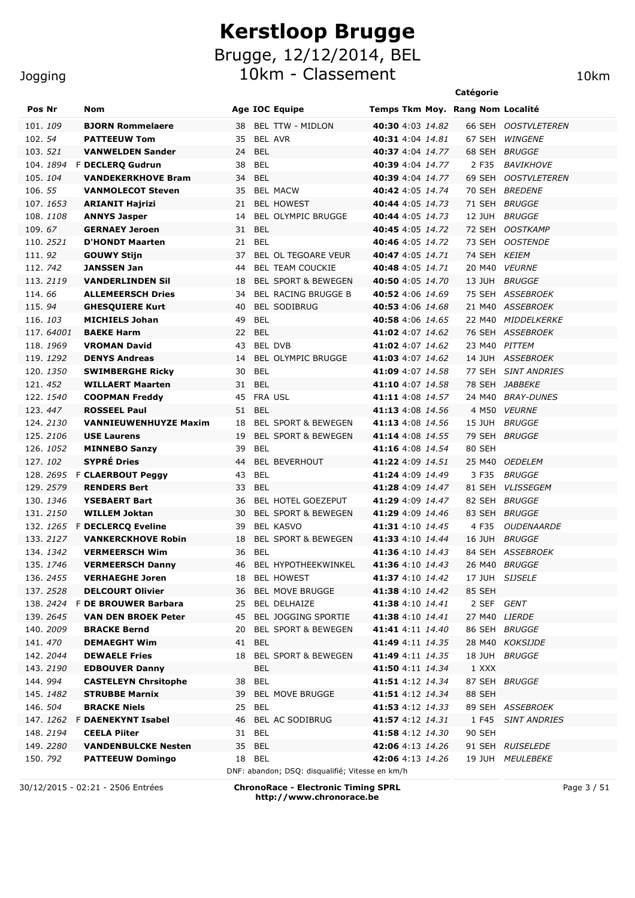10km - Classement 10km

#### Jogging

| Pos Nr   |           | Nom                                        |                        | <b>Age IOC Equipe</b>                           | Temps Tkm Moy. Rang Nom Localité            |                |                                   |
|----------|-----------|--------------------------------------------|------------------------|-------------------------------------------------|---------------------------------------------|----------------|-----------------------------------|
| 101, 109 |           | <b>BJORN Rommelaere</b>                    | 38                     | <b>BEL TTW - MIDLON</b>                         | <b>40:30</b> 4:03 14.82                     |                | 66 SEH OOSTVLETEREN               |
| 102.54   |           | <b>PATTEEUW Tom</b>                        | 35                     | BEL AVR                                         | <b>40:31</b> 4:04 <i>14.81</i>              | 67 SEH         | <b>WINGENE</b>                    |
| 103.521  |           | <b>VANWELDEN Sander</b>                    | <b>BEL</b><br>24       |                                                 | <b>40:37</b> 4:04 14.77                     | 68 SEH         | BRUGGE                            |
|          | 104.1894  | <b>F DECLERQ Gudrun</b>                    | 38<br>BEL              |                                                 | <b>40:39</b> 4:04 14.77                     | 2 F35          | <b>BAVIKHOVE</b>                  |
| 105.104  |           | <b>VANDEKERKHOVE Bram</b>                  | 34 BEL                 |                                                 | <b>40:39</b> 4:04 14.77                     | 69 SEH         | <b>OOSTVLETEREN</b>               |
| 106.55   |           | <b>VANMOLECOT Steven</b>                   | 35                     | <b>BEL MACW</b>                                 | <b>40:42</b> 4:05 14.74                     | 70 SEH         | <b>BREDENE</b>                    |
|          | 107.1653  | <b>ARIANIT Hajrizi</b>                     | 21                     | <b>BEL HOWEST</b>                               | <b>40:44</b> 4:05 14.73                     | 71 SEH         | <i>BRUGGE</i>                     |
|          | 108.1108  | <b>ANNYS Jasper</b>                        | 14                     | <b>BEL OLYMPIC BRUGGE</b>                       | <b>40:44</b> 4:05 14.73                     | 12 JUH         | <i>BRUGGE</i>                     |
| 109.67   |           | <b>GERNAEY Jeroen</b>                      | 31<br>BEL              |                                                 | <b>40:45</b> 4:05 14.72                     | 72 SEH         | <b>OOSTKAMP</b>                   |
|          | 110. 2521 | <b>D'HONDT Maarten</b>                     | 21<br>BEL              |                                                 | 40:46 4:05 14.72                            | 73 SEH         | <i><b>OOSTENDE</b></i>            |
| 111.92   |           | <b>GOUWY Stijn</b>                         | 37                     | BEL OL TEGOARE VEUR                             | <b>40:47</b> 4:05 14.71                     | 74 SEH KEIEM   |                                   |
| 112.742  |           | <b>JANSSEN Jan</b>                         | 44                     | <b>BEL TEAM COUCKIE</b>                         | <b>40:48</b> 4:05 14.71                     | 20 M40         | <b>VEURNE</b>                     |
|          | 113, 2119 | <b>VANDERLINDEN Sil</b>                    | 18                     | <b>BEL SPORT &amp; BEWEGEN</b>                  | 40:50 4:05 14.70                            | 13 JUH         | <i>BRUGGE</i>                     |
| 114.66   |           | <b>ALLEMEERSCH Dries</b>                   | 34                     | <b>BEL RACING BRUGGE B</b>                      | <b>40:52</b> 4:06 14.69                     |                | 75 SEH ASSEBROEK                  |
| 115.94   |           | <b>GHESQUIERE Kurt</b>                     | 40                     | <b>BEL SODIBRUG</b>                             | <b>40:53</b> 4:06 14.68                     |                | 21 M40 ASSEBROEK                  |
| 116.103  |           | <b>MICHIELS Johan</b>                      | <b>BEL</b><br>49       |                                                 | <b>40:58</b> 4:06 14.65                     | 22 M40         | <i>MIDDELKERKE</i>                |
|          | 117.64001 | <b>BAEKE Harm</b>                          | 22<br>BEL              |                                                 | 41:02 4:07 14.62                            |                | 76 SEH ASSEBROEK                  |
|          | 118.1969  | <b>VROMAN David</b>                        | 43                     | <b>BEL DVB</b>                                  | <b>41:02</b> 4:07 14.62                     | 23 M40 PITTEM  |                                   |
|          | 119. 1292 | <b>DENYS Andreas</b>                       | 14                     | <b>BEL OLYMPIC BRUGGE</b>                       | <b>41:03</b> 4:07 14.62                     |                | 14 JUH ASSEBROEK                  |
|          | 120. 1350 | <b>SWIMBERGHE Ricky</b>                    | <b>BEL</b><br>30       |                                                 | <b>41:09</b> 4:07 14.58                     | 77 SEH         | <b>SINT ANDRIES</b>               |
| 121.452  |           | <b>WILLAERT Maarten</b>                    | 31<br>BEL              |                                                 | <b>41:10</b> 4:07 14.58                     |                | 78 SEH JABBEKE                    |
|          | 122. 1540 | <b>COOPMAN Freddy</b>                      | 45                     | <b>FRA USL</b>                                  | <b>41:11</b> 4:08 14.57                     |                | 24 M40 BRAY-DUNES                 |
|          | 123.447   | <b>ROSSEEL Paul</b>                        | <b>BEL</b><br>51       |                                                 | <b>41:13</b> 4:08 14.56                     |                | 4 M50 VEURNE                      |
|          | 124.2130  | <b>VANNIEUWENHUYZE Maxim</b>               | 18                     | <b>BEL SPORT &amp; BEWEGEN</b>                  | <b>41:13</b> 4:08 14.56                     | 15 JUH         | <i>BRUGGE</i>                     |
|          | 125.2106  | <b>USE Laurens</b>                         | 19<br><b>BEL</b>       | <b>BEL SPORT &amp; BEWEGEN</b>                  | <b>41:14</b> 4:08 14.55                     |                | 79 SEH BRUGGE                     |
|          | 126. 1052 | <b>MINNEBO Sanzy</b><br><b>SYPRÉ Dries</b> | 39                     |                                                 | <b>41:16</b> 4:08 14.54                     | 80 SEH         |                                   |
| 127.102  |           | 128. 2695 F CLAERBOUT Peggy                | 44<br>43<br><b>BEL</b> | <b>BEL BEVERHOUT</b>                            | <b>41:22</b> 4:09 14.51                     | 3 F35          | 25 M40 OEDELEM                    |
|          | 129. 2579 | <b>RENDERS Bert</b>                        | 33<br><b>BEL</b>       |                                                 | <b>41:24</b> 4:09 14.49<br>41:28 4:09 14.47 |                | <i>BRUGGE</i><br>81 SEH VLISSEGEM |
|          | 130. 1346 | <b>YSEBAERT Bart</b>                       | 36                     | BEL HOTEL GOEZEPUT                              | <b>41:29</b> 4:09 14.47                     |                | 82 SEH BRUGGE                     |
|          | 131. 2150 | <b>WILLEM Joktan</b>                       | 30                     | <b>BEL SPORT &amp; BEWEGEN</b>                  | <b>41:29</b> 4:09 14.46                     |                | 83 SEH BRUGGE                     |
|          |           | 132. 1265 F DECLERCO Eveline               | 39                     | <b>BEL KASVO</b>                                | <b>41:31</b> 4:10 <i>14.45</i>              | 4 F35          | <i>OUDENAARDE</i>                 |
|          | 133. 2127 | <b>VANKERCKHOVE Robin</b>                  | 18                     | <b>BEL SPORT &amp; BEWEGEN</b>                  | <b>41:33</b> 4:10 14.44                     |                | 16 JUH BRUGGE                     |
|          | 134, 1342 | <b>VERMEERSCH Wim</b>                      | <b>BEL</b><br>36       |                                                 | <b>41:36</b> 4:10 14.43                     |                | 84 SEH ASSEBROEK                  |
|          | 135. 1746 | <b>VERMEERSCH Danny</b>                    |                        | 46 BEL HYPOTHEEKWINKEL                          | 41:36 4:10 14.43                            |                | 26 M40 BRUGGE                     |
|          | 136.2455  | <b>VERHAEGHE Joren</b>                     |                        | 18 BEL HOWEST                                   | 41:37 4:10 14.42                            | 17 JUH SIJSELE |                                   |
|          | 137.2528  | <b>DELCOURT Olivier</b>                    | 36                     | <b>BEL MOVE BRUGGE</b>                          | <b>41:38</b> 4:10 14.42                     | 85 SEH         |                                   |
|          |           | 138. 2424 F DE BROUWER Barbara             | 25                     | <b>BEL DELHAIZE</b>                             | <b>41:38</b> 4:10 14.41                     | 2 SEF GENT     |                                   |
|          | 139. 2645 | <b>VAN DEN BROEK Peter</b>                 | 45                     | <b>BEL JOGGING SPORTIE</b>                      | 41:38 4:10 14.41                            | 27 M40 LIERDE  |                                   |
|          | 140. 2009 | <b>BRACKE Bernd</b>                        | 20                     | <b>BEL SPORT &amp; BEWEGEN</b>                  | 41:41 4:11 14.40                            |                | 86 SEH BRUGGE                     |
|          | 141.470   | <b>DEMAEGHT Wim</b>                        | BEL<br>41              |                                                 | <b>41:49</b> 4:11 14.35                     |                | 28 M40 KOKSIJDE                   |
|          | 142. 2044 | <b>DEWAELE Fries</b>                       | 18                     | BEL SPORT & BEWEGEN                             | <b>41:49</b> 4:11 14.35                     | <b>18 JUH</b>  | <i>BRUGGE</i>                     |
|          | 143. 2190 | <b>EDBOUVER Danny</b>                      | <b>BEL</b>             |                                                 | 41:50 4:11 14.34                            | 1 XXX          |                                   |
|          | 144.994   | <b>CASTELEYN Chrsitophe</b>                | <b>BEL</b><br>38       |                                                 | <b>41:51</b> 4:12 <i>14.34</i>              | 87 SEH         | <i>BRUGGE</i>                     |
|          | 145. 1482 | <b>STRUBBE Marnix</b>                      | 39                     | <b>BEL MOVE BRUGGE</b>                          | <b>41:51</b> 4:12 <i>14.34</i>              | 88 SEH         |                                   |
|          | 146. 504  | <b>BRACKE Niels</b>                        | 25 BEL                 |                                                 | 41:53 4:12 14.33                            |                | 89 SEH ASSEBROEK                  |
|          | 147. 1262 | F DAENEKYNT Isabel                         | 46                     | BEL AC SODIBRUG                                 | <b>41:57</b> 4:12 <i>14.31</i>              | 1 F45          | <b>SINT ANDRIES</b>               |
|          | 148. 2194 | <b>CEELA Piiter</b>                        | BEL<br>31              |                                                 | <b>41:58</b> 4:12 14.30                     | 90 SEH         |                                   |
|          | 149.2280  | <b>VANDENBULCKE Nesten</b>                 | 35<br><b>BEL</b>       |                                                 | <b>42:06</b> 4:13 14.26                     |                | 91 SEH RUISELEDE                  |
|          | 150. 792  | <b>PATTEEUW Domingo</b>                    | <b>BEL</b><br>18       |                                                 | <b>42:06</b> 4:13 14.26                     |                | 19 JUH MEULEBEKE                  |
|          |           |                                            |                        | DNF: abandon; DSQ: disqualifié; Vitesse en km/h |                                             |                |                                   |

30/12/2015 - 02:21 - 2506 Entrées **ChronoRace - Electronic Timing SPRL http://www.chronorace.be**

Page 3 / 51

**Catégorie**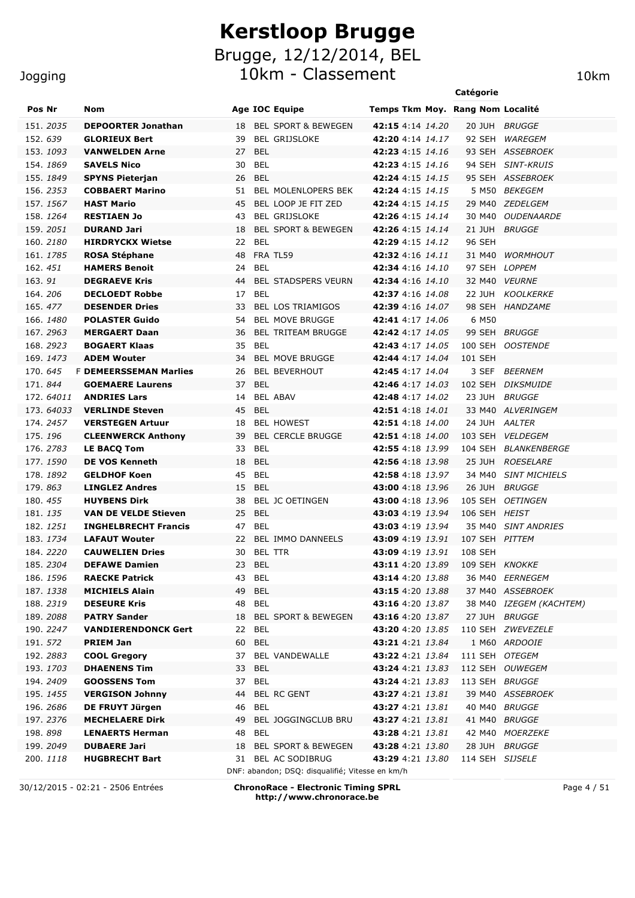**Jogging** 

#### Pos Nr Nom **Nome Age IOC Equipe** Temps Tkm Moy. Rang Nom Localité 151. *2035* **DEPOORTER Jonathan** 18 BEL SPORT & BEWEGEN **42:15** 4:14 *14.20* 20 JUH *BRUGGE* 152. *639* **GLORIEUX Bert** 39 BEL GRIJSLOKE **42:20** 4:14 *14.17* 92 SEH *WAREGEM* 153. *1093* **VANWELDEN Arne** 27 BEL **42:23** 4:15 *14.16* 93 SEH *ASSEBROEK* 154. *1869* **SAVELS Nico** 30 BEL **42:23** 4:15 *14.16* 94 SEH *SINT-KRUIS* 155. *1849* **SPYNS Pieterjan** 26 BEL **42:24** 4:15 *14.15* 95 SEH *ASSEBROEK* 156. *2353* **COBBAERT Marino** 51 BEL MOLENLOPERS BEK **42:24** 4:15 *14.15* 5 M50 *BEKEGEM* 157. *1567* **HAST Mario** 45 BEL LOOP JE FIT ZED **42:24** 4:15 *14.15* 29 M40 *ZEDELGEM* 158. *1264* **RESTIAEN Jo** 43 BEL GRIJSLOKE **42:26** 4:15 *14.14* 30 M40 *OUDENAARDE* 159. *2051* **DURAND Jari** 18 BEL SPORT & BEWEGEN **42:26** 4:15 *14.14* 21 JUH *BRUGGE* 160. *2180* **HIRDRYCKX Wietse** 22 BEL **42:29** 4:15 *14.12* 96 SEH 161. *1785* **ROSA Stéphane** 48 FRA TL59 **42:32** 4:16 *14.11* 31 M40 *WORMHOUT* 162. *451* **HAMERS Benoit** 24 BEL **42:34** 4:16 *14.10* 97 SEH *LOPPEM* 163. *91* **DEGRAEVE Kris** 44 BEL STADSPERS VEURN **42:34** 4:16 *14.10* 32 M40 *VEURNE* 164. *206* **DECLOEDT Robbe** 17 BEL **42:37** 4:16 *14.08* 22 JUH *KOOLKERKE* 165. *477* **DESENDER Dries** 33 BEL LOS TRIAMIGOS **42:39** 4:16 *14.07* 98 SEH *HANDZAME* 166. *1480* **POLASTER Guido** 54 BEL MOVE BRUGGE **42:41** 4:17 *14.06* 6 M50 167. *2963* **MERGAERT Daan** 36 BEL TRITEAM BRUGGE **42:42** 4:17 *14.05* 99 SEH *BRUGGE* 168. *2923* **BOGAERT Klaas** 35 BEL **42:43** 4:17 *14.05* 100 SEH *OOSTENDE* 169. *1473* **ADEM Wouter** 34 BEL MOVE BRUGGE **42:44** 4:17 *14.04* 101 SEH 170. *645* F **DEMEERSSEMAN Marlies** 26 BEL BEVERHOUT **42:45** 4:17 *14.04* 3 SEF *BEERNEM* 171. *844* **GOEMAERE Laurens** 37 BEL **42:46** 4:17 *14.03* 102 SEH *DIKSMUIDE* 172. *64011* **ANDRIES Lars** 14 BEL ABAV **42:48** 4:17 *14.02* 23 JUH *BRUGGE* 173. *64033* **VERLINDE Steven** 45 BEL **42:51** 4:18 *14.01* 33 M40 *ALVERINGEM* 174. *2457* **VERSTEGEN Artuur** 18 BEL HOWEST **42:51** 4:18 *14.00* 24 JUH *AALTER* 175. *196* **CLEENWERCK Anthony** 39 BEL CERCLE BRUGGE **42:51** 4:18 *14.00* 103 SEH *VELDEGEM* 176. *2783* **LE BACQ Tom** 33 BEL **42:55** 4:18 *13.99* 104 SEH *BLANKENBERGE* 177. *1590* **DE VOS Kenneth** 18 BEL **42:56** 4:18 *13.98* 25 JUH *ROESELARE* 178. *1892* **GELDHOF Koen** 45 BEL **42:58** 4:18 *13.97* 34 M40 *SINT MICHIELS* 179. *863* **LINGLEZ Andres** 15 BEL **43:00** 4:18 *13.96* 26 JUH *BRUGGE* 180. *455* **HUYBENS Dirk** 38 BEL JC OETINGEN **43:00** 4:18 *13.96* 105 SEH *OETINGEN* 181. *135* **VAN DE VELDE Stieven** 25 BEL **43:03** 4:19 *13.94* 106 SEH *HEIST* 182. *1251* **INGHELBRECHT Francis** 47 BEL **43:03** 4:19 *13.94* 35 M40 *SINT ANDRIES* 183. *1734* **LAFAUT Wouter** 22 BEL IMMO DANNEELS **43:09** 4:19 *13.91* 107 SEH *PITTEM* 184. *2220* **CAUWELIEN Dries** 30 BEL TTR **43:09** 4:19 *13.91* 108 SEH 185. *2304* **DEFAWE Damien** 23 BEL **43:11** 4:20 *13.89* 109 SEH *KNOKKE* 186. *1596* **RAECKE Patrick** 43 BEL **43:14** 4:20 *13.88* 36 M40 *EERNEGEM* 187. *1338* **MICHIELS Alain** 49 BEL **43:15** 4:20 *13.88* 37 M40 *ASSEBROEK* 188. *2319* **DESEURE Kris** 48 BEL **43:16** 4:20 *13.87* 38 M40 *IZEGEM (KACHTEM)* 189. *2088* **PATRY Sander** 18 BEL SPORT & BEWEGEN **43:16** 4:20 *13.87* 27 JUH *BRUGGE* 190. *2247* **VANDIERENDONCK Gert** 22 BEL **43:20** 4:20 *13.85* 110 SEH *ZWEVEZELE* 191. *572* **PRIEM Jan** 60 BEL **43:21** 4:21 *13.84* 1 M60 *ARDOOIE* 192. *2883* **COOL Gregory** 37 BEL VANDEWALLE **43:22** 4:21 *13.84* 111 SEH *OTEGEM* 193. *1703* **DHAENENS Tim** 33 BEL **43:24** 4:21 *13.83* 112 SEH *OUWEGEM* 194. *2409* **GOOSSENS Tom** 37 BEL **43:24** 4:21 *13.83* 113 SEH *BRUGGE* 195. *1455* **VERGISON Johnny** 44 BEL RC GENT **43:27** 4:21 *13.81* 39 M40 *ASSEBROEK* 196. *2686* **DE FRUYT Jürgen** 46 BEL **43:27** 4:21 *13.81* 40 M40 *BRUGGE* 197. *2376* **MECHELAERE Dirk** 49 BEL JOGGINGCLUB BRU **43:27** 4:21 *13.81* 41 M40 *BRUGGE* 198. *898* **LENAERTS Herman** 48 BEL **43:28** 4:21 *13.81* 42 M40 *MOERZEKE* 199. *2049* **DUBAERE Jari** 18 BEL SPORT & BEWEGEN **43:28** 4:21 *13.80* 28 JUH *BRUGGE* 200. *1118* **HUGBRECHT Bart** 31 BEL AC SODIBRUG **43:29** 4:21 *13.80* 114 SEH *SIJSELE* DNF: abandon; DSQ: disqualifié; Vitesse en km/h

30/12/2015 - 02:21 - 2506 Entrées **ChronoRace - Electronic Timing SPRL http://www.chronorace.be**

Page 4 / 51

**Catégorie**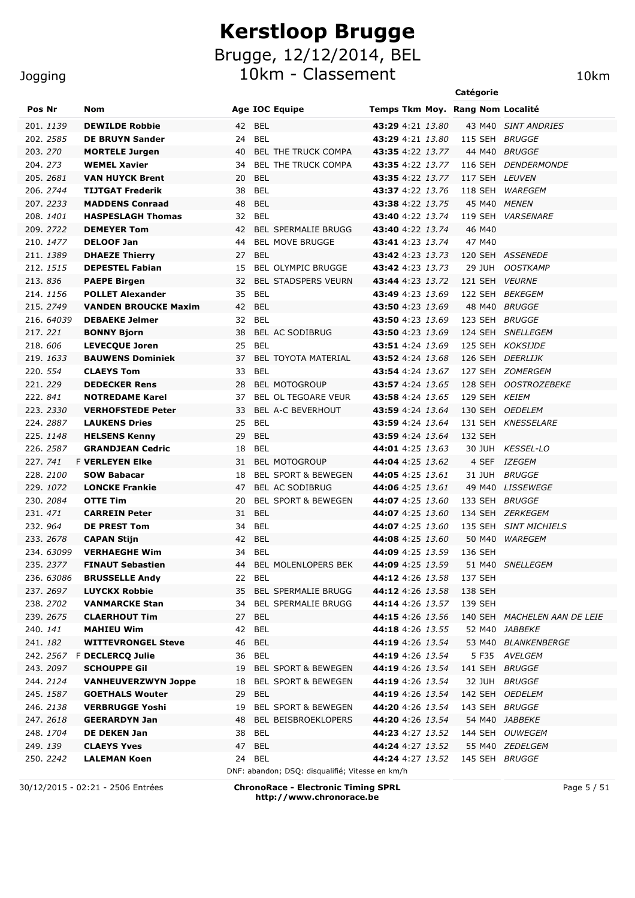Jogging

|                       |                                                 |                                                 |                                      | Catégorie          |                              |
|-----------------------|-------------------------------------------------|-------------------------------------------------|--------------------------------------|--------------------|------------------------------|
| Pos Nr                | Nom                                             | <b>Age IOC Equipe</b>                           | Temps Tkm Moy. Rang Nom Localité     |                    |                              |
| 201.1139              | <b>DEWILDE Robbie</b>                           | <b>BEL</b><br>42                                | 43:29 4:21 13.80                     |                    | 43 M40 SINT ANDRIES          |
| 202. 2585             | <b>DE BRUYN Sander</b>                          | <b>BEL</b><br>24                                | 43:29 4:21 13.80                     | 115 SEH            | <i>BRUGGE</i>                |
| 203.270               | <b>MORTELE Jurgen</b>                           | BEL THE TRUCK COMPA<br>40                       | 43:35 4:22 13.77                     | 44 M40             | <b>BRUGGE</b>                |
| 204.273               | <b>WEMEL Xavier</b>                             | BEL THE TRUCK COMPA<br>34                       | 43:35 4:22 13.77                     | 116 SEH            | <b>DENDERMONDE</b>           |
| 205.2681              | <b>VAN HUYCK Brent</b>                          | <b>BEL</b><br>20                                | <b>43:35</b> 4:22 13.77              | 117 SEH LEUVEN     |                              |
| 206. 2744             | <b>TIJTGAT Frederik</b>                         | 38<br>BEL                                       | <b>43:37</b> 4:22 13.76              | 118 SEH            | WAREGEM                      |
| 207.2233              | <b>MADDENS Conraad</b>                          | <b>BEL</b><br>48                                | <b>43:38</b> 4:22 13.75              | 45 M40             | <b>MENEN</b>                 |
| 208.1401              | <b>HASPESLAGH Thomas</b>                        | <b>BEL</b><br>32                                | <b>43:40</b> 4:22 13.74              | 119 SEH            | <i><b>VARSENARE</b></i>      |
| 209. 2722             | <b>DEMEYER Tom</b>                              | 42<br><b>BEL SPERMALIE BRUGG</b>                | <b>43:40</b> 4:22 13.74              | 46 M40             |                              |
| 210, 1477             | <b>DELOOF Jan</b>                               | <b>BEL MOVE BRUGGE</b><br>44                    | 43:41 4:23 13.74                     | 47 M40             |                              |
| 211.1389              | <b>DHAEZE Thierry</b>                           | <b>BEL</b><br>27                                | <b>43:42</b> 4:23 13.73              |                    | 120 SEH ASSENEDE             |
| 212. 1515             | <b>DEPESTEL Fabian</b>                          | BEL OLYMPIC BRUGGE<br>15                        | 43:42 4:23 13.73                     | 29 JUH             | <b>OOSTKAMP</b>              |
| 213.836               | <b>PAEPE Birgen</b>                             | <b>BEL STADSPERS VEURN</b><br>32                | 43:44 4:23 13.72                     | 121 SEH            | <b>VEURNE</b>                |
| 214.1156              | <b>POLLET Alexander</b>                         | 35<br><b>BEL</b>                                | 43:49 4:23 13.69                     | 122 SEH            | <b>BEKEGEM</b>               |
| 215.2749              | <b>VANDEN BROUCKE Maxim</b>                     | 42 BEL                                          | 43:50 4:23 13.69                     |                    | 48 M40 BRUGGE                |
| 216. 64039            | <b>DEBAEKE Jelmer</b>                           | 32 BEL                                          | 43:50 4:23 13.69                     | 123 SEH BRUGGE     |                              |
| 217.221               | <b>BONNY Bjorn</b>                              | BEL AC SODIBRUG<br>38                           | 43:50 4:23 13.69                     | 124 SEH            | <b>SNELLEGEM</b>             |
| 218, 606              | <b>LEVECQUE Joren</b>                           | <b>BEL</b><br>25                                | 43:51 4:24 13.69                     | 125 SEH            | KOKSIJDE                     |
| 219. 1633             | <b>BAUWENS Dominiek</b>                         | BEL TOYOTA MATERIAL<br>37                       | 43:52 4:24 13.68                     |                    | 126 SEH DEERLIJK             |
| 220. 554              | <b>CLAEYS Tom</b>                               | <b>BEL</b><br>33                                | <b>43:54</b> 4:24 13.67              | 127 SEH            | <i>ZOMERGEM</i>              |
| 221.229               | <b>DEDECKER Rens</b>                            | 28<br><b>BEL MOTOGROUP</b>                      | 43:57 4:24 13.65                     | 128 SEH            | <b>OOSTROZEBEKE</b>          |
| 222.841               | <b>NOTREDAME Karel</b>                          | BEL OL TEGOARE VEUR<br>37                       | 43:58 4:24 13.65                     | 129 SEH KEIEM      |                              |
| 223, 2330             | <b>VERHOFSTEDE Peter</b>                        | BEL A-C BEVERHOUT<br>33                         | 43:59 4:24 13.64                     | 130 SEH            | <b>OEDELEM</b>               |
| 224, 2887<br>225.1148 | <b>LAUKENS Dries</b>                            | 25<br><b>BEL</b>                                | 43:59 4:24 13.64                     | 131 SEH<br>132 SEH | <b>KNESSELARE</b>            |
| 226, 2587             | <b>HELSENS Kenny</b><br><b>GRANDJEAN Cedric</b> | <b>BEL</b><br>29<br><b>BEL</b><br>18            | 43:59 4:24 13.64<br>44:01 4:25 13.63 | 30 JUH             | <b>KESSEL-LO</b>             |
| 227, 741              | <b>F VERLEYEN Elke</b>                          | <b>BEL MOTOGROUP</b><br>31                      | 44:04 4:25 13.62                     | 4 SEF              | <i>IZEGEM</i>                |
| 228.2100              | <b>SOW Babacar</b>                              | <b>BEL SPORT &amp; BEWEGEN</b><br>18            | 44:05 4:25 13.61                     | 31 JUH             | <b>BRUGGE</b>                |
| 229. 1072             | <b>LONCKE Frankie</b>                           | BEL AC SODIBRUG<br>47                           | <b>44:06</b> 4:25 13.61              | 49 M40             | <b>LISSEWEGE</b>             |
| 230. 2084             | <b>OTTE Tim</b>                                 | <b>BEL SPORT &amp; BEWEGEN</b><br>20            | 44:07 4:25 13.60                     | 133 SEH            | <b>BRUGGE</b>                |
| 231.471               | <b>CARREIN Peter</b>                            | <b>BEL</b><br>31                                | 44:07 4:25 13.60                     |                    | 134 SEH ZERKEGEM             |
| 232.964               | <b>DE PREST Tom</b>                             | <b>BEL</b><br>34                                | 44:07 4:25 13.60                     | 135 SEH            | <b>SINT MICHIELS</b>         |
| 233. 2678             | <b>CAPAN Stijn</b>                              | 42<br><b>BEL</b>                                | <b>44:08</b> 4:25 13.60              | 50 M40             | WAREGEM                      |
| 234.63099             | <b>VERHAEGHE Wim</b>                            | 34<br><b>BEL</b>                                | 44:09 4:25 13.59                     | 136 SEH            |                              |
| 235.2377              | <b>FINAUT Sebastien</b>                         | 44 BEL MOLENLOPERS BEK                          | <b>44:09</b> 4:25 13.59              |                    | 51 M40 SNELLEGEM             |
| 236, 63086            | <b>BRUSSELLE Andy</b>                           | 22 BEL                                          | <b>44:12</b> 4:26 13.58              | 137 SEH            |                              |
| 237.2697              | <b>LUYCKX Robbie</b>                            | 35 BEL SPERMALIE BRUGG                          | 44:12 4:26 13.58                     | 138 SEH            |                              |
| 238.2702              | <b>VANMARCKE Stan</b>                           | 34 BEL SPERMALIE BRUGG                          | <b>44:14</b> 4:26 13.57              | 139 SEH            |                              |
| 239. 2675             | <b>CLAERHOUT Tim</b>                            | 27 BEL                                          | <b>44:15</b> 4:26 13.56              |                    | 140 SEH MACHELEN AAN DE LEIE |
| 240.141               | <b>MAHIEU Wim</b>                               | 42 BEL                                          | <b>44:18</b> 4:26 13.55              |                    | 52 M40 JABBEKE               |
| 241.182               | <b>WITTEVRONGEL Steve</b>                       | 46 BEL                                          | 44:19 4:26 13.54                     |                    | 53 M40 BLANKENBERGE          |
|                       | 242. 2567 F DECLERCO Julie                      | 36 BEL                                          | <b>44:19</b> 4:26 13.54              |                    | 5 F35 AVELGEM                |
| 243. 2097             | <b>SCHOUPPE Gil</b>                             | 19 BEL SPORT & BEWEGEN                          | <b>44:19</b> 4:26 13.54              | 141 SEH BRUGGE     |                              |
| 244.2124              | <b>VANHEUVERZWYN Joppe</b>                      | 18 BEL SPORT & BEWEGEN                          | <b>44:19</b> 4:26 13.54              |                    | 32 JUH BRUGGE                |
| 245. 1587             | <b>GOETHALS Wouter</b>                          | 29 BEL                                          | <b>44:19</b> 4:26 13.54              |                    | 142 SEH OEDELEM              |
| 246. 2138             | <b>VERBRUGGE Yoshi</b>                          | 19 BEL SPORT & BEWEGEN                          | <b>44:20</b> 4:26 13.54              | 143 SEH BRUGGE     |                              |
| 247. 2618             | <b>GEERARDYN Jan</b>                            | 48 BEL BEISBROEKLOPERS                          | <b>44:20</b> 4:26 13.54              |                    | 54 M40 JABBEKE               |
| 248.1704              | DE DEKEN Jan                                    | 38 BEL                                          | <b>44:23</b> 4:27 13.52              |                    | 144 SEH OUWEGEM              |
| 249.139               | <b>CLAEYS Yves</b>                              | 47 BEL                                          | 44:24 4:27 13.52                     |                    | 55 M40 ZEDELGEM              |
| 250. <i>2242</i>      | <b>LALEMAN Koen</b>                             | 24 BEL                                          | <b>44:24</b> 4:27 13.52              | 145 SEH BRUGGE     |                              |
|                       |                                                 | DNF: abandon; DSQ: disqualifié; Vitesse en km/h |                                      |                    |                              |

30/12/2015 - 02:21 - 2506 Entrées **ChronoRace - Electronic Timing SPRL http://www.chronorace.be**

Page 5 / 51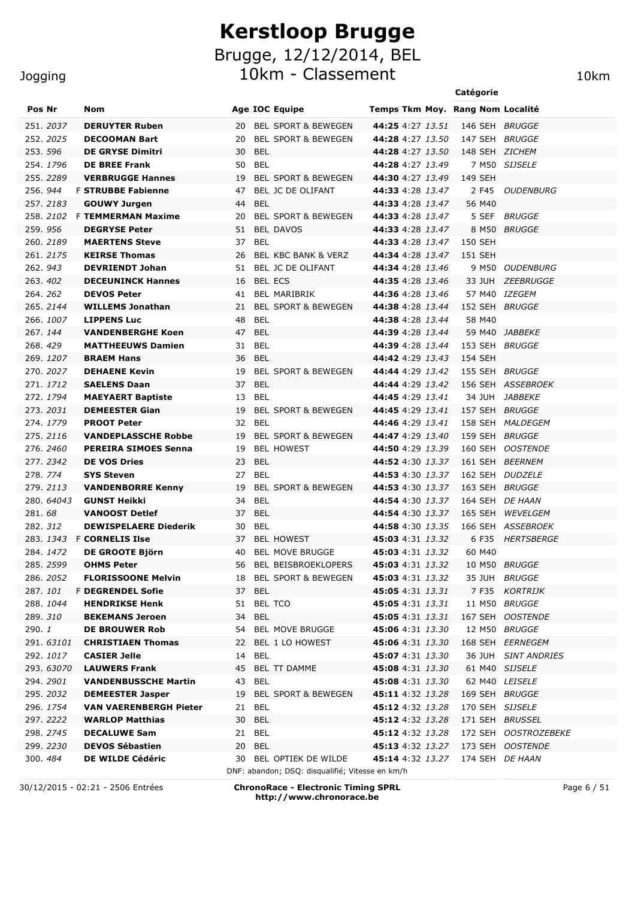#### Jogging

| Pos Nr        |                      | Nom                                                       |                  | <b>Age IOC Equipe</b>                                                     | Temps Tkm Moy. Rang Nom Localité            |                           |                      |
|---------------|----------------------|-----------------------------------------------------------|------------------|---------------------------------------------------------------------------|---------------------------------------------|---------------------------|----------------------|
|               | 251.2037             | <b>DERUYTER Ruben</b>                                     | 20               | <b>BEL SPORT &amp; BEWEGEN</b>                                            | <b>44:25</b> 4:27 13.51                     | 146 SEH BRUGGE            |                      |
|               | 252.2025             | <b>DECOOMAN Bart</b>                                      | 20               | <b>BEL SPORT &amp; BEWEGEN</b>                                            | <b>44:28</b> 4:27 13.50                     | 147 SEH BRUGGE            |                      |
|               | 253. 596             | <b>DE GRYSE Dimitri</b>                                   | BEL<br>30        |                                                                           | <b>44:28</b> 4:27 13.50                     | 148 SEH ZICHEM            |                      |
|               | 254.1796             | <b>DE BREE Frank</b>                                      | <b>BEL</b><br>50 |                                                                           | <b>44:28</b> 4:27 13.49                     |                           | 7 M50 SIJSELE        |
|               | 255, 2289            | <b>VERBRUGGE Hannes</b>                                   | 19               | <b>BEL SPORT &amp; BEWEGEN</b>                                            | 44:30 4:27 13.49                            | 149 SEH                   |                      |
|               | 256.944              | <b>F STRUBBE Fabienne</b>                                 | 47               | BEL JC DE OLIFANT                                                         | <b>44:33</b> 4:28 13.47                     | 2 F45                     | <b>OUDENBURG</b>     |
|               | 257.2183             | <b>GOUWY Jurgen</b>                                       | <b>BEL</b><br>44 |                                                                           | <b>44:33</b> 4:28 13.47                     | 56 M40                    |                      |
|               |                      | 258. 2102 F TEMMERMAN Maxime                              | 20               | <b>BEL SPORT &amp; BEWEGEN</b>                                            | 44:33 4:28 13.47                            |                           | 5 SEF BRUGGE         |
|               | 259.956              | <b>DEGRYSE Peter</b>                                      |                  | 51 BEL DAVOS                                                              | <b>44:33</b> 4:28 13.47                     |                           | 8 M50 BRUGGE         |
|               | 260, 2189            | <b>MAERTENS Steve</b>                                     | 37 BEL           |                                                                           | 44:33 4:28 13.47                            | 150 SEH                   |                      |
|               | 261.2175             | <b>KEIRSE Thomas</b>                                      | 26               | BEL KBC BANK & VERZ                                                       | <b>44:34</b> 4:28 13.47                     | 151 SEH                   |                      |
|               | 262.943              | <b>DEVRIENDT Johan</b>                                    | 51               | BEL JC DE OLIFANT                                                         | <b>44:34</b> 4:28 13.46                     |                           | 9 M50 OUDENBURG      |
|               | 263.402              | <b>DECEUNINCK Hannes</b>                                  | 16               | <b>BEL ECS</b>                                                            | <b>44:35</b> 4:28 13.46                     |                           | 33 JUH ZEEBRUGGE     |
|               | 264.262              | <b>DEVOS Peter</b>                                        | 41               | BEL MARIBRIK                                                              | <b>44:36</b> 4:28 13.46                     |                           | 57 M40 IZEGEM        |
|               | 265.2144             | <b>WILLEMS Jonathan</b>                                   | 21               | <b>BEL SPORT &amp; BEWEGEN</b>                                            | <b>44:38</b> 4:28 13.44                     | 152 SEH BRUGGE            |                      |
|               | 266. 1007            | <b>LIPPENS Luc</b>                                        | 48 BEL           |                                                                           | <b>44:38</b> 4:28 13.44                     | 58 M40                    |                      |
|               | 267.144              | <b>VANDENBERGHE Koen</b>                                  | 47 BEL           |                                                                           | 44:39 4:28 13.44                            |                           | 59 M40 JABBEKE       |
|               | 268.429              | <b>MATTHEEUWS Damien</b>                                  | 31<br>BEL        |                                                                           | 44:39 4:28 13.44                            | 153 SEH BRUGGE            |                      |
|               | 269. 1207            | <b>BRAEM Hans</b>                                         | 36 BEL           |                                                                           | 44:42 4:29 13.43                            | 154 SEH                   |                      |
|               | 270. 2027            | <b>DEHAENE Kevin</b>                                      | 19               | <b>BEL SPORT &amp; BEWEGEN</b>                                            | 44:44 4:29 13.42                            | 155 SEH                   | <i>BRUGGE</i>        |
|               | 271.1712             | <b>SAELENS Daan</b>                                       | 37<br><b>BEL</b> |                                                                           | <b>44:44</b> 4:29 13.42                     |                           | 156 SEH ASSEBROEK    |
|               | 272. 1794            | <b>MAEYAERT Baptiste</b>                                  | 13<br>BEL        |                                                                           | <b>44:45</b> 4:29 13.41                     | 34 JUH                    | <i>JABBEKE</i>       |
|               | 273. 2031            | <b>DEMEESTER Gian</b>                                     | 19               | <b>BEL SPORT &amp; BEWEGEN</b>                                            | 44:45 4:29 13.41                            | 157 SEH BRUGGE            |                      |
|               | 274.1779             | <b>PROOT Peter</b>                                        | 32 BEL<br>19     |                                                                           | 44:46 4:29 13.41                            | 158 SEH                   | <i>MALDEGEM</i>      |
|               | 275.2116<br>276.2460 | <b>VANDEPLASSCHE Robbe</b><br><b>PEREIRA SIMOES Senna</b> | 19               | <b>BEL SPORT &amp; BEWEGEN</b><br><b>BEL HOWEST</b>                       | 44:47 4:29 13.40<br><b>44:50</b> 4:29 13.39 | 159 SEH BRUGGE<br>160 SEH | <b>OOSTENDE</b>      |
|               | 277.2342             | <b>DE VOS Dries</b>                                       | <b>BEL</b><br>23 |                                                                           | 44:52 4:30 13.37                            |                           | 161 SEH BEERNEM      |
|               | 278.774              | <b>SYS Steven</b>                                         | <b>BEL</b><br>27 |                                                                           | <b>44:53</b> 4:30 13.37                     |                           | 162 SEH DUDZELE      |
|               | 279. 2113            | <b>VANDENBORRE Kenny</b>                                  | 19               | <b>BEL SPORT &amp; BEWEGEN</b>                                            | <b>44:53</b> 4:30 13.37                     | 163 SEH BRUGGE            |                      |
|               | 280. 64043           | <b>GUNST Heikki</b>                                       | BEL<br>34        |                                                                           | <b>44:54</b> 4:30 13.37                     |                           | 164 SEH DE HAAN      |
| 281.68        |                      | <b>VANOOST Detlef</b>                                     | 37 BEL           |                                                                           | <b>44:54</b> 4:30 13.37                     | 165 SEH                   | WEVELGEM             |
|               | 282. 312             | <b>DEWISPELAERE Diederik</b>                              | 30<br>BEL        |                                                                           | <b>44:58</b> 4:30 13.35                     |                           | 166 SEH ASSEBROEK    |
|               |                      | 283. 1343 F CORNELIS Ilse                                 |                  | 37 BEL HOWEST                                                             | <b>45:03</b> 4:31 13.32                     |                           | 6 F35 HERTSBERGE     |
|               | 284.1472             | DE GROOTE Björn                                           |                  | 40 BEL MOVE BRUGGE                                                        | 45:03 4:31 13.32                            | 60 M40                    |                      |
|               | 285.2599             | <b>OHMS Peter</b>                                         |                  | 56 BEL BEISBROEKLOPERS                                                    | 45:03 4:31 13.32                            |                           | 10 M50 BRUGGE        |
|               | 286. 2052            | <b>FLORISSOONE Melvin</b>                                 |                  | 18 BEL SPORT & BEWEGEN                                                    | 45:03 4:31 13.32                            |                           | 35 JUH BRUGGE        |
|               | 287.101              | F DEGRENDEL Sofie                                         | 37 BEL           |                                                                           | 45:05 4:31 13.31                            |                           | 7 F35 KORTRIJK       |
|               | 288.1044             | <b>HENDRIKSE Henk</b>                                     |                  | 51 BEL TCO                                                                | <b>45:05</b> 4:31 13.31                     |                           | 11 M50 BRUGGE        |
|               | 289.310              | <b>BEKEMANS Jeroen</b>                                    | 34 BEL           |                                                                           | <b>45:05</b> 4:31 13.31                     |                           | 167 SEH OOSTENDE     |
| 290. <i>1</i> |                      | DE BROUWER Rob                                            |                  | 54 BEL MOVE BRUGGE                                                        | 45:06 4:31 13.30                            |                           | 12 M50 BRUGGE        |
|               | 291.63101            | <b>CHRISTIAEN Thomas</b>                                  |                  | 22 BEL 1 LO HOWEST                                                        | <b>45:06</b> 4:31 13.30                     |                           | 168 SEH EERNEGEM     |
|               | 292.1017             | <b>CASIER Jelle</b>                                       | 14 BEL           |                                                                           | <b>45:07</b> 4:31 13.30                     |                           | 36 JUH SINT ANDRIES  |
|               | 293. 63070           | <b>LAUWERS Frank</b>                                      |                  | 45 BEL TT DAMME                                                           | 45:08 4:31 13.30                            |                           | 61 M40 SIJSELE       |
|               | 294.2901             | <b>VANDENBUSSCHE Martin</b>                               | 43 BEL           |                                                                           | <b>45:08</b> 4:31 13.30                     |                           | 62 M40 LEISELE       |
|               | 295. 2032            | <b>DEMEESTER Jasper</b>                                   |                  | 19 BEL SPORT & BEWEGEN                                                    | 45:11 4:32 13.28                            | 169 SEH BRUGGE            |                      |
|               | 296. 1754            | <b>VAN VAERENBERGH Pieter</b>                             | 21 BEL           |                                                                           | 45:12 4:32 13.28                            | 170 SEH SIJSELE           |                      |
|               | 297. 2222            | <b>WARLOP Matthias</b>                                    | 30 BEL           |                                                                           | 45:12 4:32 13.28                            |                           | 171 SEH BRUSSEL      |
|               | 298. 2745            | <b>DECALUWE Sam</b>                                       | 21 BEL           |                                                                           | <b>45:12</b> 4:32 13.28                     |                           | 172 SEH OOSTROZEBEKE |
|               | 299. 2230            | <b>DEVOS Sébastien</b>                                    | 20 BEL           |                                                                           | 45:13 4:32 13.27                            |                           | 173 SEH OOSTENDE     |
|               | 300. <i>484</i>      | DE WILDE Cédéric                                          |                  | 30 BEL OPTIEK DE WILDE<br>DNF: abandon; DSQ: disqualifié; Vitesse en km/h | <b>45:14</b> 4:32 13.27                     |                           | 174 SEH DE HAAN      |

30/12/2015 - 02:21 - 2506 Entrées **ChronoRace - Electronic Timing SPRL http://www.chronorace.be**

Page 6 / 51

**Catégorie**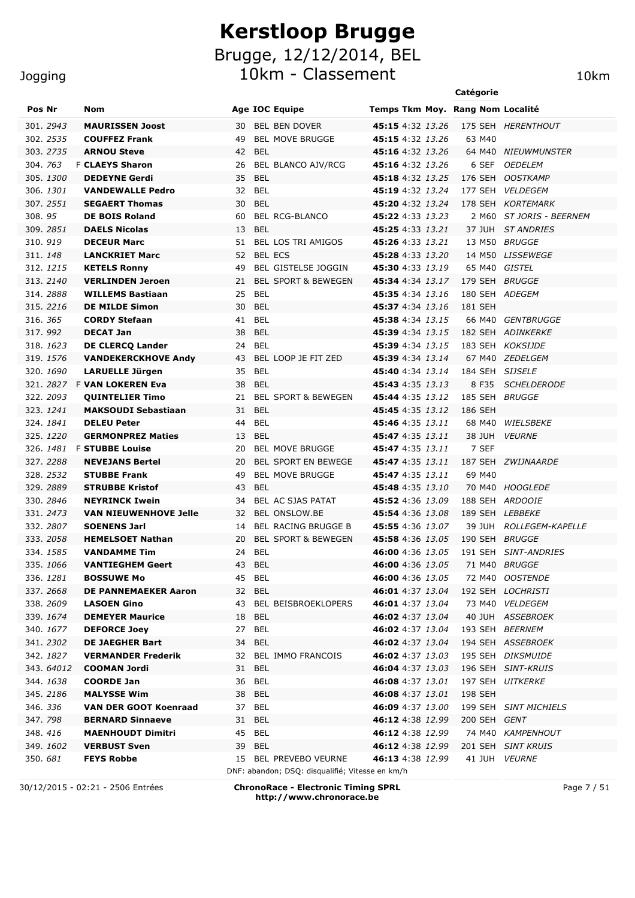10km - Classement 10km

#### Jogging

| Pos Nr                | Nom                                            | <b>Age IOC Equipe</b>                             | Temps Tkm Moy. Rang Nom Localité                   |                 |                          |
|-----------------------|------------------------------------------------|---------------------------------------------------|----------------------------------------------------|-----------------|--------------------------|
| 301, 2943             | <b>MAURISSEN Joost</b>                         | 30<br>BEL BEN DOVER                               | 45:15 4:32 13.26                                   |                 | 175 SEH HERENTHOUT       |
| 302. 2535             | <b>COUFFEZ Frank</b>                           | <b>BEL MOVE BRUGGE</b><br>49                      | 45:15 4:32 13.26                                   | 63 M40          |                          |
| 303. 2735             | <b>ARNOU Steve</b>                             | 42 BEL                                            | 45:16 4:32 13.26                                   |                 | 64 M40 NIEUWMUNSTER      |
| 304. 763              | <b>F CLAEYS Sharon</b>                         | BEL BLANCO AJV/RCG<br>26                          | 45:16 4:32 13.26                                   | 6 SEF           | <i>OEDELEM</i>           |
| 305.1300              | <b>DEDEYNE Gerdi</b>                           | 35 BEL                                            | 45:18 4:32 13.25                                   |                 | 176 SEH OOSTKAMP         |
| 306.1301              | <b>VANDEWALLE Pedro</b>                        | 32 BEL                                            | 45:19 4:32 13.24                                   |                 | 177 SEH VELDEGEM         |
| 307. 2551             | <b>SEGAERT Thomas</b>                          | 30 BEL                                            | <b>45:20</b> 4:32 13.24                            |                 | 178 SEH KORTEMARK        |
| 308.95                | <b>DE BOIS Roland</b>                          | BEL RCG-BLANCO<br>60                              | 45:22 4:33 13.23                                   |                 | 2 M60 ST JORIS - BEERNEM |
| 309. 2851             | <b>DAELS Nicolas</b>                           | 13 BEL                                            | <b>45:25</b> 4:33 13.21                            |                 | 37 JUH ST ANDRIES        |
| 310.919               | <b>DECEUR Marc</b>                             | BEL LOS TRI AMIGOS<br>51                          | <b>45:26</b> 4:33 13.21                            |                 | 13 M50 BRUGGE            |
| 311.148               | <b>LANCKRIET Marc</b>                          | 52 BEL ECS                                        | <b>45:28</b> 4:33 13.20                            |                 | 14 M50 LISSEWEGE         |
| 312. 1215             | <b>KETELS Ronny</b>                            | <b>BEL GISTELSE JOGGIN</b><br>49                  | <b>45:30</b> 4:33 13.19                            | 65 M40 GISTEL   |                          |
| 313.2140              | <b>VERLINDEN Jeroen</b>                        | <b>BEL SPORT &amp; BEWEGEN</b><br>21              | <b>45:34</b> 4:34 13.17                            | 179 SEH BRUGGE  |                          |
| 314, 2888             | <b>WILLEMS Bastiaan</b>                        | <b>BEL</b><br>25                                  | <b>45:35</b> 4:34 13.16                            | 180 SEH ADEGEM  |                          |
| 315.2216              | <b>DE MILDE Simon</b>                          | <b>BEL</b><br>30                                  | <b>45:37</b> 4:34 13.16                            | 181 SEH         |                          |
| 316. 365              | <b>CORDY Stefaan</b>                           | 41<br>BEL                                         | 45:38 4:34 13.15                                   | 66 M40          | GENTBRUGGE               |
| 317.992               | <b>DECAT Jan</b>                               | <b>BEL</b><br>38                                  | 45:39 4:34 13.15                                   |                 | 182 SEH ADINKERKE        |
| 318. 1623             | <b>DE CLERCQ Lander</b>                        | <b>BEL</b><br>24                                  | 45:39 4:34 13.15                                   |                 | 183 SEH KOKSIJDE         |
| 319. 1576             | <b>VANDEKERCKHOVE Andy</b>                     | BEL LOOP JE FIT ZED<br>43                         | 45:39 4:34 13.14                                   |                 | 67 M40 ZEDELGEM          |
| 320. 1690             | <b>LARUELLE Jürgen</b>                         | <b>BEL</b><br>35                                  | 45:40 4:34 13.14                                   | 184 SEH SIJSELE |                          |
| 321.2827              | <b>F VAN LOKEREN Eva</b>                       | <b>BEL</b><br>38                                  | 45:43 4:35 13.13                                   | 8 F35           | <b>SCHELDERODE</b>       |
| 322. 2093             | <b>QUINTELIER Timo</b>                         | <b>BEL SPORT &amp; BEWEGEN</b><br>21              | <b>45:44</b> 4:35 13.12                            | 185 SEH BRUGGE  |                          |
| 323. 1241             | <b>MAKSOUDI Sebastiaan</b>                     | <b>BEL</b><br>31                                  | <b>45:45</b> 4:35 13.12                            | 186 SEH         |                          |
| 324.1841              | <b>DELEU Peter</b>                             | <b>BEL</b><br>44                                  | 45:46 4:35 13.11                                   | 68 M40          | WIELSBEKE                |
| 325.1220              | <b>GERMONPREZ Maties</b>                       | <b>BEL</b><br>13                                  | 45:47 4:35 13.11                                   |                 | 38 JUH VEURNE            |
| 326. <i>1481</i>      | <b>F STUBBE Louise</b>                         | <b>BEL MOVE BRUGGE</b><br>20                      | 45:47 4:35 13.11                                   | 7 SEF           |                          |
| 327, 2288             | <b>NEVEJANS Bertel</b>                         | 20<br><b>BEL SPORT EN BEWEGE</b>                  | 45:47 4:35 13.11                                   |                 | 187 SEH ZWIJNAARDE       |
| 328.2532              | <b>STUBBE Frank</b>                            | <b>BEL MOVE BRUGGE</b><br>49                      | 45:47 4:35 13.11                                   | 69 M40          |                          |
| 329.2889              | <b>STRUBBE Kristof</b>                         | <b>BEL</b><br>43                                  | 45:48 4:35 13.10                                   |                 | 70 M40 HOOGLEDE          |
| 330.2846              | <b>NEYRINCK Iwein</b>                          | BEL AC SJAS PATAT<br>34                           | 45:52 4:36 13.09                                   |                 | 188 SEH ARDOOIE          |
| 331.2473              | <b>VAN NIEUWENHOVE Jelle</b>                   | 32 BEL ONSLOW.BE                                  | <b>45:54</b> 4:36 13.08                            | 189 SEH LEBBEKE |                          |
| 332.2807              | <b>SOENENS Jarl</b>                            | <b>BEL RACING BRUGGE B</b><br>14                  | <b>45:55</b> 4:36 13.07                            |                 | 39 JUH ROLLEGEM-KAPELLE  |
| 333.2058<br>334, 1585 | <b>HEMELSOET Nathan</b><br><b>VANDAMME Tim</b> | <b>BEL SPORT &amp; BEWEGEN</b><br>20<br>BEL<br>24 | <b>45:58</b> 4:36 13.05<br><b>46:00</b> 4:36 13.05 | 190 SEH BRUGGE  | 191 SEH SINT-ANDRIES     |
| 335, 1066             | <b>VANTIEGHEM Geert</b>                        | 43 BEL                                            | 46:00 4:36 13.05                                   |                 | 71 M40 BRUGGE            |
| 336.1281              | <b>BOSSUWE Mo</b>                              | 45 BEL                                            | 46:00 4:36 13.05                                   |                 | 72 M40 OOSTENDE          |
| 337.2668              | DE PANNEMAEKER Aaron                           | 32 BEL                                            | <b>46:01</b> 4:37 13.04                            |                 | 192 SEH LOCHRISTI        |
| 338.2609              | <b>LASOEN Gino</b>                             | 43 BEL BEISBROEKLOPERS                            | 46:01 4:37 13.04                                   |                 | 73 M40 VELDEGEM          |
| 339. 1674             | <b>DEMEYER Maurice</b>                         | 18 BEL                                            | <b>46:02</b> 4:37 13.04                            |                 | 40 JUH ASSEBROEK         |
| 340. 1677             | <b>DEFORCE Joey</b>                            | 27 BEL                                            | <b>46:02</b> 4:37 13.04                            |                 | 193 SEH BEERNEM          |
| 341.2302              | <b>DE JAEGHER Bart</b>                         | 34 BEL                                            | 46:02 4:37 13.04                                   |                 | 194 SEH ASSEBROEK        |
| 342. 1827             | <b>VERMANDER Frederik</b>                      | 32 BEL IMMO FRANCOIS                              | <b>46:02</b> 4:37 13.03                            |                 | 195 SEH DIKSMUIDE        |
| 343. 64012            | <b>COOMAN Jordi</b>                            | 31 BEL                                            | 46:04 4:37 13.03                                   |                 | 196 SEH SINT-KRUIS       |
| 344. 1638             | <b>COORDE Jan</b>                              | 36 BEL                                            | <b>46:08</b> 4:37 13.01                            |                 | 197 SEH UITKERKE         |
| 345.2186              | <b>MALYSSE Wim</b>                             | 38 BEL                                            | <b>46:08</b> 4:37 13.01                            | 198 SEH         |                          |
| 346. 336              | <b>VAN DER GOOT Koenraad</b>                   | 37 BEL                                            | 46:09 4:37 13.00                                   |                 | 199 SEH SINT MICHIELS    |
| 347.798               | <b>BERNARD Sinnaeve</b>                        | 31 BEL                                            | <b>46:12</b> 4:38 12.99                            | 200 SEH GENT    |                          |
| 348.416               | <b>MAENHOUDT Dimitri</b>                       | 45 BEL                                            | <b>46:12</b> 4:38 12.99                            |                 | 74 M40 KAMPENHOUT        |
| 349. 1602             | <b>VERBUST Sven</b>                            | 39 BEL                                            | <b>46:12</b> 4:38 12.99                            |                 | 201 SEH SINT KRUIS       |
| 350.681               | <b>FEYS Robbe</b>                              | 15 BEL PREVEBO VEURNE                             | <b>46:13</b> 4:38 12.99                            |                 | 41 JUH VEURNE            |
|                       |                                                | DNF: abandon; DSQ: disqualifié; Vitesse en km/h   |                                                    |                 |                          |

30/12/2015 - 02:21 - 2506 Entrées **ChronoRace - Electronic Timing SPRL http://www.chronorace.be**

Page 7 / 51

**Catégorie**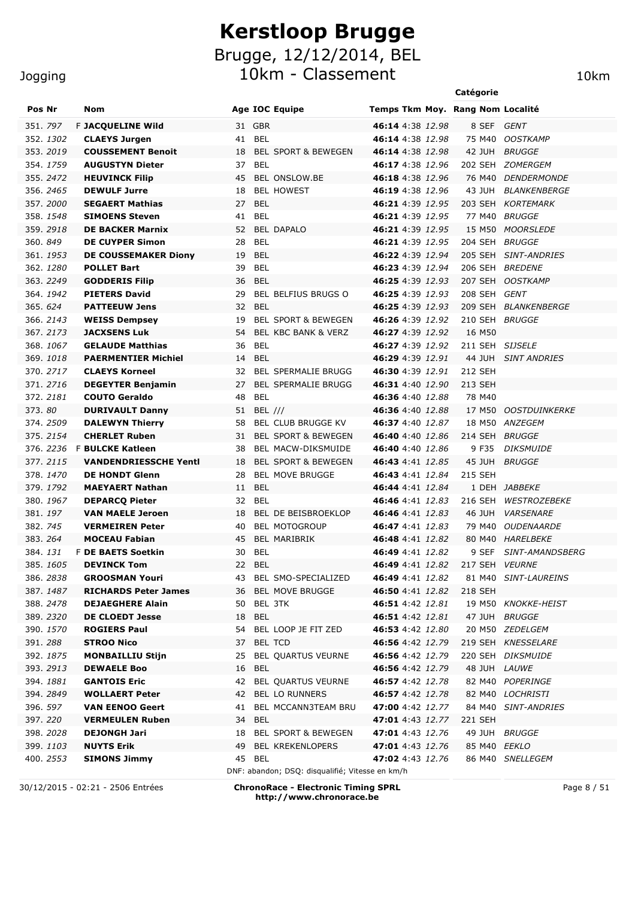10km - Classement 10km 10km

|                  |                              |        |                                |                                  | Catégorie       |                            |
|------------------|------------------------------|--------|--------------------------------|----------------------------------|-----------------|----------------------------|
| Pos Nr           | <b>Nom</b>                   |        | <b>Age IOC Equipe</b>          | Temps Tkm Moy. Rang Nom Localité |                 |                            |
| 351. 797         | F JACQUELINE Wild            | 31 GBR |                                | 46:14 4:38 12.98                 | 8 SEF GENT      |                            |
| 352. <i>1302</i> | <b>CLAEYS Jurgen</b>         | 41 BEL |                                | 46:14 4:38 12.98                 |                 | 75 M40 OOSTKAMP            |
| 353. <i>2019</i> | <b>COUSSEMENT Benoit</b>     | 18     | <b>BEL SPORT &amp; BEWEGEN</b> | 46:14 4:38 12.98                 |                 | 42 JUH BRUGGE              |
| 354. <i>1759</i> | <b>AUGUSTYN Dieter</b>       | 37 BEL |                                | <b>46:17</b> 4:38 12.96          |                 | 202 SEH ZOMERGEM           |
| 355. <i>2472</i> | <b>HEUVINCK Filip</b>        | 45     | BEL ONSLOW.BE                  | <b>46:18</b> 4:38 12.96          |                 | 76 M40 DENDERMONDE         |
| 356. <i>2465</i> | <b>DEWULF Jurre</b>          | 18     | <b>BEL HOWEST</b>              | <b>46:19</b> 4:38 12.96          |                 | 43 JUH BLANKENBERGE        |
| 357. <i>2000</i> | <b>SEGAERT Mathias</b>       | 27     | <b>BEL</b>                     | 46:21 4:39 12.95                 |                 | 203 SEH KORTEMARK          |
| 358. <i>1548</i> | <b>SIMOENS Steven</b>        | 41     | <b>BEL</b>                     | 46:21 4:39 12.95                 |                 | 77 M40 BRUGGE              |
| 359. <i>2918</i> | <b>DE BACKER Marnix</b>      |        | 52 BEL DAPALO                  | 46:21 4:39 12.95                 |                 | 15 M50 MOORSLEDE           |
| 360. <i>849</i>  | <b>DE CUYPER Simon</b>       | 28     | <b>BEL</b>                     | 46:21 4:39 12.95                 | 204 SEH BRUGGE  |                            |
| 361. <i>1953</i> | <b>DE COUSSEMAKER Diony</b>  | 19     | <b>BEL</b>                     | 46:22 4:39 12.94                 |                 | 205 SEH SINT-ANDRIES       |
| 362. <i>1280</i> | <b>POLLET Bart</b>           | 39     | <b>BEL</b>                     | 46:23 4:39 12.94                 |                 | 206 SEH BREDENE            |
| 363. 2249        | <b>GODDERIS Filip</b>        | 36     | <b>BEL</b>                     | <b>46:25</b> 4:39 12.93          | 207 SEH         | <b>OOSTKAMP</b>            |
| 364. <i>1942</i> | <b>PIETERS David</b>         | 29     | <b>BEL BELFIUS BRUGS O</b>     | 46:25 4:39 12.93                 | 208 SEH GENT    |                            |
| 365. 624         | <b>PATTEEUW Jens</b>         | 32 BEL |                                | <b>46:25</b> 4:39 12.93          |                 | 209 SEH BLANKENBERGE       |
| 366. <i>2143</i> | <b>WEISS Dempsey</b>         | 19     | <b>BEL SPORT &amp; BEWEGEN</b> | 46:26 4:39 12.92                 | 210 SEH BRUGGE  |                            |
| 367. <i>2173</i> | <b>JACXSENS Luk</b>          | 54     | BEL KBC BANK & VERZ            | <b>46:27</b> 4:39 12.92          | 16 M50          |                            |
| 368. <i>1067</i> | <b>GELAUDE Matthias</b>      | 36     | BEL                            | 46:27 4:39 12.92                 | 211 SEH SIJSELE |                            |
| 369. <i>1018</i> | <b>PAERMENTIER Michiel</b>   | 14     | BEL                            | <b>46:29</b> 4:39 12.91          |                 | 44 JUH SINT ANDRIES        |
| 370.2717         | <b>CLAEYS Korneel</b>        | 32     | <b>BEL SPERMALIE BRUGG</b>     | 46:30 4:39 12.91                 | 212 SEH         |                            |
| 371, 2716        | <b>DEGEYTER Benjamin</b>     | 27     | <b>BEL SPERMALIE BRUGG</b>     | <b>46:31</b> 4:40 12.90          | 213 SEH         |                            |
| 372. <i>2181</i> | <b>COUTO Geraldo</b>         | 48     | BEL                            | <b>46:36</b> 4:40 12.88          | 78 M40          |                            |
| 373. <i>80</i>   | <b>DURIVAULT Danny</b>       |        | 51 BEL ///                     | 46:36 4:40 12.88                 |                 | 17 M50 OOSTDUINKERKE       |
| 374.2509         | <b>DALEWYN Thierry</b>       | 58     | BEL CLUB BRUGGE KV             | 46:37 4:40 12.87                 |                 | 18 M50 ANZEGEM             |
| 375.2154         | <b>CHERLET Ruben</b>         | 31     | <b>BEL SPORT &amp; BEWEGEN</b> | <b>46:40</b> 4:40 12.86          | 214 SEH BRUGGE  |                            |
| 376. 2236        | <b>F BULCKE Katleen</b>      | 38     | BEL MACW-DIKSMUIDE             | <b>46:40</b> 4:40 12.86          | 9 F35           | <b>DIKSMUIDE</b>           |
| 377.2115         | <b>VANDENDRIESSCHE Yentl</b> | 18     | <b>BEL SPORT &amp; BEWEGEN</b> | <b>46:43</b> 4:41 12.85          |                 | 45 JUH BRUGGE              |
| 378. <i>1470</i> | <b>DE HONDT Glenn</b>        | 28     | <b>BEL MOVE BRUGGE</b>         | <b>46:43</b> 4:41 12.84          | 215 SEH         |                            |
| 379. <i>1792</i> | <b>MAEYAERT Nathan</b>       | 11 BEL |                                | <b>46:44</b> 4:41  12.84         |                 | 1 DEH JABBEKE              |
| 380. <i>1967</i> | <b>DEPARCQ Pieter</b>        | 32 BEL |                                | 46:46 4:41 12.83                 | 216 SEH         | <b>WESTROZEBEKE</b>        |
| 381. <i>197</i>  | <b>VAN MAELE Jeroen</b>      | 18     | BEL DE BEISBROEKLOP            | <b>46:46</b> 4:41 12.83          | 46 JUH          | <b>VARSENARE</b>           |
| 382. <i>745</i>  | <b>VERMEIREN Peter</b>       | 40     | <b>BEL MOTOGROUP</b>           | <b>46:47</b> 4:41 12.83          |                 | 79 M40 OUDENAARDE          |
| 383. 264         | <b>MOCEAU Fabian</b>         | 45     | BEL MARIBRIK                   | 46:48 4:41 12.82                 |                 | 80 M40 HARELBEKE           |
| 384. <i>131</i>  | <b>F DE BAETS Soetkin</b>    | 30     | <b>BEL</b>                     | 46:49 4:41 12.82                 |                 | 9 SEF SINT-AMANDSBERG      |
| 385. 1605        | <b>DEVINCK Tom</b>           | 22     | <b>BEL</b>                     | 46:49 4:41 12.82 217 SEH VEURNE  |                 |                            |
| 386. <i>2838</i> | <b>GROOSMAN Youri</b>        |        | 43 BEL SMO-SPECIALIZED         | <b>46:49</b> 4:41 <i>12.82</i>   |                 | 81 M40 SINT-LAUREINS       |
| 387. <i>1487</i> | <b>RICHARDS Peter James</b>  |        | 36 BEL MOVE BRUGGE             | <b>46:50</b> 4:41 12.82          | 218 SEH         |                            |
| 388. <i>2478</i> | <b>DEJAEGHERE Alain</b>      |        | 50 BEL 3TK                     | <b>46:51</b> 4:42 12.81          |                 | 19 M50 KNOKKE-HEIST        |
| 389. <i>2320</i> | <b>DE CLOEDT Jesse</b>       | 18 BEL |                                | <b>46:51</b> 4:42 12.81          |                 | 47 JUH BRUGGE              |
| 390. <i>1570</i> | <b>ROGIERS Paul</b>          |        | 54 BEL LOOP JE FIT ZED         | <b>46:53</b> 4:42  12.80         |                 | 20 M50 <i>ZEDELGEM</i>     |
| 391. <i>288</i>  | <b>STROO Nico</b>            |        | 37 BEL TCD                     | <b>46:56</b> 4:42 12.79          |                 | 219 SEH KNESSELARE         |
| 392. <i>1875</i> | <b>MONBAILLIU Stijn</b>      |        | 25 BEL QUARTUS VEURNE          | 46:56 4:42 12.79                 |                 | 220 SEH DIKSMUIDE          |
| 393. <i>2913</i> | <b>DEWAELE Boo</b>           | 16 BEL |                                | <b>46:56</b> 4:42 12.79          | 48 JUH LAUWE    |                            |
| 394. <i>1881</i> | <b>GANTOIS Eric</b>          |        | 42 BEL QUARTUS VEURNE          | <b>46:57</b> 4:42 12.78          |                 | 82 M40 POPERINGE           |
| 394. <i>2849</i> | <b>WOLLAERT Peter</b>        |        | 42 BEL LO RUNNERS              | <b>46:57</b> 4:42 12.78          |                 | 82 M40 LOCHRISTI           |
| 396. <i>597</i>  | <b>VAN EENOO Geert</b>       |        | 41 BEL MCCANN3TEAM BRU         | 47:00 4:42 12.77                 |                 | 84 M40 <i>SINT-ANDRIES</i> |
| 397. <i>220</i>  | <b>VERMEULEN Ruben</b>       | 34 BEL |                                | <b>47:01</b> 4:43 12.77          | 221 SEH         |                            |
| 398. <i>2028</i> | <b>DEJONGH Jari</b>          |        | 18 BEL SPORT & BEWEGEN         | 47:01 4:43 12.76                 |                 | 49 JUH BRUGGE              |

DNF: abandon; DSQ: disqualifié; Vitesse en km/h 30/12/2015 - 02:21 - 2506 Entrées **ChronoRace - Electronic Timing SPRL http://www.chronorace.be**

399. *1103* **NUYTS Erik** 49 BEL KREKENLOPERS **47:01** 4:43 *12.76* 85 M40 *EEKLO* 400. *2553* **SIMONS Jimmy** 45 BEL **47:02** 4:43 *12.76* 86 M40 *SNELLEGEM*

Page 8 / 51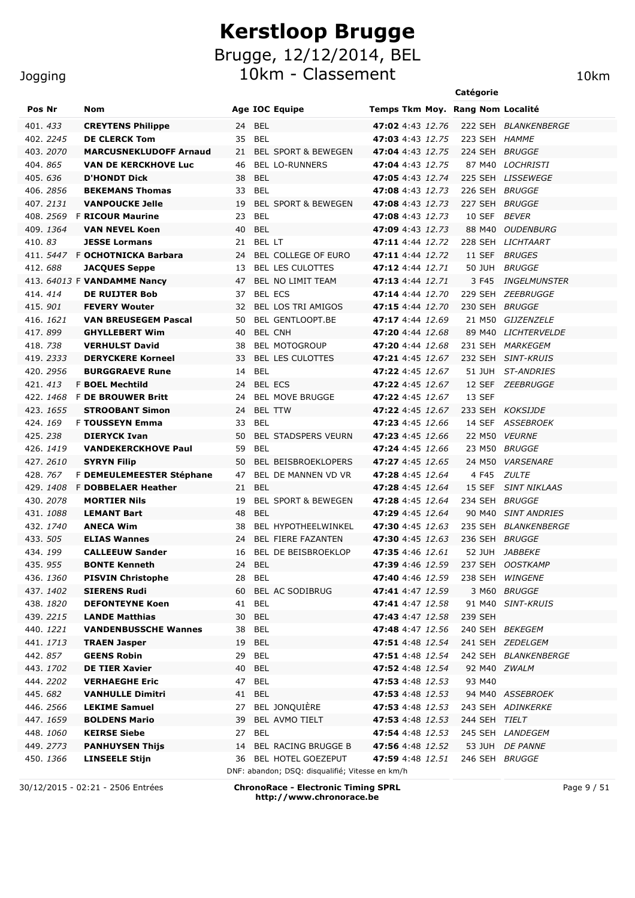|                  |                                |    |                                |                                   | Catégorie      |                                   |
|------------------|--------------------------------|----|--------------------------------|-----------------------------------|----------------|-----------------------------------|
| Pos Nr           | Nom                            |    | Age IOC Equipe                 | Temps Tkm Moy. Rang Nom Localité  |                |                                   |
| 401.433          | <b>CREYTENS Philippe</b>       | 24 | <b>BEL</b>                     | 47:02 4:43 12.76                  |                | 222 SEH BLANKENBERGE              |
| 402. 2245        | <b>DE CLERCK Tom</b>           | 35 | <b>BEL</b>                     | 47:03 4:43 12.75                  | 223 SEH HAMME  |                                   |
| 403.2070         | <b>MARCUSNEKLUDOFF Arnaud</b>  | 21 | <b>BEL SPORT &amp; BEWEGEN</b> | 47:04 4:43 12.75                  | 224 SEH BRUGGE |                                   |
| 404.865          | <b>VAN DE KERCKHOVE Luc</b>    | 46 | <b>BEL LO-RUNNERS</b>          | 47:04 4:43 12.75                  |                | 87 M40 LOCHRISTI                  |
| 405.636          | <b>D'HONDT Dick</b>            | 38 | <b>BEL</b>                     | 47:05 4:43 12.74                  |                | 225 SEH LISSEWEGE                 |
| 406.2856         | <b>BEKEMANS Thomas</b>         | 33 | <b>BEL</b>                     | 47:08 4:43 12.73                  | 226 SEH BRUGGE |                                   |
| 407.2131         | <b>VANPOUCKE Jelle</b>         | 19 | <b>BEL SPORT &amp; BEWEGEN</b> | 47:08 4:43 12.73                  | 227 SEH BRUGGE |                                   |
| 408.2569         | <b>F RICOUR Maurine</b>        | 23 | BEL                            | <b>47:08</b> 4:43 12.73           | 10 SEF         | <b>BEVER</b>                      |
| 409.1364         | <b>VAN NEVEL Koen</b>          | 40 | <b>BEL</b>                     | <b>47:09</b> 4:43 12.73           | 88 M40         | <b>OUDENBURG</b>                  |
| 410.83           | <b>JESSE Lormans</b>           | 21 | BEL LT                         | 47:11 4:44 12.72                  | 228 SEH        | LICHTAART                         |
|                  | 411. 5447 F OCHOTNICKA Barbara | 24 | <b>BEL COLLEGE OF EURO</b>     | 47:11 4:44 12.72                  | 11 SEF         | <b>BRUGES</b>                     |
| 412.688          | <b>JACQUES Seppe</b>           | 13 | <b>BEL LES CULOTTES</b>        | 47:12 4:44 12.71                  | 50 JUH         | <i>BRUGGE</i>                     |
|                  | 413. 64013 F VANDAMME Nancy    | 47 | <b>BEL NO LIMIT TEAM</b>       | 47:13 4:44 12.71                  | 3 F45          | <i><b>INGELMUNSTER</b></i>        |
| 414, 414         | <b>DE RUIJTER Bob</b>          | 37 | <b>BEL ECS</b>                 | 47:14 4:44 12.70                  |                | 229 SEH ZEEBRUGGE                 |
| 415, 901         | <b>FEVERY Wouter</b>           | 32 | <b>BEL LOS TRI AMIGOS</b>      | 47:15 4:44 12.70                  | 230 SEH BRUGGE |                                   |
| 416. 1621        | <b>VAN BREUSEGEM Pascal</b>    | 50 | <b>BEL GENTLOOPT.BE</b>        | 47:17 4:44 12.69                  |                | 21 M50 GIJZENZELE                 |
| 417, 899         | <b>GHYLLEBERT Wim</b>          | 40 | <b>BEL CNH</b>                 | 47:20 4:44 12.68                  | 89 M40         | <b>LICHTERVELDE</b>               |
| 418.738          | <b>VERHULST David</b>          | 38 | <b>BEL MOTOGROUP</b>           | <b>47:20</b> 4:44 12.68           |                | 231 SEH MARKEGEM                  |
| 419.2333         | <b>DERYCKERE Korneel</b>       | 33 | <b>BEL LES CULOTTES</b>        | <b>47:21</b> 4:45 12.67           |                | 232 SEH SINT-KRUIS                |
| 420. 2956        | <b>BURGGRAEVE Rune</b>         | 14 | <b>BEL</b>                     | 47:22 4:45 12.67                  | 51 JUH         | <b>ST-ANDRIES</b>                 |
| 421.413          | <b>F BOEL Mechtild</b>         | 24 | <b>BEL ECS</b>                 | <b>47:22</b> 4:45 12.67           |                | 12 SEF ZEEBRUGGE                  |
| 422.1468         | <b>F DE BROUWER Britt</b>      | 24 | <b>BEL MOVE BRUGGE</b>         | <b>47:22</b> 4:45 12.67           | 13 SEF         |                                   |
| 423. 1655        | <b>STROOBANT Simon</b>         | 24 | <b>BEL TTW</b>                 | <b>47:22</b> 4:45 12.67           |                | 233 SEH KOKSIJDE                  |
| 424.169          | <b>F TOUSSEYN Emma</b>         | 33 | <b>BEL</b>                     | <b>47:23</b> 4:45 12.66           | 14 SEF         | <i>ASSEBROEK</i>                  |
| 425.238          | <b>DIERYCK Ivan</b>            | 50 | <b>BEL STADSPERS VEURN</b>     | <b>47:23</b> 4:45 12.66           | 22 M50         | <i>VEURNE</i>                     |
| 426. <i>1419</i> | <b>VANDEKERCKHOVE Paul</b>     | 59 | BEL                            | <b>47:24</b> 4:45 12.66           |                | 23 M50 BRUGGE                     |
| 427.2610         | <b>SYRYN Filip</b>             | 50 | BEL BEISBROEKLOPERS            | 47:27 4:45 12.65                  | 24 M50         | <b>VARSENARE</b>                  |
| 428.767          | F DEMEULEMEESTER Stéphane      | 47 | BEL DE MANNEN VD VR            | 47:28 4:45 12.64                  | 4 F45          | <b>ZULTE</b>                      |
| 429.1408         | <b>F DOBBELAER Heather</b>     | 21 | <b>BEL</b>                     | 47:28 4:45 12.64                  | 15 SEF         | <b>SINT NIKLAAS</b>               |
| 430. 2078        | <b>MORTIER Nils</b>            | 19 | <b>BEL SPORT &amp; BEWEGEN</b> | 47:28 4:45 12.64                  | 234 SEH        | <b>BRUGGE</b>                     |
| 431.1088         | <b>LEMANT Bart</b>             | 48 | <b>BEL</b>                     | 47:29 4:45 12.64                  |                | 90 M40 SINT ANDRIES               |
| 432.1740         | <b>ANECA Wim</b>               | 38 | <b>BEL HYPOTHEELWINKEL</b>     | <b>47:30</b> 4:45 12.63           |                | 235 SEH BLANKENBERGE              |
| 433. 505         | <b>ELIAS Wannes</b>            | 24 | BEL FIERE FAZANTEN             | <b>47:30</b> 4:45 12.63           | 236 SEH BRUGGE |                                   |
| 434.199          | <b>CALLEEUW Sander</b>         | 16 | <b>BEL DE BEISBROEKLOP</b>     | 47:35 4:46 12.61                  |                | 52 JUH JABBEKE                    |
| 435.955          | <b>BONTE Kenneth</b>           |    | 24 BEL                         | 47:39 4:46 12.59 237 SEH OOSTKAMP |                |                                   |
| 436. <i>1360</i> | <b>PISVIN Christophe</b>       |    | 28 BEL                         | <b>47:40</b> 4:46 12.59           |                | 238 SEH WINGENE                   |
| 437.1402         | <b>SIERENS Rudi</b>            |    | 60 BEL AC SODIBRUG             | <b>47:41</b> 4:47 12.59           |                | 3 M60 BRUGGE                      |
| 438.1820         | <b>DEFONTEYNE Koen</b>         |    | 41 BEL                         | <b>47:41</b> 4:47 12.58           |                | 91 M40 SINT-KRUIS                 |
| 439.2215         | <b>LANDE Matthias</b>          |    | 30 BEL                         | <b>47:43</b> 4:47 12.58           | 239 SEH        |                                   |
| 440. 1221        | <b>VANDENBUSSCHE Wannes</b>    |    | 38 BEL                         | <b>47:48</b> 4:47 12.56           |                | 240 SEH BEKEGEM                   |
| 441.1713         | <b>TRAEN Jasper</b>            |    | 19 BEL                         | <b>47:51</b> 4:48 12.54           |                | 241 SEH ZEDELGEM                  |
| 442.857          | <b>GEENS Robin</b>             |    | 29 BEL                         | <b>47:51</b> 4:48 12.54           |                | 242 SEH BLANKENBERGE              |
| 443. 1702        | <b>DE TIER Xavier</b>          |    | 40 BEL                         | <b>47:52</b> 4:48 12.54           | 92 M40 ZWALM   |                                   |
| 444.2202         | <b>VERHAEGHE Eric</b>          |    | 47 BEL                         | <b>47:53</b> 4:48 12.53           | 93 M40         |                                   |
| 445.682          | <b>VANHULLE Dimitri</b>        |    | 41 BEL                         |                                   |                | 47:53 4:48 12.53 94 M40 ASSEBROEK |
| 446.2566         | <b>LEKIME Samuel</b>           |    | 27 BEL JONQUIÈRE               | <b>47:53</b> 4:48 12.53           |                | 243 SEH ADINKERKE                 |
| 447.1659         | <b>BOLDENS Mario</b>           |    | 39 BEL AVMO TIELT              | <b>47:53</b> 4:48 12.53           | 244 SEH TIELT  |                                   |
| 448.1060         | <b>KEIRSE Siebe</b>            |    | 27 BEL                         | 47:54 4:48 12.53 245 SEH LANDEGEM |                |                                   |

450. *1366* **LINSEELE Stijn** 36 BEL HOTEL GOEZEPUT **47:59** 4:48 *12.51* 246 SEH *BRUGGE* DNF: abandon; DSQ: disqualifié; Vitesse en km/h

449. *2773* **PANHUYSEN Thijs** 14 BEL RACING BRUGGE B **47:56** 4:48 *12.52* 53 JUH *DE PANNE*

30/12/2015 - 02:21 - 2506 Entrées **ChronoRace - Electronic Timing SPRL http://www.chronorace.be**

Page 9 / 51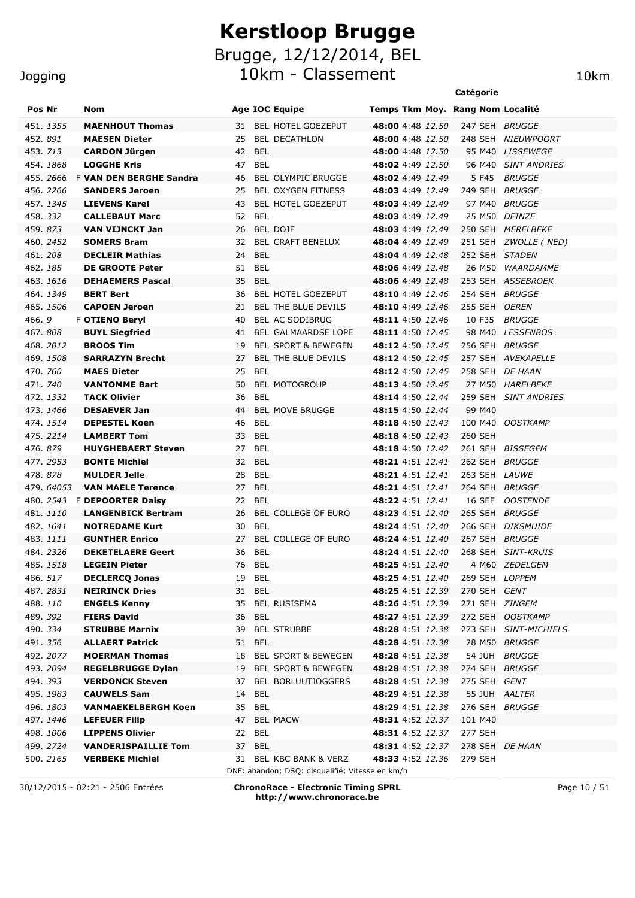#### **Jogging**

| ogging           |                                |                                 | 10km                             |                |                       |
|------------------|--------------------------------|---------------------------------|----------------------------------|----------------|-----------------------|
|                  |                                |                                 |                                  | Catégorie      |                       |
| Pos Nr           | <b>Nom</b>                     | <b>Age IOC Equipe</b>           | Temps Tkm Moy. Rang Nom Localité |                |                       |
| 151. <i>1355</i> | <b>MAENHOUT Thomas</b>         | <b>BEL HOTEL GOEZEPUT</b><br>31 | <b>48:00</b> 4:48 12.50          | 247 SEH        | <i>BRUGGE</i>         |
| 152. <i>891</i>  | <b>MAESEN Dieter</b>           | <b>BEL DECATHLON</b><br>25      | <b>48:00</b> 4:48 12.50          | 248 SEH        | <i>NIEUWPOORT</i>     |
| 153. <i>713</i>  | <b>CARDON Jürgen</b>           | 42 BEL                          | <b>48:00</b> 4:48 12.50          |                | 95 M40 LISSEWEGE      |
| 154. <i>1868</i> | <b>LOGGHE Kris</b>             | BEL<br>47                       | <b>48:02</b> 4:49 12.50          |                | 96 M40 SINT ANDRIES   |
| 155. <i>2666</i> | <b>F VAN DEN BERGHE Sandra</b> | <b>BEL OLYMPIC BRUGGE</b><br>46 | 48:02 4:49 12.49                 | 5 F45          | <i>BRUGGE</i>         |
| 156. 2266        | <b>SANDERS Jeroen</b>          | <b>BEL OXYGEN FITNESS</b><br>25 | 48:03 4:49 12.49                 | 249 SEH        | <i>BRUGGE</i>         |
| 157. <i>1345</i> | <b>LIEVENS Karel</b>           | <b>BEL HOTEL GOEZEPUT</b><br>43 | 48:03 4:49 12.49                 |                | 97 M40 BRUGGE         |
| 158. <i>332</i>  | <b>CALLEBAUT Marc</b>          | BEL<br>52                       | 48:03 4:49 12.49                 | 25 M50         | <i>DEINZE</i>         |
| 159. <i>873</i>  | VAN VIJNCKT Jan                | BEL DOJF<br>26                  | 48:03 4:49 12.49                 | 250 SEH        | <i>MERELBEKE</i>      |
| 160. <i>2452</i> | <b>SOMERS Bram</b>             | <b>BEL CRAFT BENELUX</b><br>32  | 48:04 4:49 12.49                 |                | 251 SEH ZWOLLE ( NED) |
| 161. <i>208</i>  | <b>DECLEIR Mathias</b>         | 24 BEL                          | 48:04 4:49 12.48                 | 252 SEH STADEN |                       |
| 162. <i>185</i>  | <b>DE GROOTE Peter</b>         | 51<br>BEL                       | 48:06 4:49 12.48                 | 26 M50         | WAARDAMME             |
| 163 1616         | <b>DEHAEMERS Pascal</b>        | 35 RFI                          | $48.06$ 4.49 12.48               |                | 253 SEH ASSERROFK     |

|          | 454. <i>1868</i> | <b>LOGGHE Kris</b>                | 47 BEL           |                                                 | <b>48:02</b> 4:49 12.50        |                 | 96 M40 SINT ANDRIES   |
|----------|------------------|-----------------------------------|------------------|-------------------------------------------------|--------------------------------|-----------------|-----------------------|
|          |                  | 455. 2666 F VAN DEN BERGHE Sandra | 46               | BEL OLYMPIC BRUGGE                              | <b>48:02</b> 4:49 12.49        |                 | 5 F45 BRUGGE          |
|          | 456.2266         | <b>SANDERS Jeroen</b>             | 25               | BEL OXYGEN FITNESS                              | <b>48:03</b> 4:49 12.49        | 249 SEH BRUGGE  |                       |
|          | 457.1345         | <b>LIEVENS Karel</b>              | 43               | BEL HOTEL GOEZEPUT                              | <b>48:03</b> 4:49 12.49        |                 | 97 M40 BRUGGE         |
|          | 458.332          | <b>CALLEBAUT Marc</b>             | 52 BEL           |                                                 | <b>48:03</b> 4:49 12.49        |                 | 25 M50 DEINZE         |
|          | 459.873          | <b>VAN VIJNCKT Jan</b>            | 26               | BEL DOJF                                        | <b>48:03</b> 4:49 12.49        |                 | 250 SEH MERELBEKE     |
|          | 460. 2452        | <b>SOMERS Bram</b>                | 32               | <b>BEL CRAFT BENELUX</b>                        | <b>48:04</b> 4:49 12.49        |                 | 251 SEH ZWOLLE (NED)  |
| 461.208  |                  | <b>DECLEIR Mathias</b>            | 24 BEL           |                                                 | <b>48:04</b> 4:49 12.48        | 252 SEH STADEN  |                       |
|          | 462.185          | <b>DE GROOTE Peter</b>            | BEL<br>51        |                                                 | 48:06 4:49 12.48               |                 | 26 M50 WAARDAMME      |
|          | 463.1616         | <b>DEHAEMERS Pascal</b>           | 35<br>BEL        |                                                 | <b>48:06</b> 4:49 12.48        |                 | 253 SEH ASSEBROEK     |
|          | 464.1349         | <b>BERT Bert</b>                  | 36               | <b>BEL HOTEL GOEZEPUT</b>                       | <b>48:10</b> 4:49 12.46        | 254 SEH BRUGGE  |                       |
|          | 465.1506         | <b>CAPOEN Jeroen</b>              | 21               | BEL THE BLUE DEVILS                             | <b>48:10</b> 4:49 12.46        | 255 SEH OEREN   |                       |
| 466.9    |                  | <b>F OTIENO Beryl</b>             | 40               | BEL AC SODIBRUG                                 | <b>48:11</b> 4:50 <i>12.46</i> |                 | 10 F35 BRUGGE         |
| 467.808  |                  | <b>BUYL Siegfried</b>             | 41               | BEL GALMAARDSE LOPE                             | <b>48:11</b> 4:50 12.45        |                 | 98 M40 LESSENBOS      |
|          | 468.2012         | <b>BROOS Tim</b>                  | 19               | <b>BEL SPORT &amp; BEWEGEN</b>                  | <b>48:12</b> 4:50 12.45        | 256 SEH BRUGGE  |                       |
|          | 469.1508         | <b>SARRAZYN Brecht</b>            | 27               | BEL THE BLUE DEVILS                             | <b>48:12</b> 4:50 <i>12.45</i> |                 | 257 SEH AVEKAPELLE    |
|          | 470.760          | <b>MAES Dieter</b>                | <b>BEL</b><br>25 |                                                 | <b>48:12</b> 4:50 12.45        | 258 SEH DE HAAN |                       |
|          | 471.740          | <b>VANTOMME Bart</b>              | 50               | <b>BEL MOTOGROUP</b>                            | <b>48:13</b> 4:50 12.45        |                 | 27 M50 HARELBEKE      |
|          | 472. 1332        | <b>TACK Olivier</b>               | BEL<br>36        |                                                 | 48:14 4:50 12.44               |                 | 259 SEH SINT ANDRIES  |
|          | 473.1466         | <b>DESAEVER Jan</b>               | 44               | <b>BEL MOVE BRUGGE</b>                          | <b>48:15</b> 4:50 12.44        | 99 M40          |                       |
|          | 474.1514         | <b>DEPESTEL Koen</b>              | <b>BEL</b><br>46 |                                                 | <b>48:18</b> 4:50 12.43        |                 | 100 M40 OOSTKAMP      |
|          | 475.2214         | <b>LAMBERT Tom</b>                | 33 BEL           |                                                 | <b>48:18</b> 4:50 12.43        | 260 SEH         |                       |
|          | 476, 879         | <b>HUYGHEBAERT Steven</b>         | 27 BEL           |                                                 | <b>48:18</b> 4:50 12.42        |                 | 261 SEH BISSEGEM      |
|          | 477.2953         | <b>BONTE Michiel</b>              | 32 BEL           |                                                 | <b>48:21</b> 4:51 12.41        | 262 SEH BRUGGE  |                       |
| 478.878  |                  | <b>MULDER Jelle</b>               | BEL<br>28        |                                                 | <b>48:21</b> 4:51 12.41        | 263 SEH LAUWE   |                       |
|          |                  |                                   |                  |                                                 |                                |                 |                       |
|          | 479.64053        | <b>VAN MAELE Terence</b>          | 27 BEL           |                                                 | <b>48:21</b> 4:51 <i>12.41</i> | 264 SEH BRUGGE  |                       |
|          |                  | 480. 2543 F DEPOORTER Daisy       | 22 BEL           |                                                 | <b>48:22</b> 4:51  12.41       |                 | 16 SEF OOSTENDE       |
|          | 481.1110         | <b>LANGENBICK Bertram</b>         |                  | 26 BEL COLLEGE OF EURO                          | <b>48:23</b> 4:51 12.40        | 265 SEH BRUGGE  |                       |
|          | 482. <i>1641</i> | <b>NOTREDAME Kurt</b>             | BEL<br>30        |                                                 | <b>48:24</b> 4:51 <i>12.40</i> |                 | 266 SEH DIKSMUIDE     |
|          | 483.1111         | <b>GUNTHER Enrico</b>             | 27               | <b>BEL COLLEGE OF EURO</b>                      | <b>48:24</b> 4:51 12.40        | 267 SEH BRUGGE  |                       |
|          | 484.2326         | <b>DEKETELAERE Geert</b>          | BEL<br>36        |                                                 | <b>48:24</b> 4:51 12.40        |                 | 268 SEH SINT-KRUIS    |
|          | 485.1518         | <b>LEGEIN Pieter</b>              | 76 BEL           |                                                 | <b>48:25</b> 4:51 12.40        |                 | 4 M60 ZEDELGEM        |
|          | 486. 517         | <b>DECLERCQ Jonas</b>             | BEL<br>19        |                                                 | <b>48:25</b> 4:51 12.40        | 269 SEH LOPPEM  |                       |
|          | 487.2831         | <b>NEIRINCK Dries</b>             | BEL<br>31        |                                                 | <b>48:25</b> 4:51 12.39        | 270 SEH GENT    |                       |
|          | 488.110          | <b>ENGELS Kenny</b>               | 35               | BEL RUSISEMA                                    | <b>48:26</b> 4:51 12.39        | 271 SEH ZINGEM  |                       |
| 489.392  |                  | <b>FIERS David</b>                | 36 BEL           |                                                 | <b>48:27</b> 4:51 12.39        |                 | 272 SEH OOSTKAMP      |
| 490. 334 |                  | <b>STRUBBE Marnix</b>             |                  | 39 BEL STRUBBE                                  | <b>48:28</b> 4:51 12.38        |                 | 273 SEH SINT-MICHIELS |
| 491.356  |                  | <b>ALLAERT Patrick</b>            | 51 BEL           |                                                 | 48:28 4:51 12.38               | 28 M50 BRUGGE   |                       |
|          | 492.2077         | <b>MOERMAN Thomas</b>             | 18               | BEL SPORT & BEWEGEN                             | 48:28 4:51 12.38               |                 | 54 JUH BRUGGE         |
|          | 493. 2094        | <b>REGELBRUGGE Dylan</b>          | 19               | BEL SPORT & BEWEGEN                             | 48:28 4:51 12.38               | 274 SEH BRUGGE  |                       |
|          | 494. 393         | <b>VERDONCK Steven</b>            | 37               | BEL BORLUUTJOGGERS                              | <b>48:28</b> 4:51 12.38        | 275 SEH GENT    |                       |
|          | 495.1983         | <b>CAUWELS Sam</b>                | <b>BEL</b><br>14 |                                                 | 48:29 4:51 12.38               |                 | 55 JUH AALTER         |
|          | 496.1803         | <b>VANMAEKELBERGH Koen</b>        | 35 BEL           |                                                 | 48:29 4:51 12.38               | 276 SEH BRUGGE  |                       |
|          | 497. 1446        | <b>LEFEUER Filip</b>              | 47               | <b>BEL MACW</b>                                 | 48:31 4:52 12.37               | 101 M40         |                       |
|          | 498.1006         | <b>LIPPENS Olivier</b>            | BEL<br>22        |                                                 | 48:31 4:52 12.37               | 277 SEH         |                       |
|          | 499. 2724        | <b>VANDERISPAILLIE Tom</b>        | <b>BEL</b><br>37 |                                                 | 48:31 4:52 12.37               |                 | 278 SEH DE HAAN       |
|          | 500. 2165        | <b>VERBEKE Michiel</b>            |                  | 31 BEL KBC BANK & VERZ                          | <b>48:33</b> 4:52 12.36        | 279 SEH         |                       |
|          |                  |                                   |                  | DNF: abandon; DSQ: disqualifié; Vitesse en km/h |                                |                 |                       |

30/12/2015 - 02:21 - 2506 Entrées **ChronoRace - Electronic Timing SPRL http://www.chronorace.be**

Page 10 / 51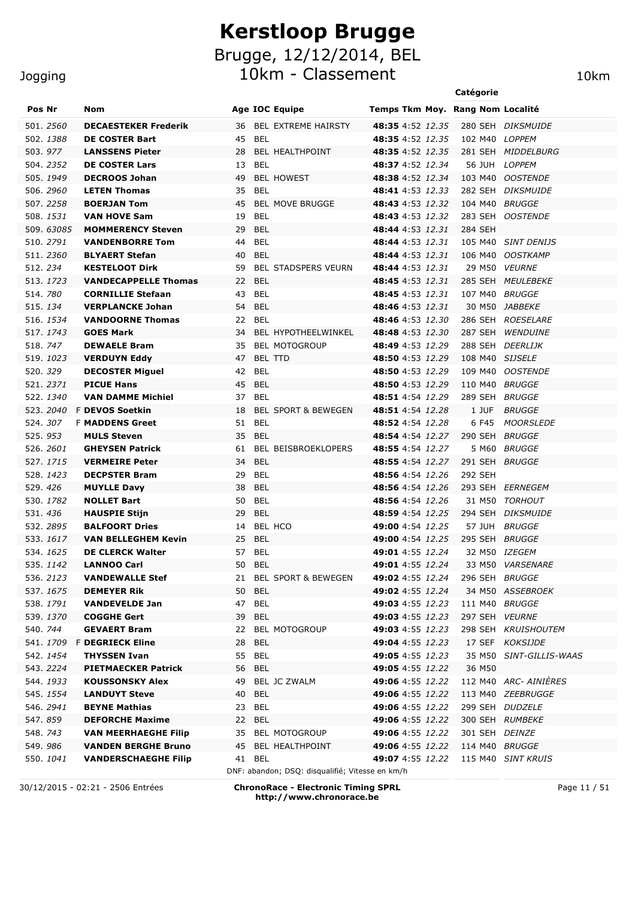#### Jogging

| Pos Nr   |                  | Nom                                        |                        | <b>Age IOC Equipe</b>                           | Temps Tkm Moy. Rang Nom Localité                   |         |                         |
|----------|------------------|--------------------------------------------|------------------------|-------------------------------------------------|----------------------------------------------------|---------|-------------------------|
|          | 501.2560         | <b>DECAESTEKER Frederik</b>                | 36                     | <b>BEL EXTREME HAIRSTY</b>                      | <b>48:35</b> 4:52 12.35                            |         | 280 SEH DIKSMUIDE       |
|          | 502.1388         | <b>DE COSTER Bart</b>                      | 45 BEL                 |                                                 | <b>48:35</b> 4:52 12.35                            |         | 102 M40 LOPPEM          |
| 503.977  |                  | <b>LANSSENS Pieter</b>                     | 28                     | BEL HEALTHPOINT                                 | <b>48:35</b> 4:52 12.35                            |         | 281 SEH MIDDELBURG      |
|          | 504.2352         | <b>DE COSTER Lars</b>                      | BEL<br>13              |                                                 | <b>48:37</b> 4:52 12.34                            |         | 56 JUH LOPPEM           |
|          | 505. 1949        | <b>DECROOS Johan</b>                       | 49                     | <b>BEL HOWEST</b>                               | <b>48:38</b> 4:52 12.34                            |         | 103 M40 OOSTENDE        |
|          | 506. 2960        | <b>LETEN Thomas</b>                        | 35<br>BEL              |                                                 | <b>48:41</b> 4:53 12.33                            |         | 282 SEH DIKSMUIDE       |
|          | 507.2258         | <b>BOERJAN Tom</b>                         | 45                     | <b>BEL MOVE BRUGGE</b>                          | 48:43 4:53 12.32                                   |         | 104 M40 BRUGGE          |
|          | 508.1531         | <b>VAN HOVE Sam</b>                        | BEL<br>19              |                                                 | 48:43 4:53 12.32                                   |         | 283 SEH OOSTENDE        |
|          | 509.63085        | <b>MOMMERENCY Steven</b>                   | <b>BEL</b><br>29       |                                                 | <b>48:44</b> 4:53 12.31                            | 284 SEH |                         |
|          | 510. 2791        | <b>VANDENBORRE Tom</b>                     | BEL<br>44              |                                                 | 48:44 4:53 12.31                                   |         | 105 M40 SINT DENIJS     |
|          | 511.2360         | <b>BLYAERT Stefan</b>                      | 40 BEL                 |                                                 | <b>48:44</b> 4:53 12.31                            |         | 106 M40 OOSTKAMP        |
| 512.234  |                  | <b>KESTELOOT Dirk</b>                      | 59                     | BEL STADSPERS VEURN                             | <b>48:44</b> 4:53 12.31                            |         | 29 M50 VEURNE           |
|          | 513. 1723        | <b>VANDECAPPELLE Thomas</b>                | 22 BEL                 |                                                 | <b>48:45</b> 4:53 12.31                            |         | 285 SEH MEULEBEKE       |
| 514.780  |                  | <b>CORNILLIE Stefaan</b>                   | BEL<br>43              |                                                 | 48:45 4:53 12.31                                   |         | 107 M40 BRUGGE          |
| 515. 134 |                  | <b>VERPLANCKE Johan</b>                    | 54 BEL                 |                                                 | <b>48:46</b> 4:53 12.31                            |         | 30 M50 JABBEKE          |
|          | 516. 1534        | <b>VANDOORNE Thomas</b>                    | 22 BEL                 |                                                 | <b>48:46</b> 4:53 12.30                            |         | 286 SEH ROESELARE       |
|          | 517. 1743        | <b>GOES Mark</b>                           | 34                     | BEL HYPOTHEELWINKEL                             | <b>48:48</b> 4:53 12.30                            | 287 SEH | <b>WENDUINE</b>         |
| 518, 747 |                  | <b>DEWAELE Bram</b>                        | 35                     | <b>BEL MOTOGROUP</b>                            | <b>48:49</b> 4:53 12.29                            | 288 SEH | <i>DEERLIJK</i>         |
|          | 519.1023         | <b>VERDUYN Eddy</b>                        | 47                     | BEL TTD                                         | 48:50 4:53 12.29                                   |         | 108 M40 SIJSELE         |
| 520.329  |                  | <b>DECOSTER Miguel</b>                     | BEL<br>42              |                                                 | 48:50 4:53 12.29                                   |         | 109 M40 OOSTENDE        |
|          | 521.2371         | <b>PICUE Hans</b>                          | 45 BEL                 |                                                 | 48:50 4:53 12.29                                   |         | 110 M40 BRUGGE          |
|          | 522. 1340        | <b>VAN DAMME Michiel</b>                   | 37 BEL                 |                                                 | 48:51 4:54 12.29                                   | 289 SEH | <i>BRUGGE</i>           |
|          | 523.2040         | <b>F DEVOS Soetkin</b>                     | 18                     | <b>BEL SPORT &amp; BEWEGEN</b>                  | 48:51 4:54 12.28                                   | 1 JUF   | <b>BRUGGE</b>           |
| 524.307  |                  | <b>F MADDENS Greet</b>                     | 51 BEL                 |                                                 | 48:52 4:54 12.28                                   | 6 F45   | <b>MOORSLEDE</b>        |
| 525.953  |                  | <b>MULS Steven</b>                         | 35 BEL                 |                                                 | 48:54 4:54 12.27                                   |         | 290 SEH BRUGGE          |
|          | 526. 2601        | <b>GHEYSEN Patrick</b>                     | 61                     | BEL BEISBROEKLOPERS                             | 48:55 4:54 12.27                                   | 5 M60   | <i>BRUGGE</i>           |
|          | 527.1715         | <b>VERMEIRE Peter</b>                      | <b>BEL</b><br>34       |                                                 | <b>48:55</b> 4:54 12.27                            |         | 291 SEH BRUGGE          |
| 529.426  | 528. 1423        | <b>DECPSTER Bram</b><br><b>MUYLLE Davy</b> | 29<br>BEL<br>38<br>BEL |                                                 | <b>48:56</b> 4:54 12.26<br><b>48:56</b> 4:54 12.26 | 292 SEH | 293 SEH EERNEGEM        |
|          | 530. 1782        | <b>NOLLET Bart</b>                         | 50 BEL                 |                                                 | <b>48:56</b> 4:54 12.26                            |         | 31 M50 TORHOUT          |
| 531.436  |                  | <b>HAUSPIE Stijn</b>                       | 29<br>BEL              |                                                 | 48:59 4:54 12.25                                   |         | 294 SEH DIKSMUIDE       |
|          | 532.2895         | <b>BALFOORT Dries</b>                      | 14                     | BEL HCO                                         | <b>49:00</b> 4:54 12.25                            | 57 JUH  | <i>BRUGGE</i>           |
|          | 533. 1617        | <b>VAN BELLEGHEM Kevin</b>                 | 25 BEL                 |                                                 | <b>49:00</b> 4:54 12.25                            |         | 295 SEH BRUGGE          |
|          | 534. 1625        | <b>DE CLERCK Walter</b>                    | 57 BEL                 |                                                 | 49:01 4:55 12.24                                   |         | 32 M50 IZEGEM           |
|          | 535. 1142        | <b>LANNOO Carl</b>                         | 50 BEL                 |                                                 | 49:01 4:55 12.24                                   |         | 33 M50 VARSENARE        |
|          | 536.2123         | <b>VANDEWALLE Stef</b>                     |                        | 21 BEL SPORT & BEWEGEN                          | 49:02 4:55 12.24 296 SEH BRUGGE                    |         |                         |
|          | 537.1675         | <b>DEMEYER Rik</b>                         | 50 BEL                 |                                                 | <b>49:02</b> 4:55 12.24                            |         | 34 M50 ASSEBROEK        |
|          | 538.1791         | <b>VANDEVELDE Jan</b>                      | 47 BEL                 |                                                 | 49:03 4:55 12.23 111 M40 BRUGGE                    |         |                         |
|          | 539. <i>1370</i> | <b>COGGHE Gert</b>                         | 39 BEL                 |                                                 | <b>49:03</b> 4:55 12.23                            |         | 297 SEH VEURNE          |
| 540. 744 |                  | <b>GEVAERT Bram</b>                        |                        | 22 BEL MOTOGROUP                                | <b>49:03</b> 4:55 12.23                            |         | 298 SEH KRUISHOUTEM     |
|          |                  | 541. 1709 F DEGRIECK Eline                 | 28 BEL                 |                                                 | <b>49:04</b> 4:55 12.23                            |         | 17 SEF KOKSIJDE         |
|          | 542. 1454        | <b>THYSSEN Ivan</b>                        | 55 BEL                 |                                                 | <b>49:05</b> 4:55 12.23                            |         | 35 M50 SINT-GILLIS-WAAS |
|          | 543. 2224        | <b>PIETMAECKER Patrick</b>                 | 56 BEL                 |                                                 | 49:05 4:55 12.22                                   | 36 M50  |                         |
|          | 544. 1933        | <b>KOUSSONSKY Alex</b>                     |                        | 49 BEL JC ZWALM                                 | <b>49:06</b> 4:55 12.22                            |         | 112 M40 ARC- AINIÈRES   |
|          | 545. 1554        | <b>LANDUYT Steve</b>                       | 40 BEL                 |                                                 | <b>49:06</b> 4:55 12.22                            |         | 113 M40 ZEEBRUGGE       |
|          | 546. 2941        | <b>BEYNE Mathias</b>                       | 23 BEL                 |                                                 | <b>49:06</b> 4:55 12.22                            |         | 299 SEH DUDZELE         |
| 547.859  |                  | <b>DEFORCHE Maxime</b>                     | 22 BEL                 |                                                 | <b>49:06</b> 4:55 12.22                            |         | 300 SEH RUMBEKE         |
| 548.743  |                  | <b>VAN MEERHAEGHE Filip</b>                |                        | 35 BEL MOTOGROUP                                | <b>49:06</b> 4:55 12.22                            |         | 301 SEH DEINZE          |
| 549.986  |                  | <b>VANDEN BERGHE Bruno</b>                 |                        | 45 BEL HEALTHPOINT                              | <b>49:06</b> 4:55 12.22                            |         | 114 M40 BRUGGE          |
|          | 550. <i>1041</i> | <b>VANDERSCHAEGHE Filip</b>                | 41 BEL                 |                                                 | <b>49:07</b> 4:55 12.22                            |         | 115 M40 SINT KRUIS      |
|          |                  |                                            |                        | DNF: abandon; DSQ: disqualifié; Vitesse en km/h |                                                    |         |                         |

30/12/2015 - 02:21 - 2506 Entrées **ChronoRace - Electronic Timing SPRL http://www.chronorace.be**

Page 11 / 51

**Catégorie**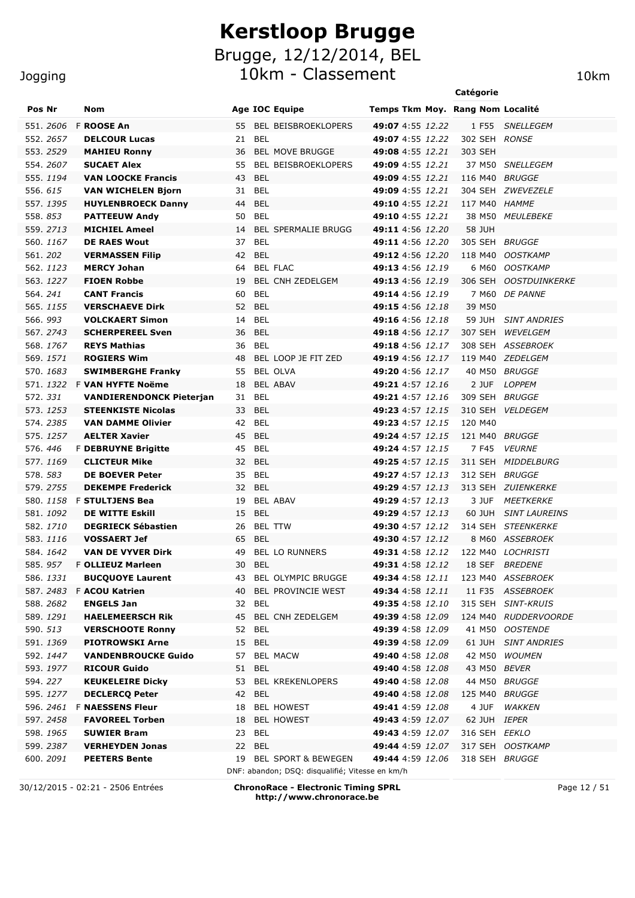#### **Jogging**

|                      |                                                    |                                  |                                             | Catégorie           |                                     |
|----------------------|----------------------------------------------------|----------------------------------|---------------------------------------------|---------------------|-------------------------------------|
| Pos Nr               | Nom                                                | <b>Age IOC Equipe</b>            | Temps Tkm Moy. Rang Nom Localité            |                     |                                     |
| 551. <i>2606</i>     | F ROOSE An                                         | BEL BEISBROEKLOPERS<br>55        | 49:07 4:55 12.22                            | 1 F55               | <i>SNELLEGEM</i>                    |
| 552. <i>2657</i>     | <b>DELCOUR Lucas</b>                               | <b>BEL</b><br>21                 | 49:07 4:55 12.22                            | 302 SEH RONSE       |                                     |
| 553. <i>2529</i>     | <b>MAHIEU Ronny</b>                                | <b>BEL MOVE BRUGGE</b><br>36     | <b>49:08</b> 4:55 12.21                     | 303 SEH             |                                     |
| 554. <i>2607</i>     | <b>SUCAET Alex</b>                                 | <b>BEL BEISBROEKLOPERS</b><br>55 | 49:09 4:55 12.21                            |                     | 37 M50 SNELLEGEM                    |
| 555. <i>1194</i>     | <b>VAN LOOCKE Francis</b>                          | BEL<br>43                        | <b>49:09</b> 4:55 12.21                     | 116 M40 BRUGGE      |                                     |
| 556. <i>615</i>      | <b>VAN WICHELEN Bjorn</b>                          | BEL<br>31                        | <b>49:09</b> 4:55 12.21                     |                     | 304 SEH ZWEVEZELE                   |
| 557. <i>1395</i>     | <b>HUYLENBROECK Danny</b>                          | BEL<br>44                        | <b>49:10</b> 4:55 12.21                     | 117 M40 HAMME       |                                     |
| 558. <i>853</i>      | <b>PATTEEUW Andy</b>                               | 50<br>BEL                        | 49:10 4:55 12.21                            |                     | 38 M50 MEULEBEKE                    |
| 559. <i>2713</i>     | <b>MICHIEL Ameel</b>                               | <b>BEL SPERMALIE BRUGG</b><br>14 | 49:11 4:56 12.20                            | 58 JUH              |                                     |
| 560. <i>1167</i>     | <b>DE RAES Wout</b>                                | BEL<br>37                        | 49:11 4:56 12.20                            | 305 SEH BRUGGE      |                                     |
| 561. <i>202</i>      | <b>VERMASSEN Filip</b>                             | 42<br>BEL                        | 49:12 4:56 12.20                            |                     | 118 M40 OOSTKAMP                    |
| 562. <i>1123</i>     | <b>MERCY Johan</b>                                 | <b>BEL FLAC</b><br>64.           | 49:13 4:56 12.19                            |                     | 6 M60 OOSTKAMP                      |
| 563. <i>1227</i>     | <b>FIOEN Robbe</b>                                 | BEL CNH ZEDELGEM<br>19           | 49:13 4:56 12.19                            |                     | 306 SEH OOSTDUINKERKE               |
| 564. <i>241</i>      | <b>CANT Francis</b>                                | BEL<br>60                        | 49:14 4:56 12.19                            |                     | 7 M60 DE PANNE                      |
| 565.1155             | <b>VERSCHAEVE Dirk</b>                             | <b>BEL</b><br>52                 | 49:15 4:56 12.18                            | 39 M50              |                                     |
| 566.993              | <b>VOLCKAERT Simon</b>                             | BEL<br>14                        | <b>49:16</b> 4:56 12.18                     |                     | 59 JUH SINT ANDRIES                 |
| 567.2743             | <b>SCHERPEREEL Sven</b>                            | <b>BEL</b><br>36                 | 49:18 4:56 12.17                            |                     | 307 SEH WEVELGEM                    |
| 568. <i>1767</i>     | <b>REYS Mathias</b>                                | 36<br>BEL                        | <b>49:18</b> 4:56 12.17                     |                     | 308 SEH ASSEBROEK                   |
| 569. <i>1571</i>     | <b>ROGIERS Wim</b>                                 | 48<br>BEL LOOP JE FIT ZED        | <b>49:19</b> 4:56 12.17                     |                     | 119 M40 ZEDELGEM                    |
| 570. <i>1683</i>     | <b>SWIMBERGHE Franky</b>                           | <b>BEL OLVA</b><br>55            | 49:20 4:56 12.17                            |                     | 40 M50 BRUGGE                       |
| 571. <i>1322</i>     | <b>F VAN HYFTE Noëme</b>                           | <b>BEL ABAV</b><br>18            | 49:21 4:57 12.16                            | 2 JUF               | <i>LOPPEM</i>                       |
| 572. <i>331</i>      | <b>VANDIERENDONCK Pieterjan</b>                    | BEL<br>31                        | <b>49:21</b> 4:57 12.16                     | 309 SEH BRUGGE      |                                     |
| 573. <i>1253</i>     | <b>STEENKISTE Nicolas</b>                          | 33<br>BEL                        | 49:23 4:57 12.15                            |                     | 310 SEH VELDEGEM                    |
| 574. 2385            | <b>VAN DAMME Olivier</b>                           | 42 BEL                           | 49:23 4:57 12.15                            | 120 M40             |                                     |
| 575. <i>1257</i>     | <b>AELTER Xavier</b>                               | 45<br>BEL                        | 49:24 4:57 12.15                            | 121 M40 BRUGGE      |                                     |
| 576. 446<br>577.1169 | <b>F DEBRUYNE Brigitte</b><br><b>CLICTEUR Mike</b> | 45<br>BEL<br><b>BEL</b>          | <b>49:24</b> 4:57 12.15<br>49:25 4:57 12.15 | 7 F45               | <i>VEURNE</i><br>311 SEH MIDDELBURG |
| 578. <i>583</i>      | <b>DE BOEVER Peter</b>                             | 32<br><b>BEL</b><br>35           | 49:27 4:57 12.13                            | 312 SEH BRUGGE      |                                     |
| 579. <i>2755</i>     | <b>DEKEMPE Frederick</b>                           | 32<br>BEL                        | 49:29 4:57 12.13                            |                     | 313 SEH ZUIENKERKE                  |
|                      | 580. 1158 F STULTJENS Bea                          | 19<br>BEL ABAV                   | 49:29 4:57 12.13                            | 3 JUF               | <i>MEETKERKE</i>                    |
| 581. <i>1092</i>     | <b>DE WITTE Eskill</b>                             | 15<br>BEL                        | <b>49:29</b> 4:57 12.13                     |                     | 60 JUH SINT LAUREINS                |
| 582. <i>1710</i>     | <b>DEGRIECK Sébastien</b>                          | <b>BEL TTW</b><br>26             | 49:30 4:57 12.12                            |                     | 314 SEH STEENKERKE                  |
| 583. <i>1116</i>     | <b>VOSSAERT Jef</b>                                | 65<br>BEL                        | 49:30 4:57 12.12                            |                     | 8 M60 ASSEBROEK                     |
| 584.1642             | <b>VAN DE VYVER Dirk</b>                           | 49<br><b>BEL LO RUNNERS</b>      | <b>49:31</b> 4:58 12.12                     |                     | 122 M40 LOCHRISTI                   |
| 585.9 <i>57</i>      | <b>F OLLIEUZ Marleen</b>                           | 30 BEL                           | 49:31 4:58 12.12 18 SEF BREDENE             |                     |                                     |
| 586. <i>1331</i>     | <b>BUCQUOYE Laurent</b>                            | 43 BEL OLYMPIC BRUGGE            | <b>49:34</b> 4:58 12.11                     |                     | 123 M40 ASSEBROEK                   |
|                      | 587. 2483 F ACOU Katrien                           | 40 BEL PROVINCIE WEST            | <b>49:34</b> 4:58 12.11                     |                     | 11 F35 ASSEBROEK                    |
| 588. <i>2682</i>     | <b>ENGELS Jan</b>                                  | 32 BEL                           | <b>49:35</b> 4:58 12.10                     |                     | 315 SEH SINT-KRUIS                  |
| 589. <i>1291</i>     | <b>HAELEMEERSCH Rik</b>                            | 45 BEL CNH ZEDELGEM              | <b>49:39</b> 4:58 12.09                     |                     | 124 M40 RUDDERVOORDE                |
| 590. <i>513</i>      | <b>VERSCHOOTE Ronny</b>                            | 52 BEL                           | <b>49:39</b> 4:58 12.09                     |                     | 41 M50 OOSTENDE                     |
| 591. <i>1369</i>     | <b>PIOTROWSKI Arne</b>                             | 15 BEL                           | <b>49:39</b> 4:58 12.09                     |                     | 61 JUH SINT ANDRIES                 |
| 592. <i>1447</i>     | <b>VANDENBROUCKE Guido</b>                         | 57 BEL MACW                      | <b>49:40</b> 4:58 12.08                     |                     | 42 M50 WOUMEN                       |
| 593. <i>1977</i>     | <b>RICOUR Guido</b>                                | 51 BEL                           | <b>49:40</b> 4:58 12.08                     | 43 M50 <i>BEVER</i> |                                     |
| 594. 227             | <b>KEUKELEIRE Dicky</b>                            | 53 BEL KREKENLOPERS              | <b>49:40</b> 4:58 12.08                     |                     | 44 M50 BRUGGE                       |
| 595. <i>1277</i>     | <b>DECLERCQ Peter</b>                              | 42 BEL                           | <b>49:40</b> 4:58 12.08                     | 125 M40 BRUGGE      |                                     |
|                      | 596. 2461 F <b>NAESSENS Fleur</b>                  | 18 BEL HOWEST                    | <b>49:41</b> 4:59 12.08                     |                     | 4 JUF WAKKEN                        |
| 597. <i>2458</i>     | <b>FAVOREEL Torben</b>                             | 18 BEL HOWEST                    | <b>49:43</b> 4:59 12.07                     | 62 JUH <i>IEPER</i> |                                     |
| 598. <i>1965</i>     | <b>SUWIER Bram</b>                                 | 23 BEL                           | <b>49:43</b> 4:59 12.07                     | 316 SEH EEKLO       |                                     |
| 599. <i>2387</i>     | <b>VERHEYDEN Jonas</b>                             | 22 BEL                           | <b>49:44</b> 4:59 12.07                     |                     | 317 SEH OOSTKAMP                    |

600. *2091* **PEETERS Bente** 19 BEL SPORT & BEWEGEN **49:44** 4:59 *12.06* 318 SEH *BRUGGE* DNF: abandon; DSQ: disqualifié; Vitesse en km/h

30/12/2015 - 02:21 - 2506 Entrées **ChronoRace - Electronic Timing SPRL http://www.chronorace.be**

Page 12 / 51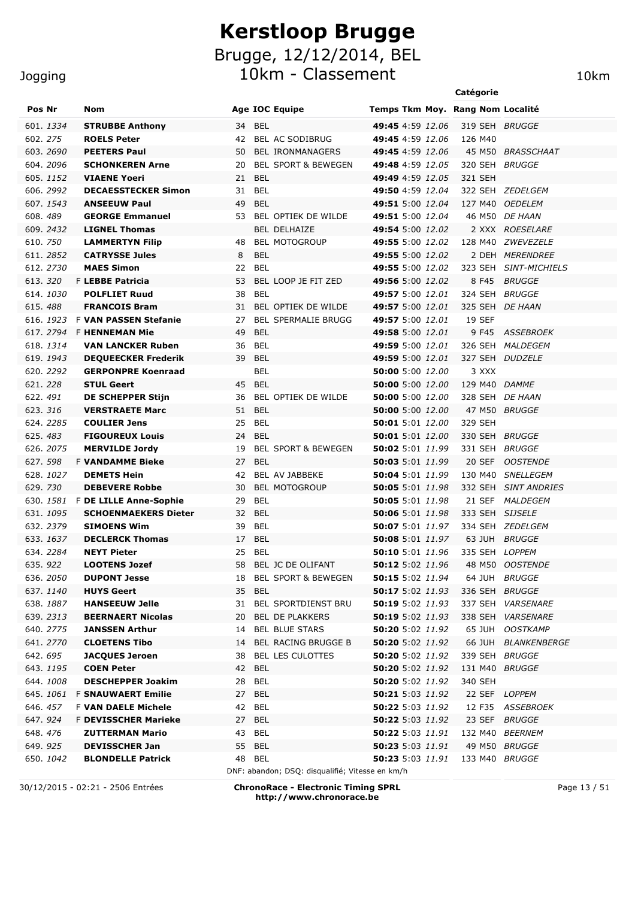#### **Jogging**

#### 10km - Classement 10km **Catégorie** Pos Nr Nom **Nome Age IOC Equipe** Temps Tkm Moy. Rang Nom Localité 601. *1334* **STRUBBE Anthony** 34 BEL **49:45** 4:59 *12.06* 319 SEH *BRUGGE* 602. *275* **ROELS Peter** 42 BEL AC SODIBRUG **49:45** 4:59 *12.06* 126 M40 603. *2690* **PEETERS Paul** 50 BEL IRONMANAGERS **49:45** 4:59 *12.06* 45 M50 *BRASSCHAAT* 604. *2096* **SCHONKEREN Arne** 20 BEL SPORT & BEWEGEN **49:48** 4:59 *12.05* 320 SEH *BRUGGE* 605. *1152* **VIAENE Yoeri** 21 BEL **49:49** 4:59 *12.05* 321 SEH 606. *2992* **DECAESSTECKER Simon** 31 BEL **49:50** 4:59 *12.04* 322 SEH *ZEDELGEM* 607. *1543* **ANSEEUW Paul** 49 BEL **49:51** 5:00 *12.04* 127 M40 *OEDELEM* 608. *489* **GEORGE Emmanuel** 53 BEL OPTIEK DE WILDE **49:51** 5:00 *12.04* 46 M50 *DE HAAN* 609. *2432* **LIGNEL Thomas** BEL DELHAIZE **49:54** 5:00 *12.02* 2 XXX *ROESELARE* 610. *750* **LAMMERTYN Filip** 48 BEL MOTOGROUP **49:55** 5:00 *12.02* 128 M40 *ZWEVEZELE* 611. *2852* **CATRYSSE Jules** 8 BEL **49:55** 5:00 *12.02* 2 DEH *MERENDREE* 612. *2730* **MAES Simon** 22 BEL **49:55** 5:00 *12.02* 323 SEH *SINT-MICHIELS* 613. *320* F **LEBBE Patricia** 53 BEL LOOP JE FIT ZED **49:56** 5:00 *12.02* 8 F45 *BRUGGE* 614. *1030* **POLFLIET Ruud** 38 BEL **49:57** 5:00 *12.01* 324 SEH *BRUGGE* 615. *488* **FRANCOIS Bram** 31 BEL OPTIEK DE WILDE **49:57** 5:00 *12.01* 325 SEH *DE HAAN* 616. *1923* F **VAN PASSEN Stefanie** 27 BEL SPERMALIE BRUGG **49:57** 5:00 *12.01* 19 SEF 617. *2794* F **HENNEMAN Mie** 49 BEL **49:58** 5:00 *12.01* 9 F45 *ASSEBROEK* 618. *1314* **VAN LANCKER Ruben** 36 BEL **49:59** 5:00 *12.01* 326 SEH *MALDEGEM* 619. *1943* **DEQUEECKER Frederik** 39 BEL **49:59** 5:00 *12.01* 327 SEH *DUDZELE* 620. *2292* **GERPONPRE Koenraad** BEL **50:00** 5:00 *12.00* 3 XXX 621. *228* **STUL Geert** 45 BEL **50:00** 5:00 *12.00* 129 M40 *DAMME* 622. *491* **DE SCHEPPER Stijn** 36 BEL OPTIEK DE WILDE **50:00** 5:00 *12.00* 328 SEH *DE HAAN* 623. *316* **VERSTRAETE Marc** 51 BEL **50:00** 5:00 *12.00* 47 M50 *BRUGGE* 624. *2285* **COULIER Jens** 25 BEL **50:01** 5:01 *12.00* 329 SEH 625. *483* **FIGOUREUX Louis** 24 BEL **50:01** 5:01 *12.00* 330 SEH *BRUGGE* 626. *2075* **MERVILDE Jordy** 19 BEL SPORT & BEWEGEN **50:02** 5:01 *11.99* 331 SEH *BRUGGE* 627. *598* F **VANDAMME Bieke** 27 BEL **50:03** 5:01 *11.99* 20 SEF *OOSTENDE* 628. *1027* **DEMETS Hein** 42 BEL AV JABBEKE **50:04** 5:01 *11.99* 130 M40 *SNELLEGEM*

DNF: abandon; DSQ: disqualifié; Vitesse en km/h 30/12/2015 - 02:21 - 2506 Entrées **ChronoRace - Electronic Timing SPRL http://www.chronorace.be**

629. *730* **DEBEVERE Robbe** 30 BEL MOTOGROUP **50:05** 5:01 *11.98* 332 SEH *SINT ANDRIES* 630. *1581* F **DE LILLE Anne-Sophie** 29 BEL **50:05** 5:01 *11.98* 21 SEF *MALDEGEM* 631. *1095* **SCHOENMAEKERS Dieter** 32 BEL **50:06** 5:01 *11.98* 333 SEH *SIJSELE* 632. *2379* **SIMOENS Wim** 39 BEL **50:07** 5:01 *11.97* 334 SEH *ZEDELGEM* 633. *1637* **DECLERCK Thomas** 17 BEL **50:08** 5:01 *11.97* 63 JUH *BRUGGE* 634. *2284* **NEYT Pieter** 25 BEL **50:10** 5:01 *11.96* 335 SEH *LOPPEM* 635. *922* **LOOTENS Jozef** 58 BEL JC DE OLIFANT **50:12** 5:02 *11.96* 48 M50 *OOSTENDE* 636. *2050* **DUPONT Jesse** 18 BEL SPORT & BEWEGEN **50:15** 5:02 *11.94* 64 JUH *BRUGGE* 637. *1140* **HUYS Geert** 35 BEL **50:17** 5:02 *11.93* 336 SEH *BRUGGE* 638. *1887* **HANSEEUW Jelle** 31 BEL SPORTDIENST BRU **50:19** 5:02 *11.93* 337 SEH *VARSENARE* 639. *2313* **BEERNAERT Nicolas** 20 BEL DE PLAKKERS **50:19** 5:02 *11.93* 338 SEH *VARSENARE* 640. *2775* **JANSSEN Arthur** 14 BEL BLUE STARS **50:20** 5:02 *11.92* 65 JUH *OOSTKAMP* 641. *2770* **CLOETENS Tibo** 14 BEL RACING BRUGGE B **50:20** 5:02 *11.92* 66 JUH *BLANKENBERGE* 642. *695* **JACQUES Jeroen** 38 BEL LES CULOTTES **50:20** 5:02 *11.92* 339 SEH *BRUGGE* 643. *1195* **COEN Peter** 42 BEL **50:20** 5:02 *11.92* 131 M40 *BRUGGE*

644. *1008* **DESCHEPPER Joakim** 28 BEL **50:20** 5:02 *11.92* 340 SEH

645. *1061* F **SNAUWAERT Emilie** 27 BEL **50:21** 5:03 *11.92* 22 SEF *LOPPEM* 646. *457* F **VAN DAELE Michele** 42 BEL **50:22** 5:03 *11.92* 12 F35 *ASSEBROEK* 647. *924* F **DEVISSCHER Marieke** 27 BEL **50:22** 5:03 *11.92* 23 SEF *BRUGGE* 648. *476* **ZUTTERMAN Mario** 43 BEL **50:22** 5:03 *11.91* 132 M40 *BEERNEM* 649. *925* **DEVISSCHER Jan** 55 BEL **50:23** 5:03 *11.91* 49 M50 *BRUGGE* 650. *1042* **BLONDELLE Patrick** 48 BEL **50:23** 5:03 *11.91* 133 M40 *BRUGGE*

Page 13 / 51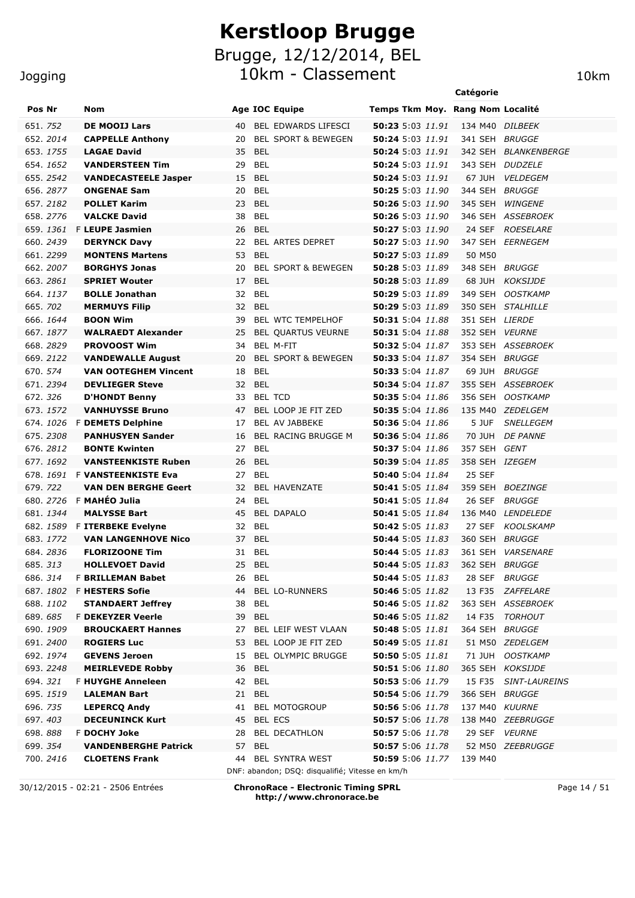#### **Jogging**

|                  |                                     |                                      | Catégorie                                       |  |
|------------------|-------------------------------------|--------------------------------------|-------------------------------------------------|--|
| Pos Nr           | <b>Nom</b>                          | <b>Age IOC Equipe</b>                | Temps Tkm Moy. Rang Nom Localité                |  |
| 651. 752         | <b>DE MOOIJ Lars</b>                | BEL EDWARDS LIFESCI<br>40            | 50:23 5:03 11.91<br>134 M40 DILBEEK             |  |
| 652.2014         | <b>CAPPELLE Anthony</b>             | <b>BEL SPORT &amp; BEWEGEN</b><br>20 | 50:24 5:03 11.91<br>341 SEH<br><i>BRUGGE</i>    |  |
| 653.1755         | <b>LAGAE David</b>                  | 35<br><b>BEL</b>                     | <b>50:24</b> 5:03 11.91<br>342 SEH BLANKENBERGE |  |
| 654. 1652        | <b>VANDERSTEEN Tim</b>              | <b>BEL</b><br>29                     | 50:24 5:03 11.91<br>343 SEH DUDZELE             |  |
| 655.2542         | <b>VANDECASTEELE Jasper</b>         | 15<br><b>BEL</b>                     | 50:24 5:03 11.91<br>67 JUH<br><b>VELDEGEM</b>   |  |
| 656.2877         | <b>ONGENAE Sam</b>                  | <b>BEL</b><br>20                     | 50:25 5:03 11.90<br>344 SEH<br><b>BRUGGE</b>    |  |
| 657.2182         | <b>POLLET Karim</b>                 | <b>BEL</b><br>23                     | 50:26 5:03 11.90<br>345 SEH<br><b>WINGENE</b>   |  |
| 658.2776         | <b>VALCKE David</b>                 | <b>BEL</b><br>38                     | 50:26 5:03 11.90<br>346 SEH ASSEBROEK           |  |
| 659. <i>1361</i> | <b>F LEUPE Jasmien</b>              | 26<br><b>BEL</b>                     | 50:27 5:03 11.90<br>24 SEF ROESELARE            |  |
| 660. 2439        | <b>DERYNCK Davy</b>                 | <b>BEL ARTES DEPRET</b><br>22        | 50:27 5:03 11.90<br>347 SEH EERNEGEM            |  |
| 661.2299         | <b>MONTENS Martens</b>              | 53<br><b>BEL</b>                     | 50:27 5:03 11.89<br>50 M50                      |  |
| 662.2007         | <b>BORGHYS Jonas</b>                | 20<br><b>BEL SPORT &amp; BEWEGEN</b> | 348 SEH BRUGGE<br><b>50:28</b> 5:03 11.89       |  |
| 663.2861         | <b>SPRIET Wouter</b>                | 17<br><b>BEL</b>                     | 50:28 5:03 11.89<br>68 JUH<br><b>KOKSIJDE</b>   |  |
| 664.1137         | <b>BOLLE Jonathan</b>               | 32<br><b>BEL</b>                     | 50:29 5:03 11.89<br>349 SEH<br><b>OOSTKAMP</b>  |  |
| 665. 702         | <b>MERMUYS Filip</b>                | 32<br><b>BEL</b>                     | 50:29 5:03 11.89<br>350 SEH STALHILLE           |  |
| 666. 1644        | <b>BOON Wim</b>                     | BEL WTC TEMPELHOF<br>39              | 50:31 5:04 11.88<br>351 SEH LIERDE              |  |
| 667.1877         | <b>WALRAEDT Alexander</b>           | BEL QUARTUS VEURNE<br>25             | 50:31 5:04 11.88<br>352 SEH VEURNE              |  |
| 668.2829         | <b>PROVOOST Wim</b>                 | BEL M-FIT<br>34                      | 50:32 5:04 11.87<br>353 SEH ASSEBROEK           |  |
| 669. <i>2122</i> | <b>VANDEWALLE August</b>            | <b>BEL SPORT &amp; BEWEGEN</b><br>20 | 50:33 5:04 11.87<br>354 SEH<br>BRUGGE           |  |
| 670. 574         | <b>VAN OOTEGHEM Vincent</b>         | <b>BEL</b><br>18                     | 50:33 5:04 11.87<br>69 JUH<br><b>BRUGGE</b>     |  |
| 671.2394         | <b>DEVLIEGER Steve</b>              | 32<br><b>BEL</b>                     | 50:34 5:04 11.87<br>355 SEH ASSEBROEK           |  |
| 672.326          | <b>D'HONDT Benny</b>                | <b>BEL TCD</b><br>33                 | 356 SEH OOSTKAMP<br>50:35 5:04 11.86            |  |
| 673. 1572        | <b>VANHUYSSE Bruno</b>              | BEL LOOP JE FIT ZED<br>47            | 50:35 5:04 11.86<br>135 M40 ZEDELGEM            |  |
| 674.1026         | <b>F DEMETS Delphine</b>            | BEL AV JABBEKE<br>17                 | 50:36 5:04 11.86<br>5 JUF<br><b>SNELLEGEM</b>   |  |
| 675. 2308        | <b>PANHUSYEN Sander</b>             | BEL RACING BRUGGE M<br>16            | 50:36 5:04 11.86<br>70 JUH<br><b>DE PANNE</b>   |  |
| 676.2812         | <b>BONTE Kwinten</b>                | 27<br><b>BEL</b>                     | 50:37 5:04 11.86<br>357 SEH GENT                |  |
| 677.1692         | <b>VANSTEENKISTE Ruben</b>          | <b>BEL</b><br>26                     | 50:39 5:04 11.85<br>358 SEH IZEGEM              |  |
| 678. 1691        | <b>F VANSTEENKISTE Eva</b>          | <b>BEL</b><br>27                     | 50:40 5:04 11.84<br>25 SEF                      |  |
| 679. 722         | <b>VAN DEN BERGHE Geert</b>         | 32<br><b>BEL HAVENZATE</b>           | 50:41 5:05 11.84<br>359 SEH BOEZINGE            |  |
| 680.2726         | F MAHÉO Julia                       | <b>BEL</b><br>24                     | 50:41 5:05 11.84<br>26 SEF<br><b>BRUGGE</b>     |  |
| 681.1344         | <b>MALYSSE Bart</b>                 | 45<br><b>BEL DAPALO</b>              | 50:41 5:05 11.84<br>136 M40 LENDELEDE           |  |
|                  | 682 1580 E <b>TTEDREKE E</b> velyne | つつ<br><b>RFI</b>                     | 27 SFE KOOLSKAMP<br>50.42 5.05 11 83            |  |

| 673.1572  | <b>VANHUYSSE Bruno</b>        | BEL LOOP JE FIT ZED<br>47                       | 50:35 5:04 11.86 | 135 M40 ZEDELGEM               |
|-----------|-------------------------------|-------------------------------------------------|------------------|--------------------------------|
|           | 674. 1026 F DEMETS Delphine   | BEL AV JABBEKE<br>17                            | 50:36 5:04 11.86 | 5 JUF<br><b>SNELLEGEM</b>      |
| 675, 2308 | <b>PANHUSYEN Sander</b>       | <b>BEL RACING BRUGGE M</b><br>16                | 50:36 5:04 11.86 | 70 JUH DE PANNE                |
| 676.2812  | <b>BONTE Kwinten</b>          | 27<br><b>BEL</b>                                | 50:37 5:04 11.86 | 357 SEH GENT                   |
| 677, 1692 | <b>VANSTEENKISTE Ruben</b>    | 26<br><b>BEL</b>                                | 50:39 5:04 11.85 | 358 SEH IZEGEM                 |
|           | 678. 1691 F VANSTEENKISTE Eva | 27<br><b>BEL</b>                                | 50:40 5:04 11.84 | <b>25 SEF</b>                  |
| 679, 722  | <b>VAN DEN BERGHE Geert</b>   | <b>BEL HAVENZATE</b><br>32                      | 50:41 5:05 11.84 | 359 SEH BOEZINGE               |
|           | 680. 2726 F MAHÉO Julia       | <b>BEL</b><br>24                                | 50:41 5:05 11.84 | 26 SEF<br>BRUGGE               |
| 681, 1344 | <b>MALYSSE Bart</b>           | <b>BEL DAPALO</b><br>45                         | 50:41 5:05 11.84 | 136 M40 LENDELEDE              |
| 682. 1589 | <b>F ITERBEKE Evelyne</b>     | <b>BEL</b><br>32                                | 50:42 5:05 11.83 | 27 SEF<br><b>KOOLSKAMP</b>     |
| 683, 1772 | <b>VAN LANGENHOVE Nico</b>    | 37 BEL                                          | 50:44 5:05 11.83 | 360 SEH BRUGGE                 |
| 684, 2836 | <b>FLORIZOONE Tim</b>         | 31 BEL                                          | 50:44 5:05 11.83 | 361 SEH VARSENARE              |
| 685.313   | <b>HOLLEVOET David</b>        | 25 BEL                                          | 50:44 5:05 11.83 | 362 SEH BRUGGE                 |
| 686, 314  | <b>F BRILLEMAN Babet</b>      | <b>BEL</b><br>26                                | 50:44 5:05 11.83 | 28 SEF<br><i>BRUGGE</i>        |
|           | 687. 1802 F HESTERS Sofie     | <b>BEL LO-RUNNERS</b><br>44                     | 50:46 5:05 11.82 | 13 F35<br><i>ZAFFELARE</i>     |
| 688.1102  | <b>STANDAERT Jeffrey</b>      | <b>BEL</b><br>38                                | 50:46 5:05 11.82 | 363 SEH ASSEBROEK              |
| 689, 685  | <b>F DEKEYZER Veerle</b>      | 39<br><b>BEL</b>                                | 50:46 5:05 11.82 | 14 F35<br><b>TORHOUT</b>       |
| 690, 1909 | <b>BROUCKAERT Hannes</b>      | <b>BEL LEIF WEST VLAAN</b><br>27                | 50:48 5:05 11.81 | 364 SEH BRUGGE                 |
| 691.2400  | <b>ROGIERS Luc</b>            | BEL LOOP JE FIT ZED<br>53                       | 50:49 5:05 11.81 | 51 M50 ZEDELGEM                |
| 692. 1974 | <b>GEVENS Jeroen</b>          | <b>BEL OLYMPIC BRUGGE</b><br>15                 | 50:50 5:05 11.81 | 71 JUH<br><b>OOSTKAMP</b>      |
| 693, 2248 | <b>MEIRLEVEDE Robby</b>       | <b>BEL</b><br>36                                | 50:51 5:06 11.80 | 365 SEH KOKSIJDE               |
| 694, 321  | <b>F HUYGHE Anneleen</b>      | 42<br><b>BEL</b>                                | 50:53 5:06 11.79 | 15 F35<br><b>SINT-LAUREINS</b> |
| 695.1519  | <b>LALEMAN Bart</b>           | 21<br><b>BEL</b>                                | 50:54 5:06 11.79 | 366 SEH BRUGGE                 |
| 696, 735  | <b>LEPERCQ Andy</b>           | <b>BEL MOTOGROUP</b><br>41                      | 50:56 5:06 11.78 | 137 M40 KUURNE                 |
| 697.403   | <b>DECEUNINCK Kurt</b>        | <b>BEL ECS</b><br>45                            | 50:57 5:06 11.78 | 138 M40 ZEEBRUGGE              |
| 698.888   | <b>F DOCHY Joke</b>           | <b>BEL DECATHLON</b><br>28                      | 50:57 5:06 11.78 | 29 SEF<br><b>VEURNE</b>        |
| 699. 354  | <b>VANDENBERGHE Patrick</b>   | <b>BEL</b><br>57                                | 50:57 5:06 11.78 | 52 M50 ZEEBRUGGE               |
| 700, 2416 | <b>CLOETENS Frank</b>         | <b>BEL SYNTRA WEST</b><br>44                    | 50:59 5:06 11.77 | 139 M40                        |
|           |                               | DNF: abandon; DSQ: disqualifié; Vitesse en km/h |                  |                                |

30/12/2015 - 02:21 - 2506 Entrées **ChronoRace - Electronic Timing SPRL http://www.chronorace.be**

Page 14 / 51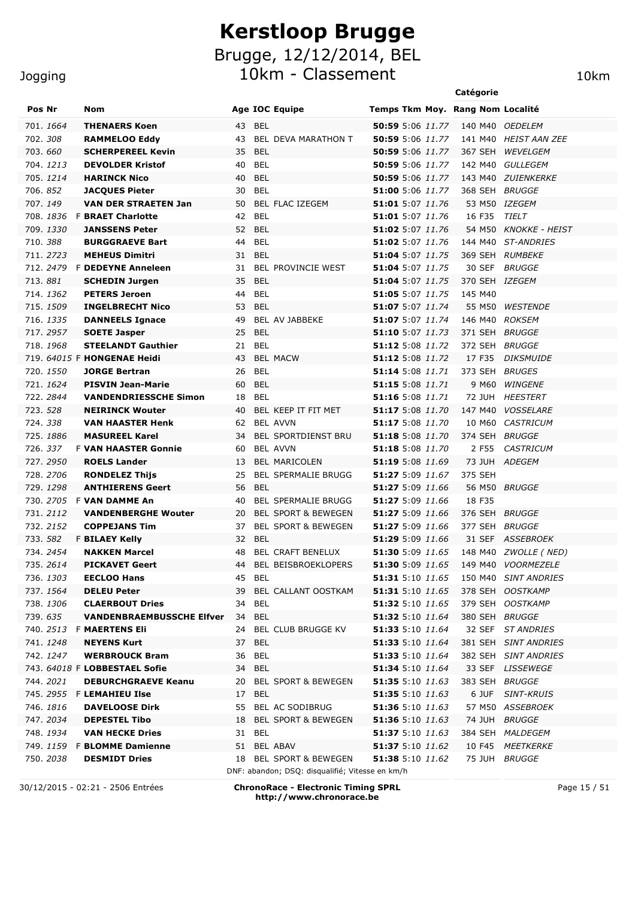#### Jogging

| Pos Nr                 | Nom                                              |    |                      | <b>Age IOC Equipe</b>                           | Temps Tkm Moy. Rang Nom Localité                   |         |        |                                       |
|------------------------|--------------------------------------------------|----|----------------------|-------------------------------------------------|----------------------------------------------------|---------|--------|---------------------------------------|
| 701. 1664              | <b>THENAERS Koen</b>                             | 43 | <b>BEL</b>           |                                                 | <b>50:59</b> 5:06 11.77                            |         |        | 140 M40 OEDELEM                       |
| 702.308                | <b>RAMMELOO Eddy</b>                             | 43 |                      | <b>BEL DEVA MARATHON T</b>                      | <b>50:59</b> 5:06 11.77                            |         |        | 141 M40 HEIST AAN ZEE                 |
| 703.660                | <b>SCHERPEREEL Kevin</b>                         | 35 | <b>BEL</b>           |                                                 | <b>50:59</b> 5:06 11.77                            | 367 SEH |        | WEVELGEM                              |
| 704.1213               | <b>DEVOLDER Kristof</b>                          | 40 | BEL                  |                                                 | 50:59 5:06 11.77                                   |         |        | 142 M40 GULLEGEM                      |
| 705.1214               | <b>HARINCK Nico</b>                              | 40 | <b>BEL</b>           |                                                 | <b>50:59</b> 5:06 11.77                            |         |        | 143 M40 ZUIENKERKE                    |
| 706.852                | <b>JACQUES Pieter</b>                            | 30 | BEL                  |                                                 | <b>51:00</b> 5:06 11.77                            |         |        | 368 SEH BRUGGE                        |
| 707.149                | <b>VAN DER STRAETEN Jan</b>                      | 50 |                      | BEL FLAC IZEGEM                                 | <b>51:01</b> 5:07 11.76                            |         |        | 53 M50 IZEGEM                         |
| 708.1 <i>836</i>       | <b>F BRAET Charlotte</b>                         | 42 | <b>BEL</b>           |                                                 | 51:01 5:07 11.76                                   | 16 F35  |        | TIELT                                 |
| 709.1330               | <b>JANSSENS Peter</b>                            | 52 | <b>BEL</b>           |                                                 | 51:02 5:07 11.76                                   |         |        | 54 M50 KNOKKE - HEIST                 |
| 710.388                | <b>BURGGRAEVE Bart</b>                           | 44 | <b>BEL</b>           |                                                 | 51:02 5:07 11.76                                   |         |        | 144 M40 ST-ANDRIES                    |
| 711, 2723              | <b>MEHEUS Dimitri</b>                            |    | 31 BEL               |                                                 | 51:04 5:07 11.75                                   |         |        | 369 SEH RUMBEKE                       |
|                        | 712. 2479 F DEDEYNE Anneleen                     | 31 |                      | BEL PROVINCIE WEST                              | 51:04 5:07 11.75                                   |         | 30 SEF | <i>BRUGGE</i>                         |
| 713.881                | <b>SCHEDIN Jurgen</b>                            | 35 | <b>BEL</b>           |                                                 | 51:04 5:07 11.75                                   |         |        | 370 SEH IZEGEM                        |
| 714. 1362              | <b>PETERS Jeroen</b>                             | 44 | <b>BEL</b>           |                                                 | 51:05 5:07 11.75                                   | 145 M40 |        |                                       |
| 715. 1509              | <b>INGELBRECHT Nico</b>                          | 53 | <b>BEL</b>           |                                                 | 51:07 5:07 11.74                                   |         | 55 M50 | <i><b>WESTENDE</b></i>                |
| 716. 1335              | <b>DANNEELS Ignace</b>                           | 49 |                      | BEL AV JABBEKE                                  | 51:07 5:07 11.74                                   |         |        | 146 M40 ROKSEM                        |
| 717, 2957<br>718.1968  | <b>SOETE Jasper</b><br><b>STEELANDT Gauthier</b> | 25 | <b>BEL</b><br>21 BEL |                                                 | 51:10 5:07 11.73<br>51:12 5:08 11.72               |         |        | 371 SEH BRUGGE<br>372 SEH BRUGGE      |
|                        | 719. 64015 F HONGENAE Heidi                      | 43 |                      | <b>BEL MACW</b>                                 | <b>51:12</b> 5:08 11.72                            |         | 17 F35 | <b>DIKSMUIDE</b>                      |
| 720. 1550              | <b>JORGE Bertran</b>                             | 26 | <b>BEL</b>           |                                                 | 51:14 5:08 11.71                                   |         |        | 373 SEH BRUGES                        |
| 721. 1624              | <b>PISVIN Jean-Marie</b>                         | 60 | <b>BEL</b>           |                                                 | 51:15 5:08 11.71                                   |         | 9 M60  | <b>WINGENE</b>                        |
| 722.2844               | <b>VANDENDRIESSCHE Simon</b>                     | 18 | BEL                  |                                                 | 51:16 5:08 11.71                                   |         |        | 72 JUH HEESTERT                       |
| 723. 528               | <b>NEIRINCK Wouter</b>                           | 40 |                      | BEL KEEP IT FIT MET                             | 51:17 5:08 11.70                                   | 147 M40 |        | <b>VOSSELARE</b>                      |
| 724, 338               | <b>VAN HAASTER Henk</b>                          | 62 |                      | <b>BEL AVVN</b>                                 | 51:17 5:08 11.70                                   |         | 10 M60 | CASTRICUM                             |
| 725.1886               | <b>MASUREEL Karel</b>                            | 34 |                      | BEL SPORTDIENST BRU                             | 51:18 5:08 11.70                                   |         |        | 374 SEH BRUGGE                        |
| 726, 337               | <b>F VAN HAASTER Gonnie</b>                      | 60 |                      | <b>BEL AVVN</b>                                 | 51:18 5:08 11.70                                   |         | 2 F55  | <b>CASTRICUM</b>                      |
| 727.2950               | <b>ROELS Lander</b>                              | 13 |                      | BEL MARICOLEN                                   | 51:19 5:08 11.69                                   |         |        | 73 JUH ADEGEM                         |
| 728.2706               | <b>RONDELEZ Thijs</b>                            | 25 |                      | <b>BEL SPERMALIE BRUGG</b>                      | 51:27 5:09 11.67                                   | 375 SEH |        |                                       |
| 729.1298               | <b>ANTHIERENS Geert</b>                          | 56 | <b>BEL</b>           |                                                 | 51:27 5:09 11.66                                   |         |        | 56 M50 BRUGGE                         |
|                        | 730. 2705 F VAN DAMME An                         | 40 |                      | <b>BEL SPERMALIE BRUGG</b>                      | 51:27 5:09 11.66                                   | 18 F35  |        |                                       |
| 731.2112               | <b>VANDENBERGHE Wouter</b>                       | 20 |                      | <b>BEL SPORT &amp; BEWEGEN</b>                  | 51:27 5:09 11.66                                   |         |        | 376 SEH BRUGGE                        |
| 732. 2152              | <b>COPPEJANS Tim</b>                             | 37 |                      | <b>BEL SPORT &amp; BEWEGEN</b>                  | 51:27 5:09 11.66                                   |         |        | 377 SEH BRUGGE                        |
| 733.582                | <b>F BILAEY Kelly</b>                            | 32 | <b>BEL</b>           |                                                 | 51:29 5:09 11.66                                   |         |        | 31 SEF ASSEBROEK                      |
| 734.2454               | <b>NAKKEN Marcel</b>                             | 48 |                      | <b>BEL CRAFT BENELUX</b>                        | <b>51:30</b> 5:09 11.65                            |         |        | 148 M40 <i>ZWOLLE (NED)</i>           |
| 735.2614               | <b>PICKAVET Geert</b>                            | 44 |                      | <b>BEL BEISBROEKLOPERS</b>                      | <b>51:30</b> 5:09 11.65                            |         |        | 149 M40 VOORMEZELE                    |
| 736.1303               | <b>EECLOO Hans</b>                               | 45 | <b>BEL</b>           |                                                 |                                                    |         |        | 51:31 5:10 11.65 150 M40 SINT ANDRIES |
| 737.1564               | <b>DELEU Peter</b>                               |    |                      | 39 BEL CALLANT OOSTKAM                          | <b>51:31</b> 5:10 11.65                            |         |        | 378 SEH OOSTKAMP                      |
| 738.1306               | <b>CLAERBOUT Dries</b>                           |    | 34 BEL               |                                                 | 51:32 5:10 11.65                                   |         |        | 379 SEH OOSTKAMP                      |
| 739.635                | <b>VANDENBRAEMBUSSCHE Elfver</b>                 |    | 34 BEL               |                                                 | <b>51:32</b> 5:10 11.64                            |         |        | 380 SEH BRUGGE                        |
|                        | 740. 2513 F MAERTENS Eli                         |    |                      | 24 BEL CLUB BRUGGE KV                           | 51:33 5:10 11.64                                   |         |        | 32 SEF ST ANDRIES                     |
| 741.1248               | <b>NEYENS Kurt</b>                               |    | 37 BEL               |                                                 | 51:33 5:10 11.64                                   |         |        | 381 SEH SINT ANDRIES                  |
| 742. 1247              | <b>WERBROUCK Bram</b>                            |    | 36 BEL               |                                                 | <b>51:33</b> 5:10 11.64                            |         |        | 382 SEH SINT ANDRIES                  |
|                        | 743. 64018 F LOBBESTAEL Sofie                    |    | 34 BEL               |                                                 | <b>51:34</b> 5:10 11.64                            |         |        | 33 SEF LISSEWEGE                      |
| 744.2021               | <b>DEBURCHGRAEVE Keanu</b>                       |    |                      | 20 BEL SPORT & BEWEGEN                          | <b>51:35</b> 5:10 11.63                            |         |        | 383 SEH BRUGGE                        |
|                        | 745. 2955 F LEMAHIEU Ilse                        |    | 17 BEL               |                                                 | 51:35 5:10 11.63                                   |         |        | 6 JUF SINT-KRUIS                      |
| 746.1816               | <b>DAVELOOSE Dirk</b>                            |    |                      | 55 BEL AC SODIBRUG                              | 51:36 5:10 11.63                                   |         |        | 57 M50 ASSEBROEK                      |
| 747. 2034<br>748. 1934 | <b>DEPESTEL Tibo</b><br><b>VAN HECKE Dries</b>   |    | 31 BEL               | 18 BEL SPORT & BEWEGEN                          | <b>51:36</b> 5:10 11.63<br><b>51:37</b> 5:10 11.63 |         |        | 74 JUH BRUGGE<br>384 SEH MALDEGEM     |
|                        | 749. 1159 F <b>BLOMME Damienne</b>               |    |                      | 51 BEL ABAV                                     | 51:37 5:10 11.62                                   |         |        | 10 F45 MEETKERKE                      |
| 750.2038               | <b>DESMIDT Dries</b>                             |    |                      | 18 BEL SPORT & BEWEGEN                          | 51:38 5:10 11.62                                   |         |        | 75 JUH BRUGGE                         |
|                        |                                                  |    |                      | DNF: abandon; DSQ: disqualifié; Vitesse en km/h |                                                    |         |        |                                       |

30/12/2015 - 02:21 - 2506 Entrées **ChronoRace - Electronic Timing SPRL http://www.chronorace.be**

Page 15 / 51

**Catégorie**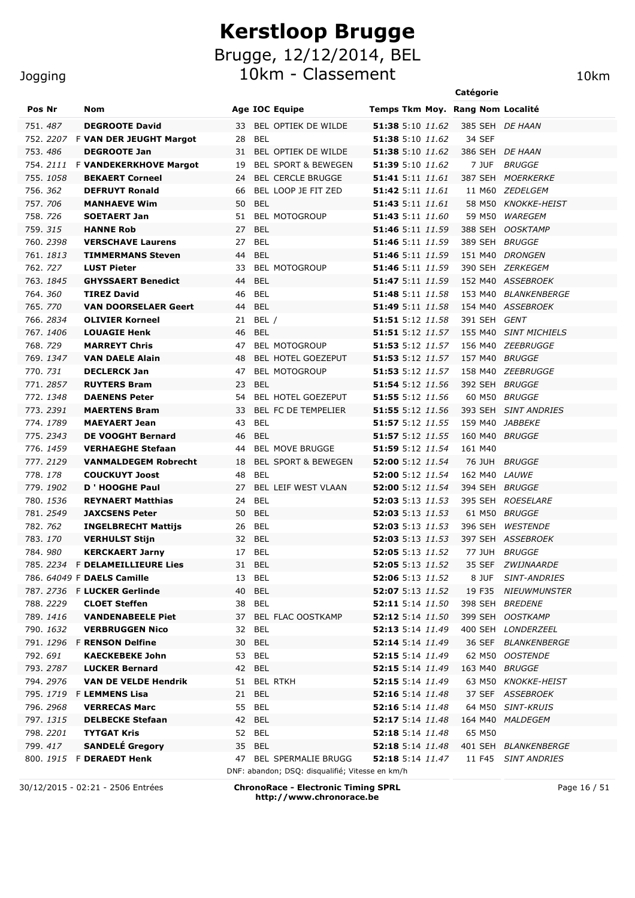#### Jogging

# **Kerstloop Brugge** Brugge, 12/12/2014, BEL 10km - Classement 10km

|          |                       |                                                      |    |                                                 |                                                    | Catégorie            |                                       |
|----------|-----------------------|------------------------------------------------------|----|-------------------------------------------------|----------------------------------------------------|----------------------|---------------------------------------|
| Pos Nr   |                       | Nom                                                  |    | Age IOC Equipe                                  | Temps Tkm Moy. Rang Nom Localité                   |                      |                                       |
|          | 751.487               | <b>DEGROOTE David</b>                                | 33 | BEL OPTIEK DE WILDE                             | 51:38 5:10 11.62                                   |                      | 385 SEH DE HAAN                       |
|          |                       | 752. 2207 F VAN DER JEUGHT Margot                    | 28 | BEL                                             | 51:38 5:10 11.62                                   | 34 SEF               |                                       |
|          | 753.486               | <b>DEGROOTE Jan</b>                                  | 31 | BEL OPTIEK DE WILDE                             | <b>51:38</b> 5:10 11.62                            |                      | 386 SEH DE HAAN                       |
|          | 754. <i>2111</i>      | <b>F VANDEKERKHOVE Margot</b>                        | 19 | <b>BEL SPORT &amp; BEWEGEN</b>                  | 51:39 5:10 11.62                                   | 7 JUF                | <i>BRUGGE</i>                         |
|          | 755.1058              | <b>BEKAERT Corneel</b>                               | 24 | <b>BEL CERCLE BRUGGE</b>                        | <b>51:41</b> 5:11 <i>11.61</i>                     |                      | 387 SEH MOERKERKE                     |
|          | 756. 362              | <b>DEFRUYT Ronald</b>                                | 66 | BEL LOOP JE FIT ZED                             | <b>51:42</b> 5:11 11.61                            |                      | 11 M60 ZEDELGEM                       |
| 757.706  |                       | <b>MANHAEVE Wim</b>                                  | 50 | BEL                                             | <b>51:43</b> 5:11 <i>11.61</i>                     |                      | 58 M50 KNOKKE-HEIST                   |
| 758.726  |                       | <b>SOETAERT Jan</b>                                  | 51 | <b>BEL MOTOGROUP</b>                            | <b>51:43</b> 5:11 <i>11.60</i>                     | 59 M50               | WAREGEM                               |
|          | 759. <i>315</i>       | <b>HANNE Rob</b>                                     | 27 | BEL                                             | <b>51:46</b> 5:11 11.59                            | 388 SEH              | <i><b>OOSKTAMP</b></i>                |
|          | 760. 2398             | <b>VERSCHAVE Laurens</b>                             | 27 | BEL                                             | 51:46 5:11 11.59                                   | 389 SEH              | BRUGGE                                |
|          | 761.1813              | <b>TIMMERMANS Steven</b>                             | 44 | BEL                                             | 51:46 5:11 11.59                                   |                      | 151 M40 DRONGEN                       |
|          | 762. 727              | <b>LUST Pieter</b>                                   | 33 | <b>BEL MOTOGROUP</b>                            | <b>51:46</b> 5:11 <i>11.59</i>                     |                      | 390 SEH ZERKEGEM                      |
|          | 763. 1845             | <b>GHYSSAERT Benedict</b>                            | 44 | <b>BEL</b>                                      | 51:47 5:11 11.59                                   |                      | 152 M40 ASSEBROEK                     |
|          | 764.360               | <b>TIREZ David</b>                                   | 46 | <b>BEL</b>                                      | 51:48 5:11 11.58                                   |                      | 153 M40 BLANKENBERGE                  |
|          | 765.770               | <b>VAN DOORSELAER Geert</b>                          | 44 | <b>BEL</b>                                      | 51:49 5:11 11.58                                   |                      | 154 M40 ASSEBROEK                     |
|          | 766. 2834             | <b>OLIVIER Korneel</b>                               | 21 | BEL /                                           | <b>51:51</b> 5:12 <i>11.58</i>                     | 391 SEH              | GENT                                  |
|          | 767.1406              | <b>LOUAGIE Henk</b>                                  | 46 | <b>BEL</b>                                      | 51:51 5:12 11.57                                   |                      | 155 M40 SINT MICHIELS                 |
|          | 768.729               | <b>MARREYT Chris</b>                                 | 47 | <b>BEL MOTOGROUP</b>                            | <b>51:53</b> 5:12 11.57                            |                      | 156 M40 ZEEBRUGGE                     |
|          | 769. 1347             | <b>VAN DAELE Alain</b>                               | 48 | BEL HOTEL GOEZEPUT                              | 51:53 5:12 11.57                                   | 157 M40 BRUGGE       |                                       |
| 770. 731 |                       | <b>DECLERCK Jan</b>                                  | 47 | <b>BEL MOTOGROUP</b>                            | 51:53 5:12 11.57                                   |                      | 158 M40 ZEEBRUGGE                     |
|          | 771.2857              | <b>RUYTERS Bram</b>                                  | 23 | <b>BEL</b>                                      | 51:54 5:12 11.56                                   | 392 SEH BRUGGE       |                                       |
|          | 772.1348              | <b>DAENENS Peter</b>                                 | 54 | <b>BEL HOTEL GOEZEPUT</b>                       | <b>51:55</b> 5:12 11.56                            |                      | 60 M50 BRUGGE                         |
|          | 773.2391              | <b>MAERTENS Bram</b>                                 | 33 | BEL FC DE TEMPELIER                             | 51:55 5:12 11.56                                   |                      | 393 SEH SINT ANDRIES                  |
|          | 774.1789              | <b>MAEYAERT Jean</b>                                 | 43 | BEL                                             | 51:57 5:12 11.55                                   |                      | 159 M40 JABBEKE                       |
|          | 775.2343              | <b>DE VOOGHT Bernard</b>                             | 46 | BEL                                             | <b>51:57</b> 5:12 11.55                            | 160 M40 BRUGGE       |                                       |
|          | 776.1459              | <b>VERHAEGHE Stefaan</b>                             | 44 | <b>BEL MOVE BRUGGE</b>                          | 51:59 5:12 11.54                                   | 161 M40              |                                       |
|          | 777.2129              | <b>VANMALDEGEM Robrecht</b>                          | 18 | <b>BEL SPORT &amp; BEWEGEN</b>                  | 52:00 5:12 11.54                                   |                      | 76 JUH BRUGGE                         |
|          | 778.178               | <b>COUCKUYT Joost</b>                                | 48 | <b>BEL</b>                                      | 52:00 5:12 11.54                                   | 162 M40 <i>LAUWE</i> |                                       |
|          | 779.1902              | D ' HOOGHE Paul                                      | 27 | <b>BEL LEIF WEST VLAAN</b>                      | <b>52:00</b> 5:12 11.54                            | 394 SEH BRUGGE       |                                       |
|          | 780.1536              | <b>REYNAERT Matthias</b>                             | 24 | <b>BEL</b>                                      | 52:03 5:13 11.53                                   |                      | 395 SEH ROESELARE                     |
|          | 781.2549              | <b>JAXCSENS Peter</b>                                | 50 | BEL                                             | <b>52:03</b> 5:13 11.53                            |                      | 61 M50 BRUGGE                         |
|          | 782. 762              | <b>INGELBRECHT Mattijs</b>                           | 26 | BEL                                             | <b>52:03</b> 5:13 11.53                            |                      | 396 SEH WESTENDE                      |
|          | 783.170               | <b>VERHULST Stijn</b>                                |    | 32 BEL                                          | <b>52:03</b> 5:13 11.53                            |                      | 397 SEH ASSEBROEK                     |
|          | 784.980               | <b>KERCKAERT Jarny</b>                               |    | 17 BEL                                          | <b>52:05</b> 5:13 11.52                            |                      | 77 JUH BRUGGE                         |
|          |                       | 785. 2234 F DELAMEILLIEURE Lies                      |    | 31 BEL                                          | <b>52:05</b> 5:13 11.52                            |                      | 35 SEF ZWIJNAARDE                     |
|          |                       | 786. 64049 F DAELS Camille                           |    | 13 BEL                                          | <b>52:06</b> 5:13 11.52                            |                      | 8 JUF SINT-ANDRIES                    |
|          |                       | 787. 2736 F LUCKER Gerlinde                          | 40 | <b>BEL</b>                                      | <b>52:07</b> 5:13 11.52                            |                      | 19 F35 NIEUWMUNSTER                   |
|          | 788. 2229             | <b>CLOET Steffen</b>                                 |    | 38 BEL                                          | <b>52:11</b> 5:14 11.50                            |                      | 398 SEH BREDENE                       |
|          | 789. 1416             | <b>VANDENABEELE Piet</b>                             | 37 | BEL FLAC OOSTKAMP                               | 52:12 5:14 11.50                                   |                      | 399 SEH OOSTKAMP                      |
|          | 790. 1632             | <b>VERBRUGGEN Nico</b>                               | 32 | BEL                                             | <b>52:13</b> 5:14 11.49                            |                      | 400 SEH LONDERZEEL                    |
|          |                       | 791. 1296 F RENSON Delfine                           | 30 | <b>BEL</b>                                      | <b>52:14</b> 5:14 11.49                            |                      | 36 SEF BLANKENBERGE                   |
|          | 792. 691              | <b>KAECKEBEKE John</b>                               |    | 53 BEL                                          | <b>52:15</b> 5:14 11.49                            |                      | 62 M50 OOSTENDE                       |
|          | 793.2787              | <b>LUCKER Bernard</b><br><b>VAN DE VELDE Hendrik</b> | 42 | BEL                                             | 52:15 5:14 11.49                                   | 163 M40 BRUGGE       |                                       |
|          | 794.2976              |                                                      | 51 | <b>BEL RTKH</b>                                 | <b>52:15</b> 5:14 11.49                            |                      | 63 M50 KNOKKE-HEIST                   |
|          | 796. 2968             | 795. 1719 F LEMMENS Lisa<br><b>VERRECAS Marc</b>     | 21 | <b>BEL</b><br>55 BEL                            | <b>52:16</b> 5:14 11.48<br><b>52:16</b> 5:14 11.48 |                      | 37 SEF ASSEBROEK<br>64 M50 SINT-KRUIS |
|          |                       | <b>DELBECKE Stefaan</b>                              |    |                                                 |                                                    |                      |                                       |
|          | 797.1315<br>798. 2201 | <b>TYTGAT Kris</b>                                   | 42 | BEL<br>52 BEL                                   | <b>52:17</b> 5:14 11.48<br><b>52:18</b> 5:14 11.48 | 65 M50               | 164 M40 MALDEGEM                      |
|          | 799.417               | <b>SANDELÉ Gregory</b>                               |    | 35 BEL                                          | <b>52:18</b> 5:14 11.48                            |                      | 401 SEH BLANKENBERGE                  |
|          |                       | 800. 1915 F DERAEDT Henk                             |    | 47 BEL SPERMALIE BRUGG                          | 52:18 5:14 11.47                                   |                      |                                       |
|          |                       |                                                      |    | DNF: abandon; DSQ: disqualifié; Vitesse en km/h |                                                    | 11 F45               | <i>SINT ANDRIES</i>                   |

30/12/2015 - 02:21 - 2506 Entrées **ChronoRace - Electronic Timing SPRL http://www.chronorace.be**

Page 16 / 51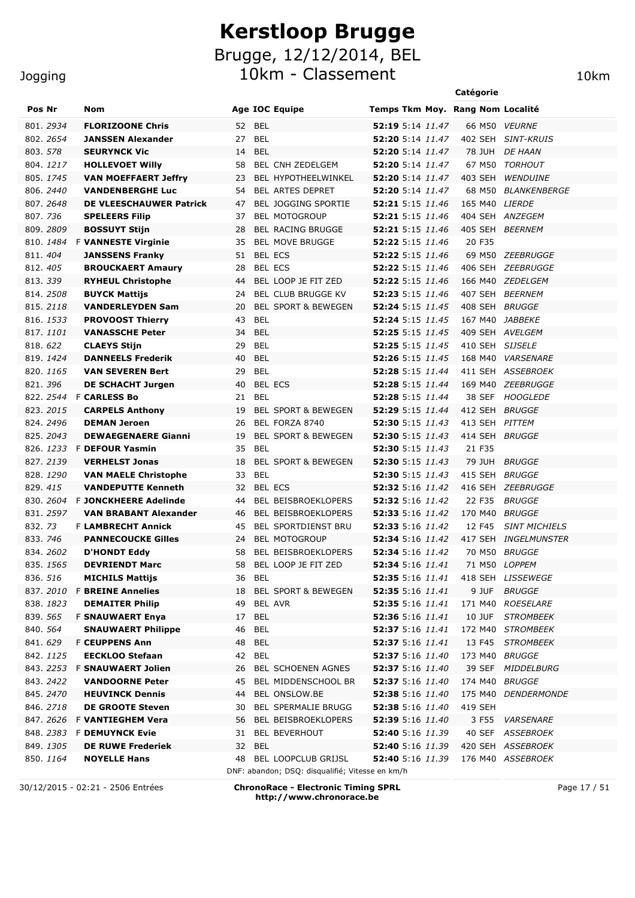10km - Classement 10km

| Pos Nr<br>Nom<br><b>Age IOC Equipe</b><br>Temps Tkm Moy. Rang Nom Localité<br>801.2934<br><b>FLORIZOONE Chris</b><br>52 BEL<br>52:19 5:14 11.47<br>66 M50<br><i>VEURNE</i><br>27 BEL<br>52:20 5:14 11.47<br>802. 2654<br><b>JANSSEN Alexander</b><br>402 SEH SINT-KRUIS<br>803. 578<br><b>SEURYNCK Vic</b><br>14<br>BEL<br>52:20 5:14 11.47<br>78 JUH DE HAAN<br>804.1217<br><b>HOLLEVOET WIlly</b><br>58<br>BEL CNH ZEDELGEM<br><b>52:20</b> 5:14 11.47<br>67 M50 TORHOUT<br>805.1745<br><b>VAN MOEFFAERT Jeffry</b><br>23<br><b>BEL HYPOTHEELWINKEL</b><br><b>52:20</b> 5:14 <i>11.47</i><br>403 SEH<br><b>WENDUINE</b><br>806.2440<br><b>VANDENBERGHE Luc</b><br>54<br><b>BEL ARTES DEPRET</b><br><b>52:20</b> 5:14 11.47<br>68 M50 BLANKENBERGE<br>52:21 5:15 11.46<br>807.2648<br>DE VLEESCHAUWER Patrick<br>47<br><b>BEL JOGGING SPORTIE</b><br>165 M40 LIERDE<br>807. 736<br><b>52:21</b> 5:15 11.46<br>404 SEH ANZEGEM<br><b>SPELEERS Filip</b><br>37<br><b>BEL MOTOGROUP</b><br>405 SEH BEERNEM<br>809.2809<br><b>BOSSUYT Stijn</b><br>28<br><b>BEL RACING BRUGGE</b><br><b>52:21</b> 5:15 11.46<br><b>BEL MOVE BRUGGE</b><br><b>52:22</b> 5:15 11.46<br>810.1484<br><b>F VANNESTE Virginie</b><br>35<br>20 F35<br>51 BEL ECS<br>52:22 5:15 11.46<br>811.404<br><b>JANSSENS Franky</b><br>69 M50 ZEEBRUGGE<br><b>BEL ECS</b><br>52:22 5:15 11.46<br>812.405<br><b>BROUCKAERT Amaury</b><br>28<br>406 SEH ZEEBRUGGE<br>813.339<br><b>RYHEUL Christophe</b><br>BEL LOOP JE FIT ZED<br><b>52:22</b> 5:15 11.46<br>166 M40 ZEDELGEM<br>44<br>814.2508<br>BEL CLUB BRUGGE KV<br>52:23 5:15 11.46<br>407 SEH BEERNEM<br><b>BUYCK Mattijs</b><br>24<br><b>BEL SPORT &amp; BEWEGEN</b><br>815.2118<br><b>VANDERLEYDEN Sam</b><br><b>52:24</b> 5:15 11.45<br>408 SEH BRUGGE<br>20<br>BEL<br>816. 1533<br>43<br><b>52:24</b> 5:15 11.45<br>167 M40 JABBEKE<br><b>PROVOOST Thierry</b><br><b>BEL</b><br>52:25 5:15 11.45<br>409 SEH AVELGEM<br>817.1101<br><b>VANASSCHE Peter</b><br>34<br><b>52:25</b> 5:15 11.45<br>818.622<br><b>CLAEYS Stijn</b><br>29<br>BEL<br>410 SEH SIJSELE<br><b>52:26</b> 5:15 11.45<br>819. 1424<br><b>DANNEELS Frederik</b><br>40<br>BEL<br>168 M40 VARSENARE<br><b>BEL</b><br>52:28 5:15 11.44<br>411 SEH ASSEBROEK<br>820. 1165<br><b>VAN SEVEREN Bert</b><br>29<br><b>BEL ECS</b><br>52:28 5:15 11.44<br>169 M40 ZEEBRUGGE<br>821.396<br><b>DE SCHACHT Jurgen</b><br>40<br><b>BEL</b><br>52:28 5:15 11.44<br>38 SEF HOOGLEDE<br>822. 2544 F CARLESS Bo<br>21<br>823. 2015<br><b>BEL SPORT &amp; BEWEGEN</b><br><b>52:29</b> 5:15 11.44<br>412 SEH BRUGGE<br><b>CARPELS Anthony</b><br>19<br><b>DEMAN Jeroen</b><br>BEL FORZA 8740<br><b>52:30</b> 5:15 11.43<br>413 SEH PITTEM<br>824.2496<br>26<br><b>BEL SPORT &amp; BEWEGEN</b><br><b>52:30</b> 5:15 11.43<br>414 SEH BRUGGE<br>825.2043<br><b>DEWAEGENAERE Gianni</b><br>19<br>826. 1233 F DEFOUR Yasmin<br><b>BEL</b><br>35<br><b>52:30</b> 5:15 11.43<br>21 F35<br>827.2139<br><b>BEL SPORT &amp; BEWEGEN</b><br>52:30 5:15 11.43<br>79 JUH<br><b>BRUGGE</b><br><b>VERHELST Jonas</b><br>18<br>BEL<br>52:30 5:15 11.43<br>415 SEH BRUGGE<br>828.1290<br><b>VAN MAELE Christophe</b><br>33<br>829.415<br><b>VANDEPUTTE Kenneth</b><br>BEL ECS<br><b>52:32</b> 5:16 11.42<br>416 SEH ZEEBRUGGE<br>32<br><b>F JONCKHEERE Adelinde</b><br>BEL BEISBROEKLOPERS<br><b>52:32</b> 5:16 11.42<br>22 F35<br><b>BRUGGE</b><br>830. 2604<br>44<br>831, 2597<br><b>VAN BRABANT Alexander</b><br>BEL BEISBROEKLOPERS<br><b>52:33</b> 5:16 11.42<br>170 M40<br><i>BRUGGE</i><br>46<br>832.73<br><b>F LAMBRECHT Annick</b><br><b>BEL SPORTDIENST BRU</b><br><b>52:33</b> 5:16 11.42<br>12 F45<br><b>SINT MICHIELS</b><br>45<br>833, 746<br><b>BEL MOTOGROUP</b><br><b>PANNECOUCKE Gilles</b><br><b>52:34</b> 5:16 11.42<br>417 SEH INGELMUNSTER<br>24<br>834.2602<br>BEL BEISBROEKLOPERS<br><b>52:34</b> 5:16 11.42<br>70 M50 BRUGGE<br><b>D'HONDT Eddy</b><br>58<br>71 M50 LOPPEM<br>835. 1565<br><b>DEVRIENDT Marc</b><br>58<br>BEL LOOP JE FIT ZED<br><b>52:34</b> 5:16 11.41<br>836. 516<br><b>MICHILS Mattijs</b><br>36 BEL<br>52:35 5:16 11.41<br>418 SEH LISSEWEGE<br>837. 2010 F BREINE Annelies<br>52:35 5:16 11.41<br><b>BRUGGE</b><br>BEL SPORT & BEWEGEN<br>9 JUF -<br>18<br>52:35 5:16 11.41<br>838.1823<br><b>DEMAITER Philip</b><br>BEL AVR<br>171 M40 ROESELARE<br>49<br>839. 565<br><b>F SNAUWAERT Enya</b><br>17 BEL<br>52:36 5:16 11.41<br>10 JUF STROMBEEK<br>52:37 5:16 11.41<br>840. 564<br><b>SNAUWAERT Philippe</b><br>46<br>BEL<br>172 M40 STROMBEEK<br>841.629<br><b>F CEUPPENS Ann</b><br>48 BEL<br><b>52:37</b> 5:16 11.41<br>13 F45 STROMBEEK<br>842. 1125<br><b>EECKLOO Stefaan</b><br>42 BEL<br><b>52:37</b> 5:16 11.40<br>173 M40 BRUGGE<br>843. 2253<br>BEL SCHOENEN AGNES<br>52:37 5:16 11.40<br><b>F SNAUWAERT Jolien</b><br>26<br>39 SEF MIDDELBURG<br>843. 2422<br><b>VANDOORNE Peter</b><br>BEL MIDDENSCHOOL BR<br><b>52:37</b> 5:16 11.40<br>174 M40 BRUGGE<br>45<br>845.2470<br><b>HEUVINCK Dennis</b><br>BEL ONSLOW.BE<br><b>52:38</b> 5:16 11.40<br>175 M40 DENDERMONDE<br>44<br>846.2718<br><b>DE GROOTE Steven</b><br><b>BEL SPERMALIE BRUGG</b><br>52:38 5:16 11.40<br>419 SEH<br>30<br>847.2626<br>F VANTIEGHEM Vera<br>BEL BEISBROEKLOPERS<br><b>52:39</b> 5:16 11.40<br>3 F55<br><b>VARSENARE</b><br>56<br>848.2383<br><b>F DEMUYNCK Evie</b><br><b>BEL BEVERHOUT</b><br><b>52:40</b> 5:16 11.39<br>40 SEF ASSEBROEK<br>31<br>849. 1305<br><b>DE RUWE Frederiek</b><br>32 BEL<br><b>52:40</b> 5:16 11.39<br>420 SEH ASSEBROEK<br>850.1164<br><b>NOYELLE Hans</b><br><b>BEL LOOPCLUB GRIJSL</b><br><b>52:40</b> 5:16 11.39<br>176 M40 ASSEBROEK<br>48<br>DNF: abandon; DSQ: disqualifié; Vitesse en km/h |  |  | Catégorie |  |
|-----------------------------------------------------------------------------------------------------------------------------------------------------------------------------------------------------------------------------------------------------------------------------------------------------------------------------------------------------------------------------------------------------------------------------------------------------------------------------------------------------------------------------------------------------------------------------------------------------------------------------------------------------------------------------------------------------------------------------------------------------------------------------------------------------------------------------------------------------------------------------------------------------------------------------------------------------------------------------------------------------------------------------------------------------------------------------------------------------------------------------------------------------------------------------------------------------------------------------------------------------------------------------------------------------------------------------------------------------------------------------------------------------------------------------------------------------------------------------------------------------------------------------------------------------------------------------------------------------------------------------------------------------------------------------------------------------------------------------------------------------------------------------------------------------------------------------------------------------------------------------------------------------------------------------------------------------------------------------------------------------------------------------------------------------------------------------------------------------------------------------------------------------------------------------------------------------------------------------------------------------------------------------------------------------------------------------------------------------------------------------------------------------------------------------------------------------------------------------------------------------------------------------------------------------------------------------------------------------------------------------------------------------------------------------------------------------------------------------------------------------------------------------------------------------------------------------------------------------------------------------------------------------------------------------------------------------------------------------------------------------------------------------------------------------------------------------------------------------------------------------------------------------------------------------------------------------------------------------------------------------------------------------------------------------------------------------------------------------------------------------------------------------------------------------------------------------------------------------------------------------------------------------------------------------------------------------------------------------------------------------------------------------------------------------------------------------------------------------------------------------------------------------------------------------------------------------------------------------------------------------------------------------------------------------------------------------------------------------------------------------------------------------------------------------------------------------------------------------------------------------------------------------------------------------------------------------------------------------------------------------------------------------------------------------------------------------------------------------------------------------------------------------------------------------------------------------------------------------------------------------------------------------------------------------------------------------------------------------------------------------------------------------------------------------------------------------------------------------------------------------------------------------------------------------------------------------------------------------------------------------------------------------------------------------------------------------------------------------------------------------------------------------------------------------------------------------------------------------------------------------------------------------------------------------------------------------------------------------------------------------------------------------------------------------------------------------------------------------------------------------------------------------------------------------------------------------------------------------------------------------------------------------------------------------------------------------------------------------------------------------------------------------------------------------------------------------------------------------|--|--|-----------|--|
|                                                                                                                                                                                                                                                                                                                                                                                                                                                                                                                                                                                                                                                                                                                                                                                                                                                                                                                                                                                                                                                                                                                                                                                                                                                                                                                                                                                                                                                                                                                                                                                                                                                                                                                                                                                                                                                                                                                                                                                                                                                                                                                                                                                                                                                                                                                                                                                                                                                                                                                                                                                                                                                                                                                                                                                                                                                                                                                                                                                                                                                                                                                                                                                                                                                                                                                                                                                                                                                                                                                                                                                                                                                                                                                                                                                                                                                                                                                                                                                                                                                                                                                                                                                                                                                                                                                                                                                                                                                                                                                                                                                                                                                                                                                                                                                                                                                                                                                                                                                                                                                                                                                                                                                                                                                                                                                                                                                                                                                                                                                                                                                                                                                                                                                             |  |  |           |  |
|                                                                                                                                                                                                                                                                                                                                                                                                                                                                                                                                                                                                                                                                                                                                                                                                                                                                                                                                                                                                                                                                                                                                                                                                                                                                                                                                                                                                                                                                                                                                                                                                                                                                                                                                                                                                                                                                                                                                                                                                                                                                                                                                                                                                                                                                                                                                                                                                                                                                                                                                                                                                                                                                                                                                                                                                                                                                                                                                                                                                                                                                                                                                                                                                                                                                                                                                                                                                                                                                                                                                                                                                                                                                                                                                                                                                                                                                                                                                                                                                                                                                                                                                                                                                                                                                                                                                                                                                                                                                                                                                                                                                                                                                                                                                                                                                                                                                                                                                                                                                                                                                                                                                                                                                                                                                                                                                                                                                                                                                                                                                                                                                                                                                                                                             |  |  |           |  |
|                                                                                                                                                                                                                                                                                                                                                                                                                                                                                                                                                                                                                                                                                                                                                                                                                                                                                                                                                                                                                                                                                                                                                                                                                                                                                                                                                                                                                                                                                                                                                                                                                                                                                                                                                                                                                                                                                                                                                                                                                                                                                                                                                                                                                                                                                                                                                                                                                                                                                                                                                                                                                                                                                                                                                                                                                                                                                                                                                                                                                                                                                                                                                                                                                                                                                                                                                                                                                                                                                                                                                                                                                                                                                                                                                                                                                                                                                                                                                                                                                                                                                                                                                                                                                                                                                                                                                                                                                                                                                                                                                                                                                                                                                                                                                                                                                                                                                                                                                                                                                                                                                                                                                                                                                                                                                                                                                                                                                                                                                                                                                                                                                                                                                                                             |  |  |           |  |
|                                                                                                                                                                                                                                                                                                                                                                                                                                                                                                                                                                                                                                                                                                                                                                                                                                                                                                                                                                                                                                                                                                                                                                                                                                                                                                                                                                                                                                                                                                                                                                                                                                                                                                                                                                                                                                                                                                                                                                                                                                                                                                                                                                                                                                                                                                                                                                                                                                                                                                                                                                                                                                                                                                                                                                                                                                                                                                                                                                                                                                                                                                                                                                                                                                                                                                                                                                                                                                                                                                                                                                                                                                                                                                                                                                                                                                                                                                                                                                                                                                                                                                                                                                                                                                                                                                                                                                                                                                                                                                                                                                                                                                                                                                                                                                                                                                                                                                                                                                                                                                                                                                                                                                                                                                                                                                                                                                                                                                                                                                                                                                                                                                                                                                                             |  |  |           |  |
|                                                                                                                                                                                                                                                                                                                                                                                                                                                                                                                                                                                                                                                                                                                                                                                                                                                                                                                                                                                                                                                                                                                                                                                                                                                                                                                                                                                                                                                                                                                                                                                                                                                                                                                                                                                                                                                                                                                                                                                                                                                                                                                                                                                                                                                                                                                                                                                                                                                                                                                                                                                                                                                                                                                                                                                                                                                                                                                                                                                                                                                                                                                                                                                                                                                                                                                                                                                                                                                                                                                                                                                                                                                                                                                                                                                                                                                                                                                                                                                                                                                                                                                                                                                                                                                                                                                                                                                                                                                                                                                                                                                                                                                                                                                                                                                                                                                                                                                                                                                                                                                                                                                                                                                                                                                                                                                                                                                                                                                                                                                                                                                                                                                                                                                             |  |  |           |  |
|                                                                                                                                                                                                                                                                                                                                                                                                                                                                                                                                                                                                                                                                                                                                                                                                                                                                                                                                                                                                                                                                                                                                                                                                                                                                                                                                                                                                                                                                                                                                                                                                                                                                                                                                                                                                                                                                                                                                                                                                                                                                                                                                                                                                                                                                                                                                                                                                                                                                                                                                                                                                                                                                                                                                                                                                                                                                                                                                                                                                                                                                                                                                                                                                                                                                                                                                                                                                                                                                                                                                                                                                                                                                                                                                                                                                                                                                                                                                                                                                                                                                                                                                                                                                                                                                                                                                                                                                                                                                                                                                                                                                                                                                                                                                                                                                                                                                                                                                                                                                                                                                                                                                                                                                                                                                                                                                                                                                                                                                                                                                                                                                                                                                                                                             |  |  |           |  |
|                                                                                                                                                                                                                                                                                                                                                                                                                                                                                                                                                                                                                                                                                                                                                                                                                                                                                                                                                                                                                                                                                                                                                                                                                                                                                                                                                                                                                                                                                                                                                                                                                                                                                                                                                                                                                                                                                                                                                                                                                                                                                                                                                                                                                                                                                                                                                                                                                                                                                                                                                                                                                                                                                                                                                                                                                                                                                                                                                                                                                                                                                                                                                                                                                                                                                                                                                                                                                                                                                                                                                                                                                                                                                                                                                                                                                                                                                                                                                                                                                                                                                                                                                                                                                                                                                                                                                                                                                                                                                                                                                                                                                                                                                                                                                                                                                                                                                                                                                                                                                                                                                                                                                                                                                                                                                                                                                                                                                                                                                                                                                                                                                                                                                                                             |  |  |           |  |
|                                                                                                                                                                                                                                                                                                                                                                                                                                                                                                                                                                                                                                                                                                                                                                                                                                                                                                                                                                                                                                                                                                                                                                                                                                                                                                                                                                                                                                                                                                                                                                                                                                                                                                                                                                                                                                                                                                                                                                                                                                                                                                                                                                                                                                                                                                                                                                                                                                                                                                                                                                                                                                                                                                                                                                                                                                                                                                                                                                                                                                                                                                                                                                                                                                                                                                                                                                                                                                                                                                                                                                                                                                                                                                                                                                                                                                                                                                                                                                                                                                                                                                                                                                                                                                                                                                                                                                                                                                                                                                                                                                                                                                                                                                                                                                                                                                                                                                                                                                                                                                                                                                                                                                                                                                                                                                                                                                                                                                                                                                                                                                                                                                                                                                                             |  |  |           |  |
|                                                                                                                                                                                                                                                                                                                                                                                                                                                                                                                                                                                                                                                                                                                                                                                                                                                                                                                                                                                                                                                                                                                                                                                                                                                                                                                                                                                                                                                                                                                                                                                                                                                                                                                                                                                                                                                                                                                                                                                                                                                                                                                                                                                                                                                                                                                                                                                                                                                                                                                                                                                                                                                                                                                                                                                                                                                                                                                                                                                                                                                                                                                                                                                                                                                                                                                                                                                                                                                                                                                                                                                                                                                                                                                                                                                                                                                                                                                                                                                                                                                                                                                                                                                                                                                                                                                                                                                                                                                                                                                                                                                                                                                                                                                                                                                                                                                                                                                                                                                                                                                                                                                                                                                                                                                                                                                                                                                                                                                                                                                                                                                                                                                                                                                             |  |  |           |  |
|                                                                                                                                                                                                                                                                                                                                                                                                                                                                                                                                                                                                                                                                                                                                                                                                                                                                                                                                                                                                                                                                                                                                                                                                                                                                                                                                                                                                                                                                                                                                                                                                                                                                                                                                                                                                                                                                                                                                                                                                                                                                                                                                                                                                                                                                                                                                                                                                                                                                                                                                                                                                                                                                                                                                                                                                                                                                                                                                                                                                                                                                                                                                                                                                                                                                                                                                                                                                                                                                                                                                                                                                                                                                                                                                                                                                                                                                                                                                                                                                                                                                                                                                                                                                                                                                                                                                                                                                                                                                                                                                                                                                                                                                                                                                                                                                                                                                                                                                                                                                                                                                                                                                                                                                                                                                                                                                                                                                                                                                                                                                                                                                                                                                                                                             |  |  |           |  |
|                                                                                                                                                                                                                                                                                                                                                                                                                                                                                                                                                                                                                                                                                                                                                                                                                                                                                                                                                                                                                                                                                                                                                                                                                                                                                                                                                                                                                                                                                                                                                                                                                                                                                                                                                                                                                                                                                                                                                                                                                                                                                                                                                                                                                                                                                                                                                                                                                                                                                                                                                                                                                                                                                                                                                                                                                                                                                                                                                                                                                                                                                                                                                                                                                                                                                                                                                                                                                                                                                                                                                                                                                                                                                                                                                                                                                                                                                                                                                                                                                                                                                                                                                                                                                                                                                                                                                                                                                                                                                                                                                                                                                                                                                                                                                                                                                                                                                                                                                                                                                                                                                                                                                                                                                                                                                                                                                                                                                                                                                                                                                                                                                                                                                                                             |  |  |           |  |
|                                                                                                                                                                                                                                                                                                                                                                                                                                                                                                                                                                                                                                                                                                                                                                                                                                                                                                                                                                                                                                                                                                                                                                                                                                                                                                                                                                                                                                                                                                                                                                                                                                                                                                                                                                                                                                                                                                                                                                                                                                                                                                                                                                                                                                                                                                                                                                                                                                                                                                                                                                                                                                                                                                                                                                                                                                                                                                                                                                                                                                                                                                                                                                                                                                                                                                                                                                                                                                                                                                                                                                                                                                                                                                                                                                                                                                                                                                                                                                                                                                                                                                                                                                                                                                                                                                                                                                                                                                                                                                                                                                                                                                                                                                                                                                                                                                                                                                                                                                                                                                                                                                                                                                                                                                                                                                                                                                                                                                                                                                                                                                                                                                                                                                                             |  |  |           |  |
|                                                                                                                                                                                                                                                                                                                                                                                                                                                                                                                                                                                                                                                                                                                                                                                                                                                                                                                                                                                                                                                                                                                                                                                                                                                                                                                                                                                                                                                                                                                                                                                                                                                                                                                                                                                                                                                                                                                                                                                                                                                                                                                                                                                                                                                                                                                                                                                                                                                                                                                                                                                                                                                                                                                                                                                                                                                                                                                                                                                                                                                                                                                                                                                                                                                                                                                                                                                                                                                                                                                                                                                                                                                                                                                                                                                                                                                                                                                                                                                                                                                                                                                                                                                                                                                                                                                                                                                                                                                                                                                                                                                                                                                                                                                                                                                                                                                                                                                                                                                                                                                                                                                                                                                                                                                                                                                                                                                                                                                                                                                                                                                                                                                                                                                             |  |  |           |  |
|                                                                                                                                                                                                                                                                                                                                                                                                                                                                                                                                                                                                                                                                                                                                                                                                                                                                                                                                                                                                                                                                                                                                                                                                                                                                                                                                                                                                                                                                                                                                                                                                                                                                                                                                                                                                                                                                                                                                                                                                                                                                                                                                                                                                                                                                                                                                                                                                                                                                                                                                                                                                                                                                                                                                                                                                                                                                                                                                                                                                                                                                                                                                                                                                                                                                                                                                                                                                                                                                                                                                                                                                                                                                                                                                                                                                                                                                                                                                                                                                                                                                                                                                                                                                                                                                                                                                                                                                                                                                                                                                                                                                                                                                                                                                                                                                                                                                                                                                                                                                                                                                                                                                                                                                                                                                                                                                                                                                                                                                                                                                                                                                                                                                                                                             |  |  |           |  |
|                                                                                                                                                                                                                                                                                                                                                                                                                                                                                                                                                                                                                                                                                                                                                                                                                                                                                                                                                                                                                                                                                                                                                                                                                                                                                                                                                                                                                                                                                                                                                                                                                                                                                                                                                                                                                                                                                                                                                                                                                                                                                                                                                                                                                                                                                                                                                                                                                                                                                                                                                                                                                                                                                                                                                                                                                                                                                                                                                                                                                                                                                                                                                                                                                                                                                                                                                                                                                                                                                                                                                                                                                                                                                                                                                                                                                                                                                                                                                                                                                                                                                                                                                                                                                                                                                                                                                                                                                                                                                                                                                                                                                                                                                                                                                                                                                                                                                                                                                                                                                                                                                                                                                                                                                                                                                                                                                                                                                                                                                                                                                                                                                                                                                                                             |  |  |           |  |
|                                                                                                                                                                                                                                                                                                                                                                                                                                                                                                                                                                                                                                                                                                                                                                                                                                                                                                                                                                                                                                                                                                                                                                                                                                                                                                                                                                                                                                                                                                                                                                                                                                                                                                                                                                                                                                                                                                                                                                                                                                                                                                                                                                                                                                                                                                                                                                                                                                                                                                                                                                                                                                                                                                                                                                                                                                                                                                                                                                                                                                                                                                                                                                                                                                                                                                                                                                                                                                                                                                                                                                                                                                                                                                                                                                                                                                                                                                                                                                                                                                                                                                                                                                                                                                                                                                                                                                                                                                                                                                                                                                                                                                                                                                                                                                                                                                                                                                                                                                                                                                                                                                                                                                                                                                                                                                                                                                                                                                                                                                                                                                                                                                                                                                                             |  |  |           |  |
|                                                                                                                                                                                                                                                                                                                                                                                                                                                                                                                                                                                                                                                                                                                                                                                                                                                                                                                                                                                                                                                                                                                                                                                                                                                                                                                                                                                                                                                                                                                                                                                                                                                                                                                                                                                                                                                                                                                                                                                                                                                                                                                                                                                                                                                                                                                                                                                                                                                                                                                                                                                                                                                                                                                                                                                                                                                                                                                                                                                                                                                                                                                                                                                                                                                                                                                                                                                                                                                                                                                                                                                                                                                                                                                                                                                                                                                                                                                                                                                                                                                                                                                                                                                                                                                                                                                                                                                                                                                                                                                                                                                                                                                                                                                                                                                                                                                                                                                                                                                                                                                                                                                                                                                                                                                                                                                                                                                                                                                                                                                                                                                                                                                                                                                             |  |  |           |  |
|                                                                                                                                                                                                                                                                                                                                                                                                                                                                                                                                                                                                                                                                                                                                                                                                                                                                                                                                                                                                                                                                                                                                                                                                                                                                                                                                                                                                                                                                                                                                                                                                                                                                                                                                                                                                                                                                                                                                                                                                                                                                                                                                                                                                                                                                                                                                                                                                                                                                                                                                                                                                                                                                                                                                                                                                                                                                                                                                                                                                                                                                                                                                                                                                                                                                                                                                                                                                                                                                                                                                                                                                                                                                                                                                                                                                                                                                                                                                                                                                                                                                                                                                                                                                                                                                                                                                                                                                                                                                                                                                                                                                                                                                                                                                                                                                                                                                                                                                                                                                                                                                                                                                                                                                                                                                                                                                                                                                                                                                                                                                                                                                                                                                                                                             |  |  |           |  |
|                                                                                                                                                                                                                                                                                                                                                                                                                                                                                                                                                                                                                                                                                                                                                                                                                                                                                                                                                                                                                                                                                                                                                                                                                                                                                                                                                                                                                                                                                                                                                                                                                                                                                                                                                                                                                                                                                                                                                                                                                                                                                                                                                                                                                                                                                                                                                                                                                                                                                                                                                                                                                                                                                                                                                                                                                                                                                                                                                                                                                                                                                                                                                                                                                                                                                                                                                                                                                                                                                                                                                                                                                                                                                                                                                                                                                                                                                                                                                                                                                                                                                                                                                                                                                                                                                                                                                                                                                                                                                                                                                                                                                                                                                                                                                                                                                                                                                                                                                                                                                                                                                                                                                                                                                                                                                                                                                                                                                                                                                                                                                                                                                                                                                                                             |  |  |           |  |
|                                                                                                                                                                                                                                                                                                                                                                                                                                                                                                                                                                                                                                                                                                                                                                                                                                                                                                                                                                                                                                                                                                                                                                                                                                                                                                                                                                                                                                                                                                                                                                                                                                                                                                                                                                                                                                                                                                                                                                                                                                                                                                                                                                                                                                                                                                                                                                                                                                                                                                                                                                                                                                                                                                                                                                                                                                                                                                                                                                                                                                                                                                                                                                                                                                                                                                                                                                                                                                                                                                                                                                                                                                                                                                                                                                                                                                                                                                                                                                                                                                                                                                                                                                                                                                                                                                                                                                                                                                                                                                                                                                                                                                                                                                                                                                                                                                                                                                                                                                                                                                                                                                                                                                                                                                                                                                                                                                                                                                                                                                                                                                                                                                                                                                                             |  |  |           |  |
|                                                                                                                                                                                                                                                                                                                                                                                                                                                                                                                                                                                                                                                                                                                                                                                                                                                                                                                                                                                                                                                                                                                                                                                                                                                                                                                                                                                                                                                                                                                                                                                                                                                                                                                                                                                                                                                                                                                                                                                                                                                                                                                                                                                                                                                                                                                                                                                                                                                                                                                                                                                                                                                                                                                                                                                                                                                                                                                                                                                                                                                                                                                                                                                                                                                                                                                                                                                                                                                                                                                                                                                                                                                                                                                                                                                                                                                                                                                                                                                                                                                                                                                                                                                                                                                                                                                                                                                                                                                                                                                                                                                                                                                                                                                                                                                                                                                                                                                                                                                                                                                                                                                                                                                                                                                                                                                                                                                                                                                                                                                                                                                                                                                                                                                             |  |  |           |  |
|                                                                                                                                                                                                                                                                                                                                                                                                                                                                                                                                                                                                                                                                                                                                                                                                                                                                                                                                                                                                                                                                                                                                                                                                                                                                                                                                                                                                                                                                                                                                                                                                                                                                                                                                                                                                                                                                                                                                                                                                                                                                                                                                                                                                                                                                                                                                                                                                                                                                                                                                                                                                                                                                                                                                                                                                                                                                                                                                                                                                                                                                                                                                                                                                                                                                                                                                                                                                                                                                                                                                                                                                                                                                                                                                                                                                                                                                                                                                                                                                                                                                                                                                                                                                                                                                                                                                                                                                                                                                                                                                                                                                                                                                                                                                                                                                                                                                                                                                                                                                                                                                                                                                                                                                                                                                                                                                                                                                                                                                                                                                                                                                                                                                                                                             |  |  |           |  |
|                                                                                                                                                                                                                                                                                                                                                                                                                                                                                                                                                                                                                                                                                                                                                                                                                                                                                                                                                                                                                                                                                                                                                                                                                                                                                                                                                                                                                                                                                                                                                                                                                                                                                                                                                                                                                                                                                                                                                                                                                                                                                                                                                                                                                                                                                                                                                                                                                                                                                                                                                                                                                                                                                                                                                                                                                                                                                                                                                                                                                                                                                                                                                                                                                                                                                                                                                                                                                                                                                                                                                                                                                                                                                                                                                                                                                                                                                                                                                                                                                                                                                                                                                                                                                                                                                                                                                                                                                                                                                                                                                                                                                                                                                                                                                                                                                                                                                                                                                                                                                                                                                                                                                                                                                                                                                                                                                                                                                                                                                                                                                                                                                                                                                                                             |  |  |           |  |
|                                                                                                                                                                                                                                                                                                                                                                                                                                                                                                                                                                                                                                                                                                                                                                                                                                                                                                                                                                                                                                                                                                                                                                                                                                                                                                                                                                                                                                                                                                                                                                                                                                                                                                                                                                                                                                                                                                                                                                                                                                                                                                                                                                                                                                                                                                                                                                                                                                                                                                                                                                                                                                                                                                                                                                                                                                                                                                                                                                                                                                                                                                                                                                                                                                                                                                                                                                                                                                                                                                                                                                                                                                                                                                                                                                                                                                                                                                                                                                                                                                                                                                                                                                                                                                                                                                                                                                                                                                                                                                                                                                                                                                                                                                                                                                                                                                                                                                                                                                                                                                                                                                                                                                                                                                                                                                                                                                                                                                                                                                                                                                                                                                                                                                                             |  |  |           |  |
|                                                                                                                                                                                                                                                                                                                                                                                                                                                                                                                                                                                                                                                                                                                                                                                                                                                                                                                                                                                                                                                                                                                                                                                                                                                                                                                                                                                                                                                                                                                                                                                                                                                                                                                                                                                                                                                                                                                                                                                                                                                                                                                                                                                                                                                                                                                                                                                                                                                                                                                                                                                                                                                                                                                                                                                                                                                                                                                                                                                                                                                                                                                                                                                                                                                                                                                                                                                                                                                                                                                                                                                                                                                                                                                                                                                                                                                                                                                                                                                                                                                                                                                                                                                                                                                                                                                                                                                                                                                                                                                                                                                                                                                                                                                                                                                                                                                                                                                                                                                                                                                                                                                                                                                                                                                                                                                                                                                                                                                                                                                                                                                                                                                                                                                             |  |  |           |  |
|                                                                                                                                                                                                                                                                                                                                                                                                                                                                                                                                                                                                                                                                                                                                                                                                                                                                                                                                                                                                                                                                                                                                                                                                                                                                                                                                                                                                                                                                                                                                                                                                                                                                                                                                                                                                                                                                                                                                                                                                                                                                                                                                                                                                                                                                                                                                                                                                                                                                                                                                                                                                                                                                                                                                                                                                                                                                                                                                                                                                                                                                                                                                                                                                                                                                                                                                                                                                                                                                                                                                                                                                                                                                                                                                                                                                                                                                                                                                                                                                                                                                                                                                                                                                                                                                                                                                                                                                                                                                                                                                                                                                                                                                                                                                                                                                                                                                                                                                                                                                                                                                                                                                                                                                                                                                                                                                                                                                                                                                                                                                                                                                                                                                                                                             |  |  |           |  |
|                                                                                                                                                                                                                                                                                                                                                                                                                                                                                                                                                                                                                                                                                                                                                                                                                                                                                                                                                                                                                                                                                                                                                                                                                                                                                                                                                                                                                                                                                                                                                                                                                                                                                                                                                                                                                                                                                                                                                                                                                                                                                                                                                                                                                                                                                                                                                                                                                                                                                                                                                                                                                                                                                                                                                                                                                                                                                                                                                                                                                                                                                                                                                                                                                                                                                                                                                                                                                                                                                                                                                                                                                                                                                                                                                                                                                                                                                                                                                                                                                                                                                                                                                                                                                                                                                                                                                                                                                                                                                                                                                                                                                                                                                                                                                                                                                                                                                                                                                                                                                                                                                                                                                                                                                                                                                                                                                                                                                                                                                                                                                                                                                                                                                                                             |  |  |           |  |
|                                                                                                                                                                                                                                                                                                                                                                                                                                                                                                                                                                                                                                                                                                                                                                                                                                                                                                                                                                                                                                                                                                                                                                                                                                                                                                                                                                                                                                                                                                                                                                                                                                                                                                                                                                                                                                                                                                                                                                                                                                                                                                                                                                                                                                                                                                                                                                                                                                                                                                                                                                                                                                                                                                                                                                                                                                                                                                                                                                                                                                                                                                                                                                                                                                                                                                                                                                                                                                                                                                                                                                                                                                                                                                                                                                                                                                                                                                                                                                                                                                                                                                                                                                                                                                                                                                                                                                                                                                                                                                                                                                                                                                                                                                                                                                                                                                                                                                                                                                                                                                                                                                                                                                                                                                                                                                                                                                                                                                                                                                                                                                                                                                                                                                                             |  |  |           |  |
|                                                                                                                                                                                                                                                                                                                                                                                                                                                                                                                                                                                                                                                                                                                                                                                                                                                                                                                                                                                                                                                                                                                                                                                                                                                                                                                                                                                                                                                                                                                                                                                                                                                                                                                                                                                                                                                                                                                                                                                                                                                                                                                                                                                                                                                                                                                                                                                                                                                                                                                                                                                                                                                                                                                                                                                                                                                                                                                                                                                                                                                                                                                                                                                                                                                                                                                                                                                                                                                                                                                                                                                                                                                                                                                                                                                                                                                                                                                                                                                                                                                                                                                                                                                                                                                                                                                                                                                                                                                                                                                                                                                                                                                                                                                                                                                                                                                                                                                                                                                                                                                                                                                                                                                                                                                                                                                                                                                                                                                                                                                                                                                                                                                                                                                             |  |  |           |  |
|                                                                                                                                                                                                                                                                                                                                                                                                                                                                                                                                                                                                                                                                                                                                                                                                                                                                                                                                                                                                                                                                                                                                                                                                                                                                                                                                                                                                                                                                                                                                                                                                                                                                                                                                                                                                                                                                                                                                                                                                                                                                                                                                                                                                                                                                                                                                                                                                                                                                                                                                                                                                                                                                                                                                                                                                                                                                                                                                                                                                                                                                                                                                                                                                                                                                                                                                                                                                                                                                                                                                                                                                                                                                                                                                                                                                                                                                                                                                                                                                                                                                                                                                                                                                                                                                                                                                                                                                                                                                                                                                                                                                                                                                                                                                                                                                                                                                                                                                                                                                                                                                                                                                                                                                                                                                                                                                                                                                                                                                                                                                                                                                                                                                                                                             |  |  |           |  |
|                                                                                                                                                                                                                                                                                                                                                                                                                                                                                                                                                                                                                                                                                                                                                                                                                                                                                                                                                                                                                                                                                                                                                                                                                                                                                                                                                                                                                                                                                                                                                                                                                                                                                                                                                                                                                                                                                                                                                                                                                                                                                                                                                                                                                                                                                                                                                                                                                                                                                                                                                                                                                                                                                                                                                                                                                                                                                                                                                                                                                                                                                                                                                                                                                                                                                                                                                                                                                                                                                                                                                                                                                                                                                                                                                                                                                                                                                                                                                                                                                                                                                                                                                                                                                                                                                                                                                                                                                                                                                                                                                                                                                                                                                                                                                                                                                                                                                                                                                                                                                                                                                                                                                                                                                                                                                                                                                                                                                                                                                                                                                                                                                                                                                                                             |  |  |           |  |
|                                                                                                                                                                                                                                                                                                                                                                                                                                                                                                                                                                                                                                                                                                                                                                                                                                                                                                                                                                                                                                                                                                                                                                                                                                                                                                                                                                                                                                                                                                                                                                                                                                                                                                                                                                                                                                                                                                                                                                                                                                                                                                                                                                                                                                                                                                                                                                                                                                                                                                                                                                                                                                                                                                                                                                                                                                                                                                                                                                                                                                                                                                                                                                                                                                                                                                                                                                                                                                                                                                                                                                                                                                                                                                                                                                                                                                                                                                                                                                                                                                                                                                                                                                                                                                                                                                                                                                                                                                                                                                                                                                                                                                                                                                                                                                                                                                                                                                                                                                                                                                                                                                                                                                                                                                                                                                                                                                                                                                                                                                                                                                                                                                                                                                                             |  |  |           |  |
|                                                                                                                                                                                                                                                                                                                                                                                                                                                                                                                                                                                                                                                                                                                                                                                                                                                                                                                                                                                                                                                                                                                                                                                                                                                                                                                                                                                                                                                                                                                                                                                                                                                                                                                                                                                                                                                                                                                                                                                                                                                                                                                                                                                                                                                                                                                                                                                                                                                                                                                                                                                                                                                                                                                                                                                                                                                                                                                                                                                                                                                                                                                                                                                                                                                                                                                                                                                                                                                                                                                                                                                                                                                                                                                                                                                                                                                                                                                                                                                                                                                                                                                                                                                                                                                                                                                                                                                                                                                                                                                                                                                                                                                                                                                                                                                                                                                                                                                                                                                                                                                                                                                                                                                                                                                                                                                                                                                                                                                                                                                                                                                                                                                                                                                             |  |  |           |  |
|                                                                                                                                                                                                                                                                                                                                                                                                                                                                                                                                                                                                                                                                                                                                                                                                                                                                                                                                                                                                                                                                                                                                                                                                                                                                                                                                                                                                                                                                                                                                                                                                                                                                                                                                                                                                                                                                                                                                                                                                                                                                                                                                                                                                                                                                                                                                                                                                                                                                                                                                                                                                                                                                                                                                                                                                                                                                                                                                                                                                                                                                                                                                                                                                                                                                                                                                                                                                                                                                                                                                                                                                                                                                                                                                                                                                                                                                                                                                                                                                                                                                                                                                                                                                                                                                                                                                                                                                                                                                                                                                                                                                                                                                                                                                                                                                                                                                                                                                                                                                                                                                                                                                                                                                                                                                                                                                                                                                                                                                                                                                                                                                                                                                                                                             |  |  |           |  |
|                                                                                                                                                                                                                                                                                                                                                                                                                                                                                                                                                                                                                                                                                                                                                                                                                                                                                                                                                                                                                                                                                                                                                                                                                                                                                                                                                                                                                                                                                                                                                                                                                                                                                                                                                                                                                                                                                                                                                                                                                                                                                                                                                                                                                                                                                                                                                                                                                                                                                                                                                                                                                                                                                                                                                                                                                                                                                                                                                                                                                                                                                                                                                                                                                                                                                                                                                                                                                                                                                                                                                                                                                                                                                                                                                                                                                                                                                                                                                                                                                                                                                                                                                                                                                                                                                                                                                                                                                                                                                                                                                                                                                                                                                                                                                                                                                                                                                                                                                                                                                                                                                                                                                                                                                                                                                                                                                                                                                                                                                                                                                                                                                                                                                                                             |  |  |           |  |
|                                                                                                                                                                                                                                                                                                                                                                                                                                                                                                                                                                                                                                                                                                                                                                                                                                                                                                                                                                                                                                                                                                                                                                                                                                                                                                                                                                                                                                                                                                                                                                                                                                                                                                                                                                                                                                                                                                                                                                                                                                                                                                                                                                                                                                                                                                                                                                                                                                                                                                                                                                                                                                                                                                                                                                                                                                                                                                                                                                                                                                                                                                                                                                                                                                                                                                                                                                                                                                                                                                                                                                                                                                                                                                                                                                                                                                                                                                                                                                                                                                                                                                                                                                                                                                                                                                                                                                                                                                                                                                                                                                                                                                                                                                                                                                                                                                                                                                                                                                                                                                                                                                                                                                                                                                                                                                                                                                                                                                                                                                                                                                                                                                                                                                                             |  |  |           |  |
|                                                                                                                                                                                                                                                                                                                                                                                                                                                                                                                                                                                                                                                                                                                                                                                                                                                                                                                                                                                                                                                                                                                                                                                                                                                                                                                                                                                                                                                                                                                                                                                                                                                                                                                                                                                                                                                                                                                                                                                                                                                                                                                                                                                                                                                                                                                                                                                                                                                                                                                                                                                                                                                                                                                                                                                                                                                                                                                                                                                                                                                                                                                                                                                                                                                                                                                                                                                                                                                                                                                                                                                                                                                                                                                                                                                                                                                                                                                                                                                                                                                                                                                                                                                                                                                                                                                                                                                                                                                                                                                                                                                                                                                                                                                                                                                                                                                                                                                                                                                                                                                                                                                                                                                                                                                                                                                                                                                                                                                                                                                                                                                                                                                                                                                             |  |  |           |  |
|                                                                                                                                                                                                                                                                                                                                                                                                                                                                                                                                                                                                                                                                                                                                                                                                                                                                                                                                                                                                                                                                                                                                                                                                                                                                                                                                                                                                                                                                                                                                                                                                                                                                                                                                                                                                                                                                                                                                                                                                                                                                                                                                                                                                                                                                                                                                                                                                                                                                                                                                                                                                                                                                                                                                                                                                                                                                                                                                                                                                                                                                                                                                                                                                                                                                                                                                                                                                                                                                                                                                                                                                                                                                                                                                                                                                                                                                                                                                                                                                                                                                                                                                                                                                                                                                                                                                                                                                                                                                                                                                                                                                                                                                                                                                                                                                                                                                                                                                                                                                                                                                                                                                                                                                                                                                                                                                                                                                                                                                                                                                                                                                                                                                                                                             |  |  |           |  |
|                                                                                                                                                                                                                                                                                                                                                                                                                                                                                                                                                                                                                                                                                                                                                                                                                                                                                                                                                                                                                                                                                                                                                                                                                                                                                                                                                                                                                                                                                                                                                                                                                                                                                                                                                                                                                                                                                                                                                                                                                                                                                                                                                                                                                                                                                                                                                                                                                                                                                                                                                                                                                                                                                                                                                                                                                                                                                                                                                                                                                                                                                                                                                                                                                                                                                                                                                                                                                                                                                                                                                                                                                                                                                                                                                                                                                                                                                                                                                                                                                                                                                                                                                                                                                                                                                                                                                                                                                                                                                                                                                                                                                                                                                                                                                                                                                                                                                                                                                                                                                                                                                                                                                                                                                                                                                                                                                                                                                                                                                                                                                                                                                                                                                                                             |  |  |           |  |
|                                                                                                                                                                                                                                                                                                                                                                                                                                                                                                                                                                                                                                                                                                                                                                                                                                                                                                                                                                                                                                                                                                                                                                                                                                                                                                                                                                                                                                                                                                                                                                                                                                                                                                                                                                                                                                                                                                                                                                                                                                                                                                                                                                                                                                                                                                                                                                                                                                                                                                                                                                                                                                                                                                                                                                                                                                                                                                                                                                                                                                                                                                                                                                                                                                                                                                                                                                                                                                                                                                                                                                                                                                                                                                                                                                                                                                                                                                                                                                                                                                                                                                                                                                                                                                                                                                                                                                                                                                                                                                                                                                                                                                                                                                                                                                                                                                                                                                                                                                                                                                                                                                                                                                                                                                                                                                                                                                                                                                                                                                                                                                                                                                                                                                                             |  |  |           |  |
|                                                                                                                                                                                                                                                                                                                                                                                                                                                                                                                                                                                                                                                                                                                                                                                                                                                                                                                                                                                                                                                                                                                                                                                                                                                                                                                                                                                                                                                                                                                                                                                                                                                                                                                                                                                                                                                                                                                                                                                                                                                                                                                                                                                                                                                                                                                                                                                                                                                                                                                                                                                                                                                                                                                                                                                                                                                                                                                                                                                                                                                                                                                                                                                                                                                                                                                                                                                                                                                                                                                                                                                                                                                                                                                                                                                                                                                                                                                                                                                                                                                                                                                                                                                                                                                                                                                                                                                                                                                                                                                                                                                                                                                                                                                                                                                                                                                                                                                                                                                                                                                                                                                                                                                                                                                                                                                                                                                                                                                                                                                                                                                                                                                                                                                             |  |  |           |  |
|                                                                                                                                                                                                                                                                                                                                                                                                                                                                                                                                                                                                                                                                                                                                                                                                                                                                                                                                                                                                                                                                                                                                                                                                                                                                                                                                                                                                                                                                                                                                                                                                                                                                                                                                                                                                                                                                                                                                                                                                                                                                                                                                                                                                                                                                                                                                                                                                                                                                                                                                                                                                                                                                                                                                                                                                                                                                                                                                                                                                                                                                                                                                                                                                                                                                                                                                                                                                                                                                                                                                                                                                                                                                                                                                                                                                                                                                                                                                                                                                                                                                                                                                                                                                                                                                                                                                                                                                                                                                                                                                                                                                                                                                                                                                                                                                                                                                                                                                                                                                                                                                                                                                                                                                                                                                                                                                                                                                                                                                                                                                                                                                                                                                                                                             |  |  |           |  |
|                                                                                                                                                                                                                                                                                                                                                                                                                                                                                                                                                                                                                                                                                                                                                                                                                                                                                                                                                                                                                                                                                                                                                                                                                                                                                                                                                                                                                                                                                                                                                                                                                                                                                                                                                                                                                                                                                                                                                                                                                                                                                                                                                                                                                                                                                                                                                                                                                                                                                                                                                                                                                                                                                                                                                                                                                                                                                                                                                                                                                                                                                                                                                                                                                                                                                                                                                                                                                                                                                                                                                                                                                                                                                                                                                                                                                                                                                                                                                                                                                                                                                                                                                                                                                                                                                                                                                                                                                                                                                                                                                                                                                                                                                                                                                                                                                                                                                                                                                                                                                                                                                                                                                                                                                                                                                                                                                                                                                                                                                                                                                                                                                                                                                                                             |  |  |           |  |
|                                                                                                                                                                                                                                                                                                                                                                                                                                                                                                                                                                                                                                                                                                                                                                                                                                                                                                                                                                                                                                                                                                                                                                                                                                                                                                                                                                                                                                                                                                                                                                                                                                                                                                                                                                                                                                                                                                                                                                                                                                                                                                                                                                                                                                                                                                                                                                                                                                                                                                                                                                                                                                                                                                                                                                                                                                                                                                                                                                                                                                                                                                                                                                                                                                                                                                                                                                                                                                                                                                                                                                                                                                                                                                                                                                                                                                                                                                                                                                                                                                                                                                                                                                                                                                                                                                                                                                                                                                                                                                                                                                                                                                                                                                                                                                                                                                                                                                                                                                                                                                                                                                                                                                                                                                                                                                                                                                                                                                                                                                                                                                                                                                                                                                                             |  |  |           |  |
|                                                                                                                                                                                                                                                                                                                                                                                                                                                                                                                                                                                                                                                                                                                                                                                                                                                                                                                                                                                                                                                                                                                                                                                                                                                                                                                                                                                                                                                                                                                                                                                                                                                                                                                                                                                                                                                                                                                                                                                                                                                                                                                                                                                                                                                                                                                                                                                                                                                                                                                                                                                                                                                                                                                                                                                                                                                                                                                                                                                                                                                                                                                                                                                                                                                                                                                                                                                                                                                                                                                                                                                                                                                                                                                                                                                                                                                                                                                                                                                                                                                                                                                                                                                                                                                                                                                                                                                                                                                                                                                                                                                                                                                                                                                                                                                                                                                                                                                                                                                                                                                                                                                                                                                                                                                                                                                                                                                                                                                                                                                                                                                                                                                                                                                             |  |  |           |  |
|                                                                                                                                                                                                                                                                                                                                                                                                                                                                                                                                                                                                                                                                                                                                                                                                                                                                                                                                                                                                                                                                                                                                                                                                                                                                                                                                                                                                                                                                                                                                                                                                                                                                                                                                                                                                                                                                                                                                                                                                                                                                                                                                                                                                                                                                                                                                                                                                                                                                                                                                                                                                                                                                                                                                                                                                                                                                                                                                                                                                                                                                                                                                                                                                                                                                                                                                                                                                                                                                                                                                                                                                                                                                                                                                                                                                                                                                                                                                                                                                                                                                                                                                                                                                                                                                                                                                                                                                                                                                                                                                                                                                                                                                                                                                                                                                                                                                                                                                                                                                                                                                                                                                                                                                                                                                                                                                                                                                                                                                                                                                                                                                                                                                                                                             |  |  |           |  |
|                                                                                                                                                                                                                                                                                                                                                                                                                                                                                                                                                                                                                                                                                                                                                                                                                                                                                                                                                                                                                                                                                                                                                                                                                                                                                                                                                                                                                                                                                                                                                                                                                                                                                                                                                                                                                                                                                                                                                                                                                                                                                                                                                                                                                                                                                                                                                                                                                                                                                                                                                                                                                                                                                                                                                                                                                                                                                                                                                                                                                                                                                                                                                                                                                                                                                                                                                                                                                                                                                                                                                                                                                                                                                                                                                                                                                                                                                                                                                                                                                                                                                                                                                                                                                                                                                                                                                                                                                                                                                                                                                                                                                                                                                                                                                                                                                                                                                                                                                                                                                                                                                                                                                                                                                                                                                                                                                                                                                                                                                                                                                                                                                                                                                                                             |  |  |           |  |
|                                                                                                                                                                                                                                                                                                                                                                                                                                                                                                                                                                                                                                                                                                                                                                                                                                                                                                                                                                                                                                                                                                                                                                                                                                                                                                                                                                                                                                                                                                                                                                                                                                                                                                                                                                                                                                                                                                                                                                                                                                                                                                                                                                                                                                                                                                                                                                                                                                                                                                                                                                                                                                                                                                                                                                                                                                                                                                                                                                                                                                                                                                                                                                                                                                                                                                                                                                                                                                                                                                                                                                                                                                                                                                                                                                                                                                                                                                                                                                                                                                                                                                                                                                                                                                                                                                                                                                                                                                                                                                                                                                                                                                                                                                                                                                                                                                                                                                                                                                                                                                                                                                                                                                                                                                                                                                                                                                                                                                                                                                                                                                                                                                                                                                                             |  |  |           |  |
|                                                                                                                                                                                                                                                                                                                                                                                                                                                                                                                                                                                                                                                                                                                                                                                                                                                                                                                                                                                                                                                                                                                                                                                                                                                                                                                                                                                                                                                                                                                                                                                                                                                                                                                                                                                                                                                                                                                                                                                                                                                                                                                                                                                                                                                                                                                                                                                                                                                                                                                                                                                                                                                                                                                                                                                                                                                                                                                                                                                                                                                                                                                                                                                                                                                                                                                                                                                                                                                                                                                                                                                                                                                                                                                                                                                                                                                                                                                                                                                                                                                                                                                                                                                                                                                                                                                                                                                                                                                                                                                                                                                                                                                                                                                                                                                                                                                                                                                                                                                                                                                                                                                                                                                                                                                                                                                                                                                                                                                                                                                                                                                                                                                                                                                             |  |  |           |  |
|                                                                                                                                                                                                                                                                                                                                                                                                                                                                                                                                                                                                                                                                                                                                                                                                                                                                                                                                                                                                                                                                                                                                                                                                                                                                                                                                                                                                                                                                                                                                                                                                                                                                                                                                                                                                                                                                                                                                                                                                                                                                                                                                                                                                                                                                                                                                                                                                                                                                                                                                                                                                                                                                                                                                                                                                                                                                                                                                                                                                                                                                                                                                                                                                                                                                                                                                                                                                                                                                                                                                                                                                                                                                                                                                                                                                                                                                                                                                                                                                                                                                                                                                                                                                                                                                                                                                                                                                                                                                                                                                                                                                                                                                                                                                                                                                                                                                                                                                                                                                                                                                                                                                                                                                                                                                                                                                                                                                                                                                                                                                                                                                                                                                                                                             |  |  |           |  |
|                                                                                                                                                                                                                                                                                                                                                                                                                                                                                                                                                                                                                                                                                                                                                                                                                                                                                                                                                                                                                                                                                                                                                                                                                                                                                                                                                                                                                                                                                                                                                                                                                                                                                                                                                                                                                                                                                                                                                                                                                                                                                                                                                                                                                                                                                                                                                                                                                                                                                                                                                                                                                                                                                                                                                                                                                                                                                                                                                                                                                                                                                                                                                                                                                                                                                                                                                                                                                                                                                                                                                                                                                                                                                                                                                                                                                                                                                                                                                                                                                                                                                                                                                                                                                                                                                                                                                                                                                                                                                                                                                                                                                                                                                                                                                                                                                                                                                                                                                                                                                                                                                                                                                                                                                                                                                                                                                                                                                                                                                                                                                                                                                                                                                                                             |  |  |           |  |

30/12/2015 - 02:21 - 2506 Entrées **ChronoRace - Electronic Timing SPRL http://www.chronorace.be**

Page 17 / 51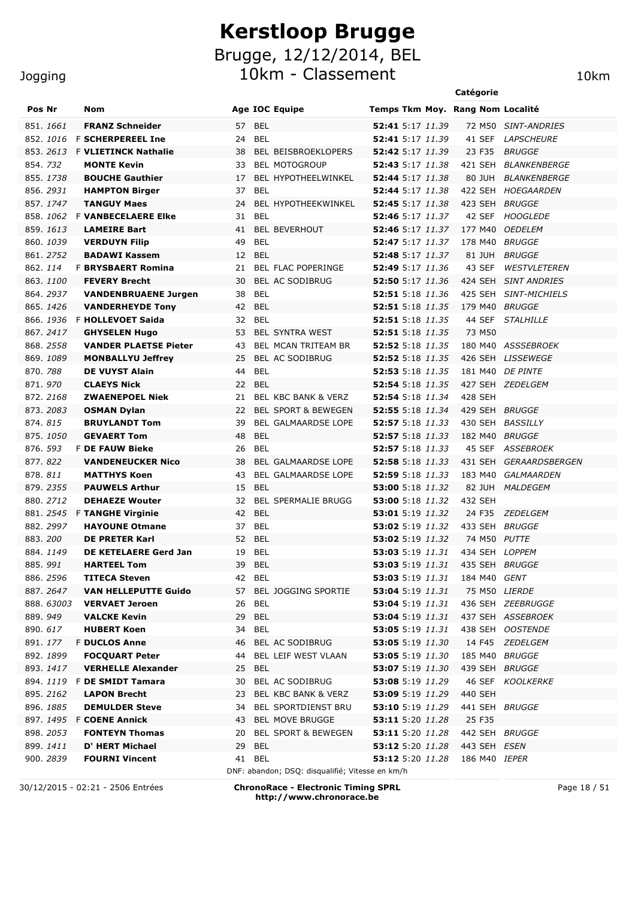10km - Classement 10km 10km **Pos Nr Nom Age IOC Equipe Temps Tkm Moy. Rang Nom Localité**

| .         |                                                      |    |                  | nga 100 squipo                                  | camps rish moye issued to context           |  |         |                                   |
|-----------|------------------------------------------------------|----|------------------|-------------------------------------------------|---------------------------------------------|--|---------|-----------------------------------|
| 851, 1661 | <b>FRANZ Schneider</b>                               |    | 57 BEL           |                                                 | 52:41 5:17 11.39                            |  |         | 72 M50 SINT-ANDRIES               |
|           | 852. 1016 F SCHERPEREEL Ine                          | 24 | BEL              |                                                 | 52:41 5:17 11.39                            |  |         | 41 SEF LAPSCHEURE                 |
|           | 853. 2613 F VLIETINCK Nathalie                       | 38 |                  | BEL BEISBROEKLOPERS                             | 52:42 5:17 11.39                            |  | 23 F35  | <b>BRUGGE</b>                     |
| 854.732   | <b>MONTE Kevin</b>                                   | 33 |                  | <b>BEL MOTOGROUP</b>                            | 52:43 5:17 11.38                            |  | 421 SEH | <i>BLANKENBERGE</i>               |
| 855.1738  | <b>BOUCHE Gauthier</b>                               | 17 |                  | BEL HYPOTHEELWINKEL                             | 52:44 5:17 11.38                            |  | 80 JUH  | <i>BLANKENBERGE</i>               |
| 856.2931  | <b>HAMPTON Birger</b>                                |    | 37 BEL           |                                                 | 52:44 5:17 11.38                            |  |         | 422 SEH HOEGAARDEN                |
| 857.1747  | <b>TANGUY Maes</b>                                   | 24 |                  | BEL HYPOTHEEKWINKEL                             | 52:45 5:17 11.38                            |  |         | 423 SEH BRUGGE                    |
|           | 858. 1062 F VANBECELAERE Elke                        |    | 31 BEL           |                                                 | 52:46 5:17 11.37                            |  | 42 SEF  | <b>HOOGLEDE</b>                   |
| 859.1613  | <b>LAMEIRE Bart</b>                                  |    |                  | 41 BEL BEVERHOUT                                | 52:46 5:17 11.37                            |  | 177 M40 | <i>OEDELEM</i>                    |
| 860. 1039 | <b>VERDUYN Filip</b>                                 | 49 | <b>BEL</b>       |                                                 | 52:47 5:17 11.37                            |  | 178 M40 | <i>BRUGGE</i>                     |
| 861.2752  | <b>BADAWI Kassem</b>                                 |    | 12 BEL           |                                                 | 52:48 5:17 11.37                            |  | 81 JUH  | <i>BRUGGE</i>                     |
| 862.114   | <b>F BRYSBAERT Romina</b>                            |    |                  | 21 BEL FLAC POPERINGE                           | <b>52:49</b> 5:17 11.36                     |  | 43 SEF  | <b>WESTVLETEREN</b>               |
| 863.1100  | <b>FEVERY Brecht</b>                                 | 30 |                  | BEL AC SODIBRUG                                 | 52:50 5:17 11.36                            |  |         | 424 SEH SINT ANDRIES              |
| 864.2937  | <b>VANDENBRUAENE Jurgen</b>                          | 38 | <b>BEL</b>       |                                                 | 52:51 5:18 11.36                            |  |         | 425 SEH SINT-MICHIELS             |
| 865.1426  | <b>VANDERHEYDE Tony</b>                              |    | 42 BEL           |                                                 | 52:51 5:18 11.35                            |  |         | 179 M40 BRUGGE                    |
|           | 866. 1936 F HOLLEVOET Saida                          |    | 32 BEL           |                                                 | 52:51 5:18 11.35                            |  | 44 SEF  | <b>STALHILLE</b>                  |
| 867, 2417 | <b>GHYSELEN Hugo</b>                                 | 53 |                  | <b>BEL SYNTRA WEST</b>                          | 52:51 5:18 11.35                            |  | 73 M50  |                                   |
| 868, 2558 | <b>VANDER PLAETSE Pieter</b>                         | 43 |                  | BEL MCAN TRITEAM BR                             | 52:52 5:18 11.35                            |  |         | 180 M40 ASSSEBROEK                |
| 869.1089  | <b>MONBALLYU Jeffrey</b>                             | 25 |                  | BEL AC SODIBRUG                                 | <b>52:52</b> 5:18 11.35                     |  |         | 426 SEH LISSEWEGE                 |
| 870.788   | <b>DE VUYST Alain</b>                                | 44 | <b>BEL</b>       |                                                 | 52:53 5:18 11.35                            |  |         | 181 M40 DE PINTE                  |
| 871.970   | <b>CLAEYS Nick</b>                                   |    | 22 BEL           |                                                 | <b>52:54</b> 5:18 11.35                     |  |         | 427 SEH ZEDELGEM                  |
| 872.2168  | <b>ZWAENEPOEL Niek</b>                               | 21 |                  | BEL KBC BANK & VERZ                             | 52:54 5:18 11.34                            |  | 428 SEH |                                   |
| 873.2083  | <b>OSMAN Dylan</b>                                   | 22 |                  | <b>BEL SPORT &amp; BEWEGEN</b>                  | 52:55 5:18 11.34                            |  |         | 429 SEH BRUGGE                    |
| 874.815   | <b>BRUYLANDT Tom</b>                                 | 39 |                  | BEL GALMAARDSE LOPE                             | 52:57 5:18 11.33                            |  |         | 430 SEH BASSILLY                  |
| 875.1050  | <b>GEVAERT Tom</b>                                   | 48 | <b>BEL</b>       |                                                 | <b>52:57</b> 5:18 11.33                     |  |         | 182 M40 BRUGGE                    |
| 876. 593  | <b>F DE FAUW Bieke</b>                               | 26 | <b>BEL</b>       |                                                 | <b>52:57</b> 5:18 11.33                     |  |         | 45 SEF ASSEBROEK                  |
| 877.822   | <b>VANDENEUCKER Nico</b>                             | 38 |                  | BEL GALMAARDSE LOPE                             | 52:58 5:18 11.33                            |  |         | 431 SEH GERAARDSBERGEN            |
| 878.811   | <b>MATTHYS Koen</b>                                  | 43 |                  | BEL GALMAARDSE LOPE                             | 52:59 5:18 11.33                            |  |         | 183 M40 GALMAARDEN                |
| 879.2355  | <b>PAUWELS Arthur</b>                                |    | 15 BEL           |                                                 | 53:00 5:18 11.32                            |  |         | 82 JUH MALDEGEM                   |
| 880.2712  | <b>DEHAEZE Wouter</b>                                |    |                  | 32 BEL SPERMALIE BRUGG                          | 53:00 5:18 11.32                            |  | 432 SEH |                                   |
| 882, 2997 | 881. 2545 F TANGHE Virginie<br><b>HAYOUNE Otmane</b> |    | 42 BEL<br>37 BEL |                                                 | 53:01 5:19 11.32<br><b>53:02</b> 5:19 11.32 |  |         | 24 F35 ZEDELGEM<br>433 SEH BRUGGE |
| 883.200   | <b>DE PRETER Karl</b>                                |    | 52 BEL           |                                                 | 53:02 5:19 11.32                            |  |         | 74 M50 PUTTE                      |
| 884.1149  | DE KETELAERE Gerd Jan                                |    | 19 BEL           |                                                 | <b>53:03</b> 5:19 11.31                     |  |         | 434 SEH LOPPEM                    |
| 885.991   | <b>HARTEEL Tom</b>                                   |    | 39 BEL           |                                                 | <b>53:03</b> 5:19 11.31                     |  |         | 435 SEH BRUGGE                    |
| 886.2596  | <b>TITECA Steven</b>                                 |    | 42 BEL           |                                                 | 53:03 5:19 11.31                            |  |         | 184 M40 GENT                      |
| 887.2647  | <b>VAN HELLEPUTTE Guido</b>                          |    |                  | 57 BEL JOGGING SPORTIE                          | 53:04 5:19 11.31 75 M50 LIERDE              |  |         |                                   |
| 888.63003 | <b>VERVAET Jeroen</b>                                |    | 26 BEL           |                                                 | <b>53:04</b> 5:19 11.31                     |  |         | 436 SEH ZEEBRUGGE                 |
| 889.949   | <b>VALCKE Kevin</b>                                  |    | 29 BEL           |                                                 | 53:04 5:19 11.31                            |  |         | 437 SEH ASSEBROEK                 |
| 890.617   | <b>HUBERT Koen</b>                                   |    | 34 BEL           |                                                 | 53:05 5:19 11.31                            |  |         | 438 SEH OOSTENDE                  |
| 891.177   | <b>F DUCLOS Anne</b>                                 | 46 |                  | BEL AC SODIBRUG                                 | 53:05 5:19 11.30                            |  |         | 14 F45 ZEDELGEM                   |
| 892. 1899 | <b>FOCOUART Peter</b>                                | 44 |                  | BEL LEIF WEST VLAAN                             | 53:05 5:19 11.30                            |  |         | 185 M40 BRUGGE                    |
| 893.1417  | <b>VERHELLE Alexander</b>                            |    | 25 BEL           |                                                 | 53:07 5:19 11.30                            |  |         | 439 SEH BRUGGE                    |
|           | 894. 1119 F DE SMIDT Tamara                          | 30 |                  | BEL AC SODIBRUG                                 | 53:08 5:19 11.29                            |  |         | 46 SEF KOOLKERKE                  |
| 895.2162  | <b>LAPON Brecht</b>                                  | 23 |                  | BEL KBC BANK & VERZ                             | 53:09 5:19 11.29                            |  | 440 SEH |                                   |
| 896. 1885 | <b>DEMULDER Steve</b>                                | 34 |                  | BEL SPORTDIENST BRU                             | 53:10 5:19 11.29                            |  |         | 441 SEH BRUGGE                    |
|           | 897. 1495 F COENE Annick                             | 43 |                  | <b>BEL MOVE BRUGGE</b>                          | 53:11 5:20 11.28                            |  | 25 F35  |                                   |
| 898. 2053 | <b>FONTEYN Thomas</b>                                | 20 |                  | BEL SPORT & BEWEGEN                             | 53:11 5:20 11.28                            |  |         | 442 SEH BRUGGE                    |
| 899.1411  | D' HERT Michael                                      |    | 29 BEL           |                                                 | <b>53:12</b> 5:20 11.28                     |  |         | 443 SEH ESEN                      |
| 900. 2839 | <b>FOURNI Vincent</b>                                |    | 41 BEL           |                                                 | 53:12 5:20 11.28                            |  |         | 186 M40 IEPER                     |
|           |                                                      |    |                  | DNF: abandon; DSQ: disqualifié; Vitesse en km/h |                                             |  |         |                                   |

30/12/2015 - 02:21 - 2506 Entrées **ChronoRace - Electronic Timing SPRL http://www.chronorace.be**

Page 18 / 51

#### Jogging

**Catégorie**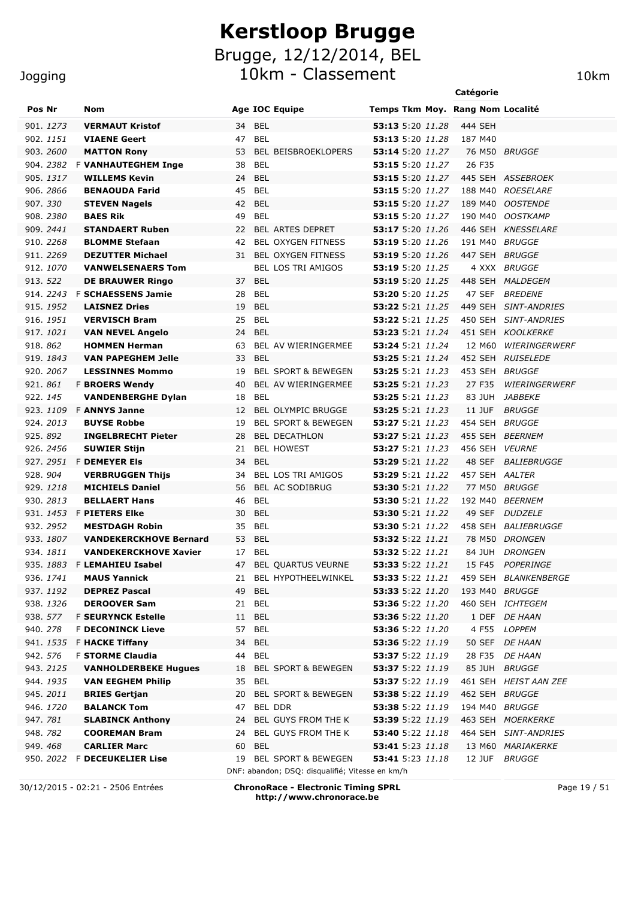10km - Classement 10km

|                  |                               |                       |                                |                                  | Catégorie      |                          |
|------------------|-------------------------------|-----------------------|--------------------------------|----------------------------------|----------------|--------------------------|
| Pos Nr           | <b>Nom</b>                    | <b>Age IOC Equipe</b> |                                | Temps Tkm Moy. Rang Nom Localité |                |                          |
| 901. 1273        | <b>VERMAUT Kristof</b>        | <b>BEL</b><br>34      |                                | 53:13 5:20 11.28                 | 444 SEH        |                          |
| 902. 1151        | <b>VIAENE Geert</b>           | 47<br><b>BEL</b>      |                                | 53:13 5:20 11.28                 | 187 M40        |                          |
| 903. 2600        | <b>MATTON Rony</b>            | 53                    | <b>BEL BEISBROEKLOPERS</b>     | 53:14 5:20 11.27                 |                | 76 M50 BRUGGE            |
| 904. 2382        | <b>F VANHAUTEGHEM Inge</b>    | 38<br>BEL             |                                | 53:15 5:20 11.27                 | 26 F35         |                          |
| 905. 1317        | <b>WILLEMS Kevin</b>          | 24<br><b>BEL</b>      |                                | <b>53:15</b> 5:20 11.27          |                | 445 SEH ASSEBROEK        |
| 906. 2866        | <b>BENAOUDA Farid</b>         | 45<br>BEL             |                                | <b>53:15</b> 5:20 11.27          | 188 M40        | <i>ROESELARE</i>         |
| 907.330          | <b>STEVEN Nagels</b>          | 42<br><b>BEL</b>      |                                | 53:15 5:20 11.27                 | 189 M40        | <b>OOSTENDE</b>          |
| 908.2380         | <b>BAES Rik</b>               | 49<br><b>BEL</b>      |                                | 53:15 5:20 11.27                 | 190 M40        | <b>OOSTKAMP</b>          |
| 909. 2441        | <b>STANDAERT Ruben</b>        | 22                    | <b>BEL ARTES DEPRET</b>        | 53:17 5:20 11.26                 | 446 SEH        | <i><b>KNESSELARE</b></i> |
| 910. 2268        | <b>BLOMME Stefaan</b>         | 42                    | BEL OXYGEN FITNESS             | <b>53:19</b> 5:20 11.26          | 191 M40        | BRUGGE                   |
| 911.2269         | <b>DEZUTTER Michael</b>       | 31                    | <b>BEL OXYGEN FITNESS</b>      | 53:19 5:20 11.26                 | 447 SEH        | <b>BRUGGE</b>            |
| 912. 1070        | <b>VANWELSENAERS Tom</b>      |                       | <b>BEL LOS TRI AMIGOS</b>      | <b>53:19</b> 5:20 11.25          |                | 4 XXX BRUGGE             |
| 913. 522         | <b>DE BRAUWER Ringo</b>       | <b>BEL</b><br>37      |                                | <b>53:19</b> 5:20 11.25          | 448 SEH        | MALDEGEM                 |
| 914. 2243        | <b>F SCHAESSENS Jamie</b>     | <b>BEL</b><br>28      |                                | 53:20 5:20 11.25                 | 47 SEF         | <b>BREDENE</b>           |
| 915. 1952        | <b>LAISNEZ Dries</b>          | <b>BEL</b><br>19      |                                | <b>53:22</b> 5:21 <i>11.25</i>   | 449 SEH        | <b>SINT-ANDRIES</b>      |
| 916, 1951        | <b>VERVISCH Bram</b>          | 25<br><b>BEL</b>      |                                | <b>53:22</b> 5:21 <i>11.25</i>   | 450 SEH        | <b>SINT-ANDRIES</b>      |
| 917.1021         | <b>VAN NEVEL Angelo</b>       | <b>BEL</b><br>24      |                                | 53:23 5:21 11.24                 |                | 451 SEH KOOLKERKE        |
| 918, 862         | <b>HOMMEN Herman</b>          | 63                    | BEL AV WIERINGERMEE            | <b>53:24</b> 5:21 <i>11.24</i>   | 12 M60         | WIERINGERWERF            |
| 919. 1843        | <b>VAN PAPEGHEM Jelle</b>     | 33<br><b>BEL</b>      |                                | <b>53:25</b> 5:21 <i>11.24</i>   |                | 452 SEH RUISELEDE        |
| 920, 2067        | <b>LESSINNES Mommo</b>        | 19                    | <b>BEL SPORT &amp; BEWEGEN</b> | 53:25 5:21 11.23                 |                | 453 SEH BRUGGE           |
| 921.861          | <b>F BROERS Wendy</b>         | 40                    | BEL AV WIERINGERMEE            | 53:25 5:21 11.23                 | 27 F35         | <b>WIERINGERWERF</b>     |
| 922.145          | <b>VANDENBERGHE Dylan</b>     | <b>BEL</b><br>18      |                                | 53:25 5:21 11.23                 | 83 JUH         | <i>JABBEKE</i>           |
| 923, 1109        | <b>F ANNYS Janne</b>          | 12                    | <b>BEL OLYMPIC BRUGGE</b>      | 53:25 5:21 11.23                 | 11 JUF         | <b>BRUGGE</b>            |
| 924, 2013        | <b>BUYSE Robbe</b>            | 19                    | <b>BEL SPORT &amp; BEWEGEN</b> | 53:27 5:21 11.23                 |                | 454 SEH BRUGGE           |
| 925, 892         | <b>INGELBRECHT Pieter</b>     | 28                    | <b>BEL DECATHLON</b>           | <b>53:27</b> 5:21 11.23          |                | 455 SEH BEERNEM          |
| 926. 2456        | <b>SUWIER Stijn</b>           | 21                    | <b>BEL HOWEST</b>              | <b>53:27</b> 5:21 11.23          |                | 456 SEH VEURNE           |
| 927. <i>2951</i> | <b>F DEMEYER EIS</b>          | <b>BEL</b><br>34      |                                | <b>53:29</b> 5:21 11.22          | 48 SEF         | <b>BALIEBRUGGE</b>       |
| 928.904          | <b>VERBRUGGEN Thijs</b>       | 34                    | <b>BEL LOS TRI AMIGOS</b>      | <b>53:29</b> 5:21 11.22          | 457 SEH AALTER |                          |
| 929.1218         | <b>MICHIELS Daniel</b>        | 56                    | BEL AC SODIBRUG                | <b>53:30</b> 5:21 <i>11.22</i>   | 77 M50         | <i>BRUGGE</i>            |
| 930. 2813        | <b>BELLAERT Hans</b>          | 46<br><b>BEL</b>      |                                | <b>53:30</b> 5:21 11.22          | 192 M40        | <b>BEERNEM</b>           |
|                  | 931. 1453 F PIETERS Elke      | 30<br>BEL             |                                | <b>53:30</b> 5:21 11.22          | 49 SEF         | <b>DUDZELE</b>           |
| 932. 2952        | <b>MESTDAGH Robin</b>         | 35<br>BEL             |                                | <b>53:30</b> 5:21 <i>11.22</i>   | 458 SEH        | BALIEBRUGGE              |
| 933, 1807        | <b>VANDEKERCKHOVE Bernard</b> | 53<br><b>BEL</b>      |                                | <b>53:32</b> 5:22 11.21          | 78 M50         | <b>DRONGEN</b>           |
| 934.1811         | <b>VANDEKERCKHOVE Xavier</b>  | 17<br><b>BEL</b>      |                                | <b>53:32</b> 5:22 11.21          | 84 JUH         | <b>DRONGEN</b>           |
|                  | 935. 1883 F LEMAHIEU Isabel   | 47                    | BEL QUARTUS VEURNE             |                                  | 15 F45         | POPERINGE                |
| 936. <i>1741</i> | <b>MAUS Yannick</b>           |                       | 21 BEL HYPOTHEELWINKEL         | <b>53:33</b> 5:22 11.21          |                | 459 SEH BLANKENBERGE     |
| 937.1192         | <b>DEPREZ Pascal</b>          | 49<br>BEL             |                                | <b>53:33</b> 5:22 11.20          |                | 193 M40 BRUGGE           |
| 938. <i>1326</i> | <b>DEROOVER Sam</b>           | BEL<br>21             |                                |                                  |                | 460 SEH ICHTEGEM         |
| 938. 577         | <b>F SEURYNCK Estelle</b>     | BEL<br>11             |                                | <b>53:36</b> 5:22 11.20          |                | 1 DEF DE HAAN            |
| 940. 278         | <b>F DECONINCK Lieve</b>      | <b>BEL</b><br>57      |                                | <b>53:36</b> 5:22 11.20          |                | 4 F55 LOPPEM             |
| 941. <i>1535</i> | <b>F HACKE Tiffany</b>        | BEL<br>34             |                                | <b>53:36</b> 5:22 11.19          |                | 50 SEF DE HAAN           |
| 942. 576         | <b>F STORME Claudia</b>       | <b>BEL</b><br>44      |                                | <b>53:37</b> 5:22 11.19          |                | 28 F35 DE HAAN           |
| 943. <i>2125</i> | <b>VANHOLDERBEKE Hugues</b>   | 18                    | BEL SPORT & BEWEGEN            | 53:37 5:22 11.19                 |                | 85 JUH BRUGGE            |
| 944. <i>1935</i> | <b>VAN EEGHEM Philip</b>      | BEL<br>35             |                                | <b>53:37</b> 5:22 11.19          |                | 461 SEH HEIST AAN ZEE    |
| 945. <i>2011</i> | <b>BRIES Gertjan</b>          | 20                    | <b>BEL SPORT &amp; BEWEGEN</b> | <b>53:38</b> 5:22 11.19          |                | 462 SEH BRUGGE           |
| 946. 1720        | <b>BALANCK Tom</b>            | 47 BEL DDR            |                                | 53:38 5:22 11.19                 |                | 194 M40 BRUGGE           |
| 947. <i>781</i>  | <b>SLABINCK Anthony</b>       | 24                    | BEL GUYS FROM THE K            | <b>53:39</b> 5:22 11.19          |                | 463 SEH MOERKERKE        |
| 948.782          | <b>COOREMAN Bram</b>          |                       | 24 BEL GUYS FROM THE K         | <b>53:40</b> 5:22 11.18          |                | 464 SEH SINT-ANDRIES     |
| 949.468          | <b>CARLIER Marc</b>           | 60 BEL                |                                | 53:41 5:23 11.18                 |                | 13 M60 MARIAKERKE        |
|                  | 950. 2022 F DECEUKELIER Lise  |                       | 19 BEL SPORT & BEWEGEN         | <b>53:41</b> 5:23 11.18          |                | 12 JUF BRUGGE            |

30/12/2015 - 02:21 - 2506 Entrées **ChronoRace - Electronic Timing SPRL http://www.chronorace.be**

DNF: abandon; DSQ: disqualifié; Vitesse en km/h

Page 19 / 51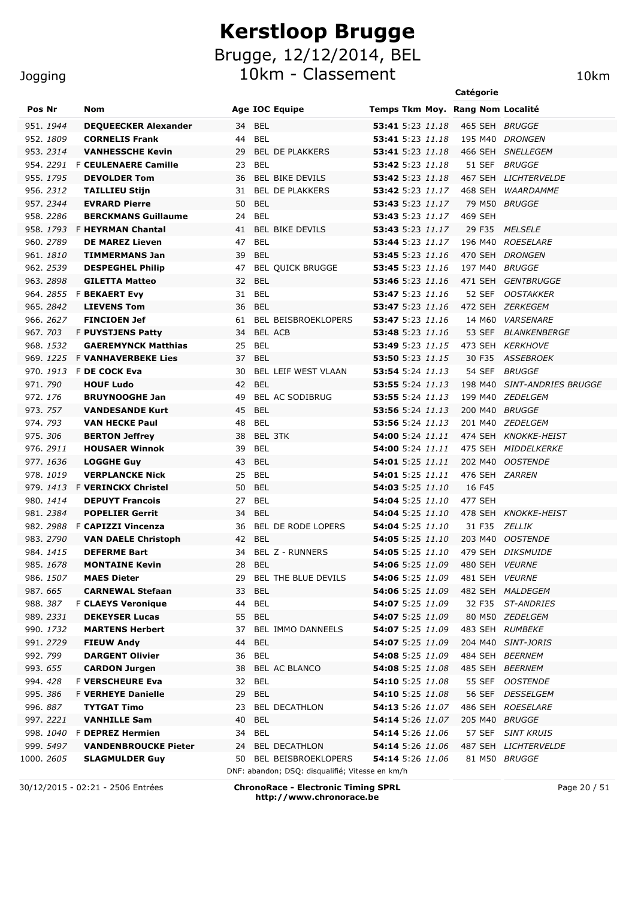10km - Classement 10km

|                       |                                                 |                                                 | Catégorie                                               |
|-----------------------|-------------------------------------------------|-------------------------------------------------|---------------------------------------------------------|
| Pos Nr                | Nom                                             | <b>Age IOC Equipe</b>                           | Temps Tkm Moy. Rang Nom Localité                        |
| 951.1944              | <b>DEQUEECKER Alexander</b>                     | <b>BEL</b><br>34                                | 53:41 5:23 11.18<br>465 SEH BRUGGE                      |
| 952.1809              | <b>CORNELIS Frank</b>                           | 44<br><b>BEL</b>                                | 53:41 5:23 11.18<br>195 M40 DRONGEN                     |
| 953.2314              | <b>VANHESSCHE Kevin</b>                         | 29<br><b>BEL DE PLAKKERS</b>                    | 53:41 5:23 11.18<br>466 SEH<br><i>SNELLEGEM</i>         |
| 954.2291              | <b>F CEULENAERE Camille</b>                     | <b>BEL</b><br>23                                | 53:42 5:23 11.18<br>51 SEF<br><b>BRUGGE</b>             |
| 955. 1795             | <b>DEVOLDER Tom</b>                             | <b>BEL BIKE DEVILS</b><br>36                    | <b>53:42</b> 5:23 11.18<br>467 SEH LICHTERVELDE         |
| 956. 2312             | <b>TAILLIEU Stijn</b>                           | 31<br><b>BEL DE PLAKKERS</b>                    | 468 SEH<br><b>53:42</b> 5:23 11.17<br>WAARDAMME         |
| 957.2344              | <b>EVRARD Pierre</b>                            | <b>BEL</b><br>50                                | 53:43 5:23 11.17<br>79 M50 BRUGGE                       |
| 958.2286              | <b>BERCKMANS Guillaume</b>                      | <b>BEL</b><br>24                                | <b>53:43</b> 5:23 11.17<br>469 SEH                      |
| 958, 1793             | <b>F HEYRMAN Chantal</b>                        | 41<br><b>BEL BIKE DEVILS</b>                    | <b>53:43</b> 5:23 11.17<br>29 F35 MELSELE               |
| 960, 2789             | <b>DE MAREZ Lieven</b>                          | 47<br><b>BEL</b>                                | 53:44 5:23 11.17<br>196 M40 ROESELARE                   |
| 961, <i>1810</i>      | <b>TIMMERMANS Jan</b>                           | <b>BEL</b><br>39                                | 53:45 5:23 11.16<br>470 SEH DRONGEN                     |
| 962. 2539             | <b>DESPEGHEL Philip</b>                         | <b>BEL QUICK BRUGGE</b><br>47                   | 53:45 5:23 11.16<br>197 M40 BRUGGE                      |
| 963.2898              | <b>GILETTA Matteo</b>                           | 32<br><b>BEL</b>                                | 53:46 5:23 11.16<br>471 SEH GENTBRUGGE                  |
| 964.2855              | <b>F BEKAERT Evy</b>                            | <b>BEL</b><br>31                                | 53:47 5:23 11.16<br>52 SEF<br><b>OOSTAKKER</b>          |
| 965, 2842             | <b>LIEVENS Tom</b>                              | 36<br><b>BEL</b>                                | 472 SEH ZERKEGEM<br>53:47 5:23 11.16                    |
| 966. 2627             | <b>FINCIOEN Jef</b>                             | <b>BEL BEISBROEKLOPERS</b><br>61                | 53:47 5:23 11.16<br>14 M60 VARSENARE                    |
| 967. 703              | <b>F PUYSTJENS Patty</b>                        | <b>BEL ACB</b><br>34                            | 53:48 5:23 11.16<br>53 SEF BLANKENBERGE                 |
| 968.1532              | <b>GAEREMYNCK Matthias</b>                      | 25<br><b>BEL</b>                                | <b>53:49</b> 5:23 11.15<br>473 SEH KERKHOVE             |
|                       | 969. 1225 F VANHAVERBEKE Lies                   | 37<br><b>BEL</b>                                | <b>53:50</b> 5:23 11.15<br>30 F35<br><b>ASSEBROEK</b>   |
| 970, 1913             | F DE COCK Eva                                   | BEL LEIF WEST VLAAN<br>30                       | 53:54 5:24 11.13<br><b>54 SEF</b><br><i>BRUGGE</i>      |
| 971, 790              | <b>HOUF Ludo</b>                                | 42<br><b>BEL</b>                                | 198 M40 SINT-ANDRIES BRUGGE<br>53:55 5:24 11.13         |
| 972.176               | <b>BRUYNOOGHE Jan</b>                           | BEL AC SODIBRUG<br>49                           | <b>53:55</b> 5:24 11.13<br>199 M40 ZEDELGEM             |
| 973. 757              | <b>VANDESANDE Kurt</b>                          | 45<br><b>BEL</b>                                | 53:56 5:24 11.13<br>200 M40 BRUGGE                      |
| 974.793               | <b>VAN HECKE Paul</b>                           | 48<br><b>BEL</b>                                | 53:56 5:24 11.13<br>201 M40 ZEDELGEM                    |
| 975.306               | <b>BERTON Jeffrey</b>                           | BEL 3TK<br>38                                   | 474 SEH KNOKKE-HEIST<br><b>54:00</b> 5:24 11.11         |
| 976.2911              | <b>HOUSAER Winnok</b>                           | 39<br><b>BEL</b>                                | 54:00 5:24 11.11<br>475 SEH<br><i>MIDDELKERKE</i>       |
| 977.1636              | <b>LOGGHE Guy</b>                               | 43<br><b>BEL</b>                                | 54:01 5:25 11.11<br>202 M40 OOSTENDE                    |
| 978.1019              | <b>VERPLANCKE Nick</b>                          | 25<br><b>BEL</b>                                | 54:01 5:25 11.11<br>476 SEH ZARREN                      |
| 979.1413              | <b>F VERINCKX Christel</b>                      | 50<br><b>BEL</b>                                | 16 F45<br><b>54:03</b> 5:25 11.10                       |
| 980. 1414             | <b>DEPUYT Francois</b>                          | <b>BEL</b><br>27                                | 54:04 5:25 11.10<br>477 SEH                             |
| 981, 2384             | <b>POPELIER Gerrit</b>                          | 34<br><b>BEL</b>                                | 54:04 5:25 11.10<br>478 SEH KNOKKE-HEIST                |
|                       | 982. 2988 F CAPIZZI Vincenza                    | BEL DE RODE LOPERS<br>36                        | 54:04 5:25 11.10<br>31 F35<br><i>ZELLIK</i>             |
| 983.2790              | <b>VAN DAELE Christoph</b>                      | 42<br><b>BEL</b>                                | 54:05 5:25 11.10<br>203 M40 OOSTENDE                    |
| 984. 1415             | <b>DEFERME Bart</b>                             | 34<br>BEL Z - RUNNERS                           | 479 SEH DIKSMUIDE<br><b>54:05</b> 5:25 11.10            |
| 985.1678              | <b>MONTAINE Kevin</b>                           | 28 BEL                                          | 54:06 5:25 11.09 480 SEH VEURNE                         |
| 986. 1507             | <b>MAES Dieter</b>                              | 29 BEL THE BLUE DEVILS                          | <b>54:06</b> 5:25 11.09<br>481 SEH VEURNE               |
| 987.665               | <b>CARNEWAL Stefaan</b>                         | 33<br>BEL                                       | <b>54:06</b> 5:25 11.09<br>482 SEH MALDEGEM             |
| 988. <i>387</i>       | <b>F CLAEYS Veronique</b>                       | <b>BEL</b><br>44                                | <b>54:07</b> 5:25 11.09<br>32 F35 ST-ANDRIES            |
| 989. 2331             | <b>DEKEYSER Lucas</b>                           | 55 BEL                                          | <b>54:07</b> 5:25 11.09<br>80 M50 ZEDELGEM              |
| 990. 1732<br>991.2729 | <b>MARTENS Herbert</b>                          | 37<br>BEL IMMO DANNEELS                         | 54:07 5:25 11.09<br>483 SEH RUMBEKE<br>54:07 5:25 11.09 |
| 992. 799              | <b>FIEUW Andy</b>                               | 44<br>BEL<br>36 BEL                             | 204 M40 SINT-JORIS<br>484 SEH BEERNEM                   |
|                       | <b>DARGENT Olivier</b>                          | 38 BEL AC BLANCO                                | <b>54:08</b> 5:25 11.09<br>54:08 5:25 11.08             |
| 993. 655<br>994.428   | <b>CARDON Jurgen</b><br><b>F VERSCHEURE Eva</b> | 32 BEL                                          | 485 SEH BEERNEM<br>54:10 5:25 11.08<br>55 SEF OOSTENDE  |
| 995.386               | <b>F VERHEYE Danielle</b>                       | 29 BEL                                          | 54:10 5:25 11.08<br>56 SEF DESSELGEM                    |
| 996.887               | <b>TYTGAT Timo</b>                              | <b>BEL DECATHLON</b><br>23                      | <b>54:13</b> 5:26 11.07<br>486 SEH ROESELARE            |
| 997. 2221             | <b>VANHILLE Sam</b>                             | 40<br>BEL                                       | <b>54:14</b> 5:26 11.07<br>205 M40 BRUGGE               |
| 998.1 <i>040</i>      | <b>F DEPREZ Hermien</b>                         | 34 BEL                                          | 54:14 5:26 11.06<br>57 SEF SINT KRUIS                   |
| 999. 5497             | <b>VANDENBROUCKE Pieter</b>                     | 24 BEL DECATHLON                                | <b>54:14</b> 5:26 11.06<br>487 SEH LICHTERVELDE         |
| 1000. 26 <i>05</i>    | <b>SLAGMULDER Guy</b>                           | 50 BEL BEISBROEKLOPERS                          | <b>54:14</b> 5:26 11.06<br>81 M50 BRUGGE                |
|                       |                                                 | DNF: abandon; DSQ: disqualifié; Vitesse en km/h |                                                         |

Jogging

30/12/2015 - 02:21 - 2506 Entrées **ChronoRace - Electronic Timing SPRL http://www.chronorace.be**

Page 20 / 51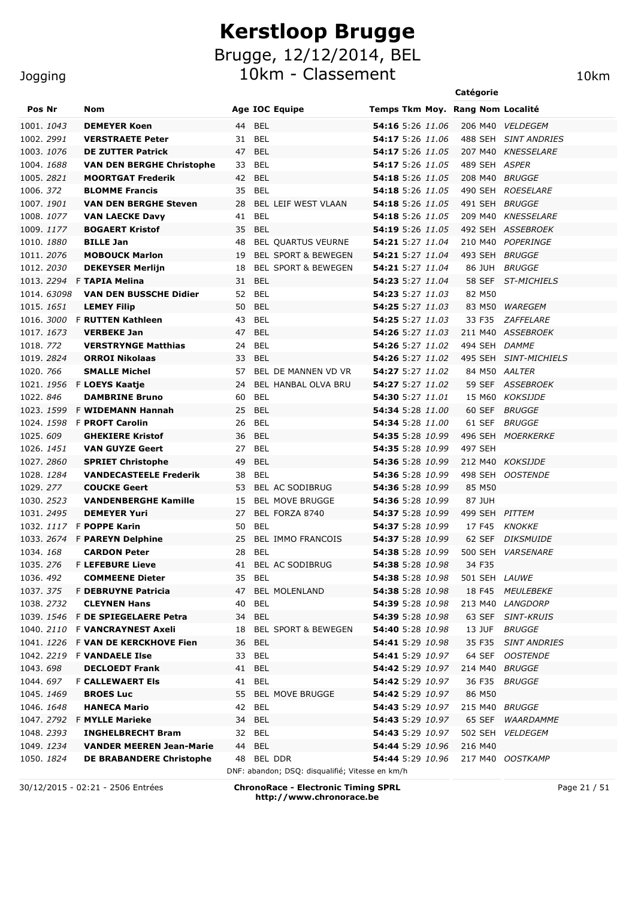Brugge, 12/12/2014, BEL

10km - Classement 10km

|                        |                                                     |                                                                  |                                             | Catégorie      |                       |
|------------------------|-----------------------------------------------------|------------------------------------------------------------------|---------------------------------------------|----------------|-----------------------|
| Pos Nr                 | <b>Nom</b>                                          | <b>Age IOC Equipe</b>                                            | Temps Tkm Moy. Rang Nom Localité            |                |                       |
| 1001.1043              | <b>DEMEYER Koen</b>                                 | <b>BEL</b><br>44                                                 | <b>54:16</b> 5:26 11.06                     |                | 206 M40 VELDEGEM      |
| 1002. <i>2991</i>      | <b>VERSTRAETE Peter</b>                             | BEL<br>31                                                        | 54:17 5:26 11.06                            | 488 SEH        | <b>SINT ANDRIES</b>   |
| 1003. 1076             | <b>DE ZUTTER Patrick</b>                            | <b>BEL</b><br>47                                                 | 54:17 5:26 11.05                            |                | 207 M40 KNESSELARE    |
| 1004. 1688             | <b>VAN DEN BERGHE Christophe</b>                    | 33<br>BEL                                                        | 54:17 5:26 11.05                            | 489 SEH ASPER  |                       |
| 1005.2821              | <b>MOORTGAT Frederik</b>                            | <b>BEL</b><br>42                                                 | 54:18 5:26 11.05                            | 208 M40        | <i>BRUGGE</i>         |
| 1006.372               | <b>BLOMME Francis</b>                               | <b>BEL</b><br>35                                                 | 54:18 5:26 11.05                            | 490 SEH        | <b>ROESELARE</b>      |
| 1007. 1901             | <b>VAN DEN BERGHE Steven</b>                        | BEL LEIF WEST VLAAN<br>28                                        | 54:18 5:26 11.05                            | 491 SEH        | <b>BRUGGE</b>         |
| 1008. 1077             | <b>VAN LAECKE Davy</b>                              | <b>BEL</b><br>41                                                 | 54:18 5:26 11.05                            | 209 M40        | <b>KNESSELARE</b>     |
| 1009. 1177             | <b>BOGAERT Kristof</b>                              | 35<br><b>BEL</b>                                                 | 54:19 5:26 11.05                            |                | 492 SEH ASSEBROEK     |
| 1010.1880              | <b>BILLE Jan</b>                                    | 48<br><b>BEL QUARTUS VEURNE</b>                                  | 54:21 5:27 11.04                            | 210 M40        | POPERINGE             |
| 1011.2076              | <b>MOBOUCK Marlon</b>                               | 19<br><b>BEL SPORT &amp; BEWEGEN</b>                             | 54:21 5:27 11.04                            | 493 SEH        | <b>BRUGGE</b>         |
| 1012. <i>2030</i>      | <b>DEKEYSER Merlijn</b>                             | <b>BEL SPORT &amp; BEWEGEN</b><br>18                             | <b>54:21</b> 5:27 11.04                     | 86 JUH         | <b>BRUGGE</b>         |
|                        | 1013. 2294 F TAPIA Melina                           | <b>BEL</b><br>31                                                 | 54:23 5:27 11.04                            | 58 SEF         | <b>ST-MICHIELS</b>    |
| 1014, 63098            | <b>VAN DEN BUSSCHE Didier</b>                       | BEL<br>52                                                        | 54:23 5:27 11.03                            | 82 M50         |                       |
| 1015. <i>1651</i>      | <b>LEMEY Filip</b>                                  | 50<br>BEL                                                        | 54:25 5:27 11.03                            | 83 M50         | WAREGEM               |
| 1016, <i>3000</i>      | <b>F RUTTEN Kathleen</b>                            | BEL<br>43                                                        | 54:25 5:27 11.03                            | 33 F35         | <b>ZAFFELARE</b>      |
| 1017. 1673             | <b>VERBEKE Jan</b>                                  | <b>BEL</b><br>47                                                 | 54:26 5:27 11.03                            |                | 211 M40 ASSEBROEK     |
| 1018. 772              | <b>VERSTRYNGE Matthias</b><br><b>ORROI Nikolaas</b> | <b>BEL</b><br>24<br><b>BEL</b><br>33                             | 54:26 5:27 11.02                            | 494 SEH DAMME  |                       |
| 1019.2824<br>1020. 766 | <b>SMALLE Michel</b>                                | BEL DE MANNEN VD VR<br>57                                        | <b>54:26</b> 5:27 11.02<br>54:27 5:27 11.02 | 84 M50 AALTER  | 495 SEH SINT-MICHIELS |
| 1021.1956              | F LOEYS Kaatje                                      | BEL HANBAL OLVA BRU<br>24                                        | 54:27 5:27 11.02                            |                | 59 SEF ASSEBROEK      |
| 1022.846               | <b>DAMBRINE Bruno</b>                               | BEL<br>60                                                        | <b>54:30</b> 5:27 11.01                     |                | 15 M60 KOKSIJDE       |
| 1023. <i>1599</i>      | <b>F WIDEMANN Hannah</b>                            | 25<br>BEL                                                        | 54:34 5:28 11.00                            | 60 SEF         | <b>BRUGGE</b>         |
| 1024. 1598             | <b>F PROFT Carolin</b>                              | BEL<br>26                                                        | 54:34 5:28 11.00                            | 61 SEF         | <b>BRUGGE</b>         |
| 1025.609               | <b>GHEKIERE Kristof</b>                             | <b>BEL</b><br>36                                                 | 54:35 5:28 10.99                            |                | 496 SEH MOERKERKE     |
| 1026. <i>1451</i>      | <b>VAN GUYZE Geert</b>                              | BEL<br>27                                                        | <b>54:35</b> 5:28 10.99                     | 497 SEH        |                       |
| 1027.2860              | <b>SPRIET Christophe</b>                            | 49<br>BEL                                                        | 54:36 5:28 10.99                            |                | 212 M40 KOKSIJDE      |
| 1028. <i>1284</i>      | <b>VANDECASTEELE Frederik</b>                       | 38<br>BEL                                                        | <b>54:36</b> 5:28 10.99                     |                | 498 SEH OOSTENDE      |
| 1029.277               | <b>COUCKE Geert</b>                                 | BEL AC SODIBRUG<br>53                                            | <b>54:36</b> 5:28 10.99                     | 85 M50         |                       |
| 1030. <i>2523</i>      | <b>VANDENBERGHE Kamille</b>                         | <b>BEL MOVE BRUGGE</b><br>15                                     | <b>54:36</b> 5:28 10.99                     | 87 JUH         |                       |
| 1031. 2495             | <b>DEMEYER Yuri</b>                                 | BEL FORZA 8740<br>27                                             | 54:37 5:28 10.99                            | 499 SEH PITTEM |                       |
|                        | 1032. 1117 F POPPE Karin                            | BEL<br>50                                                        | 54:37 5:28 10.99                            | 17 F45         | <b>KNOKKE</b>         |
| 1033. 2674             | <b>F PAREYN Delphine</b>                            | 25<br><b>BEL IMMO FRANCOIS</b>                                   | 54:37 5:28 10.99                            | 62 SEF         | <b>DIKSMUIDE</b>      |
| 1034. <i>168</i>       | <b>CARDON Peter</b>                                 | 28<br>BEL                                                        | <b>54:38</b> 5:28 10.99                     |                | 500 SEH VARSENARE     |
| 1035.276               | <b>F LEFEBURE Lieve</b>                             | 41<br>BEL AC SODIBRUG                                            | 54:38 5:28 10.98                            | 34 F35         |                       |
| 1036.492               | <b>COMMEENE Dieter</b>                              | 35 BEL                                                           | 54:38 5:28 10.98                            | 501 SEH LAUWE  |                       |
| 1037.375               | F DEBRUYNE Patricia                                 | <b>BEL MOLENLAND</b><br>47                                       | 54:38 5:28 10.98                            | 18 F45         | <b>MEULEBEKE</b>      |
| 1038.2732              | <b>CLEYNEN Hans</b>                                 | 40<br>BEL                                                        | <b>54:39</b> 5:28 10.98                     |                | 213 M40 LANGDORP      |
|                        | 1039. 1546 F DE SPIEGELAERE Petra                   | 34 BEL                                                           | <b>54:39</b> 5:28 10.98                     | 63 SEF         | <b>SINT-KRUIS</b>     |
|                        | 1040. 2110 F <b>VANCRAYNEST Axeli</b>               | <b>BEL SPORT &amp; BEWEGEN</b><br>18                             | 54:40 5:28 10.98                            | 13 JUF         | <b>BRUGGE</b>         |
|                        | 1041. 1226 F VAN DE KERCKHOVE Fien                  | 36 BEL                                                           | 54:41 5:29 10.98                            | 35 F35         | <b>SINT ANDRIES</b>   |
|                        | 1042. 2219 F VANDAELE Ilse                          | 33 BEL                                                           | 54:41 5:29 10.97                            | 64 SEF         | <i>OOSTENDE</i>       |
| 1043.698               | <b>DECLOEDT Frank</b>                               | 41 BEL                                                           | 54:42 5:29 10.97                            | 214 M40 BRUGGE |                       |
| 1044.697               | <b>F CALLEWAERT EIS</b>                             | 41 BEL                                                           | 54:42 5:29 10.97                            | 36 F35         | <b>BRUGGE</b>         |
| 1045. 1469             | <b>BROES Luc</b>                                    | <b>BEL MOVE BRUGGE</b><br>55                                     | 54:42 5:29 10.97                            | 86 M50         |                       |
| 1046. <i>1648</i>      | <b>HANECA Mario</b>                                 | 42 BEL                                                           | 54:43 5:29 10.97                            | 215 M40 BRUGGE |                       |
| 1047.2792              | <b>F MYLLE Marieke</b>                              | <b>BEL</b><br>34                                                 | 54:43 5:29 10.97                            | 65 SEF         | WAARDAMME             |
| 1048.2393              | <b>INGHELBRECHT Bram</b>                            | 32 BEL                                                           | 54:43 5:29 10.97                            | 502 SEH        | <b>VELDEGEM</b>       |
| 1049. <i>1234</i>      | <b>VANDER MEEREN Jean-Marie</b>                     | <b>BEL</b><br>44                                                 | <b>54:44</b> 5:29 10.96                     | 216 M40        |                       |
| 1050. <i>1824</i>      | <b>DE BRABANDERE Christophe</b>                     | BEL DDR<br>48<br>DNF: abandon; DSQ: disqualifié; Vitesse en km/h | <b>54:44</b> 5:29 10.96                     |                | 217 M40 OOSTKAMP      |

30/12/2015 - 02:21 - 2506 Entrées **ChronoRace - Electronic Timing SPRL http://www.chronorace.be**

Page 21 / 51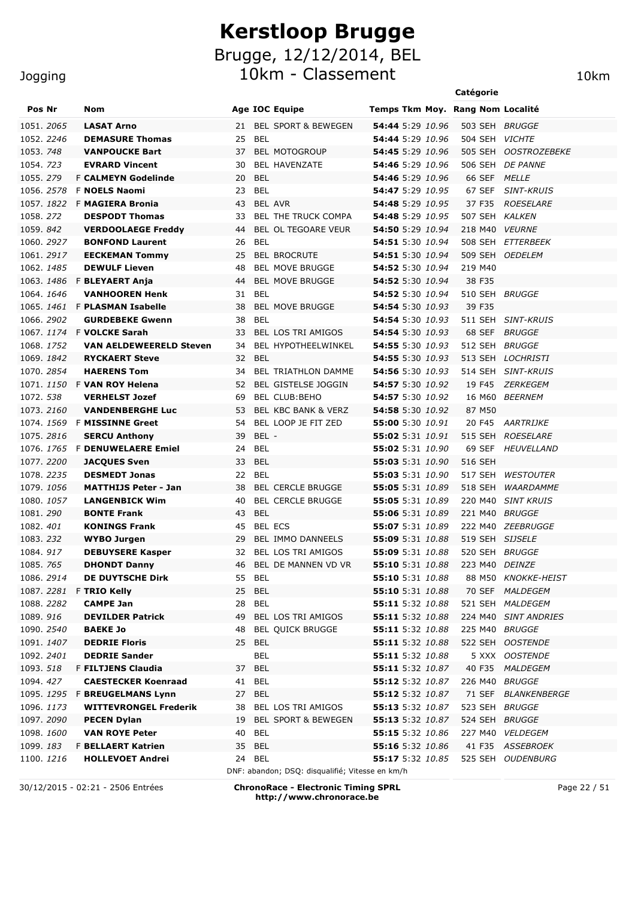#### Jogging

| Pos Nr                         |  | Nom                                         |          |                | <b>Age IOC Equipe</b>                           |                                      |  |         | Temps Tkm Moy. Rang Nom Localité |
|--------------------------------|--|---------------------------------------------|----------|----------------|-------------------------------------------------|--------------------------------------|--|---------|----------------------------------|
| 1051.2065                      |  | <b>LASAT Arno</b>                           | 21       |                | <b>BEL SPORT &amp; BEWEGEN</b>                  | <b>54:44</b> 5:29 10.96              |  |         | 503 SEH BRUGGE                   |
| 1052. 2246                     |  | <b>DEMASURE Thomas</b>                      | 25       | BEL            |                                                 | <b>54:44</b> 5:29 10.96              |  | 504 SEH | <b>VICHTE</b>                    |
| 1053. 748                      |  | <b>VANPOUCKE Bart</b>                       | 37       |                | <b>BEL MOTOGROUP</b>                            | <b>54:45</b> 5:29 10.96              |  | 505 SEH | <b>OOSTROZEBEKE</b>              |
| 1054.723                       |  | <b>EVRARD Vincent</b>                       | 30       |                | BEL HAVENZATE                                   | 54:46 5:29 10.96                     |  | 506 SEH | <b>DE PANNE</b>                  |
| 1055.279                       |  | <b>F CALMEYN Godelinde</b>                  | 20       | <b>BEL</b>     |                                                 | 54:46 5:29 10.96                     |  | 66 SEF  | <i>MELLE</i>                     |
| 1056.2578                      |  | <b>F NOELS Naomi</b>                        | 23       | <b>BEL</b>     |                                                 | 54:47 5:29 10.95                     |  | 67 SEF  | <b>SINT-KRUIS</b>                |
| 1057, 1822                     |  | <b>F MAGIERA Bronia</b>                     | 43       | <b>BEL AVR</b> |                                                 | 54:48 5:29 10.95                     |  | 37 F35  | <b>ROESELARE</b>                 |
| 1058.272                       |  | <b>DESPODT Thomas</b>                       | 33       |                | BEL THE TRUCK COMPA                             | 54:48 5:29 10.95                     |  | 507 SEH | <b>KALKEN</b>                    |
| 1059. 842                      |  | <b>VERDOOLAEGE Freddy</b>                   | 44       |                | BEL OL TEGOARE VEUR                             | 54:50 5:29 10.94                     |  | 218 M40 | <b>VEURNE</b>                    |
| 1060. 2927                     |  | <b>BONFOND Laurent</b>                      | 26       | <b>BEL</b>     |                                                 | 54:51 5:30 10.94                     |  |         | 508 SEH ETTERBEEK                |
| 1061.2917                      |  | <b>EECKEMAN Tommy</b>                       | 25       |                | <b>BEL BROCRUTE</b>                             | 54:51 5:30 10.94                     |  |         | 509 SEH OEDELEM                  |
| 1062. <i>1485</i>              |  | <b>DEWULF Lieven</b>                        | 48       |                | <b>BEL MOVE BRUGGE</b>                          | <b>54:52</b> 5:30 10.94              |  | 219 M40 |                                  |
|                                |  | 1063. 1486 F <b>BLEYAERT Anja</b>           | 44       |                | <b>BEL MOVE BRUGGE</b>                          | 54:52 5:30 10.94                     |  | 38 F35  |                                  |
| 1064. 1646                     |  | <b>VANHOOREN Henk</b>                       | 31       | <b>BEL</b>     |                                                 | <b>54:52</b> 5:30 10.94              |  | 510 SEH | <b>BRUGGE</b>                    |
| 1065. <i>1461</i>              |  | <b>F PLASMAN Isabelle</b>                   | 38       |                | <b>BEL MOVE BRUGGE</b>                          | <b>54:54</b> 5:30 10.93              |  | 39 F35  |                                  |
| 1066.2902                      |  | <b>GURDEBEKE Gwenn</b>                      | 38       | <b>BEL</b>     |                                                 | 54:54 5:30 10.93                     |  | 511 SEH | SINT-KRUIS                       |
|                                |  | 1067. 1174 F VOLCKE Sarah                   | 33       |                | <b>BEL LOS TRI AMIGOS</b>                       | 54:54 5:30 10.93                     |  |         | 68 SEF BRUGGE                    |
| 1068. 1752                     |  | <b>VAN AELDEWEERELD Steven</b>              | 34       |                | BEL HYPOTHEELWINKEL                             | 54:55 5:30 10.93                     |  | 512 SEH | <i>BRUGGE</i>                    |
| 1069.1842                      |  | <b>RYCKAERT Steve</b>                       | 32       | <b>BEL</b>     |                                                 | 54:55 5:30 10.93                     |  |         | 513 SEH LOCHRISTI                |
| 1070. 2854                     |  | <b>HAERENS Tom</b>                          | 34       |                | <b>BEL TRIATHLON DAMME</b>                      | 54:56 5:30 10.93                     |  |         | 514 SEH SINT-KRUIS               |
|                                |  | 1071. 1150 F VAN ROY Helena                 | 52       |                | <b>BEL GISTELSE JOGGIN</b>                      | 54:57 5:30 10.92                     |  | 19 F45  | <i>ZERKEGEM</i>                  |
| 1072. 538                      |  | <b>VERHELST Jozef</b>                       | 69       |                | BEL CLUB: BEHO                                  | 54:57 5:30 10.92                     |  | 16 M60  | <i><b>BEERNEM</b></i>            |
| 1073. 2160                     |  | <b>VANDENBERGHE Luc</b>                     | 53       |                | BEL KBC BANK & VERZ                             | 54:58 5:30 10.92                     |  | 87 M50  |                                  |
| 1074. <i>1569</i>              |  | <b>F MISSINNE Greet</b>                     | 54       |                | BEL LOOP JE FIT ZED                             | 55:00 5:30 10.91                     |  | 20 F45  | <i>AARTRIJKE</i>                 |
| 1075.2816                      |  | <b>SERCU Anthony</b>                        | 39       | BEL -          |                                                 | 55:02 5:31 10.91                     |  |         | 515 SEH ROESELARE                |
|                                |  | 1076. 1765 F <b>DENUWELAERE Emiel</b>       | 24       | <b>BEL</b>     |                                                 | 55:02 5:31 10.90                     |  |         | 69 SEF HEUVELLAND                |
| 1077.2200                      |  | <b>JACQUES Sven</b>                         | 33       | BEL            |                                                 | 55:03 5:31 10.90                     |  | 516 SEH |                                  |
| 1078. 2235                     |  | <b>DESMEDT Jonas</b>                        | 22       | BEL            |                                                 | 55:03 5:31 10.90                     |  | 517 SEH | <b>WESTOUTER</b>                 |
| 1079. <i>1056</i>              |  | <b>MATTHIJS Peter - Jan</b>                 | 38       |                | <b>BEL CERCLE BRUGGE</b>                        | 55:05 5:31 10.89                     |  | 518 SEH | WAARDAMME                        |
| 1080. 1057                     |  | <b>LANGENBICK Wim</b>                       | 40       |                | <b>BEL CERCLE BRUGGE</b>                        | 55:05 5:31 10.89                     |  | 220 M40 | <b>SINT KRUIS</b>                |
| 1081.290                       |  | <b>BONTE Frank</b>                          | 43       | <b>BEL</b>     |                                                 | 55:06 5:31 10.89                     |  | 221 M40 | <b>BRUGGE</b>                    |
| 1082.401                       |  | <b>KONINGS Frank</b>                        | 45       | <b>BEL ECS</b> |                                                 | 55:07 5:31 10.89                     |  |         | 222 M40 ZEEBRUGGE                |
| 1083.232                       |  | <b>WYBO Jurgen</b>                          | 29       |                | BEL IMMO DANNEELS                               | 55:09 5:31 10.88                     |  |         | 519 SEH SIJSELE                  |
| 1084.917                       |  | <b>DEBUYSERE Kasper</b>                     | 32       |                | BEL LOS TRI AMIGOS                              | 55:09 5:31 10.88                     |  |         | 520 SEH BRUGGE                   |
| 1085. 765                      |  | <b>DHONDT Danny</b>                         |          |                | 46 BEL DE MANNEN VD VR                          | <b>55:10</b> 5:31 10.88              |  |         | 223 M40 DEINZE                   |
| 1086. 2914                     |  | <b>DE DUYTSCHE Dirk</b>                     | 55       | <b>BEL</b>     |                                                 | 55:10 5:31 10.88                     |  | 88 M50  | <b>KNOKKE-HEIST</b>              |
| 1087. 2281                     |  | <b>F TRIO Kelly</b>                         | 25       | BEL            |                                                 | 55:10 5:31 10.88                     |  |         | 70 SEF MALDEGEM                  |
| 1088.2282                      |  | <b>CAMPE Jan</b>                            | 28       | BEL            |                                                 | 55:11 5:32 10.88                     |  |         | 521 SEH MALDEGEM                 |
| 1089.916                       |  | <b>DEVILDER Patrick</b>                     | 49       |                | BEL LOS TRI AMIGOS                              | 55:11 5:32 10.88                     |  |         | 224 M40 SINT ANDRIES             |
| 1090. <i>2540</i>              |  | <b>BAEKE Jo</b>                             | 48       |                | <b>BEL QUICK BRUGGE</b>                         | 55:11 5:32 10.88                     |  |         | 225 M40 BRUGGE                   |
| 1091. 1407                     |  | <b>DEDRIE Floris</b>                        |          | 25 BEL         |                                                 | 55:11 5:32 10.88                     |  |         | 522 SEH OOSTENDE                 |
| 1092.2401                      |  | <b>DEDRIE Sander</b>                        |          | <b>BEL</b>     |                                                 | 55:11 5:32 10.88                     |  |         | 5 XXX OOSTENDE                   |
| 1093. <i>518</i>               |  | F FILTJENS Claudia                          |          | 37 BEL         |                                                 | 55:11 5:32 10.87                     |  |         | 40 F35 MALDEGEM                  |
| 1094.427                       |  | <b>CAESTECKER Koenraad</b>                  |          | 41 BEL         |                                                 | 55:12 5:32 10.87                     |  |         | 226 M40 BRUGGE                   |
|                                |  | 1095. 1295 F BREUGELMANS Lynn               | 27       | BEL            |                                                 | 55:12 5:32 10.87<br>55:13 5:32 10.87 |  |         | 71 SEF BLANKENBERGE              |
| 1096. <i>1173</i><br>1097.2090 |  | <b>WITTEVRONGEL Frederik</b>                | 38<br>19 |                | BEL LOS TRI AMIGOS                              | 55:13 5:32 10.87                     |  |         | 523 SEH BRUGGE<br>524 SEH BRUGGE |
| 1098. 1600                     |  | <b>PECEN Dylan</b><br><b>VAN ROYE Peter</b> | 40       | BEL            | BEL SPORT & BEWEGEN                             | 55:15 5:32 10.86                     |  |         | 227 M40 VELDEGEM                 |
| 1099. <i>183</i>               |  | <b>F BELLAERT Katrien</b>                   |          | 35 BEL         |                                                 | <b>55:16</b> 5:32 10.86              |  |         | 41 F35 ASSEBROEK                 |
| 1100. <i>1216</i>              |  | <b>HOLLEVOET Andrei</b>                     |          | 24 BEL         |                                                 | 55:17 5:32 10.85                     |  |         | 525 SEH OUDENBURG                |
|                                |  |                                             |          |                | DNF: abandon; DSQ: disqualifié; Vitesse en km/h |                                      |  |         |                                  |

30/12/2015 - 02:21 - 2506 Entrées **ChronoRace - Electronic Timing SPRL http://www.chronorace.be**

Page 22 / 51

**Catégorie**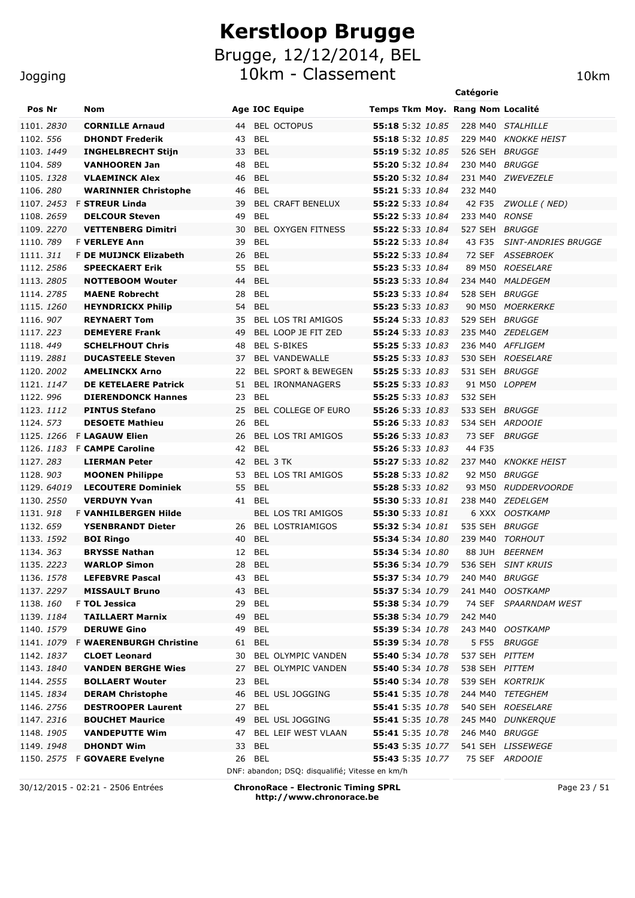Brugge, 12/12/2014, BEL

10km - Classement 10km

|                   |             |                                |    |                                |                         | Catégorie                        |                            |
|-------------------|-------------|--------------------------------|----|--------------------------------|-------------------------|----------------------------------|----------------------------|
| <b>Pos Nr</b>     |             | <b>Nom</b>                     |    | <b>Age IOC Equipe</b>          |                         | Temps Tkm Moy. Rang Nom Localité |                            |
| 1101.2830         |             | <b>CORNILLE Arnaud</b>         | 44 | <b>BEL OCTOPUS</b>             | 55:18 5:32 10.85        |                                  | 228 M40 STALHILLE          |
| 1102. 556         |             | <b>DHONDT Frederik</b>         | 43 | <b>BEL</b>                     | 55:18 5:32 10.85        | 229 M40                          | <i>KNOKKE HEIST</i>        |
| 1103. 1449        |             | <b>INGHELBRECHT Stijn</b>      | 33 | <b>BEL</b>                     | 55:19 5:32 10.85        | 526 SEH BRUGGE                   |                            |
| 1104.589          |             | <b>VANHOOREN Jan</b>           | 48 | <b>BEL</b>                     | 55:20 5:32 10.84        | 230 M40                          | <i>BRUGGE</i>              |
| 1105. 1328        |             | <b>VLAEMINCK Alex</b>          | 46 | <b>BEL</b>                     | 55:20 5:32 10.84        |                                  | 231 M40 ZWEVEZELE          |
| 1106.280          |             | <b>WARINNIER Christophe</b>    | 46 | <b>BEL</b>                     | 55:21 5:33 10.84        | 232 M40                          |                            |
|                   |             | 1107. 2453 F STREUR Linda      | 39 | <b>BEL CRAFT BENELUX</b>       | 55:22 5:33 10.84        |                                  | 42 F35 <i>ZWOLLE (NED)</i> |
| 1108.2659         |             | <b>DELCOUR Steven</b>          | 49 | <b>BEL</b>                     | 55:22 5:33 10.84        | 233 M40 RONSE                    |                            |
| 1109.2270         |             | <b>VETTENBERG Dimitri</b>      | 30 | <b>BEL OXYGEN FITNESS</b>      | 55:22 5:33 10.84        | 527 SEH BRUGGE                   |                            |
| 1110, 789         |             | <b>F VERLEYE Ann</b>           | 39 | <b>BEL</b>                     | 55:22 5:33 10.84        | 43 F35                           | SINT-ANDRIES BRUGGE        |
| 1111. 311         |             | F DE MUIJNCK Elizabeth         | 26 | <b>BEL</b>                     | 55:22 5:33 10.84        |                                  | 72 SEF ASSEBROEK           |
| 1112.2586         |             | <b>SPEECKAERT Erik</b>         | 55 | BEL                            | 55:23 5:33 10.84        | 89 M50                           | <i>ROESELARE</i>           |
| 1113.2805         |             | <b>NOTTEBOOM Wouter</b>        | 44 | <b>BEL</b>                     | 55:23 5:33 10.84        | 234 M40                          | <i>MALDEGEM</i>            |
| 1114.2785         |             | <b>MAENE Robrecht</b>          | 28 | BEL                            | 55:23 5:33 10.84        | 528 SEH BRUGGE                   |                            |
| 1115.1260         |             | <b>HEYNDRICKX Philip</b>       | 54 | BEL                            | 55:23 5:33 10.83        | 90 M50                           | <i>MOERKERKE</i>           |
| 1116.907          |             | <b>REYNAERT Tom</b>            | 35 | BEL LOS TRI AMIGOS             | 55:24 5:33 10.83        | 529 SEH                          | <b>BRUGGE</b>              |
| 1117.223          |             | <b>DEMEYERE Frank</b>          | 49 | BEL LOOP JE FIT ZED            | 55:24 5:33 10.83        |                                  | 235 M40 ZEDELGEM           |
| 1118.449          |             | <b>SCHELFHOUT Chris</b>        | 48 | <b>BEL S-BIKES</b>             | 55:25 5:33 10.83        |                                  | 236 M40 AFFLIGEM           |
| 1119.2881         |             | <b>DUCASTEELE Steven</b>       | 37 | <b>BEL VANDEWALLE</b>          | 55:25 5:33 10.83        | 530 SEH                          | <i>ROESELARE</i>           |
| 1120. 2002        |             | <b>AMELINCKX Arno</b>          | 22 | <b>BEL SPORT &amp; BEWEGEN</b> | 55:25 5:33 10.83        | 531 SEH                          | BRUGGE                     |
| 1121, 1147        |             | <b>DE KETELAERE Patrick</b>    | 51 | <b>BEL IRONMANAGERS</b>        | 55:25 5:33 10.83        | 91 M50                           | <b>LOPPEM</b>              |
| 1122.996          |             | <b>DIERENDONCK Hannes</b>      | 23 | <b>BEL</b>                     | 55:25 5:33 10.83        | 532 SEH                          |                            |
| 1123. 1112        |             | <b>PINTUS Stefano</b>          | 25 | BEL COLLEGE OF EURO            | 55:26 5:33 10.83        | 533 SEH                          | <i>BRUGGE</i>              |
| 1124. 573         |             | <b>DESOETE Mathieu</b>         | 26 | <b>BEL</b>                     | 55:26 5:33 10.83        | 534 SEH                          | <i>ARDOOIE</i>             |
| 1125. 1266        |             | <b>F LAGAUW Elien</b>          | 26 | BEL LOS TRI AMIGOS             | 55:26 5:33 10.83        | 73 SEF                           | <i>BRUGGE</i>              |
| 1126. <i>1183</i> |             | <b>F CAMPE Caroline</b>        | 42 | <b>BEL</b>                     | 55:26 5:33 10.83        | 44 F35                           |                            |
| 1127.283          |             | <b>LIERMAN Peter</b>           | 42 | BEL 3 TK                       | 55:27 5:33 10.82        | 237 M40                          | <b>KNOKKE HEIST</b>        |
| 1128.903          |             | <b>MOONEN Philippe</b>         | 53 | BEL LOS TRI AMIGOS             | <b>55:28</b> 5:33 10.82 | 92 M50                           | <b>BRUGGE</b>              |
|                   | 1129. 64019 | <b>LECOUTERE Dominiek</b>      | 55 | <b>BEL</b>                     | <b>55:28</b> 5:33 10.82 | 93 M50                           | <i>RUDDERVOORDE</i>        |
| 1130, 2550        |             | <b>VERDUYN Yvan</b>            | 41 | <b>BEL</b>                     | 55:30 5:33 10.81        | 238 M40                          | <i>ZEDELGEM</i>            |
| 1131.918          |             | <b>F VANHILBERGEN Hilde</b>    |    | <b>BEL LOS TRI AMIGOS</b>      | 55:30 5:33 10.81        |                                  | 6 XXX OOSTKAMP             |
| 1132.659          |             | <b>YSENBRANDT Dieter</b>       | 26 | <b>BEL LOSTRIAMIGOS</b>        | 55:32 5:34 10.81        | 535 SEH BRUGGE                   |                            |
| 1133. 1592        |             | <b>BOI Ringo</b>               | 40 | <b>BEL</b>                     | 55:34 5:34 10.80        | 239 M40                          | TORHOUT                    |
| 1134, 363         |             | <b>BRYSSE Nathan</b>           | 12 | <b>BEL</b>                     | <b>55:34</b> 5:34 10.80 | 88 JUH                           | <i><b>BEERNEM</b></i>      |
| 1135. 2223        |             | <b>WARLOP Simon</b>            | 28 | <b>BEL</b>                     |                         |                                  | 536 SEH SINT KRUIS         |
| 1136. <i>1578</i> |             | <b>LEFEBVRE Pascal</b>         |    | 43 BEL                         | <b>55:37</b> 5:34 10.79 | 240 M40 BRUGGE                   |                            |
| 1137. 2297        |             | <b>MISSAULT Bruno</b>          |    | 43 BEL                         | 55:37 5:34 10.79        |                                  | 241 M40 OOSTKAMP           |
| 1138.160          |             | F TOL Jessica                  |    | 29 BEL                         | 55:38 5:34 10.79        |                                  | 74 SEF SPAARNDAM WEST      |
| 1139. 1184        |             | <b>TAILLAERT Marnix</b>        |    | 49 BEL                         | <b>55:38</b> 5:34 10.79 | 242 M40                          |                            |
| 1140. 1579        |             | <b>DERUWE Gino</b>             | 49 | BEL                            | <b>55:39</b> 5:34 10.78 |                                  | 243 M40 OOSTKAMP           |
|                   | 1141.1079   | <b>F WAERENBURGH Christine</b> |    | 61 BEL                         | <b>55:39</b> 5:34 10.78 | 5 F55                            | <b>BRUGGE</b>              |
| 1142. 1837        |             | <b>CLOET Leonard</b>           | 30 | BEL OLYMPIC VANDEN             | <b>55:40</b> 5:34 10.78 | 537 SEH PITTEM                   |                            |
| 1143. 1840        |             | <b>VANDEN BERGHE Wies</b>      | 27 | BEL OLYMPIC VANDEN             | <b>55:40</b> 5:34 10.78 | 538 SEH PITTEM                   |                            |
| 1144.2555         |             | <b>BOLLAERT Wouter</b>         | 23 | <b>BEL</b>                     | 55:40 5:34 10.78        |                                  | 539 SEH KORTRIJK           |
| 1145. 1834        |             | <b>DERAM Christophe</b>        | 46 | BEL USL JOGGING                | 55:41 5:35 10.78        |                                  | 244 M40 TETEGHEM           |
| 1146. 2756        |             | <b>DESTROOPER Laurent</b>      | 27 | BEL                            | 55:41 5:35 10.78        |                                  | 540 SEH ROESELARE          |
| 1147.2316         |             | <b>BOUCHET Maurice</b>         | 49 | BEL USL JOGGING                | <b>55:41</b> 5:35 10.78 |                                  | 245 M40 DUNKERQUE          |

**Jogging** 

DNF: abandon; DSQ: disqualifié; Vitesse en km/h 30/12/2015 - 02:21 - 2506 Entrées **ChronoRace - Electronic Timing SPRL http://www.chronorace.be**

1148. *1905* **VANDEPUTTE Wim** 47 BEL LEIF WEST VLAAN **55:41** 5:35 *10.78* 246 M40 *BRUGGE* 1149. *1948* **DHONDT Wim** 33 BEL **55:43** 5:35 *10.77* 541 SEH *LISSEWEGE* 1150. *2575* F **GOVAERE Evelyne** 26 BEL **55:43** 5:35 *10.77* 75 SEF *ARDOOIE*

Page 23 / 51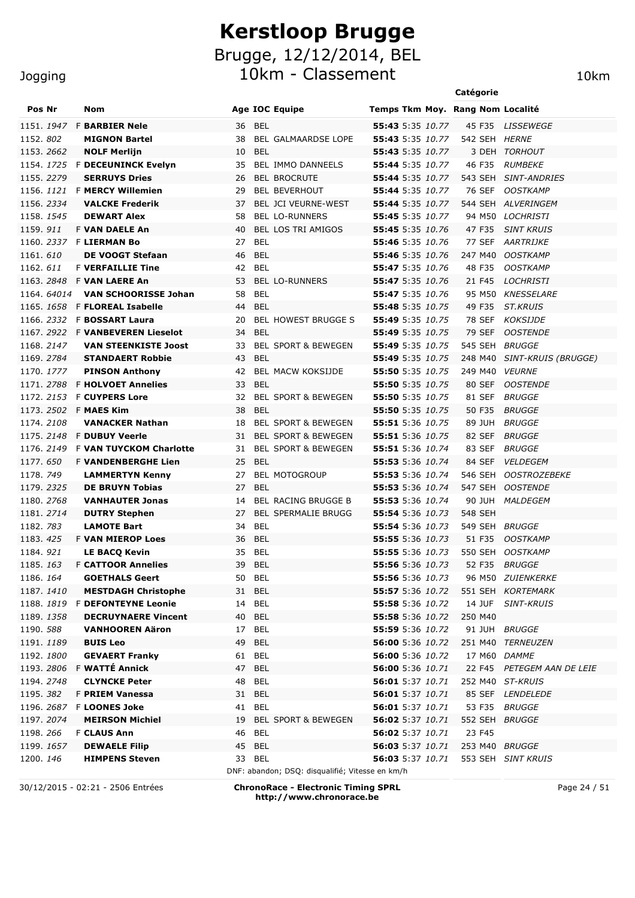#### Jogging

|                         |                                                      |                                                 |                                      | Catégorie      |                                        |
|-------------------------|------------------------------------------------------|-------------------------------------------------|--------------------------------------|----------------|----------------------------------------|
| Pos Nr                  | Nom                                                  | <b>Age IOC Equipe</b>                           | Temps Tkm Moy. Rang Nom Localité     |                |                                        |
|                         | 1151. 1947 F BARBIER Nele                            | <b>BEL</b><br>36                                | 55:43 5:35 10.77                     |                | 45 F35 LISSEWEGE                       |
| 1152, 802               | <b>MIGNON Bartel</b>                                 | 38<br><b>BEL GALMAARDSE LOPE</b>                | 55:43 5:35 10.77                     | 542 SEH HERNE  |                                        |
| 1153.2662               | <b>NOLF Merlijn</b>                                  | <b>BEL</b><br>10                                | 55:43 5:35 10.77                     |                | 3 DEH TORHOUT                          |
|                         | 1154. 1725 F DECEUNINCK Evelyn                       | <b>BEL IMMO DANNEELS</b><br>35                  | 55:44 5:35 10.77                     | 46 F35         | <i>RUMBEKE</i>                         |
| 1155.2279               | <b>SERRUYS Dries</b>                                 | <b>BEL BROCRUTE</b><br>26                       | 55:44 5:35 10.77                     |                | 543 SEH SINT-ANDRIES                   |
|                         | 1156. 1121 F MERCY Willemien                         | <b>BEL BEVERHOUT</b><br>29                      | 55:44 5:35 10.77                     | 76 SEF         | <b>OOSTKAMP</b>                        |
| 1156. 2334              | <b>VALCKE Frederik</b>                               | <b>BEL JCI VEURNE-WEST</b><br>37                | 55:44 5:35 10.77                     |                | 544 SEH ALVERINGEM                     |
| 1158.1545               | <b>DEWART Alex</b>                                   | <b>BEL LO-RUNNERS</b><br>58                     | <b>55:45</b> 5:35 10.77              |                | 94 M50 LOCHRISTI                       |
| 1159.911                | <b>F VAN DAELE An</b>                                | <b>BEL LOS TRI AMIGOS</b><br>40                 | <b>55:45</b> 5:35 10.76              | 47 F35         | <b>SINT KRUIS</b>                      |
|                         | 1160. 2337 F LIERMAN Bo                              | <b>BEL</b><br>27                                | 55:46 5:35 10.76                     | 77 SEF         | <b>AARTRIJKE</b>                       |
| 1161.610                | DE VOOGT Stefaan                                     | <b>BEL</b><br>46                                | 55:46 5:35 10.76                     | 247 M40        | <b>OOSTKAMP</b>                        |
| 1162.611                | <b>F VERFAILLIE Tine</b>                             | 42<br>BEL                                       | <b>55:47</b> 5:35 10.76              | 48 F35         | <b>OOSTKAMP</b>                        |
|                         | 1163. 2848 F VAN LAERE An                            | 53<br><b>BEL LO-RUNNERS</b>                     | 55:47 5:35 10.76                     | 21 F45         | <b>LOCHRISTI</b>                       |
| 1164, 64014             | <b>VAN SCHOORISSE Johan</b>                          | 58<br><b>BEL</b>                                | 55:47 5:35 10.76                     | 95 M50         | <b>KNESSELARE</b>                      |
| 1165. 1658              | <b>F FLOREAL Isabelle</b>                            | 44<br><b>BEL</b>                                | <b>55:48</b> 5:35 10.75              | 49 F35         | <b>ST.KRUIS</b>                        |
|                         | 1166. 2332 F BOSSART Laura                           | <b>BEL HOWEST BRUGGE S</b><br>20                | 55:49 5:35 10.75                     | 78 SEF         | <b>KOKSIJDE</b>                        |
|                         | 1167. 2922 F VANBEVEREN Lieselot                     | <b>BEL</b><br>34                                | 55:49 5:35 10.75                     | 79 SEF         | <b>OOSTENDE</b>                        |
| 1168, 2147              | <b>VAN STEENKISTE Joost</b>                          | <b>BEL SPORT &amp; BEWEGEN</b><br>33            | 55:49 5:35 10.75                     | 545 SEH        | <i>BRUGGE</i>                          |
| 1169.2784               | <b>STANDAERT Robbie</b>                              | <b>BEL</b><br>43                                | <b>55:49</b> 5:35 10.75              | 248 M40        | SINT-KRUIS (BRUGGE)                    |
| 1170. 1777              | <b>PINSON Anthony</b>                                | 42<br><b>BEL MACW KOKSIJDE</b>                  | 55:50 5:35 10.75                     | 249 M40        | <i><b>VEURNE</b></i>                   |
| 1171.2788               | <b>F HOLVOET Annelies</b>                            | <b>BEL</b><br>33                                | 55:50 5:35 10.75                     | 80 SEF         | <b>OOSTENDE</b>                        |
| 1172. 2153              | <b>F CUYPERS Lore</b>                                | 32<br><b>BEL SPORT &amp; BEWEGEN</b>            | <b>55:50</b> 5:35 10.75              | 81 SEF         | <b>BRUGGE</b>                          |
| 1173. 2502 F MAES Kim   |                                                      | 38<br><b>BEL</b>                                | 55:50 5:35 10.75                     | 50 F35         | <b>BRUGGE</b>                          |
| 1174.2108               | <b>VANACKER Nathan</b>                               | <b>BEL SPORT &amp; BEWEGEN</b><br>18            | 55:51 5:36 10.75                     | 89 JUH         | <i>BRUGGE</i>                          |
|                         | 1175. 2148 F DUBUY Veerle                            | 31<br><b>BEL SPORT &amp; BEWEGEN</b>            | 55:51 5:36 10.75                     | 82 SEF         | <i>BRUGGE</i>                          |
|                         | 1176. 2149 F VAN TUYCKOM Charlotte                   | 31<br><b>BEL SPORT &amp; BEWEGEN</b>            | 55:51 5:36 10.74                     | 83 SEF         | <i>BRUGGE</i>                          |
| 1177.650                | <b>F VANDENBERGHE Lien</b>                           | 25<br><b>BEL</b>                                | 55:53 5:36 10.74                     | 84 SEF         | <b>VELDEGEM</b>                        |
| 1178.749                | <b>LAMMERTYN Kenny</b>                               | <b>BEL MOTOGROUP</b><br>27                      | 55:53 5:36 10.74                     | 546 SEH        | <b>OOSTROZEBEKE</b>                    |
| 1179.2325               | <b>DE BRUYN Tobias</b>                               | <b>BEL</b><br>27                                | 55:53 5:36 10.74                     | 547 SEH        | <i>OOSTENDE</i>                        |
| 1180. 2768              | <b>VANHAUTER Jonas</b>                               | BEL RACING BRUGGE B<br>14                       | 55:53 5:36 10.74                     |                | 90 JUH MALDEGEM                        |
| 1181. 2714              | <b>DUTRY Stephen</b>                                 | <b>BEL SPERMALIE BRUGG</b><br>27                | 55:54 5:36 10.73                     | 548 SEH        |                                        |
| 1182. 783               | <b>LAMOTE Bart</b>                                   | <b>BEL</b><br>34                                | 55:54 5:36 10.73                     | 549 SEH BRUGGE |                                        |
| 1183, 425               | <b>F VAN MIEROP Loes</b>                             | 36<br>BEL                                       | 55:55 5:36 10.73                     | 51 F35         | <b>OOSTKAMP</b>                        |
| 1184.921                | <b>LE BACQ Kevin</b>                                 | 35 BEL                                          | <b>55:55</b> 5:36 10.73              |                | 550 SEH OOSTKAMP                       |
| 1185.163                | <b>F CATTOOR Annelies</b>                            | 39 BEL                                          | 55:56 5:36 10.73    52 F35    BRUGGE |                |                                        |
| 1186. 164               | <b>GOETHALS Geert</b>                                | 50 BEL                                          | 55:56 5:36 10.73                     |                | 96 M50 ZUIENKERKE                      |
| 1187.1410               | <b>MESTDAGH Christophe</b>                           | 31 BEL<br>14 BEL                                | 55:57 5:36 10.72<br>55:58 5:36 10.72 |                | 551 SEH KORTEMARK<br>14 JUF SINT-KRUIS |
|                         | 1188. 1819 F DEFONTEYNE Leonie                       | <b>BEL</b>                                      | 55:58 5:36 10.72                     |                |                                        |
| 1189. 1358<br>1190. 588 | <b>DECRUYNAERE Vincent</b><br><b>VANHOOREN Aäron</b> | 40<br><b>BEL</b><br>17                          | 55:59 5:36 10.72                     | 250 M40        | 91 JUH BRUGGE                          |
| 1191.1189               | <b>BUIS Leo</b>                                      | <b>BEL</b><br>49                                | 56:00 5:36 10.72                     |                | 251 M40 TERNEUZEN                      |
| 1192. 1800              | <b>GEVAERT Franky</b>                                | <b>BEL</b><br>61                                | 56:00 5:36 10.72                     | 17 M60 DAMME   |                                        |
|                         | 1193. 2806 F WATTÉ Annick                            | <b>BEL</b><br>47                                | 56:00 5:36 10.71                     |                | 22 F45 PETEGEM AAN DE LEIE             |
| 1194. 2748              | <b>CLYNCKE Peter</b>                                 | <b>BEL</b><br>48                                | 56:01 5:37 10.71                     |                | 252 M40 ST-KRUIS                       |
| 1195. 382               | F PRIEM Vanessa                                      | <b>BEL</b><br>31                                | 56:01 5:37 10.71                     |                | 85 SEF LENDELEDE                       |
|                         | 1196. 2687 F LOONES Joke                             | <b>BEL</b><br>41                                | 56:01 5:37 10.71                     |                | 53 F35 BRUGGE                          |
| 1197. 2074              | <b>MEIRSON Michiel</b>                               | BEL SPORT & BEWEGEN<br>19                       | 56:02 5:37 10.71                     | 552 SEH BRUGGE |                                        |
| 1198.266                | <b>F CLAUS Ann</b>                                   | 46<br>BEL                                       | <b>56:02</b> 5:37 10.71              | 23 F45         |                                        |
| 1199. 1657              | <b>DEWAELE Filip</b>                                 | 45<br>BEL                                       | <b>56:03</b> 5:37 10.71              | 253 M40 BRUGGE |                                        |
| 1200.146                | <b>HIMPENS Steven</b>                                | 33 BEL                                          | <b>56:03</b> 5:37 10.71              |                | 553 SEH SINT KRUIS                     |
|                         |                                                      | DNF: abandon; DSQ: disqualifié; Vitesse en km/h |                                      |                |                                        |

30/12/2015 - 02:21 - 2506 Entrées **ChronoRace - Electronic Timing SPRL http://www.chronorace.be**

Page 24 / 51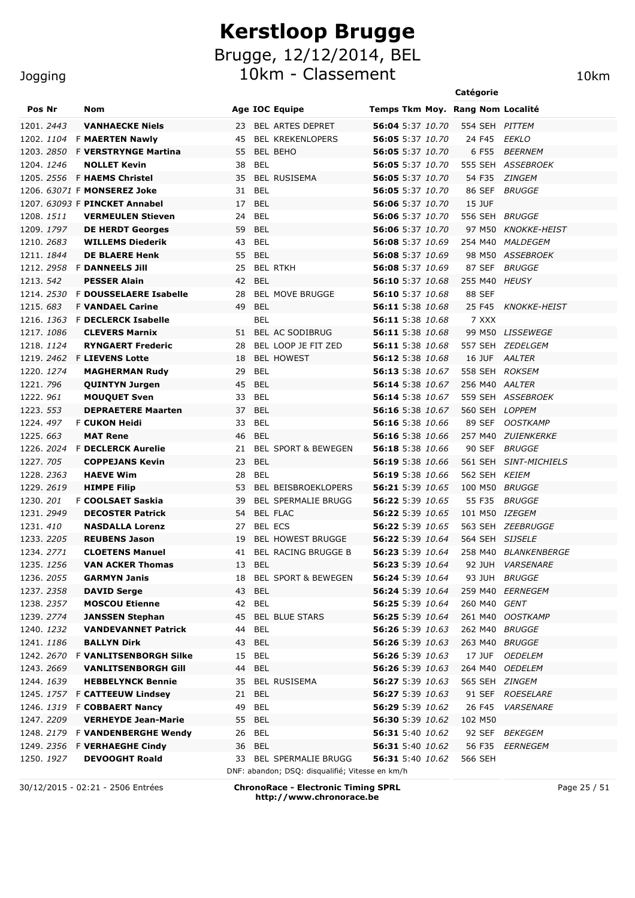#### Jogging

|                   |                                      |                                                                           | Catégorie                                               |
|-------------------|--------------------------------------|---------------------------------------------------------------------------|---------------------------------------------------------|
| Pos Nr            | Nom                                  | <b>Age IOC Equipe</b>                                                     | Temps Tkm Moy. Rang Nom Localité                        |
| 1201. 2443        | <b>VANHAECKE Niels</b>               | <b>BEL ARTES DEPRET</b><br>23                                             | 56:04 5:37 10.70<br>554 SEH PITTEM                      |
| 1202. <i>1104</i> | <b>F MAERTEN Nawly</b>               | <b>BEL KREKENLOPERS</b><br>45                                             | 56:05 5:37 10.70<br><b>EEKLO</b><br>24 F45              |
| 1203. <i>2850</i> | <b>F VERSTRYNGE Martina</b>          | 55<br><b>BEL BEHO</b>                                                     | 56:05 5:37 10.70<br>6 F55<br><i>BEERNEM</i>             |
| 1204. 1246        | <b>NOLLET Kevin</b>                  | <b>BEL</b><br>38                                                          | 56:05 5:37 10.70<br>555 SEH ASSEBROEK                   |
|                   | 1205. 2556 F <b>HAEMS Christel</b>   | <b>BEL RUSISEMA</b><br>35                                                 | 56:05 5:37 10.70<br>54 F35<br><i>ZINGEM</i>             |
|                   | 1206. 63071 F MONSEREZ Joke          | <b>BEL</b><br>31                                                          | 56:05 5:37 10.70<br>86 SEF<br><b>BRUGGE</b>             |
|                   | 1207. 63093 F PINCKET Annabel        | <b>BEL</b><br>17                                                          | <b>15 JUF</b><br>56:06 5:37 10.70                       |
| 1208. <i>1511</i> | <b>VERMEULEN Stieven</b>             | <b>BEL</b><br>24                                                          | 56:06 5:37 10.70<br>556 SEH BRUGGE                      |
| 1209, 1797        | <b>DE HERDT Georges</b>              | <b>BEL</b><br>59                                                          | 56:06 5:37 10.70<br>97 M50<br><i>KNOKKE-HEIST</i>       |
| 1210. 2683        | <b>WILLEMS Diederik</b>              | <b>BEL</b><br>43                                                          | 56:08 5:37 10.69<br>254 M40<br><i>MALDEGEM</i>          |
| 1211. 1844        | <b>DE BLAERE Henk</b>                | <b>BEL</b><br>55                                                          | 56:08 5:37 10.69<br>98 M50<br><i>ASSEBROEK</i>          |
| 1212.2958         | <b>F DANNEELS Jill</b>               | <b>BEL RTKH</b><br>25                                                     | 56:08 5:37 10.69<br>87 SEF<br><i>BRUGGE</i>             |
| 1213, 542         | <b>PESSER Alain</b>                  | 42<br><b>BEL</b>                                                          | 56:10 5:37 10.68<br>255 M40<br><i>HEUSY</i>             |
| 1214, 2530        | <b>F DOUSSELAERE Isabelle</b>        | <b>BEL MOVE BRUGGE</b><br>28                                              | 56:10 5:37 10.68<br>88 SEF                              |
| 1215, 683         | <b>F VANDAEL Carine</b>              | <b>BEL</b><br>49                                                          | 25 F45<br>56:11 5:38 10.68<br><i>KNOKKE-HEIST</i>       |
| 1216. <i>1363</i> | <b>F DECLERCK Isabelle</b>           | <b>BEL</b>                                                                | 7 XXX<br>56:11 5:38 10.68                               |
| 1217. 1086        | <b>CLEVERS Marnix</b>                | BEL AC SODIBRUG<br>51                                                     | 56:11 5:38 10.68<br>99 M50 LISSEWEGE                    |
| 1218. <i>1124</i> | <b>RYNGAERT Frederic</b>             | BEL LOOP JE FIT ZED<br>28                                                 | 56:11 5:38 10.68<br>557 SEH ZEDELGEM                    |
| 1219. 2462        | <b>F LIEVENS Lotte</b>               | <b>BEL HOWEST</b><br>18                                                   | 56:12 5:38 10.68<br>16 JUF<br>AALTER                    |
| 1220. 1274        | <b>MAGHERMAN Rudy</b>                | 29<br>BEL                                                                 | 558 SEH ROKSEM<br>56:13 5:38 10.67                      |
| 1221.796          | <b>QUINTYN Jurgen</b>                | 45<br>BEL                                                                 | <b>56:14</b> 5:38 10.67<br>256 M40 AALTER               |
| 1222.96 <i>1</i>  | <b>MOUQUET Sven</b>                  | BEL<br>33                                                                 | 56:14 5:38 10.67<br>559 SEH ASSEBROEK                   |
| 1223. 553         | <b>DEPRAETERE Maarten</b>            | <b>BEL</b><br>37                                                          | 56:16 5:38 10.67<br>560 SEH LOPPEM                      |
| 1224, 497         | <b>F CUKON Heidi</b>                 | <b>BEL</b><br>33                                                          | 56:16 5:38 10.66<br>89 SEF<br><i><b>OOSTKAMP</b></i>    |
| 1225, 663         | <b>MAT Rene</b>                      | 46<br><b>BEL</b>                                                          | <b>56:16</b> 5:38 10.66<br>257 M40<br><i>ZUIENKERKE</i> |
| 1226, 2024        | <b>F DECLERCK Aurelie</b>            | <b>BEL SPORT &amp; BEWEGEN</b><br>21                                      | 56:18 5:38 10.66<br>90 SEF<br><i>BRUGGE</i>             |
| 1227, 705         | <b>COPPEJANS Kevin</b>               | 23<br><b>BEL</b>                                                          | 56:19 5:38 10.66<br>561 SEH SINT-MICHIELS               |
| 1228. 2363        | <b>HAEVE Wim</b>                     | <b>BEL</b><br>28                                                          | 56:19 5:38 10.66<br>562 SEH KEIEM                       |
| 1229. 2619        | <b>HIMPE Filip</b>                   | BEL BEISBROEKLOPERS<br>53                                                 | 56:21 5:39 10.65<br>100 M50<br><i>BRUGGE</i>            |
| 1230.201          | F COOLSAET Saskia                    | <b>BEL SPERMALIE BRUGG</b><br>39                                          | 56:22 5:39 10.65<br>55 F35<br><i>BRUGGE</i>             |
| 1231. 2949        | <b>DECOSTER Patrick</b>              | <b>BEL FLAC</b><br>54                                                     | 56:22 5:39 10.65<br>101 M50<br>IZEGEM                   |
| 1231, 410         | <b>NASDALLA Lorenz</b>               | <b>BEL ECS</b><br>27                                                      | <b>56:22</b> 5:39 10.65<br>563 SEH ZEEBRUGGE            |
| 1233. 2205        | <b>REUBENS Jason</b>                 | 19<br><b>BEL HOWEST BRUGGE</b>                                            | <b>56:22</b> 5:39 10.64<br>564 SEH SIJSELE              |
| 1234. 2771        | <b>CLOETENS Manuel</b>               | 41<br><b>BEL RACING BRUGGE B</b>                                          | 56:23 5:39 10.64<br>258 M40 BLANKENBERGE                |
| 1235. <i>1256</i> | <b>VAN ACKER Thomas</b>              | 13<br><b>BEL</b>                                                          | 92 JUH VARSENARE                                        |
| 1236. <i>2055</i> | <b>GARMYN Janis</b>                  | 18 BEL SPORT & BEWEGEN                                                    | <b>56:24</b> 5:39 10.64<br>93 JUH <i>BRUGGE</i>         |
| 1237.2358         | <b>DAVID Serge</b>                   | 43<br>BEL                                                                 | <b>56:24</b> 5:39 10.64<br>259 M40 EERNEGEM             |
| 1238. 2357        | <b>MOSCOU Etienne</b>                | 42 BEL                                                                    | <b>56:25</b> 5:39 10.64<br>260 M40 <i>GENT</i>          |
| 1239. 2774        | <b>JANSSEN Stephan</b>               | 45<br><b>BEL BLUE STARS</b>                                               | 56:25 5:39 10.64<br>261 M40 OOSTKAMP                    |
| 1240. <i>1232</i> | <b>VANDEVANNET Patrick</b>           | BEL<br>44                                                                 | 56:26 5:39 10.63<br>262 M40 BRUGGE                      |
| 1241. 1186        | <b>BALLYN Dirk</b>                   | 43<br>BEL                                                                 | 56:26 5:39 10.63<br>263 M40 BRUGGE                      |
| 1242. 2670        | <b>F VANLITSENBORGH Silke</b>        | 15<br>BEL                                                                 | 56:26 5:39 10.63<br>17 JUF<br><i>OEDELEM</i>            |
| 1243. 2669        | <b>VANLITSENBORGH Gill</b>           | BEL<br>44                                                                 | <b>56:26</b> 5:39 10.63<br>264 M40 OEDELEM              |
| 1244. <i>1639</i> | <b>HEBBELYNCK Bennie</b>             | 35 BEL RUSISEMA                                                           | 56:27 5:39 10.63<br>565 SEH ZINGEM                      |
|                   | 1245. 1757 F <b>CATTEEUW Lindsey</b> | 21 BEL                                                                    | 56:27 5:39 10.63<br>91 SEF ROESELARE                    |
|                   | 1246. 1319 F COBBAERT Nancy          | BEL<br>49                                                                 | 56:29 5:39 10.62<br>26 F45<br><i><b>VARSENARE</b></i>   |
| 1247. 2209        | <b>VERHEYDE Jean-Marie</b>           | 55<br>BEL                                                                 | 56:30 5:39 10.62<br>102 M50                             |
|                   | 1248. 2179 F VANDENBERGHE Wendy      | BEL<br>26                                                                 | <b>56:31</b> 5:40 10.62<br>92 SEF BEKEGEM               |
|                   | 1249. 2356 F VERHAEGHE Cindy         | 36 BEL                                                                    | 56:31 5:40 10.62<br>56 F35<br>EERNEGEM                  |
| 1250. <i>1927</i> | <b>DEVOOGHT Roald</b>                | 33 BEL SPERMALIE BRUGG<br>DNF: abandon; DSQ: disqualifié; Vitesse en km/h | 56:31 5:40 10.62<br>566 SEH                             |

30/12/2015 - 02:21 - 2506 Entrées **ChronoRace - Electronic Timing SPRL http://www.chronorace.be**

Page 25 / 51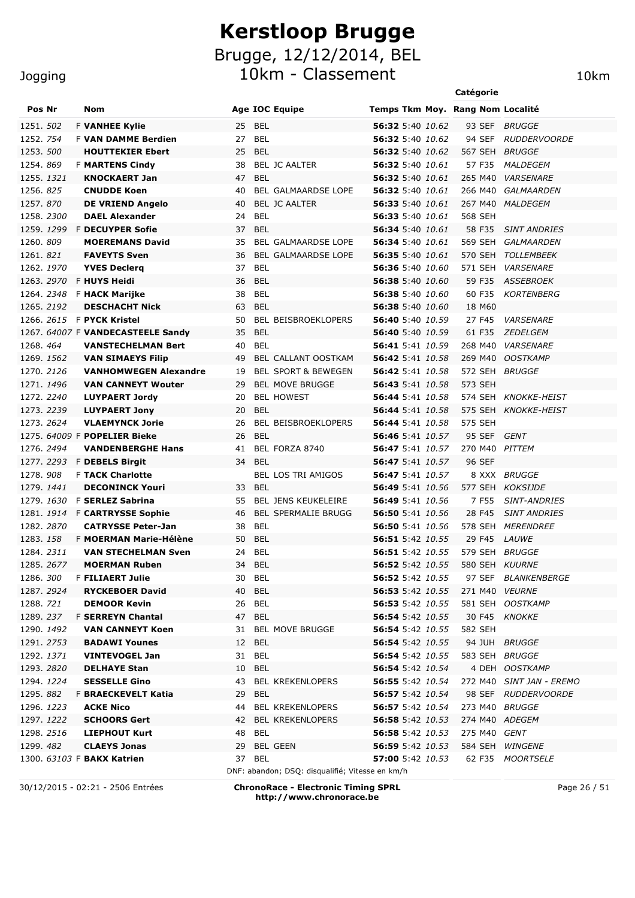10km - Classement 10km

|                   |  |                                                                 |          |            |                                                 |                                             | Catégorie                     |                          |
|-------------------|--|-----------------------------------------------------------------|----------|------------|-------------------------------------------------|---------------------------------------------|-------------------------------|--------------------------|
| Pos Nr            |  | Nom                                                             |          |            | <b>Age IOC Equipe</b>                           | Temps Tkm Moy. Rang Nom Localité            |                               |                          |
| 1251. 502         |  | <b>F VANHEE Kylie</b>                                           | 25       | <b>BEL</b> |                                                 | 56:32 5:40 10.62                            | 93 SEF                        | BRUGGE                   |
| 1252. 754         |  | <b>F VAN DAMME Berdien</b>                                      | 27       | BEL        |                                                 | <b>56:32</b> 5:40 10.62                     | 94 SEF                        | <b>RUDDERVOORDE</b>      |
| 1253, 500         |  | <b>HOUTTEKIER Ebert</b>                                         | 25       | <b>BEL</b> |                                                 | 56:32 5:40 10.62                            | 567 SEH                       | BRUGGE                   |
| 1254.869          |  | <b>F MARTENS Cindy</b>                                          | 38       |            | <b>BEL JC AALTER</b>                            | 56:32 5:40 10.61                            | 57 F35                        | <i>MALDEGEM</i>          |
| 1255. 1321        |  | <b>KNOCKAERT Jan</b>                                            | 47       | <b>BEL</b> |                                                 | 56:32 5:40 10.61                            | 265 M40                       | <b>VARSENARE</b>         |
| 1256.825          |  | <b>CNUDDE Koen</b>                                              | 40       |            | <b>BEL GALMAARDSE LOPE</b>                      | <b>56:32</b> 5:40 10.61                     | 266 M40                       | <b>GALMAARDEN</b>        |
| 1257.870          |  | <b>DE VRIEND Angelo</b>                                         | 40       |            | <b>BEL JC AALTER</b>                            | 56:33 5:40 10.61                            | 267 M40                       | <b>MALDEGEM</b>          |
| 1258.2300         |  | <b>DAEL Alexander</b>                                           | 24       | <b>BEL</b> |                                                 | 56:33 5:40 10.61                            | 568 SEH                       |                          |
| 1259.1299         |  | <b>F DECUYPER Sofie</b>                                         | 37       | <b>BEL</b> |                                                 | 56:34 5:40 10.61                            | 58 F35                        | <b>SINT ANDRIES</b>      |
| 1260.809          |  | <b>MOEREMANS David</b>                                          | 35       |            | BEL GALMAARDSE LOPE                             | 56:34 5:40 10.61                            | 569 SEH                       | GALMAARDEN               |
| 1261.821          |  | <b>FAVEYTS Sven</b>                                             | 36       |            | BEL GALMAARDSE LOPE                             | 56:35 5:40 10.61                            | 570 SEH                       | TOLLEMBEEK               |
| 1262. 1970        |  | <b>YVES Declerg</b>                                             | 37       | <b>BEL</b> |                                                 | 56:36 5:40 10.60                            | 571 SEH                       | <b>VARSENARE</b>         |
| 1263. 2970        |  | F HUYS Heidi                                                    | 36       | BEL        |                                                 | 56:38 5:40 10.60                            | 59 F35                        | ASSEBROEK                |
| 1264. 2348        |  | <b>F HACK Marijke</b>                                           | 38       | <b>BEL</b> |                                                 | 56:38 5:40 10.60                            | 60 F35                        | <b>KORTENBERG</b>        |
| 1265. 2192        |  | <b>DESCHACHT Nick</b>                                           | 63       | BEL        |                                                 | 56:38 5:40 10.60                            | 18 M60                        |                          |
|                   |  | 1266. <i>2615</i> F <b>PYCK Kristel</b>                         | 50       |            | <b>BEL BEISBROEKLOPERS</b>                      | 56:40 5:40 10.59                            | 27 F45                        | <b>VARSENARE</b>         |
|                   |  | 1267. 64007 F VANDECASTEELE Sandy                               | 35       | <b>BEL</b> |                                                 | 56:40 5:40 10.59                            | 61 F35                        | <i>ZEDELGEM</i>          |
| 1268.464          |  | <b>VANSTECHELMAN Bert</b>                                       | 40       | <b>BEL</b> |                                                 | 56:41 5:41 10.59                            | 268 M40                       | <i><b>VARSENARE</b></i>  |
| 1269, 1562        |  | <b>VAN SIMAEYS Filip</b>                                        | 49       |            | BEL CALLANT OOSTKAM                             | 56:42 5:41 10.58                            | 269 M40                       | <b>OOSTKAMP</b>          |
| 1270. 2126        |  | <b>VANHOMWEGEN Alexandre</b>                                    | 19       |            | BEL SPORT & BEWEGEN                             | 56:42 5:41 10.58                            | 572 SEH BRUGGE                |                          |
| 1271, 1496        |  | <b>VAN CANNEYT Wouter</b>                                       | 29       |            | <b>BEL MOVE BRUGGE</b>                          | 56:43 5:41 10.58                            | 573 SEH                       |                          |
| 1272. 2240        |  | <b>LUYPAERT Jordy</b>                                           | 20       |            | <b>BEL HOWEST</b>                               | <b>56:44</b> 5:41 <i>10.58</i>              |                               | 574 SEH KNOKKE-HEIST     |
| 1273. 2239        |  | <b>LUYPAERT Jony</b>                                            | 20       | <b>BEL</b> |                                                 | <b>56:44</b> 5:41 <i>10.58</i>              |                               | 575 SEH KNOKKE-HEIST     |
| 1273. 2624        |  | <b>VLAEMYNCK Jorie</b>                                          | 26       |            | <b>BEL BEISBROEKLOPERS</b>                      | 56:44 5:41 10.58                            | 575 SEH                       |                          |
| 1276. 2494        |  | 1275. 64009 F <b>POPELIER Bieke</b><br><b>VANDENBERGHE Hans</b> | 26<br>41 | <b>BEL</b> | BEL FORZA 8740                                  | <b>56:46</b> 5:41 10.57<br>56:47 5:41 10.57 | 95 SEF GENT<br>270 M40 PITTEM |                          |
| 1277.2293         |  |                                                                 | 34       | BEL        |                                                 | 56:47 5:41 10.57                            | 96 SEF                        |                          |
| 1278.908          |  | <b>F DEBELS Birgit</b><br><b>F TACK Charlotte</b>               |          |            | <b>BEL LOS TRI AMIGOS</b>                       | 56:47 5:41 10.57                            |                               | 8 XXX BRUGGE             |
| 1279. <i>1441</i> |  | <b>DECONINCK Youri</b>                                          | 33       | BEL        |                                                 | <b>56:49</b> 5:41 <i>10.56</i>              |                               | 577 SEH KOKSIJDE         |
| 1279, 1630        |  | <b>F SERLEZ Sabrina</b>                                         | 55       |            | <b>BEL JENS KEUKELEIRE</b>                      | 56:49 5:41 10.56                            | 7 F55                         | <b>SINT-ANDRIES</b>      |
|                   |  | 1281. 1914 F CARTRYSSE Sophie                                   | 46       |            | <b>BEL SPERMALIE BRUGG</b>                      | 56:50 5:41 10.56                            | 28 F45                        | <b>SINT ANDRIES</b>      |
| 1282. 2870        |  | <b>CATRYSSE Peter-Jan</b>                                       | 38       | BEL        |                                                 | <b>56:50</b> 5:41 <i>10.56</i>              |                               | 578 SEH MERENDREE        |
| 1283, 158         |  | F MOERMAN Marie-Hélène                                          | 50       | <b>BEL</b> |                                                 | 56:51 5:42 10.55                            | 29 F45                        | <b>LAUWE</b>             |
| 1284, 2311        |  | <b>VAN STECHELMAN Sven</b>                                      | 24 BEL   |            |                                                 | <b>56:51</b> 5:42 10.55                     | 579 SEH BRUGGE                |                          |
| 1285. 2677        |  | <b>MOERMAN Ruben</b>                                            | 34       | <b>BEL</b> |                                                 | 56:52 5:42 10.55                            | 580 SEH KUURNE                |                          |
| 1286.300          |  | <b>F FILIAERT Julie</b>                                         | 30       | BEL        |                                                 | 56:52 5:42 10.55                            |                               | 97 SEF BLANKENBERGE      |
| 1287. 2924        |  | <b>RYCKEBOER David</b>                                          | 40       | <b>BEL</b> |                                                 | <b>56:53</b> 5:42 10.55                     | 271 M40 VEURNE                |                          |
| 1288. <i>721</i>  |  | <b>DEMOOR Kevin</b>                                             | 26 BEL   |            |                                                 | <b>56:53</b> 5:42 10.55                     |                               | 581 SEH OOSTKAMP         |
| 1289. 237         |  | <b>F SERREYN Chantal</b>                                        | 47 BEL   |            |                                                 | <b>56:54</b> 5:42 10.55                     |                               | 30 F45 KNOKKE            |
| 1290. <i>1492</i> |  | <b>VAN CANNEYT Koen</b>                                         |          |            | 31 BEL MOVE BRUGGE                              | <b>56:54</b> 5:42 10.55                     | 582 SEH                       |                          |
| 1291. 2753        |  | <b>BADAWI Younes</b>                                            | 12       | BEL        |                                                 | <b>56:54</b> 5:42 10.55                     |                               | 94 JUH BRUGGE            |
| 1292. <i>1371</i> |  | <b>VINTEVOGEL Jan</b>                                           | 31 BEL   |            |                                                 | 56:54 5:42 10.55                            | 583 SEH BRUGGE                |                          |
| 1293. 2820        |  | <b>DELHAYE Stan</b>                                             | 10       | BEL        |                                                 | <b>56:54</b> 5:42 10.54                     |                               | 4 DEH OOSTKAMP           |
| 1294. 1224        |  | <b>SESSELLE Gino</b>                                            | 43       |            | <b>BEL KREKENLOPERS</b>                         | 56:55 5:42 10.54                            |                               | 272 M40 SINT JAN - EREMO |
| 1295.882          |  | F BRAECKEVELT Katia                                             | 29       | BEL        |                                                 | 56:57 5:42 10.54                            |                               | 98 SEF RUDDERVOORDE      |
| 1296. <i>1223</i> |  | <b>ACKE Nico</b>                                                | 44       |            | <b>BEL KREKENLOPERS</b>                         | <b>56:57</b> 5:42 10.54                     | 273 M40 BRUGGE                |                          |
| 1297. 1222        |  | <b>SCHOORS Gert</b>                                             | 42       |            | <b>BEL KREKENLOPERS</b>                         | <b>56:58</b> 5:42 10.53                     | 274 M40 ADEGEM                |                          |
| 1298. 2516        |  | <b>LIEPHOUT Kurt</b>                                            | 48       | <b>BEL</b> |                                                 | 56:58 5:42 10.53                            | 275 M40 <i>GENT</i>           |                          |
| 1299.482          |  | <b>CLAEYS Jonas</b>                                             | 29       |            | <b>BEL GEEN</b>                                 | <b>56:59</b> 5:42 10.53                     |                               | 584 SEH WINGENE          |
|                   |  | 1300. 63103 F BAKX Katrien                                      |          | 37 BEL     |                                                 | <b>57:00</b> 5:42 10.53                     | 62 F35                        | <i>MOORTSELE</i>         |
|                   |  |                                                                 |          |            | DNF: abandon; DSQ: disqualifié; Vitesse en km/h |                                             |                               |                          |

30/12/2015 - 02:21 - 2506 Entrées **ChronoRace - Electronic Timing SPRL http://www.chronorace.be**

Page 26 / 51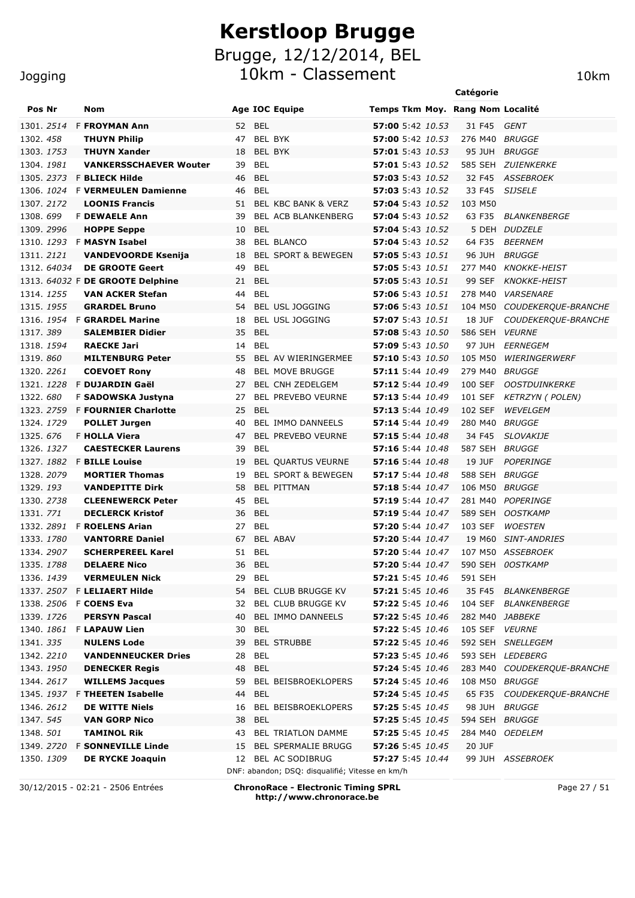10km - Classement 10km

| <b>Pos Nr</b><br><b>Nom</b><br><b>Age IOC Equipe</b><br>Temps Tkm Moy. Rang Nom Localité<br><b>F FROYMAN Ann</b><br>52<br><b>BEL</b><br>57:00 5:42 10.53<br>31 F45<br>GENT<br><b>BEL BYK</b><br>57:00 5:42 10.53<br><b>THUYN Philip</b><br>47<br>276 M40<br><i>BRUGGE</i><br>BEL BYK<br>57:01 5:43 10.53<br><b>THUYN Xander</b><br>18<br>95 JUH<br>BRUGGE<br><b>BEL</b><br>57:01 5:43 10.52<br>585 SEH ZUIENKERKE<br><b>VANKERSSCHAEVER Wouter</b><br>39<br><b>BEL</b><br>32 F45<br>1305. 2373 F BLIECK Hilde<br>46<br><b>57:03</b> 5:43 10.52<br><i>ASSEBROEK</i><br><b>BEL</b><br>33 F45<br><b>F VERMEULEN Damienne</b><br>46<br><b>57:03</b> 5:43 10.52<br><b>SIJSELE</b><br>57:04 5:43 10.52<br><b>LOONIS Francis</b><br>51<br>BEL KBC BANK & VERZ<br>103 M50<br><b>F DEWAELE Ann</b><br>39<br>BEL ACB BLANKENBERG<br>57:04 5:43 10.52<br>63 F35<br><b>BLANKENBERGE</b><br><b>HOPPE Seppe</b><br>10<br>BEL<br><b>57:04</b> 5:43 10.52<br>5 DEH DUDZELE<br>1310. 1293 F MASYN Isabel<br><b>BEL BLANCO</b><br>57:04 5:43 10.52<br>64 F35<br><b>BEERNEM</b><br>38<br>57:05 5:43 10.51<br><b>BRUGGE</b><br><b>VANDEVOORDE Ksenija</b><br>18<br><b>BEL SPORT &amp; BEWEGEN</b><br>96 JUH<br><b>DE GROOTE Geert</b><br>49<br><b>BEL</b><br>57:05 5:43 10.51<br>1312. 64034<br>277 M40<br><b>KNOKKE-HEIST</b><br>1313. 64032 F DE GROOTE Delphine<br><b>BEL</b><br>57:05 5:43 10.51<br>99 SEF<br>21<br><b>KNOKKE-HEIST</b><br><b>VAN ACKER Stefan</b><br>44<br><b>BEL</b><br><b>VARSENARE</b><br>57:06 5:43 10.51<br>278 M40<br><b>BEL USL JOGGING</b><br><b>GRARDEL Bruno</b><br>54<br>57:06 5:43 10.51<br>104 M50<br>COUDEKERQUE-BRANCHE<br><b>F GRARDEL Marine</b><br><b>BEL USL JOGGING</b><br>18<br>57:07 5:43 10.51<br><b>18 JUF</b><br>COUDEKERQUE-BRANCHE<br><b>BEL</b><br>586 SEH<br><b>SALEMBIER Didier</b><br>35<br>57:08 5:43 10.50<br><b>VEURNE</b><br><b>BEL</b><br><b>RAECKE Jari</b><br>14<br><b>57:09</b> 5:43 10.50<br>97 JUH<br>EERNEGEM<br><b>MILTENBURG Peter</b><br>55<br>BEL AV WIERINGERMEE<br>57:10 5:43 10.50<br>105 M50<br>WIERINGERWERF<br><b>BEL MOVE BRUGGE</b><br>57:11 5:44 10.49<br><b>BRUGGE</b><br><b>COEVOET Rony</b><br>48<br>279 M40<br>F DUJARDIN Gaël<br><b>BEL CNH ZEDELGEM</b><br>57:12 5:44 10.49<br>100 SEF<br><b>OOSTDUINKERKE</b><br>27<br>F SADOWSKA Justyna<br><b>BEL PREVEBO VEURNE</b><br>57:13 5:44 10.49<br>101 SEF<br><b>KETRZYN (POLEN)</b><br>27<br><b>F FOURNIER Charlotte</b><br><b>BEL</b><br>57:13 5:44 10.49<br>102 SEF<br>WEVELGEM<br>25<br>BEL IMMO DANNEELS<br>57:14 5:44 10.49<br>BRUGGE<br><b>POLLET Jurgen</b><br>40<br>280 M40<br><b>F HOLLA Viera</b><br><b>BEL PREVEBO VEURNE</b><br>47<br>57:15 5:44 10.48<br>34 F45<br><b>SLOVAKIJE</b><br><b>BEL</b><br><i>BRUGGE</i><br><b>CAESTECKER Laurens</b><br>39<br>57:16 5:44 10.48<br>587 SEH<br><b>F BILLE Louise</b><br>BEL QUARTUS VEURNE<br>57:16 5:44 10.48<br><b>POPERINGE</b><br>19<br>19 JUF<br><b>MORTIER Thomas</b><br><b>BEL SPORT &amp; BEWEGEN</b><br>588 SEH<br><i>BRUGGE</i><br>19<br>57:17 5:44 10.48<br><b>VANDEPITTE Dirk</b><br><b>BEL PITTMAN</b><br>58<br>57:18 5:44 10.47<br>106 M50<br><i>BRUGGE</i><br><b>CLEENEWERCK Peter</b><br>45<br><b>BEL</b><br>57:19 5:44 10.47<br>281 M40<br>POPERINGE<br><b>DECLERCK Kristof</b><br><b>BEL</b><br>36<br>57:19 5:44 10.47<br>589 SEH<br><b>OOSTKAMP</b><br>1332, 2891<br><b>F ROELENS Arian</b><br><b>BEL</b><br>57:20 5:44 10.47<br>103 SEF<br><b>WOESTEN</b><br>27<br>1333. 1780<br><b>VANTORRE Daniel</b><br><b>BEL ABAV</b><br>57:20 5:44 10.47<br>19 M60<br><i>SINT-ANDRIES</i><br>67<br><b>SCHERPEREEL Karel</b><br>107 M50 ASSEBROEK<br>1334.2907<br>51<br><b>BEL</b><br>57:20 5:44 10.47<br>590 SEH 0OSTKAMP<br>1335. 1788<br><b>DELAERE Nico</b><br>36<br><b>BEL</b><br><b>57:20</b> 5:44 <i>10.47</i><br>1336. 1439<br>BEL<br><b>57:21</b> 5:45 10.46<br><b>VERMEULEN Nick</b><br>29<br>591 SEH<br>1337. 2507 F LELIAERT Hilde<br>54<br>BEL CLUB BRUGGE KV<br>57:21 5:45 10.46<br>35 F45 BLANKENBERGE<br>1338. 2506 F COENS Eva<br>BEL CLUB BRUGGE KV<br><b>57:22</b> 5:45 10.46<br>104 SEF BLANKENBERGE<br>32<br>1339. 1726<br><b>PERSYN Pascal</b><br>BEL IMMO DANNEELS<br>57:22 5:45 10.46<br>282 M40 JABBEKE<br>40<br>1340. 1861 F LAPAUW Lien<br>105 SEF<br>30<br>BEL<br>57:22 5:45 10.46<br><b>VEURNE</b><br>1341. 335<br><b>NULENS Lode</b><br>39<br><b>BEL STRUBBE</b><br><b>57:22</b> 5:45 10.46<br>592 SEH SNELLEGEM<br>1342. 2210<br><b>VANDENNEUCKER Dries</b><br>BEL<br><b>57:23</b> 5:45 10.46<br>593 SEH LEDEBERG<br>28<br>1343. 1950<br><b>DENECKER Regis</b><br>48<br><b>BEL</b><br>57:24 5:45 10.46<br>283 M40 COUDEKERQUE-BRANCHE<br><b>WILLEMS Jacques</b><br>1344. 2617<br>59<br>BEL BEISBROEKLOPERS<br><b>57:24</b> 5:45 10.46<br>108 M50 BRUGGE<br><b>BEL</b><br>1345. 1937 F THEETEN Isabelle<br><b>57:24</b> 5:45 10.45<br>65 F35 COUDEKERQUE-BRANCHE<br>44<br>1346. 2612<br><b>DE WITTE Niels</b><br>BEL BEISBROEKLOPERS<br><b>57:25</b> 5:45 10.45<br>98 JUH BRUGGE<br>16<br>1347. 545<br><b>VAN GORP Nico</b><br><b>BEL</b><br><b>57:25</b> 5:45 10.45<br>594 SEH BRUGGE<br>38<br>1348. <i>501</i><br><b>TAMINOL Rik</b><br>BEL TRIATLON DAMME<br><b>57:25</b> 5:45 10.45<br>284 M40 OEDELEM<br>43<br>1349. 2720 F SONNEVILLE Linde<br><b>BEL SPERMALIE BRUGG</b><br><b>57:26</b> 5:45 10.45<br>20 JUF<br>15<br>1350. 1309<br><b>DE RYCKE Joaquin</b><br>12 BEL AC SODIBRUG<br>57:27 5:45 10.44<br>99 JUH ASSEBROEK<br>DNF: abandon; DSQ: disqualifié; Vitesse en km/h |                   |  |  | Catégorie |  |
|----------------------------------------------------------------------------------------------------------------------------------------------------------------------------------------------------------------------------------------------------------------------------------------------------------------------------------------------------------------------------------------------------------------------------------------------------------------------------------------------------------------------------------------------------------------------------------------------------------------------------------------------------------------------------------------------------------------------------------------------------------------------------------------------------------------------------------------------------------------------------------------------------------------------------------------------------------------------------------------------------------------------------------------------------------------------------------------------------------------------------------------------------------------------------------------------------------------------------------------------------------------------------------------------------------------------------------------------------------------------------------------------------------------------------------------------------------------------------------------------------------------------------------------------------------------------------------------------------------------------------------------------------------------------------------------------------------------------------------------------------------------------------------------------------------------------------------------------------------------------------------------------------------------------------------------------------------------------------------------------------------------------------------------------------------------------------------------------------------------------------------------------------------------------------------------------------------------------------------------------------------------------------------------------------------------------------------------------------------------------------------------------------------------------------------------------------------------------------------------------------------------------------------------------------------------------------------------------------------------------------------------------------------------------------------------------------------------------------------------------------------------------------------------------------------------------------------------------------------------------------------------------------------------------------------------------------------------------------------------------------------------------------------------------------------------------------------------------------------------------------------------------------------------------------------------------------------------------------------------------------------------------------------------------------------------------------------------------------------------------------------------------------------------------------------------------------------------------------------------------------------------------------------------------------------------------------------------------------------------------------------------------------------------------------------------------------------------------------------------------------------------------------------------------------------------------------------------------------------------------------------------------------------------------------------------------------------------------------------------------------------------------------------------------------------------------------------------------------------------------------------------------------------------------------------------------------------------------------------------------------------------------------------------------------------------------------------------------------------------------------------------------------------------------------------------------------------------------------------------------------------------------------------------------------------------------------------------------------------------------------------------------------------------------------------------------------------------------------------------------------------------------------------------------------------------------------------------------------------------------------------------------------------------------------------------------------------------------------------------------------------------------------------------------------------------------------------------------------------------------------------------------------------------------------------------------------------------------------------------------------------------------------------------------------------------------------------------------------------------------------------------------------------------------------------------------------------------------------------------------|-------------------|--|--|-----------|--|
|                                                                                                                                                                                                                                                                                                                                                                                                                                                                                                                                                                                                                                                                                                                                                                                                                                                                                                                                                                                                                                                                                                                                                                                                                                                                                                                                                                                                                                                                                                                                                                                                                                                                                                                                                                                                                                                                                                                                                                                                                                                                                                                                                                                                                                                                                                                                                                                                                                                                                                                                                                                                                                                                                                                                                                                                                                                                                                                                                                                                                                                                                                                                                                                                                                                                                                                                                                                                                                                                                                                                                                                                                                                                                                                                                                                                                                                                                                                                                                                                                                                                                                                                                                                                                                                                                                                                                                                                                                                                                                                                                                                                                                                                                                                                                                                                                                                                                                                                                                                                                                                                                                                                                                                                                                                                                                                                                                                                                                                                                              |                   |  |  |           |  |
|                                                                                                                                                                                                                                                                                                                                                                                                                                                                                                                                                                                                                                                                                                                                                                                                                                                                                                                                                                                                                                                                                                                                                                                                                                                                                                                                                                                                                                                                                                                                                                                                                                                                                                                                                                                                                                                                                                                                                                                                                                                                                                                                                                                                                                                                                                                                                                                                                                                                                                                                                                                                                                                                                                                                                                                                                                                                                                                                                                                                                                                                                                                                                                                                                                                                                                                                                                                                                                                                                                                                                                                                                                                                                                                                                                                                                                                                                                                                                                                                                                                                                                                                                                                                                                                                                                                                                                                                                                                                                                                                                                                                                                                                                                                                                                                                                                                                                                                                                                                                                                                                                                                                                                                                                                                                                                                                                                                                                                                                                              | 1301. 2514        |  |  |           |  |
|                                                                                                                                                                                                                                                                                                                                                                                                                                                                                                                                                                                                                                                                                                                                                                                                                                                                                                                                                                                                                                                                                                                                                                                                                                                                                                                                                                                                                                                                                                                                                                                                                                                                                                                                                                                                                                                                                                                                                                                                                                                                                                                                                                                                                                                                                                                                                                                                                                                                                                                                                                                                                                                                                                                                                                                                                                                                                                                                                                                                                                                                                                                                                                                                                                                                                                                                                                                                                                                                                                                                                                                                                                                                                                                                                                                                                                                                                                                                                                                                                                                                                                                                                                                                                                                                                                                                                                                                                                                                                                                                                                                                                                                                                                                                                                                                                                                                                                                                                                                                                                                                                                                                                                                                                                                                                                                                                                                                                                                                                              | 1302.458          |  |  |           |  |
|                                                                                                                                                                                                                                                                                                                                                                                                                                                                                                                                                                                                                                                                                                                                                                                                                                                                                                                                                                                                                                                                                                                                                                                                                                                                                                                                                                                                                                                                                                                                                                                                                                                                                                                                                                                                                                                                                                                                                                                                                                                                                                                                                                                                                                                                                                                                                                                                                                                                                                                                                                                                                                                                                                                                                                                                                                                                                                                                                                                                                                                                                                                                                                                                                                                                                                                                                                                                                                                                                                                                                                                                                                                                                                                                                                                                                                                                                                                                                                                                                                                                                                                                                                                                                                                                                                                                                                                                                                                                                                                                                                                                                                                                                                                                                                                                                                                                                                                                                                                                                                                                                                                                                                                                                                                                                                                                                                                                                                                                                              | 1303. 1753        |  |  |           |  |
|                                                                                                                                                                                                                                                                                                                                                                                                                                                                                                                                                                                                                                                                                                                                                                                                                                                                                                                                                                                                                                                                                                                                                                                                                                                                                                                                                                                                                                                                                                                                                                                                                                                                                                                                                                                                                                                                                                                                                                                                                                                                                                                                                                                                                                                                                                                                                                                                                                                                                                                                                                                                                                                                                                                                                                                                                                                                                                                                                                                                                                                                                                                                                                                                                                                                                                                                                                                                                                                                                                                                                                                                                                                                                                                                                                                                                                                                                                                                                                                                                                                                                                                                                                                                                                                                                                                                                                                                                                                                                                                                                                                                                                                                                                                                                                                                                                                                                                                                                                                                                                                                                                                                                                                                                                                                                                                                                                                                                                                                                              | 1304. 1981        |  |  |           |  |
|                                                                                                                                                                                                                                                                                                                                                                                                                                                                                                                                                                                                                                                                                                                                                                                                                                                                                                                                                                                                                                                                                                                                                                                                                                                                                                                                                                                                                                                                                                                                                                                                                                                                                                                                                                                                                                                                                                                                                                                                                                                                                                                                                                                                                                                                                                                                                                                                                                                                                                                                                                                                                                                                                                                                                                                                                                                                                                                                                                                                                                                                                                                                                                                                                                                                                                                                                                                                                                                                                                                                                                                                                                                                                                                                                                                                                                                                                                                                                                                                                                                                                                                                                                                                                                                                                                                                                                                                                                                                                                                                                                                                                                                                                                                                                                                                                                                                                                                                                                                                                                                                                                                                                                                                                                                                                                                                                                                                                                                                                              |                   |  |  |           |  |
|                                                                                                                                                                                                                                                                                                                                                                                                                                                                                                                                                                                                                                                                                                                                                                                                                                                                                                                                                                                                                                                                                                                                                                                                                                                                                                                                                                                                                                                                                                                                                                                                                                                                                                                                                                                                                                                                                                                                                                                                                                                                                                                                                                                                                                                                                                                                                                                                                                                                                                                                                                                                                                                                                                                                                                                                                                                                                                                                                                                                                                                                                                                                                                                                                                                                                                                                                                                                                                                                                                                                                                                                                                                                                                                                                                                                                                                                                                                                                                                                                                                                                                                                                                                                                                                                                                                                                                                                                                                                                                                                                                                                                                                                                                                                                                                                                                                                                                                                                                                                                                                                                                                                                                                                                                                                                                                                                                                                                                                                                              | 1306. <i>1024</i> |  |  |           |  |
|                                                                                                                                                                                                                                                                                                                                                                                                                                                                                                                                                                                                                                                                                                                                                                                                                                                                                                                                                                                                                                                                                                                                                                                                                                                                                                                                                                                                                                                                                                                                                                                                                                                                                                                                                                                                                                                                                                                                                                                                                                                                                                                                                                                                                                                                                                                                                                                                                                                                                                                                                                                                                                                                                                                                                                                                                                                                                                                                                                                                                                                                                                                                                                                                                                                                                                                                                                                                                                                                                                                                                                                                                                                                                                                                                                                                                                                                                                                                                                                                                                                                                                                                                                                                                                                                                                                                                                                                                                                                                                                                                                                                                                                                                                                                                                                                                                                                                                                                                                                                                                                                                                                                                                                                                                                                                                                                                                                                                                                                                              | 1307. 2172        |  |  |           |  |
|                                                                                                                                                                                                                                                                                                                                                                                                                                                                                                                                                                                                                                                                                                                                                                                                                                                                                                                                                                                                                                                                                                                                                                                                                                                                                                                                                                                                                                                                                                                                                                                                                                                                                                                                                                                                                                                                                                                                                                                                                                                                                                                                                                                                                                                                                                                                                                                                                                                                                                                                                                                                                                                                                                                                                                                                                                                                                                                                                                                                                                                                                                                                                                                                                                                                                                                                                                                                                                                                                                                                                                                                                                                                                                                                                                                                                                                                                                                                                                                                                                                                                                                                                                                                                                                                                                                                                                                                                                                                                                                                                                                                                                                                                                                                                                                                                                                                                                                                                                                                                                                                                                                                                                                                                                                                                                                                                                                                                                                                                              | 1308.699          |  |  |           |  |
|                                                                                                                                                                                                                                                                                                                                                                                                                                                                                                                                                                                                                                                                                                                                                                                                                                                                                                                                                                                                                                                                                                                                                                                                                                                                                                                                                                                                                                                                                                                                                                                                                                                                                                                                                                                                                                                                                                                                                                                                                                                                                                                                                                                                                                                                                                                                                                                                                                                                                                                                                                                                                                                                                                                                                                                                                                                                                                                                                                                                                                                                                                                                                                                                                                                                                                                                                                                                                                                                                                                                                                                                                                                                                                                                                                                                                                                                                                                                                                                                                                                                                                                                                                                                                                                                                                                                                                                                                                                                                                                                                                                                                                                                                                                                                                                                                                                                                                                                                                                                                                                                                                                                                                                                                                                                                                                                                                                                                                                                                              | 1309. 2996        |  |  |           |  |
|                                                                                                                                                                                                                                                                                                                                                                                                                                                                                                                                                                                                                                                                                                                                                                                                                                                                                                                                                                                                                                                                                                                                                                                                                                                                                                                                                                                                                                                                                                                                                                                                                                                                                                                                                                                                                                                                                                                                                                                                                                                                                                                                                                                                                                                                                                                                                                                                                                                                                                                                                                                                                                                                                                                                                                                                                                                                                                                                                                                                                                                                                                                                                                                                                                                                                                                                                                                                                                                                                                                                                                                                                                                                                                                                                                                                                                                                                                                                                                                                                                                                                                                                                                                                                                                                                                                                                                                                                                                                                                                                                                                                                                                                                                                                                                                                                                                                                                                                                                                                                                                                                                                                                                                                                                                                                                                                                                                                                                                                                              |                   |  |  |           |  |
|                                                                                                                                                                                                                                                                                                                                                                                                                                                                                                                                                                                                                                                                                                                                                                                                                                                                                                                                                                                                                                                                                                                                                                                                                                                                                                                                                                                                                                                                                                                                                                                                                                                                                                                                                                                                                                                                                                                                                                                                                                                                                                                                                                                                                                                                                                                                                                                                                                                                                                                                                                                                                                                                                                                                                                                                                                                                                                                                                                                                                                                                                                                                                                                                                                                                                                                                                                                                                                                                                                                                                                                                                                                                                                                                                                                                                                                                                                                                                                                                                                                                                                                                                                                                                                                                                                                                                                                                                                                                                                                                                                                                                                                                                                                                                                                                                                                                                                                                                                                                                                                                                                                                                                                                                                                                                                                                                                                                                                                                                              | 1311. 2121        |  |  |           |  |
|                                                                                                                                                                                                                                                                                                                                                                                                                                                                                                                                                                                                                                                                                                                                                                                                                                                                                                                                                                                                                                                                                                                                                                                                                                                                                                                                                                                                                                                                                                                                                                                                                                                                                                                                                                                                                                                                                                                                                                                                                                                                                                                                                                                                                                                                                                                                                                                                                                                                                                                                                                                                                                                                                                                                                                                                                                                                                                                                                                                                                                                                                                                                                                                                                                                                                                                                                                                                                                                                                                                                                                                                                                                                                                                                                                                                                                                                                                                                                                                                                                                                                                                                                                                                                                                                                                                                                                                                                                                                                                                                                                                                                                                                                                                                                                                                                                                                                                                                                                                                                                                                                                                                                                                                                                                                                                                                                                                                                                                                                              |                   |  |  |           |  |
|                                                                                                                                                                                                                                                                                                                                                                                                                                                                                                                                                                                                                                                                                                                                                                                                                                                                                                                                                                                                                                                                                                                                                                                                                                                                                                                                                                                                                                                                                                                                                                                                                                                                                                                                                                                                                                                                                                                                                                                                                                                                                                                                                                                                                                                                                                                                                                                                                                                                                                                                                                                                                                                                                                                                                                                                                                                                                                                                                                                                                                                                                                                                                                                                                                                                                                                                                                                                                                                                                                                                                                                                                                                                                                                                                                                                                                                                                                                                                                                                                                                                                                                                                                                                                                                                                                                                                                                                                                                                                                                                                                                                                                                                                                                                                                                                                                                                                                                                                                                                                                                                                                                                                                                                                                                                                                                                                                                                                                                                                              |                   |  |  |           |  |
|                                                                                                                                                                                                                                                                                                                                                                                                                                                                                                                                                                                                                                                                                                                                                                                                                                                                                                                                                                                                                                                                                                                                                                                                                                                                                                                                                                                                                                                                                                                                                                                                                                                                                                                                                                                                                                                                                                                                                                                                                                                                                                                                                                                                                                                                                                                                                                                                                                                                                                                                                                                                                                                                                                                                                                                                                                                                                                                                                                                                                                                                                                                                                                                                                                                                                                                                                                                                                                                                                                                                                                                                                                                                                                                                                                                                                                                                                                                                                                                                                                                                                                                                                                                                                                                                                                                                                                                                                                                                                                                                                                                                                                                                                                                                                                                                                                                                                                                                                                                                                                                                                                                                                                                                                                                                                                                                                                                                                                                                                              | 1314. 1255        |  |  |           |  |
|                                                                                                                                                                                                                                                                                                                                                                                                                                                                                                                                                                                                                                                                                                                                                                                                                                                                                                                                                                                                                                                                                                                                                                                                                                                                                                                                                                                                                                                                                                                                                                                                                                                                                                                                                                                                                                                                                                                                                                                                                                                                                                                                                                                                                                                                                                                                                                                                                                                                                                                                                                                                                                                                                                                                                                                                                                                                                                                                                                                                                                                                                                                                                                                                                                                                                                                                                                                                                                                                                                                                                                                                                                                                                                                                                                                                                                                                                                                                                                                                                                                                                                                                                                                                                                                                                                                                                                                                                                                                                                                                                                                                                                                                                                                                                                                                                                                                                                                                                                                                                                                                                                                                                                                                                                                                                                                                                                                                                                                                                              | 1315, 1955        |  |  |           |  |
|                                                                                                                                                                                                                                                                                                                                                                                                                                                                                                                                                                                                                                                                                                                                                                                                                                                                                                                                                                                                                                                                                                                                                                                                                                                                                                                                                                                                                                                                                                                                                                                                                                                                                                                                                                                                                                                                                                                                                                                                                                                                                                                                                                                                                                                                                                                                                                                                                                                                                                                                                                                                                                                                                                                                                                                                                                                                                                                                                                                                                                                                                                                                                                                                                                                                                                                                                                                                                                                                                                                                                                                                                                                                                                                                                                                                                                                                                                                                                                                                                                                                                                                                                                                                                                                                                                                                                                                                                                                                                                                                                                                                                                                                                                                                                                                                                                                                                                                                                                                                                                                                                                                                                                                                                                                                                                                                                                                                                                                                                              | 1316. 1954        |  |  |           |  |
|                                                                                                                                                                                                                                                                                                                                                                                                                                                                                                                                                                                                                                                                                                                                                                                                                                                                                                                                                                                                                                                                                                                                                                                                                                                                                                                                                                                                                                                                                                                                                                                                                                                                                                                                                                                                                                                                                                                                                                                                                                                                                                                                                                                                                                                                                                                                                                                                                                                                                                                                                                                                                                                                                                                                                                                                                                                                                                                                                                                                                                                                                                                                                                                                                                                                                                                                                                                                                                                                                                                                                                                                                                                                                                                                                                                                                                                                                                                                                                                                                                                                                                                                                                                                                                                                                                                                                                                                                                                                                                                                                                                                                                                                                                                                                                                                                                                                                                                                                                                                                                                                                                                                                                                                                                                                                                                                                                                                                                                                                              | 1317.389          |  |  |           |  |
|                                                                                                                                                                                                                                                                                                                                                                                                                                                                                                                                                                                                                                                                                                                                                                                                                                                                                                                                                                                                                                                                                                                                                                                                                                                                                                                                                                                                                                                                                                                                                                                                                                                                                                                                                                                                                                                                                                                                                                                                                                                                                                                                                                                                                                                                                                                                                                                                                                                                                                                                                                                                                                                                                                                                                                                                                                                                                                                                                                                                                                                                                                                                                                                                                                                                                                                                                                                                                                                                                                                                                                                                                                                                                                                                                                                                                                                                                                                                                                                                                                                                                                                                                                                                                                                                                                                                                                                                                                                                                                                                                                                                                                                                                                                                                                                                                                                                                                                                                                                                                                                                                                                                                                                                                                                                                                                                                                                                                                                                                              | 1318. 1594        |  |  |           |  |
|                                                                                                                                                                                                                                                                                                                                                                                                                                                                                                                                                                                                                                                                                                                                                                                                                                                                                                                                                                                                                                                                                                                                                                                                                                                                                                                                                                                                                                                                                                                                                                                                                                                                                                                                                                                                                                                                                                                                                                                                                                                                                                                                                                                                                                                                                                                                                                                                                                                                                                                                                                                                                                                                                                                                                                                                                                                                                                                                                                                                                                                                                                                                                                                                                                                                                                                                                                                                                                                                                                                                                                                                                                                                                                                                                                                                                                                                                                                                                                                                                                                                                                                                                                                                                                                                                                                                                                                                                                                                                                                                                                                                                                                                                                                                                                                                                                                                                                                                                                                                                                                                                                                                                                                                                                                                                                                                                                                                                                                                                              | 1319.860          |  |  |           |  |
|                                                                                                                                                                                                                                                                                                                                                                                                                                                                                                                                                                                                                                                                                                                                                                                                                                                                                                                                                                                                                                                                                                                                                                                                                                                                                                                                                                                                                                                                                                                                                                                                                                                                                                                                                                                                                                                                                                                                                                                                                                                                                                                                                                                                                                                                                                                                                                                                                                                                                                                                                                                                                                                                                                                                                                                                                                                                                                                                                                                                                                                                                                                                                                                                                                                                                                                                                                                                                                                                                                                                                                                                                                                                                                                                                                                                                                                                                                                                                                                                                                                                                                                                                                                                                                                                                                                                                                                                                                                                                                                                                                                                                                                                                                                                                                                                                                                                                                                                                                                                                                                                                                                                                                                                                                                                                                                                                                                                                                                                                              | 1320. 2261        |  |  |           |  |
|                                                                                                                                                                                                                                                                                                                                                                                                                                                                                                                                                                                                                                                                                                                                                                                                                                                                                                                                                                                                                                                                                                                                                                                                                                                                                                                                                                                                                                                                                                                                                                                                                                                                                                                                                                                                                                                                                                                                                                                                                                                                                                                                                                                                                                                                                                                                                                                                                                                                                                                                                                                                                                                                                                                                                                                                                                                                                                                                                                                                                                                                                                                                                                                                                                                                                                                                                                                                                                                                                                                                                                                                                                                                                                                                                                                                                                                                                                                                                                                                                                                                                                                                                                                                                                                                                                                                                                                                                                                                                                                                                                                                                                                                                                                                                                                                                                                                                                                                                                                                                                                                                                                                                                                                                                                                                                                                                                                                                                                                                              | 1321. 1228        |  |  |           |  |
|                                                                                                                                                                                                                                                                                                                                                                                                                                                                                                                                                                                                                                                                                                                                                                                                                                                                                                                                                                                                                                                                                                                                                                                                                                                                                                                                                                                                                                                                                                                                                                                                                                                                                                                                                                                                                                                                                                                                                                                                                                                                                                                                                                                                                                                                                                                                                                                                                                                                                                                                                                                                                                                                                                                                                                                                                                                                                                                                                                                                                                                                                                                                                                                                                                                                                                                                                                                                                                                                                                                                                                                                                                                                                                                                                                                                                                                                                                                                                                                                                                                                                                                                                                                                                                                                                                                                                                                                                                                                                                                                                                                                                                                                                                                                                                                                                                                                                                                                                                                                                                                                                                                                                                                                                                                                                                                                                                                                                                                                                              | 1322.680          |  |  |           |  |
|                                                                                                                                                                                                                                                                                                                                                                                                                                                                                                                                                                                                                                                                                                                                                                                                                                                                                                                                                                                                                                                                                                                                                                                                                                                                                                                                                                                                                                                                                                                                                                                                                                                                                                                                                                                                                                                                                                                                                                                                                                                                                                                                                                                                                                                                                                                                                                                                                                                                                                                                                                                                                                                                                                                                                                                                                                                                                                                                                                                                                                                                                                                                                                                                                                                                                                                                                                                                                                                                                                                                                                                                                                                                                                                                                                                                                                                                                                                                                                                                                                                                                                                                                                                                                                                                                                                                                                                                                                                                                                                                                                                                                                                                                                                                                                                                                                                                                                                                                                                                                                                                                                                                                                                                                                                                                                                                                                                                                                                                                              | 1323, 2759        |  |  |           |  |
|                                                                                                                                                                                                                                                                                                                                                                                                                                                                                                                                                                                                                                                                                                                                                                                                                                                                                                                                                                                                                                                                                                                                                                                                                                                                                                                                                                                                                                                                                                                                                                                                                                                                                                                                                                                                                                                                                                                                                                                                                                                                                                                                                                                                                                                                                                                                                                                                                                                                                                                                                                                                                                                                                                                                                                                                                                                                                                                                                                                                                                                                                                                                                                                                                                                                                                                                                                                                                                                                                                                                                                                                                                                                                                                                                                                                                                                                                                                                                                                                                                                                                                                                                                                                                                                                                                                                                                                                                                                                                                                                                                                                                                                                                                                                                                                                                                                                                                                                                                                                                                                                                                                                                                                                                                                                                                                                                                                                                                                                                              | 1324, 1729        |  |  |           |  |
|                                                                                                                                                                                                                                                                                                                                                                                                                                                                                                                                                                                                                                                                                                                                                                                                                                                                                                                                                                                                                                                                                                                                                                                                                                                                                                                                                                                                                                                                                                                                                                                                                                                                                                                                                                                                                                                                                                                                                                                                                                                                                                                                                                                                                                                                                                                                                                                                                                                                                                                                                                                                                                                                                                                                                                                                                                                                                                                                                                                                                                                                                                                                                                                                                                                                                                                                                                                                                                                                                                                                                                                                                                                                                                                                                                                                                                                                                                                                                                                                                                                                                                                                                                                                                                                                                                                                                                                                                                                                                                                                                                                                                                                                                                                                                                                                                                                                                                                                                                                                                                                                                                                                                                                                                                                                                                                                                                                                                                                                                              | 1325.676          |  |  |           |  |
|                                                                                                                                                                                                                                                                                                                                                                                                                                                                                                                                                                                                                                                                                                                                                                                                                                                                                                                                                                                                                                                                                                                                                                                                                                                                                                                                                                                                                                                                                                                                                                                                                                                                                                                                                                                                                                                                                                                                                                                                                                                                                                                                                                                                                                                                                                                                                                                                                                                                                                                                                                                                                                                                                                                                                                                                                                                                                                                                                                                                                                                                                                                                                                                                                                                                                                                                                                                                                                                                                                                                                                                                                                                                                                                                                                                                                                                                                                                                                                                                                                                                                                                                                                                                                                                                                                                                                                                                                                                                                                                                                                                                                                                                                                                                                                                                                                                                                                                                                                                                                                                                                                                                                                                                                                                                                                                                                                                                                                                                                              | 1326. 1327        |  |  |           |  |
|                                                                                                                                                                                                                                                                                                                                                                                                                                                                                                                                                                                                                                                                                                                                                                                                                                                                                                                                                                                                                                                                                                                                                                                                                                                                                                                                                                                                                                                                                                                                                                                                                                                                                                                                                                                                                                                                                                                                                                                                                                                                                                                                                                                                                                                                                                                                                                                                                                                                                                                                                                                                                                                                                                                                                                                                                                                                                                                                                                                                                                                                                                                                                                                                                                                                                                                                                                                                                                                                                                                                                                                                                                                                                                                                                                                                                                                                                                                                                                                                                                                                                                                                                                                                                                                                                                                                                                                                                                                                                                                                                                                                                                                                                                                                                                                                                                                                                                                                                                                                                                                                                                                                                                                                                                                                                                                                                                                                                                                                                              | 1327, 1882        |  |  |           |  |
|                                                                                                                                                                                                                                                                                                                                                                                                                                                                                                                                                                                                                                                                                                                                                                                                                                                                                                                                                                                                                                                                                                                                                                                                                                                                                                                                                                                                                                                                                                                                                                                                                                                                                                                                                                                                                                                                                                                                                                                                                                                                                                                                                                                                                                                                                                                                                                                                                                                                                                                                                                                                                                                                                                                                                                                                                                                                                                                                                                                                                                                                                                                                                                                                                                                                                                                                                                                                                                                                                                                                                                                                                                                                                                                                                                                                                                                                                                                                                                                                                                                                                                                                                                                                                                                                                                                                                                                                                                                                                                                                                                                                                                                                                                                                                                                                                                                                                                                                                                                                                                                                                                                                                                                                                                                                                                                                                                                                                                                                                              | 1328. 2079        |  |  |           |  |
|                                                                                                                                                                                                                                                                                                                                                                                                                                                                                                                                                                                                                                                                                                                                                                                                                                                                                                                                                                                                                                                                                                                                                                                                                                                                                                                                                                                                                                                                                                                                                                                                                                                                                                                                                                                                                                                                                                                                                                                                                                                                                                                                                                                                                                                                                                                                                                                                                                                                                                                                                                                                                                                                                                                                                                                                                                                                                                                                                                                                                                                                                                                                                                                                                                                                                                                                                                                                                                                                                                                                                                                                                                                                                                                                                                                                                                                                                                                                                                                                                                                                                                                                                                                                                                                                                                                                                                                                                                                                                                                                                                                                                                                                                                                                                                                                                                                                                                                                                                                                                                                                                                                                                                                                                                                                                                                                                                                                                                                                                              | 1329. 193         |  |  |           |  |
|                                                                                                                                                                                                                                                                                                                                                                                                                                                                                                                                                                                                                                                                                                                                                                                                                                                                                                                                                                                                                                                                                                                                                                                                                                                                                                                                                                                                                                                                                                                                                                                                                                                                                                                                                                                                                                                                                                                                                                                                                                                                                                                                                                                                                                                                                                                                                                                                                                                                                                                                                                                                                                                                                                                                                                                                                                                                                                                                                                                                                                                                                                                                                                                                                                                                                                                                                                                                                                                                                                                                                                                                                                                                                                                                                                                                                                                                                                                                                                                                                                                                                                                                                                                                                                                                                                                                                                                                                                                                                                                                                                                                                                                                                                                                                                                                                                                                                                                                                                                                                                                                                                                                                                                                                                                                                                                                                                                                                                                                                              | 1330. 2738        |  |  |           |  |
|                                                                                                                                                                                                                                                                                                                                                                                                                                                                                                                                                                                                                                                                                                                                                                                                                                                                                                                                                                                                                                                                                                                                                                                                                                                                                                                                                                                                                                                                                                                                                                                                                                                                                                                                                                                                                                                                                                                                                                                                                                                                                                                                                                                                                                                                                                                                                                                                                                                                                                                                                                                                                                                                                                                                                                                                                                                                                                                                                                                                                                                                                                                                                                                                                                                                                                                                                                                                                                                                                                                                                                                                                                                                                                                                                                                                                                                                                                                                                                                                                                                                                                                                                                                                                                                                                                                                                                                                                                                                                                                                                                                                                                                                                                                                                                                                                                                                                                                                                                                                                                                                                                                                                                                                                                                                                                                                                                                                                                                                                              | 1331. 771         |  |  |           |  |
|                                                                                                                                                                                                                                                                                                                                                                                                                                                                                                                                                                                                                                                                                                                                                                                                                                                                                                                                                                                                                                                                                                                                                                                                                                                                                                                                                                                                                                                                                                                                                                                                                                                                                                                                                                                                                                                                                                                                                                                                                                                                                                                                                                                                                                                                                                                                                                                                                                                                                                                                                                                                                                                                                                                                                                                                                                                                                                                                                                                                                                                                                                                                                                                                                                                                                                                                                                                                                                                                                                                                                                                                                                                                                                                                                                                                                                                                                                                                                                                                                                                                                                                                                                                                                                                                                                                                                                                                                                                                                                                                                                                                                                                                                                                                                                                                                                                                                                                                                                                                                                                                                                                                                                                                                                                                                                                                                                                                                                                                                              |                   |  |  |           |  |
|                                                                                                                                                                                                                                                                                                                                                                                                                                                                                                                                                                                                                                                                                                                                                                                                                                                                                                                                                                                                                                                                                                                                                                                                                                                                                                                                                                                                                                                                                                                                                                                                                                                                                                                                                                                                                                                                                                                                                                                                                                                                                                                                                                                                                                                                                                                                                                                                                                                                                                                                                                                                                                                                                                                                                                                                                                                                                                                                                                                                                                                                                                                                                                                                                                                                                                                                                                                                                                                                                                                                                                                                                                                                                                                                                                                                                                                                                                                                                                                                                                                                                                                                                                                                                                                                                                                                                                                                                                                                                                                                                                                                                                                                                                                                                                                                                                                                                                                                                                                                                                                                                                                                                                                                                                                                                                                                                                                                                                                                                              |                   |  |  |           |  |
|                                                                                                                                                                                                                                                                                                                                                                                                                                                                                                                                                                                                                                                                                                                                                                                                                                                                                                                                                                                                                                                                                                                                                                                                                                                                                                                                                                                                                                                                                                                                                                                                                                                                                                                                                                                                                                                                                                                                                                                                                                                                                                                                                                                                                                                                                                                                                                                                                                                                                                                                                                                                                                                                                                                                                                                                                                                                                                                                                                                                                                                                                                                                                                                                                                                                                                                                                                                                                                                                                                                                                                                                                                                                                                                                                                                                                                                                                                                                                                                                                                                                                                                                                                                                                                                                                                                                                                                                                                                                                                                                                                                                                                                                                                                                                                                                                                                                                                                                                                                                                                                                                                                                                                                                                                                                                                                                                                                                                                                                                              |                   |  |  |           |  |
|                                                                                                                                                                                                                                                                                                                                                                                                                                                                                                                                                                                                                                                                                                                                                                                                                                                                                                                                                                                                                                                                                                                                                                                                                                                                                                                                                                                                                                                                                                                                                                                                                                                                                                                                                                                                                                                                                                                                                                                                                                                                                                                                                                                                                                                                                                                                                                                                                                                                                                                                                                                                                                                                                                                                                                                                                                                                                                                                                                                                                                                                                                                                                                                                                                                                                                                                                                                                                                                                                                                                                                                                                                                                                                                                                                                                                                                                                                                                                                                                                                                                                                                                                                                                                                                                                                                                                                                                                                                                                                                                                                                                                                                                                                                                                                                                                                                                                                                                                                                                                                                                                                                                                                                                                                                                                                                                                                                                                                                                                              |                   |  |  |           |  |
|                                                                                                                                                                                                                                                                                                                                                                                                                                                                                                                                                                                                                                                                                                                                                                                                                                                                                                                                                                                                                                                                                                                                                                                                                                                                                                                                                                                                                                                                                                                                                                                                                                                                                                                                                                                                                                                                                                                                                                                                                                                                                                                                                                                                                                                                                                                                                                                                                                                                                                                                                                                                                                                                                                                                                                                                                                                                                                                                                                                                                                                                                                                                                                                                                                                                                                                                                                                                                                                                                                                                                                                                                                                                                                                                                                                                                                                                                                                                                                                                                                                                                                                                                                                                                                                                                                                                                                                                                                                                                                                                                                                                                                                                                                                                                                                                                                                                                                                                                                                                                                                                                                                                                                                                                                                                                                                                                                                                                                                                                              |                   |  |  |           |  |
|                                                                                                                                                                                                                                                                                                                                                                                                                                                                                                                                                                                                                                                                                                                                                                                                                                                                                                                                                                                                                                                                                                                                                                                                                                                                                                                                                                                                                                                                                                                                                                                                                                                                                                                                                                                                                                                                                                                                                                                                                                                                                                                                                                                                                                                                                                                                                                                                                                                                                                                                                                                                                                                                                                                                                                                                                                                                                                                                                                                                                                                                                                                                                                                                                                                                                                                                                                                                                                                                                                                                                                                                                                                                                                                                                                                                                                                                                                                                                                                                                                                                                                                                                                                                                                                                                                                                                                                                                                                                                                                                                                                                                                                                                                                                                                                                                                                                                                                                                                                                                                                                                                                                                                                                                                                                                                                                                                                                                                                                                              |                   |  |  |           |  |
|                                                                                                                                                                                                                                                                                                                                                                                                                                                                                                                                                                                                                                                                                                                                                                                                                                                                                                                                                                                                                                                                                                                                                                                                                                                                                                                                                                                                                                                                                                                                                                                                                                                                                                                                                                                                                                                                                                                                                                                                                                                                                                                                                                                                                                                                                                                                                                                                                                                                                                                                                                                                                                                                                                                                                                                                                                                                                                                                                                                                                                                                                                                                                                                                                                                                                                                                                                                                                                                                                                                                                                                                                                                                                                                                                                                                                                                                                                                                                                                                                                                                                                                                                                                                                                                                                                                                                                                                                                                                                                                                                                                                                                                                                                                                                                                                                                                                                                                                                                                                                                                                                                                                                                                                                                                                                                                                                                                                                                                                                              |                   |  |  |           |  |
|                                                                                                                                                                                                                                                                                                                                                                                                                                                                                                                                                                                                                                                                                                                                                                                                                                                                                                                                                                                                                                                                                                                                                                                                                                                                                                                                                                                                                                                                                                                                                                                                                                                                                                                                                                                                                                                                                                                                                                                                                                                                                                                                                                                                                                                                                                                                                                                                                                                                                                                                                                                                                                                                                                                                                                                                                                                                                                                                                                                                                                                                                                                                                                                                                                                                                                                                                                                                                                                                                                                                                                                                                                                                                                                                                                                                                                                                                                                                                                                                                                                                                                                                                                                                                                                                                                                                                                                                                                                                                                                                                                                                                                                                                                                                                                                                                                                                                                                                                                                                                                                                                                                                                                                                                                                                                                                                                                                                                                                                                              |                   |  |  |           |  |
|                                                                                                                                                                                                                                                                                                                                                                                                                                                                                                                                                                                                                                                                                                                                                                                                                                                                                                                                                                                                                                                                                                                                                                                                                                                                                                                                                                                                                                                                                                                                                                                                                                                                                                                                                                                                                                                                                                                                                                                                                                                                                                                                                                                                                                                                                                                                                                                                                                                                                                                                                                                                                                                                                                                                                                                                                                                                                                                                                                                                                                                                                                                                                                                                                                                                                                                                                                                                                                                                                                                                                                                                                                                                                                                                                                                                                                                                                                                                                                                                                                                                                                                                                                                                                                                                                                                                                                                                                                                                                                                                                                                                                                                                                                                                                                                                                                                                                                                                                                                                                                                                                                                                                                                                                                                                                                                                                                                                                                                                                              |                   |  |  |           |  |
|                                                                                                                                                                                                                                                                                                                                                                                                                                                                                                                                                                                                                                                                                                                                                                                                                                                                                                                                                                                                                                                                                                                                                                                                                                                                                                                                                                                                                                                                                                                                                                                                                                                                                                                                                                                                                                                                                                                                                                                                                                                                                                                                                                                                                                                                                                                                                                                                                                                                                                                                                                                                                                                                                                                                                                                                                                                                                                                                                                                                                                                                                                                                                                                                                                                                                                                                                                                                                                                                                                                                                                                                                                                                                                                                                                                                                                                                                                                                                                                                                                                                                                                                                                                                                                                                                                                                                                                                                                                                                                                                                                                                                                                                                                                                                                                                                                                                                                                                                                                                                                                                                                                                                                                                                                                                                                                                                                                                                                                                                              |                   |  |  |           |  |
|                                                                                                                                                                                                                                                                                                                                                                                                                                                                                                                                                                                                                                                                                                                                                                                                                                                                                                                                                                                                                                                                                                                                                                                                                                                                                                                                                                                                                                                                                                                                                                                                                                                                                                                                                                                                                                                                                                                                                                                                                                                                                                                                                                                                                                                                                                                                                                                                                                                                                                                                                                                                                                                                                                                                                                                                                                                                                                                                                                                                                                                                                                                                                                                                                                                                                                                                                                                                                                                                                                                                                                                                                                                                                                                                                                                                                                                                                                                                                                                                                                                                                                                                                                                                                                                                                                                                                                                                                                                                                                                                                                                                                                                                                                                                                                                                                                                                                                                                                                                                                                                                                                                                                                                                                                                                                                                                                                                                                                                                                              |                   |  |  |           |  |
|                                                                                                                                                                                                                                                                                                                                                                                                                                                                                                                                                                                                                                                                                                                                                                                                                                                                                                                                                                                                                                                                                                                                                                                                                                                                                                                                                                                                                                                                                                                                                                                                                                                                                                                                                                                                                                                                                                                                                                                                                                                                                                                                                                                                                                                                                                                                                                                                                                                                                                                                                                                                                                                                                                                                                                                                                                                                                                                                                                                                                                                                                                                                                                                                                                                                                                                                                                                                                                                                                                                                                                                                                                                                                                                                                                                                                                                                                                                                                                                                                                                                                                                                                                                                                                                                                                                                                                                                                                                                                                                                                                                                                                                                                                                                                                                                                                                                                                                                                                                                                                                                                                                                                                                                                                                                                                                                                                                                                                                                                              |                   |  |  |           |  |
|                                                                                                                                                                                                                                                                                                                                                                                                                                                                                                                                                                                                                                                                                                                                                                                                                                                                                                                                                                                                                                                                                                                                                                                                                                                                                                                                                                                                                                                                                                                                                                                                                                                                                                                                                                                                                                                                                                                                                                                                                                                                                                                                                                                                                                                                                                                                                                                                                                                                                                                                                                                                                                                                                                                                                                                                                                                                                                                                                                                                                                                                                                                                                                                                                                                                                                                                                                                                                                                                                                                                                                                                                                                                                                                                                                                                                                                                                                                                                                                                                                                                                                                                                                                                                                                                                                                                                                                                                                                                                                                                                                                                                                                                                                                                                                                                                                                                                                                                                                                                                                                                                                                                                                                                                                                                                                                                                                                                                                                                                              |                   |  |  |           |  |
|                                                                                                                                                                                                                                                                                                                                                                                                                                                                                                                                                                                                                                                                                                                                                                                                                                                                                                                                                                                                                                                                                                                                                                                                                                                                                                                                                                                                                                                                                                                                                                                                                                                                                                                                                                                                                                                                                                                                                                                                                                                                                                                                                                                                                                                                                                                                                                                                                                                                                                                                                                                                                                                                                                                                                                                                                                                                                                                                                                                                                                                                                                                                                                                                                                                                                                                                                                                                                                                                                                                                                                                                                                                                                                                                                                                                                                                                                                                                                                                                                                                                                                                                                                                                                                                                                                                                                                                                                                                                                                                                                                                                                                                                                                                                                                                                                                                                                                                                                                                                                                                                                                                                                                                                                                                                                                                                                                                                                                                                                              |                   |  |  |           |  |
|                                                                                                                                                                                                                                                                                                                                                                                                                                                                                                                                                                                                                                                                                                                                                                                                                                                                                                                                                                                                                                                                                                                                                                                                                                                                                                                                                                                                                                                                                                                                                                                                                                                                                                                                                                                                                                                                                                                                                                                                                                                                                                                                                                                                                                                                                                                                                                                                                                                                                                                                                                                                                                                                                                                                                                                                                                                                                                                                                                                                                                                                                                                                                                                                                                                                                                                                                                                                                                                                                                                                                                                                                                                                                                                                                                                                                                                                                                                                                                                                                                                                                                                                                                                                                                                                                                                                                                                                                                                                                                                                                                                                                                                                                                                                                                                                                                                                                                                                                                                                                                                                                                                                                                                                                                                                                                                                                                                                                                                                                              |                   |  |  |           |  |
|                                                                                                                                                                                                                                                                                                                                                                                                                                                                                                                                                                                                                                                                                                                                                                                                                                                                                                                                                                                                                                                                                                                                                                                                                                                                                                                                                                                                                                                                                                                                                                                                                                                                                                                                                                                                                                                                                                                                                                                                                                                                                                                                                                                                                                                                                                                                                                                                                                                                                                                                                                                                                                                                                                                                                                                                                                                                                                                                                                                                                                                                                                                                                                                                                                                                                                                                                                                                                                                                                                                                                                                                                                                                                                                                                                                                                                                                                                                                                                                                                                                                                                                                                                                                                                                                                                                                                                                                                                                                                                                                                                                                                                                                                                                                                                                                                                                                                                                                                                                                                                                                                                                                                                                                                                                                                                                                                                                                                                                                                              |                   |  |  |           |  |
|                                                                                                                                                                                                                                                                                                                                                                                                                                                                                                                                                                                                                                                                                                                                                                                                                                                                                                                                                                                                                                                                                                                                                                                                                                                                                                                                                                                                                                                                                                                                                                                                                                                                                                                                                                                                                                                                                                                                                                                                                                                                                                                                                                                                                                                                                                                                                                                                                                                                                                                                                                                                                                                                                                                                                                                                                                                                                                                                                                                                                                                                                                                                                                                                                                                                                                                                                                                                                                                                                                                                                                                                                                                                                                                                                                                                                                                                                                                                                                                                                                                                                                                                                                                                                                                                                                                                                                                                                                                                                                                                                                                                                                                                                                                                                                                                                                                                                                                                                                                                                                                                                                                                                                                                                                                                                                                                                                                                                                                                                              |                   |  |  |           |  |
|                                                                                                                                                                                                                                                                                                                                                                                                                                                                                                                                                                                                                                                                                                                                                                                                                                                                                                                                                                                                                                                                                                                                                                                                                                                                                                                                                                                                                                                                                                                                                                                                                                                                                                                                                                                                                                                                                                                                                                                                                                                                                                                                                                                                                                                                                                                                                                                                                                                                                                                                                                                                                                                                                                                                                                                                                                                                                                                                                                                                                                                                                                                                                                                                                                                                                                                                                                                                                                                                                                                                                                                                                                                                                                                                                                                                                                                                                                                                                                                                                                                                                                                                                                                                                                                                                                                                                                                                                                                                                                                                                                                                                                                                                                                                                                                                                                                                                                                                                                                                                                                                                                                                                                                                                                                                                                                                                                                                                                                                                              |                   |  |  |           |  |
|                                                                                                                                                                                                                                                                                                                                                                                                                                                                                                                                                                                                                                                                                                                                                                                                                                                                                                                                                                                                                                                                                                                                                                                                                                                                                                                                                                                                                                                                                                                                                                                                                                                                                                                                                                                                                                                                                                                                                                                                                                                                                                                                                                                                                                                                                                                                                                                                                                                                                                                                                                                                                                                                                                                                                                                                                                                                                                                                                                                                                                                                                                                                                                                                                                                                                                                                                                                                                                                                                                                                                                                                                                                                                                                                                                                                                                                                                                                                                                                                                                                                                                                                                                                                                                                                                                                                                                                                                                                                                                                                                                                                                                                                                                                                                                                                                                                                                                                                                                                                                                                                                                                                                                                                                                                                                                                                                                                                                                                                                              |                   |  |  |           |  |

30/12/2015 - 02:21 - 2506 Entrées **ChronoRace - Electronic Timing SPRL http://www.chronorace.be**

Page 27 / 51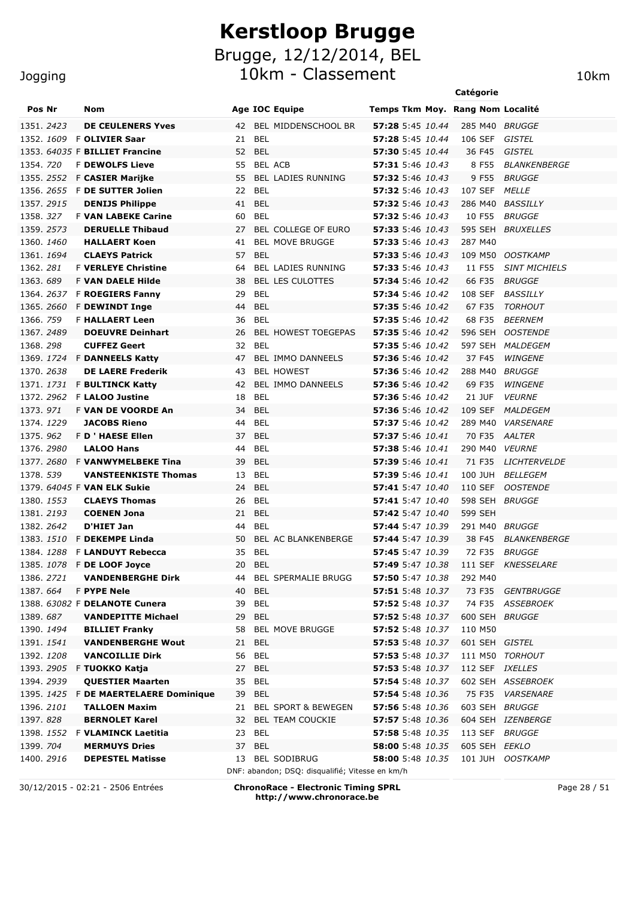#### Jogging

| Pos Nr            |                   | Nom                               |    | <b>Age IOC Equipe</b>                                                  |                         |  |         |         | Temps Tkm Moy. Rang Nom Localité |
|-------------------|-------------------|-----------------------------------|----|------------------------------------------------------------------------|-------------------------|--|---------|---------|----------------------------------|
| 1351. 2423        |                   | <b>DE CEULENERS Yves</b>          |    | 42 BEL MIDDENSCHOOL BR                                                 | 57:28 5:45 10.44        |  |         |         | 285 M40 BRUGGE                   |
|                   |                   | 1352. 1609 F OLIVIER Saar         | 21 | <b>BEL</b>                                                             | 57:28 5:45 10.44        |  |         | 106 SEF | GISTEL                           |
|                   |                   | 1353, 64035 F BILLIET Francine    | 52 | BEL                                                                    | 57:30 5:45 10.44        |  |         | 36 F45  | GISTEL                           |
| 1354, 720         |                   | <b>F DEWOLFS Lieve</b>            | 55 | BEL ACB                                                                | <b>57:31</b> 5:46 10.43 |  |         | 8 F55   | <i>BLANKENBERGE</i>              |
|                   |                   | 1355. 2552 F CASIER Marijke       | 55 | <b>BEL LADIES RUNNING</b>                                              | <b>57:32</b> 5:46 10.43 |  |         | 9 F55   | <i>BRUGGE</i>                    |
|                   | 1356. 2655        | F DE SUTTER Jolien                | 22 | BEL                                                                    | <b>57:32</b> 5:46 10.43 |  |         | 107 SEF | <i>MELLE</i>                     |
| 1357, 2915        |                   | <b>DENIJS Philippe</b>            | 41 | <b>BEL</b>                                                             | 57:32 5:46 10.43        |  |         | 286 M40 | <i>BASSILLY</i>                  |
| 1358.327          |                   | <b>F VAN LABEKE Carine</b>        | 60 | <b>BEL</b>                                                             | 57:32 5:46 10.43        |  |         | 10 F55  | <i>BRUGGE</i>                    |
| 1359. 2573        |                   | <b>DERUELLE Thibaud</b>           | 27 | BEL COLLEGE OF EURO                                                    | <b>57:33</b> 5:46 10.43 |  |         |         | 595 SEH BRUXELLES                |
| 1360. 1460        |                   | <b>HALLAERT Koen</b>              | 41 | <b>BEL MOVE BRUGGE</b>                                                 | 57:33 5:46 10.43        |  |         | 287 M40 |                                  |
| 1361. 1694        |                   | <b>CLAEYS Patrick</b>             | 57 | <b>BEL</b>                                                             | 57:33 5:46 10.43        |  |         |         | 109 M50 OOSTKAMP                 |
| 1362.281          |                   | <b>F VERLEYE Christine</b>        | 64 | BEL LADIES RUNNING                                                     | <b>57:33</b> 5:46 10.43 |  |         | 11 F55  | <b>SINT MICHIELS</b>             |
| 1363.689          |                   | <b>F VAN DAELE Hilde</b>          | 38 | <b>BEL LES CULOTTES</b>                                                | 57:34 5:46 10.42        |  |         | 66 F35  | <i>BRUGGE</i>                    |
|                   |                   | 1364. 2637 F ROEGIERS Fanny       | 29 | <b>BEL</b>                                                             | 57:34 5:46 10.42        |  |         | 108 SEF | <i>BASSILLY</i>                  |
| 1365.2660         |                   | <b>F DEWINDT Inge</b>             | 44 | BEL                                                                    | <b>57:35</b> 5:46 10.42 |  |         | 67 F35  | TORHOUT                          |
| 1366. 759         |                   | <b>F HALLAERT Leen</b>            | 36 | BEL                                                                    | <b>57:35</b> 5:46 10.42 |  |         | 68 F35  | <i>BEERNEM</i>                   |
| 1367.2489         |                   | <b>DOEUVRE Deinhart</b>           | 26 | <b>BEL HOWEST TOEGEPAS</b>                                             | 57:35 5:46 10.42        |  |         |         | 596 SEH OOSTENDE                 |
| 1368.298          |                   | <b>CUFFEZ Geert</b>               | 32 | <b>BEL</b>                                                             | 57:35 5:46 10.42        |  |         |         | 597 SEH MALDEGEM                 |
|                   |                   | 1369. 1724 F DANNEELS Katty       | 47 | BEL IMMO DANNEELS                                                      | <b>57:36</b> 5:46 10.42 |  |         | 37 F45  | WINGENE                          |
| 1370, 2638        |                   | <b>DE LAERE Frederik</b>          | 43 | <b>BEL HOWEST</b>                                                      | 57:36 5:46 10.42        |  |         | 288 M40 | <i>BRUGGE</i>                    |
| 1371. <i>1731</i> |                   | <b>F BULTINCK Katty</b>           | 42 | BEL IMMO DANNEELS                                                      | 57:36 5:46 10.42        |  |         | 69 F35  | WINGENE                          |
| 1372, 2962        |                   | <b>F LALOO Justine</b>            | 18 | <b>BEL</b>                                                             | <b>57:36</b> 5:46 10.42 |  |         | 21 JUF  | <b>VEURNE</b>                    |
| 1373.971          |                   | <b>F VAN DE VOORDE An</b>         | 34 | <b>BEL</b>                                                             | 57:36 5:46 10.42        |  |         | 109 SEF | <i>MALDEGEM</i>                  |
| 1374. 1229        |                   | <b>JACOBS Rieno</b>               | 44 | <b>BEL</b>                                                             | 57:37 5:46 10.42        |  |         | 289 M40 | <i><b>VARSENARE</b></i>          |
| 1375.962          |                   | <b>F D ' HAESE Ellen</b>          | 37 | <b>BEL</b>                                                             | 57:37 5:46 10.41        |  |         | 70 F35  | AALTER                           |
| 1376.2980         |                   | <b>LALOO Hans</b>                 | 44 | <b>BEL</b>                                                             | <b>57:38</b> 5:46 10.41 |  |         | 290 M40 | <i><b>VEURNE</b></i>             |
|                   | 1377.2680         | <b>F VANWYMELBEKE Tina</b>        | 39 | <b>BEL</b>                                                             | 57:39 5:46 10.41        |  |         | 71 F35  | <i>LICHTERVELDE</i>              |
| 1378. 539         |                   | <b>VANSTEENKISTE Thomas</b>       | 13 | <b>BEL</b>                                                             | 57:39 5:46 10.41        |  |         | 100 JUH | <i>BELLEGEM</i>                  |
|                   |                   | 1379. 64045 F VAN ELK Sukie       | 24 | <b>BEL</b>                                                             | 57:41 5:47 10.40        |  |         | 110 SEF | <i>OOSTENDE</i>                  |
| 1380. <i>1553</i> |                   | <b>CLAEYS Thomas</b>              | 26 | <b>BEL</b>                                                             | 57:41 5:47 10.40        |  |         |         | 598 SEH BRUGGE                   |
| 1381. 2193        |                   | <b>COENEN Jona</b>                | 21 | BEL                                                                    | 57:42 5:47 10.40        |  |         | 599 SEH |                                  |
| 1382, 2642        |                   | D'HIET Jan                        | 44 | BEL                                                                    | <b>57:44</b> 5:47 10.39 |  |         |         | 291 M40 BRUGGE                   |
|                   |                   | 1383. 1510 F DEKEMPE Linda        | 50 | BEL AC BLANKENBERGE                                                    | 57:44 5:47 10.39        |  |         | 38 F45  | <i>BLANKENBERGE</i>              |
| 1384.1288         |                   | <b>F LANDUYT Rebecca</b>          | 35 | BEL                                                                    | 57:45 5:47 10.39        |  |         | 72 F35  | <i>BRUGGE</i>                    |
|                   |                   | 1385. 1078 F DE LOOF Joyce        |    | 20 BEL                                                                 | 57:49 5:47 10.38        |  |         |         | 111 SEF KNESSELARE               |
| 1386. 2721        |                   | <b>VANDENBERGHE Dirk</b>          |    | 44 BEL SPERMALIE BRUGG                                                 | 57:50 5:47 10.38        |  | 292 M40 |         |                                  |
| 1387.664          |                   | <b>F PYPE Nele</b>                | 40 | BEL                                                                    | <b>57:51</b> 5:48 10.37 |  |         | 73 F35  | GENTBRUGGE                       |
|                   |                   | 1388. 63082 F DELANOTE Cunera     | 39 | <b>BEL</b>                                                             | <b>57:52</b> 5:48 10.37 |  |         |         | 74 F35 ASSEBROEK                 |
| 1389.687          |                   | <b>VANDEPITTE Michael</b>         | 29 | <b>BEL</b>                                                             | 57:52 5:48 10.37        |  |         |         | 600 SEH BRUGGE                   |
| 1390. 1494        |                   | <b>BILLIET Franky</b>             | 58 | <b>BEL MOVE BRUGGE</b>                                                 | <b>57:52</b> 5:48 10.37 |  |         | 110 M50 |                                  |
| 1391. 1541        |                   | <b>VANDENBERGHE Wout</b>          | 21 | <b>BEL</b>                                                             | 57:53 5:48 10.37        |  |         |         | 601 SEH GISTEL                   |
| 1392. 1208        |                   | <b>VANCOILLIE Dirk</b>            | 56 | <b>BEL</b>                                                             | 57:53 5:48 10.37        |  |         |         | 111 M50 TORHOUT                  |
|                   |                   | 1393. 2905 F TUOKKO Katja         | 27 | <b>BEL</b>                                                             | 57:53 5:48 10.37        |  |         |         | 112 SEF IXELLES                  |
| 1394. 2939        |                   | <b>QUESTIER Maarten</b>           | 35 | <b>BEL</b>                                                             | 57:54 5:48 10.37        |  |         |         | 602 SEH ASSEBROEK                |
|                   | 1395. <i>1425</i> | <b>F DE MAERTELAERE Dominique</b> | 39 | BEL                                                                    | 57:54 5:48 10.36        |  |         |         | 75 F35 VARSENARE                 |
| 1396. 2101        |                   | <b>TALLOEN Maxim</b>              | 21 | <b>BEL SPORT &amp; BEWEGEN</b>                                         | 57:56 5:48 10.36        |  |         |         | 603 SEH BRUGGE                   |
| 1397.828          |                   | <b>BERNOLET Karel</b>             | 32 | <b>BEL TEAM COUCKIE</b>                                                | <b>57:57</b> 5:48 10.36 |  |         |         | 604 SEH IZENBERGE                |
| 1398. 1552        |                   | F VLAMINCK Laetitia               | 23 | <b>BEL</b>                                                             | 57:58 5:48 10.35        |  |         |         | 113 SEF BRUGGE                   |
| 1399. 704         |                   | <b>MERMUYS Dries</b>              | 37 | <b>BEL</b>                                                             | <b>58:00</b> 5:48 10.35 |  |         |         | 605 SEH EEKLO                    |
| 1400. 2916        |                   | <b>DEPESTEL Matisse</b>           | 13 | <b>BEL SODIBRUG</b><br>DNF: abandon; DSQ: disqualifié; Vitesse en km/h | <b>58:00</b> 5:48 10.35 |  |         |         | 101 JUH OOSTKAMP                 |

30/12/2015 - 02:21 - 2506 Entrées **ChronoRace - Electronic Timing SPRL http://www.chronorace.be**

Page 28 / 51

**Catégorie**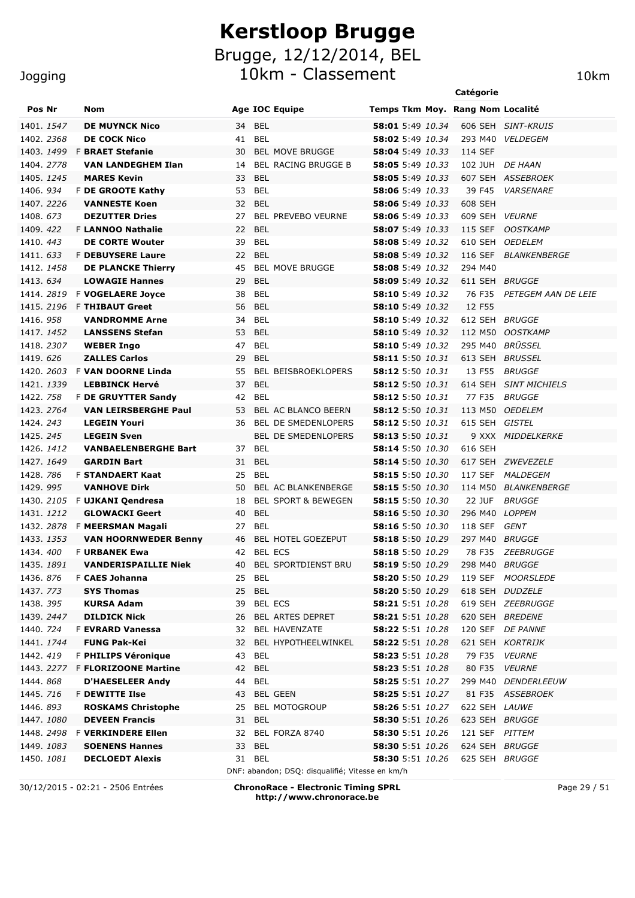10km - Classement 10km 10km

|                                 |                                                |                                                          |                                                    | Catégorie                                                  |
|---------------------------------|------------------------------------------------|----------------------------------------------------------|----------------------------------------------------|------------------------------------------------------------|
| Pos Nr                          | <b>Nom</b>                                     | <b>Age IOC Equipe</b>                                    |                                                    | Temps Tkm Moy. Rang Nom Localité                           |
| 1401. 1547                      | <b>DE MUYNCK Nico</b>                          | <b>BEL</b><br>34                                         | 58:01 5:49 10.34                                   | 606 SEH SINT-KRUIS                                         |
| 1402. 2368                      | <b>DE COCK Nico</b>                            | <b>BEL</b><br>41                                         | 58:02 5:49 10.34                                   | <i><b>VELDEGEM</b></i><br>293 M40                          |
| 1403. <i>1499</i>               | <b>F BRAET Stefanie</b>                        | <b>BEL MOVE BRUGGE</b><br>30                             | 58:04 5:49 10.33                                   | 114 SEF                                                    |
| 1404.2778                       | <b>VAN LANDEGHEM Ilan</b>                      | <b>BEL RACING BRUGGE B</b><br>14                         | 58:05 5:49 10.33                                   | <b>DE HAAN</b><br>102 JUH                                  |
| 1405. <i>1245</i>               | <b>MARES Kevin</b>                             | <b>BEL</b><br>33                                         | <b>58:05</b> 5:49 10.33                            | 607 SEH ASSEBROEK                                          |
| 1406. 934                       | F DE GROOTE Kathy                              | <b>BEL</b><br>53                                         | <b>58:06</b> 5:49 10.33                            | 39 F45<br><b>VARSENARE</b>                                 |
| 1407, 2226                      | <b>VANNESTE Koen</b>                           | <b>BEL</b><br>32                                         | 58:06 5:49 10.33                                   | 608 SEH                                                    |
| 1408, 673                       | <b>DEZUTTER Dries</b>                          | 27<br><b>BEL PREVEBO VEURNE</b>                          | <b>58:06</b> 5:49 10.33                            | 609 SEH<br><i><b>VEURNE</b></i>                            |
| 1409.422                        | <b>F LANNOO Nathalie</b>                       | <b>BEL</b><br>22                                         | <b>58:07</b> 5:49 10.33                            | 115 SEF<br><b>OOSTKAMP</b>                                 |
| 1410.443                        | <b>DE CORTE Wouter</b>                         | 39<br><b>BEL</b>                                         | 58:08 5:49 10.32                                   | 610 SEH<br><i><b>OEDELEM</b></i>                           |
| 1411.633                        | <b>F DEBUYSERE Laure</b>                       | <b>BEL</b><br>22                                         | <b>58:08</b> 5:49 10.32                            | 116 SEF<br><b>BLANKENBERGE</b>                             |
| 1412. 1458                      | <b>DE PLANCKE Thierry</b>                      | <b>BEL MOVE BRUGGE</b><br>45                             | <b>58:08</b> 5:49 10.32                            | 294 M40                                                    |
| 1413, 634                       | <b>LOWAGIE Hannes</b>                          | <b>BEL</b><br>29                                         | <b>58:09</b> 5:49 10.32                            | 611 SEH BRUGGE                                             |
| 1414.2819                       | <b>F VOGELAERE Joyce</b>                       | 38<br><b>BEL</b>                                         | <b>58:10</b> 5:49 10.32                            | 76 F35<br>PETEGEM AAN DE LEIE                              |
| 1415, 2196                      | <b>F THIBAUT Greet</b>                         | <b>BEL</b><br>56                                         | <b>58:10</b> 5:49 10.32                            | 12 F55                                                     |
| 1416.958                        | <b>VANDROMME Arne</b>                          | <b>BEL</b><br>34                                         | <b>58:10</b> 5:49 10.32                            | 612 SEH BRUGGE                                             |
| 1417. 1452                      | <b>LANSSENS Stefan</b>                         | <b>BEL</b><br>53                                         | <b>58:10</b> 5:49 10.32                            | 112 M50<br><b>OOSTKAMP</b>                                 |
| 1418. 2307                      | <b>WEBER Ingo</b>                              | <b>BEL</b><br>47                                         | 58:10 5:49 10.32                                   | BRÜSSEL<br>295 M40                                         |
| 1419. 626                       | <b>ZALLES Carlos</b>                           | <b>BEL</b><br>29                                         | <b>58:11</b> 5:50 10.31                            | 613 SEH<br><b>BRUSSEL</b>                                  |
| 1420, 2603                      | <b>F VAN DOORNE Linda</b>                      | 55<br><b>BEL BEISBROEKLOPERS</b>                         | 58:12 5:50 10.31                                   | <b>BRUGGE</b><br>13 F55                                    |
| 1421, 1339                      | <b>LEBBINCK Hervé</b>                          | 37<br><b>BEL</b>                                         |                                                    | 614 SEH<br><b>SINT MICHIELS</b>                            |
| 1422. 758                       | <b>F DE GRUYTTER Sandy</b>                     | 42<br>BEL                                                | <b>58:12</b> 5:50 10.31                            | 77 F35<br><b>BRUGGE</b>                                    |
| 1423, 2764                      | <b>VAN LEIRSBERGHE Paul</b>                    | <b>BEL AC BLANCO BEERN</b><br>53                         | <b>58:12</b> 5:50 10.31                            | 113 M50<br><i><b>OEDELEM</b></i>                           |
| 1424, 243                       | <b>LEGEIN Youri</b>                            | BEL DE SMEDENLOPERS<br>36                                | <b>58:12</b> 5:50 10.31                            | 615 SEH<br>GISTEL                                          |
| 1425, 245                       | <b>LEGEIN Sven</b>                             | BEL DE SMEDENLOPERS                                      | <b>58:13</b> 5:50 10.31                            | 9 XXX<br><i>MIDDELKERKE</i>                                |
| 1426. 1412                      | <b>VANBAELENBERGHE Bart</b>                    | BEL<br>37                                                | <b>58:14</b> 5:50 10.30                            | 616 SEH                                                    |
| 1427, 1649                      | <b>GARDIN Bart</b>                             | 31<br><b>BEL</b>                                         | <b>58:14</b> 5:50 10.30                            | ZWEVEZELE<br>617 SEH                                       |
| 1428, 786<br>1429.995           | <b>F STANDAERT Kaat</b><br><b>VANHOVE Dirk</b> | 25<br><b>BEL</b><br>BEL AC BLANKENBERGE<br>50            | <b>58:15</b> 5:50 10.30<br><b>58:15</b> 5:50 10.30 | 117 SEF<br><i>MALDEGEM</i><br><b>BLANKENBERGE</b>          |
|                                 |                                                |                                                          | 58:15 5:50 10.30                                   | 114 M50                                                    |
| 1430. <i>2105</i><br>1431, 1212 | F UJKANI Qendresa<br><b>GLOWACKI Geert</b>     | <b>BEL SPORT &amp; BEWEGEN</b><br>18<br><b>BEL</b><br>40 | 58:16 5:50 10.30                                   | <b>22 JUF</b><br><b>BRUGGE</b><br>296 M40<br><i>LOPPEM</i> |
|                                 | 1432. 2878 F MEERSMAN Magali                   | <b>BEL</b><br>27                                         | 58:16 5:50 10.30                                   | 118 SEF<br>GENT                                            |
| 1433. 1353                      | <b>VAN HOORNWEDER Benny</b>                    | 46<br><b>BEL HOTEL GOEZEPUT</b>                          | 58:18 5:50 10.29                                   | 297 M40 BRUGGE                                             |
| 1434, 400                       | <b>F URBANEK Ewa</b>                           | <b>BEL ECS</b><br>42                                     | <b>58:18</b> 5:50 10.29                            | 78 F35 ZEEBRUGGE                                           |
|                                 | 1435. 1891  VANDERISPAILLIE Niek               | 40 BEL SPORTDIENST BRU                                   |                                                    | 298 M40 BRUGGE                                             |
| 1436.876                        | F CAES Johanna                                 | 25 BEL                                                   | <b>58:20</b> 5:50 10.29                            | 119 SEF MOORSLEDE                                          |
| 1437. 773                       | <b>SYS Thomas</b>                              | 25 BEL                                                   | <b>58:20</b> 5:50 10.29                            | 618 SEH DUDZELE                                            |
| 1438. 395                       | <b>KURSA Adam</b>                              | 39 BEL ECS                                               | <b>58:21</b> 5:51 10.28                            | 619 SEH ZEEBRUGGE                                          |
| 1439. 2447                      | <b>DILDICK Nick</b>                            | 26 BEL ARTES DEPRET                                      | <b>58:21</b> 5:51 10.28                            | 620 SEH BREDENE                                            |
| 1440. 724                       | <b>F EVRARD Vanessa</b>                        | 32 BEL HAVENZATE                                         | 58:22 5:51 10.28                                   | 120 SEF DE PANNE                                           |
| 1441. 1744                      | <b>FUNG Pak-Kei</b>                            | 32 BEL HYPOTHEELWINKEL                                   | <b>58:22</b> 5:51 10.28                            | 621 SEH KORTRIJK                                           |
| 1442.419                        | F PHILIPS Véronique                            | 43 BEL                                                   | 58:23 5:51 10.28                                   | 79 F35 VEURNE                                              |
| 1443. 2277                      | <b>F FLORIZOONE Martine</b>                    | 42 BEL                                                   | 58:23 5:51 10.28                                   | 80 F35 VEURNE                                              |
| 1444.868                        | <b>D'HAESELEER Andy</b>                        | 44 BEL                                                   | <b>58:25</b> 5:51 10.27                            | 299 M40 DENDERLEEUW                                        |
| 1445. 716                       | <b>F DEWITTE Ilse</b>                          | 43 BEL GEEN                                              | 58:25 5:51 10.27                                   | 81 F35 ASSEBROEK                                           |
| 1446.893                        | <b>ROSKAMS Christophe</b>                      | 25 BEL MOTOGROUP                                         | 58:26 5:51 10.27                                   | 622 SEH LAUWE                                              |
| 1447.1080                       | <b>DEVEEN Francis</b>                          | 31 BEL                                                   | <b>58:30</b> 5:51 10.26                            | 623 SEH BRUGGE                                             |
| 1448. 2498                      | <b>F VERKINDERE Ellen</b>                      | 32 BEL FORZA 8740                                        | <b>58:30</b> 5:51 10.26                            | 121 SEF PITTEM                                             |
| 1449.1083                       | <b>SOENENS Hannes</b>                          | 33 BEL                                                   | <b>58:30</b> 5:51 10.26                            | 624 SEH BRUGGE                                             |
| 1450. <i>1081</i>               | <b>DECLOEDT Alexis</b>                         | 31 BEL                                                   | <b>58:30</b> 5:51 10.26                            | 625 SEH BRUGGE                                             |
|                                 |                                                | DNF: abandon; DSQ: disqualifié; Vitesse en km/h          |                                                    |                                                            |

30/12/2015 - 02:21 - 2506 Entrées **ChronoRace - Electronic Timing SPRL http://www.chronorace.be**

Page 29 / 51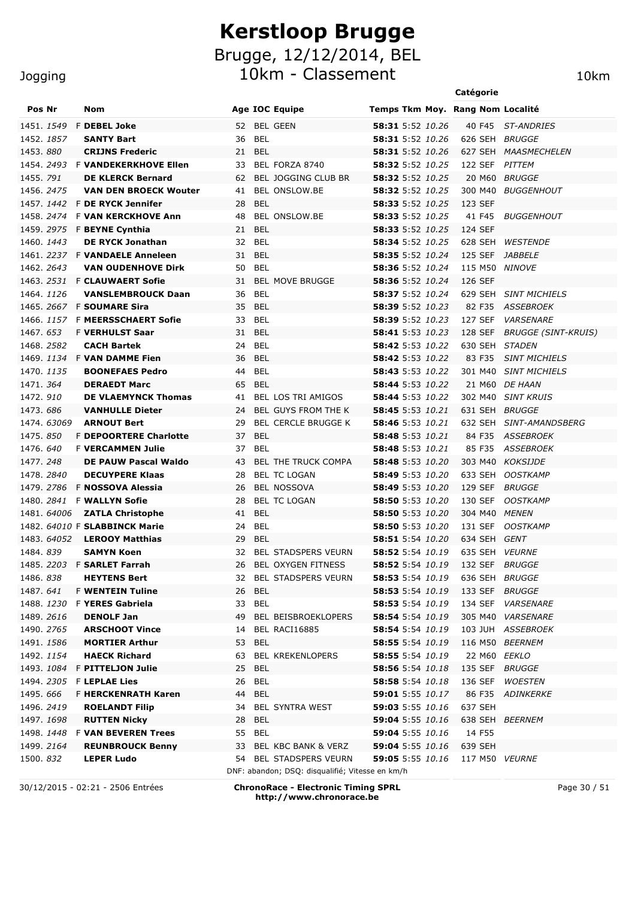10km - Classement 10km

### Jogging

|                   |                                                 |                                                 |                                      | Catégorie                             |
|-------------------|-------------------------------------------------|-------------------------------------------------|--------------------------------------|---------------------------------------|
| Pos Nr            | Nom                                             | <b>Age IOC Equipe</b>                           | Temps Tkm Moy. Rang Nom Localité     |                                       |
| 1451. <i>1549</i> | <b>F DEBEL Joke</b>                             | 52 BEL GEEN                                     | 58:31 5:52 10.26                     | 40 F45 ST-ANDRIES                     |
| 1452. 1857        | <b>SANTY Bart</b>                               | <b>BEL</b><br>36                                | <b>58:31</b> 5:52 10.26              | 626 SEH BRUGGE                        |
| 1453.880          | <b>CRIJNS Frederic</b>                          | 21 BEL                                          | 58:31 5:52 10.26                     | 627 SEH MAASMECHELEN                  |
|                   | 1454. 2493 F VANDEKERKHOVE Ellen                | BEL FORZA 8740<br>33                            | 58:32 5:52 10.25                     | 122 SEF PITTEM                        |
| 1455. 791         | <b>DE KLERCK Bernard</b>                        | BEL JOGGING CLUB BR<br>62                       | 58:32 5:52 10.25                     | 20 M60 BRUGGE                         |
| 1456. 2475        | <b>VAN DEN BROECK Wouter</b>                    | BEL ONSLOW.BE<br>41                             | 58:32 5:52 10.25                     | 300 M40 BUGGENHOUT                    |
|                   | 1457. 1442 F DE RYCK Jennifer                   | <b>BEL</b><br>28                                | <b>58:33</b> 5:52 10.25              | 123 SEF                               |
|                   | 1458. 2474 F VAN KERCKHOVE Ann                  | BEL ONSLOW.BE<br>48                             | 58:33 5:52 10.25                     | 41 F45<br><b>BUGGENHOUT</b>           |
|                   | 1459. 2975 F <b>BEYNE Cynthia</b>               | <b>BEL</b><br>21                                | <b>58:33</b> 5:52 10.25              | 124 SEF                               |
| 1460, 1443        | <b>DE RYCK Jonathan</b>                         | <b>BEL</b><br>32                                | 58:34 5:52 10.25                     | 628 SEH<br><b>WESTENDE</b>            |
|                   | 1461. 2237 F VANDAELE Anneleen                  | 31 BEL                                          | 58:35 5:52 10.24                     | 125 SEF JABBELE                       |
| 1462. 2643        | <b>VAN OUDENHOVE Dirk</b>                       | 50 BEL                                          | <b>58:36</b> 5:52 10.24              | 115 M50 NINOVE                        |
| 1463. <i>2531</i> | <b>F CLAUWAERT Sofie</b>                        | <b>BEL MOVE BRUGGE</b><br>31                    | 58:36 5:52 10.24                     | 126 SEF                               |
| 1464. 1126        | <b>VANSLEMBROUCK Daan</b>                       | <b>BEL</b><br>36                                | 58:37 5:52 10.24                     | 629 SEH SINT MICHIELS                 |
|                   | 1465. 2667 F SOUMARE Sira                       | 35<br>BEL                                       | 58:39 5:52 10.23                     | 82 F35<br>ASSEBROEK                   |
|                   | 1466. 1157 F MEERSSCHAERT Sofie                 | <b>BEL</b><br>33                                | <b>58:39</b> 5:52 10.23              | 127 SEF<br><b>VARSENARE</b>           |
| 1467. 653         | <b>F VERHULST Saar</b>                          | <b>BEL</b><br>31                                | 58:41 5:53 10.23                     | 128 SEF<br><b>BRUGGE (SINT-KRUIS)</b> |
| 1468. 2582        | <b>CACH Bartek</b>                              | <b>BEL</b><br>24                                | 58:42 5:53 10.22                     | 630 SEH<br><i>STADEN</i>              |
|                   | 1469. 1134 F VAN DAMME Fien                     | 36<br>BEL                                       | 58:42 5:53 10.22                     | 83 F35<br><b>SINT MICHIELS</b>        |
| 1470. <i>1135</i> | <b>BOONEFAES Pedro</b>                          | <b>BEL</b><br>44                                | 58:43 5:53 10.22                     | 301 M40 SINT MICHIELS                 |
| 1471. 364         | <b>DERAEDT Marc</b>                             | 65<br>BEL                                       | <b>58:44</b> 5:53 10.22              | 21 M60 DE HAAN                        |
| 1472. 910         | <b>DE VLAEMYNCK Thomas</b>                      | BEL LOS TRI AMIGOS<br>41                        | <b>58:44</b> 5:53 10.22              | 302 M40 SINT KRUIS                    |
| 1473.686          | <b>VANHULLE Dieter</b>                          | BEL GUYS FROM THE K<br>24                       | <b>58:45</b> 5:53 10.21              | 631 SEH BRUGGE                        |
| 1474, 63069       | <b>ARNOUT Bert</b>                              | <b>BEL CERCLE BRUGGE K</b><br>29                | 58:46 5:53 10.21                     | 632 SEH SINT-AMANDSBERG               |
| 1475.850          | <b>F DEPOORTERE Charlotte</b>                   | 37<br><b>BEL</b>                                | 58:48 5:53 10.21                     | 84 F35 ASSEBROEK                      |
| 1476.640          | <b>F VERCAMMEN Julie</b>                        | <b>BEL</b><br>37                                | 58:48 5:53 10.21                     | 85 F35<br><i>ASSEBROEK</i>            |
| 1477.248          | DE PAUW Pascal Waldo                            | 43<br><b>BEL THE TRUCK COMPA</b>                | 58:48 5:53 10.20                     | 303 M40 KOKSIJDE                      |
| 1478.2840         | <b>DECUYPERE Klaas</b>                          | <b>BEL TC LOGAN</b><br>28                       | <b>58:49</b> 5:53 10.20              | 633 SEH OOSTKAMP                      |
| 1479. 2786        | <b>F NOSSOVA Alessia</b>                        | <b>BEL NOSSOVA</b><br>26                        | <b>58:49</b> 5:53 10.20              | 129 SEF BRUGGE                        |
|                   | 1480. 2841 F WALLYN Sofie                       | <b>BEL TC LOGAN</b><br>28                       | 58:50 5:53 10.20                     | 130 SEF<br><i>OOSTKAMP</i>            |
|                   | 1481. 64006 ZATLA Christophe                    | <b>BEL</b><br>41                                | 58:50 5:53 10.20                     | 304 M40 MENEN                         |
|                   | 1482. 64010 F SLABBINCK Marie                   | 24 BEL                                          | <b>58:50</b> 5:53 10.20              | 131 SEF OOSTKAMP                      |
|                   | 1483. 64052 LEROOY Matthias                     | 29<br><b>BEL</b>                                | 58:51 5:54 10.20<br>58:52 5:54 10.19 | 634 SEH GENT<br>635 SEH VEURNE        |
| 1484.839          | <b>SAMYN Koen</b><br>1485. 2203 F SARLET Farrah | 32 BEL STADSPERS VEURN<br>26 BEL OXYGEN FITNESS | 58:52 5:54 10.19 132 SEF BRUGGE      |                                       |
| 1486. <i>838</i>  | <b>HEYTENS Bert</b>                             | 32 BEL STADSPERS VEURN                          | 58:53 5:54 10.19                     | 636 SEH BRUGGE                        |
| 1487. 6 <i>41</i> | <b>F WENTEIN Tuline</b>                         | BEL<br>26                                       | <b>58:53</b> 5:54 10.19              | 133 SEF BRUGGE                        |
| 1488. <i>1230</i> | F YERES Gabriela                                | 33 BEL                                          | <b>58:53</b> 5:54 10.19              | 134 SEF VARSENARE                     |
| 1489. <i>2616</i> | <b>DENOLF Jan</b>                               | BEL BEISBROEKLOPERS<br>49                       | 58:54 5:54 10.19                     | 305 M40 VARSENARE                     |
| 1490. 2765        | <b>ARSCHOOT Vince</b>                           | BEL RACI16885<br>14                             | <b>58:54</b> 5:54 10.19              | 103 JUH ASSEBROEK                     |
| 1491. <i>1586</i> | <b>MORTIER Arthur</b>                           | BEL<br>53                                       | 58:55 5:54 10.19                     | 116 M50 BEERNEM                       |
| 1492. <i>1154</i> | <b>HAECK Richard</b>                            | <b>BEL KREKENLOPERS</b><br>63                   | <b>58:55</b> 5:54 10.19              | 22 M60 EEKLO                          |
| 1493. <i>1084</i> | <b>F PITTELJON Julie</b>                        | <b>BEL</b><br>25                                | 58:56 5:54 10.18                     | 135 SEF BRUGGE                        |
|                   | 1494. 2305 F <b>LEPLAE Lies</b>                 | BEL<br>26                                       | 58:58 5:54 10.18                     | 136 SEF<br><b>WOESTEN</b>             |
| 1495.666          | <b>F HERCKENRATH Karen</b>                      | BEL<br>44                                       | 59:01 5:55 10.17                     | 86 F35 ADINKERKE                      |
| 1496. <i>2419</i> | <b>ROELANDT Filip</b>                           | <b>BEL SYNTRA WEST</b><br>34                    | <b>59:03</b> 5:55 10.16              | 637 SEH                               |
| 1497. 1698        | <b>RUTTEN Nicky</b>                             | BEL<br>28                                       | 59:04 5:55 10.16                     | 638 SEH BEERNEM                       |
| 1498. <i>1448</i> | <b>F VAN BEVEREN Trees</b>                      | 55<br>BEL                                       | <b>59:04</b> 5:55 10.16              | 14 F55                                |
| 1499. 2164        | <b>REUNBROUCK Benny</b>                         | BEL KBC BANK & VERZ<br>33                       | <b>59:04</b> 5:55 10.16              | 639 SEH                               |
| 1500. <i>832</i>  | <b>LEPER Ludo</b>                               | <b>BEL STADSPERS VEURN</b><br>54                | <b>59:05</b> 5:55 10.16              | 117 M50 VEURNE                        |
|                   |                                                 | DNF: abandon; DSQ: disqualifié; Vitesse en km/h |                                      |                                       |
|                   |                                                 |                                                 |                                      |                                       |

30/12/2015 - 02:21 - 2506 Entrées **ChronoRace - Electronic Timing SPRL http://www.chronorace.be**

Page 30 / 51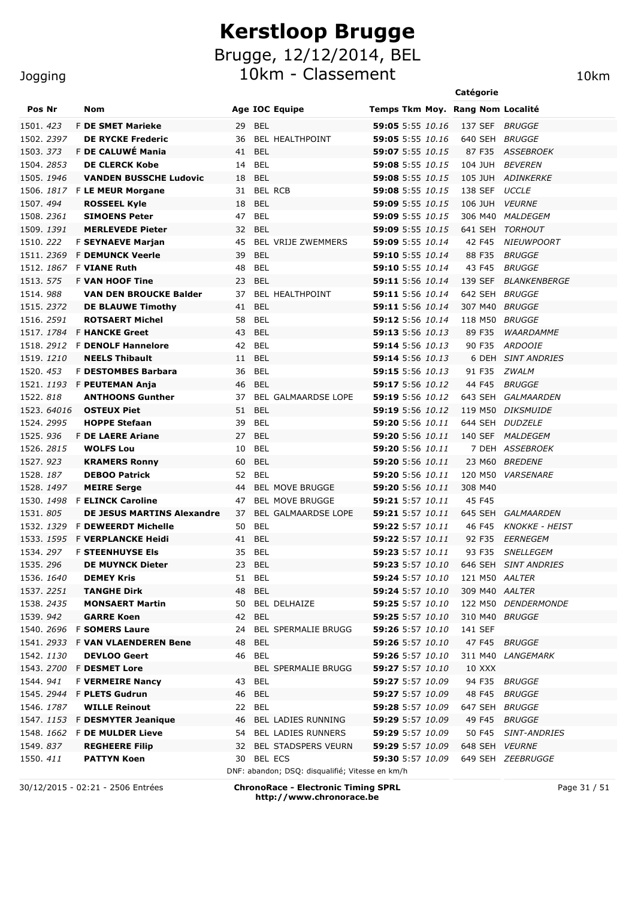10km - Classement 10km

|                        |  |                                              |          |                          |                                                 |                                      | Catégorie |         |                                       |
|------------------------|--|----------------------------------------------|----------|--------------------------|-------------------------------------------------|--------------------------------------|-----------|---------|---------------------------------------|
| Pos Nr                 |  | Nom                                          |          |                          | <b>Age IOC Equipe</b>                           | Temps Tkm Moy. Rang Nom Localité     |           |         |                                       |
| 1501. 423              |  | <b>F DE SMET Marieke</b>                     | 29 BEL   |                          |                                                 | 59:05 5:55 10.16                     |           |         | 137 SEF BRUGGE                        |
| 1502. 2397             |  | <b>DE RYCKE Frederic</b>                     | 36       |                          | BEL HEALTHPOINT                                 | 59:05 5:55 10.16                     |           | 640 SEH | <i>BRUGGE</i>                         |
| 1503.373               |  | F DE CALUWÉ Mania                            | 41 BEL   |                          |                                                 | 59:07 5:55 10.15                     |           | 87 F35  | <b>ASSEBROEK</b>                      |
| 1504.2853              |  | <b>DE CLERCK Kobe</b>                        | 14       | <b>BEL</b>               |                                                 | 59:08 5:55 10.15                     |           | 104 JUH | <b>BEVEREN</b>                        |
| 1505. 1946             |  | <b>VANDEN BUSSCHE Ludovic</b>                | 18       | BEL                      |                                                 | 59:08 5:55 10.15                     |           |         | 105 JUH ADINKERKE                     |
|                        |  | 1506. 1817 F LE MEUR Morgane                 |          |                          | 31 BEL RCB                                      | 59:08 5:55 10.15                     |           | 138 SEF | <b>UCCLE</b>                          |
| 1507.494               |  | <b>ROSSEEL Kyle</b>                          | 18       | <b>BEL</b>               |                                                 | 59:09 5:55 10.15                     |           | 106 JUH | <b>VEURNE</b>                         |
| 1508. <i>2361</i>      |  | <b>SIMOENS Peter</b>                         | 47       | BEL                      |                                                 | 59:09 5:55 10.15                     |           | 306 M40 | <i>MALDEGEM</i>                       |
| 1509. <i>1391</i>      |  | <b>MERLEVEDE Pieter</b>                      | 32 BEL   |                          |                                                 | <b>59:09</b> 5:55 10.15              |           | 641 SEH | <b>TORHOUT</b>                        |
| 1510.222               |  | <b>F SEYNAEVE Marjan</b>                     | 45       |                          | <b>BEL VRIJE ZWEMMERS</b>                       | 59:09 5:55 10.14                     |           | 42 F45  | <b>NIEUWPOORT</b>                     |
| 1511, 2369             |  | <b>F DEMUNCK Veerle</b>                      | 39       | <b>BEL</b>               |                                                 | 59:10 5:55 10.14                     |           | 88 F35  | <b>BRUGGE</b>                         |
| 1512. 1867             |  | <b>F VIANE Ruth</b>                          | 48       | <b>BEL</b>               |                                                 | 59:10 5:55 10.14                     |           | 43 F45  | <b>BRUGGE</b>                         |
| 1513. 575              |  | <b>F VAN HOOF Tine</b>                       | 23       | <b>BEL</b>               |                                                 | 59:11 5:56 10.14                     |           | 139 SEF | <b>BLANKENBERGE</b>                   |
| 1514.988               |  | <b>VAN DEN BROUCKE Balder</b>                | 37       |                          | BEL HEALTHPOINT                                 | 59:11 5:56 10.14                     |           | 642 SEH | <b>BRUGGE</b>                         |
| 1515. 2372             |  | <b>DE BLAUWE Timothy</b>                     | 41       | <b>BEL</b>               |                                                 | 59:11 5:56 10.14                     |           | 307 M40 | <b>BRUGGE</b>                         |
| 1516. 2591             |  | <b>ROTSAERT Michel</b>                       | 58       | <b>BEL</b>               |                                                 | 59:12 5:56 10.14                     |           | 118 M50 | <b>BRUGGE</b>                         |
| 1517. 1784             |  | <b>F HANCKE Greet</b>                        | 43       | <b>BEL</b>               |                                                 | 59:13 5:56 10.13                     |           | 89 F35  | WAARDAMME                             |
| 1518. 2912             |  | <b>F DENOLF Hannelore</b>                    | 42       | <b>BEL</b>               |                                                 | 59:14 5:56 10.13                     |           | 90 F35  | <b>ARDOOIE</b>                        |
| 1519, 1210             |  | <b>NEELS Thibault</b>                        | 11       | <b>BEL</b>               |                                                 | 59:14 5:56 10.13                     |           | 6 DEH   | <b>SINT ANDRIES</b>                   |
| 1520. 453              |  | <b>F DESTOMBES Barbara</b>                   | 36       | <b>BEL</b>               |                                                 | 59:15 5:56 10.13                     |           | 91 F35  | <b>ZWALM</b>                          |
|                        |  | 1521. 1193 F PEUTEMAN Anja                   | 46       | BEL                      |                                                 | 59:17 5:56 10.12                     |           | 44 F45  | BRUGGE                                |
| 1522.818               |  | <b>ANTHOONS Gunther</b>                      | 37       |                          | BEL GALMAARDSE LOPE                             | <b>59:19</b> 5:56 10.12              |           | 643 SEH | GALMAARDEN                            |
| 1523. 64016            |  | <b>OSTEUX Piet</b>                           | 51       | <b>BEL</b>               |                                                 | 59:19 5:56 10.12                     |           |         | 119 M50 DIKSMUIDE                     |
| 1524. 2995<br>1525.936 |  | <b>HOPPE Stefaan</b>                         | 39<br>27 | <b>BEL</b><br><b>BEL</b> |                                                 | 59:20 5:56 10.11<br>59:20 5:56 10.11 |           | 644 SEH | <i>DUDZELE</i>                        |
| 1526. 2815             |  | <b>F DE LAERE Ariane</b><br><b>WOLFS Lou</b> | 10       | <b>BEL</b>               |                                                 | 59:20 5:56 10.11                     |           |         | 140 SEF MALDEGEM<br>7 DEH ASSEBROEK   |
| 1527.923               |  |                                              | 60       | <b>BEL</b>               |                                                 | 59:20 5:56 10.11                     |           |         | 23 M60 BREDENE                        |
| 1528.187               |  | <b>KRAMERS Ronny</b><br><b>DEBOO Patrick</b> | 52       | <b>BEL</b>               |                                                 | 59:20 5:56 10.11                     |           |         | 120 M50 VARSENARE                     |
| 1528. <i>1497</i>      |  | <b>MEIRE Serge</b>                           | 44       |                          | <b>BEL MOVE BRUGGE</b>                          | 59:20 5:56 10.11                     |           | 308 M40 |                                       |
|                        |  | 1530. 1498 F ELINCK Caroline                 | 47       |                          | <b>BEL MOVE BRUGGE</b>                          | 59:21 5:57 10.11                     |           | 45 F45  |                                       |
| 1531.805               |  | <b>DE JESUS MARTINS Alexandre</b>            | 37       |                          | BEL GALMAARDSE LOPE                             | 59:21 5:57 10.11                     |           | 645 SEH | GALMAARDEN                            |
| 1532. 1329             |  | <b>F DEWEERDT Michelle</b>                   | 50       | BEL                      |                                                 | 59:22 5:57 10.11                     |           | 46 F45  | <b>KNOKKE - HEIST</b>                 |
| 1533. <i>1595</i>      |  | F <b>VERPLANCKE Heidi</b>                    | 41 BEL   |                          |                                                 | 59:22 5:57 10.11                     |           | 92 F35  | EERNEGEM                              |
| 1534. 297              |  | <b>F STEENHUYSE EIS</b>                      | 35 BEL   |                          |                                                 | 59:23 5:57 10.11                     |           | 93 F35  | <b>SNELLEGEM</b>                      |
| 1535.296               |  | <b>DE MUYNCK Dieter</b>                      | 23 BEL   |                          |                                                 |                                      |           |         | 59:23 5:57 10.10 646 SEH SINT ANDRIES |
| 1536. <i>1640</i>      |  | <b>DEMEY Kris</b>                            | 51 BEL   |                          |                                                 | 59:24 5:57 10.10                     |           |         | 121 M50 AALTER                        |
| 1537. <i>2251</i>      |  | <b>TANGHE Dirk</b>                           | 48       | BEL                      |                                                 | 59:24 5:57 10.10                     |           |         | 309 M40 AALTER                        |
| 1538. <i>2435</i>      |  | <b>MONSAERT Martin</b>                       |          |                          | 50 BEL DELHAIZE                                 | 59:25 5:57 10.10                     |           |         | 122 M50 DENDERMONDE                   |
| 1539.942               |  | <b>GARRE Koen</b>                            | 42 BEL   |                          |                                                 | 59:25 5:57 10.10                     |           |         | 310 M40 BRUGGE                        |
| 1540. 2696             |  | <b>F SOMERS Laure</b>                        | 24       |                          | <b>BEL SPERMALIE BRUGG</b>                      | 59:26 5:57 10.10                     | 141 SEF   |         |                                       |
|                        |  | 1541. 2933 F VAN VLAENDEREN Bene             | 48       | BEL                      |                                                 | 59:26 5:57 10.10                     |           |         | 47 F45 BRUGGE                         |
| 1542. 1130             |  | <b>DEVLOO Geert</b>                          | 46 BEL   |                          |                                                 | 59:26 5:57 10.10                     |           |         | 311 M40 LANGEMARK                     |
| 1543. 2700             |  | <b>F DESMET Lore</b>                         |          |                          | <b>BEL SPERMALIE BRUGG</b>                      | <b>59:27</b> 5:57 10.10              |           | 10 XXX  |                                       |
| 1544. <i>941</i>       |  | <b>F VERMEIRE Nancy</b>                      | 43 BEL   |                          |                                                 | 59:27 5:57 10.09                     |           | 94 F35  | <b>BRUGGE</b>                         |
| 1545. 2944             |  | <b>F PLETS Gudrun</b>                        | 46 BEL   |                          |                                                 | 59:27 5:57 10.09                     |           | 48 F45  | <b>BRUGGE</b>                         |
| 1546. <i>1787</i>      |  | <b>WILLE Reinout</b>                         | 22 BEL   |                          |                                                 | 59:28 5:57 10.09                     |           |         | 647 SEH BRUGGE                        |
|                        |  | 1547. 1153 F DESMYTER Jeanique               | 46       |                          | BEL LADIES RUNNING                              | 59:29 5:57 10.09                     |           | 49 F45  | <b>BRUGGE</b>                         |
|                        |  | 1548. 1662 F <b>DE MULDER Lieve</b>          |          |                          | 54 BEL LADIES RUNNERS                           | 59:29 5:57 10.09                     |           | 50 F45  | <b>SINT-ANDRIES</b>                   |
| 1549.837               |  | <b>REGHEERE Filip</b>                        |          |                          | 32 BEL STADSPERS VEURN                          | <b>59:29</b> 5:57 10.09              |           |         | 648 SEH VEURNE                        |
| 1550. <i>411</i>       |  | <b>PATTYN Koen</b>                           |          |                          | 30 BEL ECS                                      | <b>59:30</b> 5:57 10.09              |           |         | 649 SEH ZEEBRUGGE                     |
|                        |  |                                              |          |                          | DNF: abandon; DSQ: disqualifié; Vitesse en km/h |                                      |           |         |                                       |

30/12/2015 - 02:21 - 2506 Entrées **ChronoRace - Electronic Timing SPRL http://www.chronorace.be**

Page 31 / 51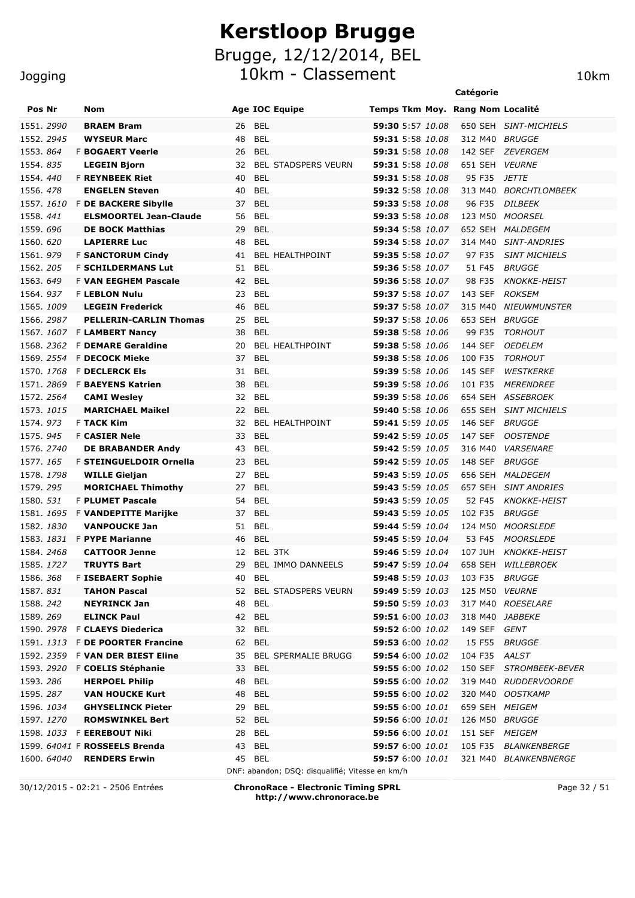Brugge, 12/12/2014, BEL

10km - Classement 10km

|                         |                                            |                                                 |                                      | Catégorie       |                            |
|-------------------------|--------------------------------------------|-------------------------------------------------|--------------------------------------|-----------------|----------------------------|
| Pos Nr                  | Nom                                        | <b>Age IOC Equipe</b>                           | Temps Tkm Moy. Rang Nom Localité     |                 |                            |
| 1551.2990               | <b>BRAEM Bram</b>                          | <b>BEL</b><br>26                                | <b>59:30</b> 5:57 10.08              |                 | 650 SEH SINT-MICHIELS      |
| 1552, 2945              | <b>WYSEUR Marc</b>                         | <b>BEL</b><br>48                                | 59:31 5:58 10.08                     | 312 M40 BRUGGE  |                            |
| 1553.864                | <b>F BOGAERT Veerle</b>                    | <b>BEL</b><br>26                                | 59:31 5:58 10.08                     | 142 SEF         | ZEVERGEM                   |
| 1554.835                | <b>LEGEIN Bjorn</b>                        | <b>BEL STADSPERS VEURN</b><br>32                | 59:31 5:58 10.08                     | 651 SEH         | <i><b>VEURNE</b></i>       |
| 1554.440                | <b>F REYNBEEK Riet</b>                     | 40<br><b>BEL</b>                                | 59:31 5:58 10.08                     | 95 F35          | <i>JETTE</i>               |
| 1556.478                | <b>ENGELEN Steven</b>                      | 40<br><b>BEL</b>                                | 59:32 5:58 10.08                     | 313 M40         | <i>BORCHTLOMBEEK</i>       |
| 1557.1610               | <b>F DE BACKERE Sibylle</b>                | 37<br>BEL                                       | 59:33 5:58 10.08                     | 96 F35          | <b>DILBEEK</b>             |
| 1558.441                | <b>ELSMOORTEL Jean-Claude</b>              | <b>BEL</b><br>56                                | 59:33 5:58 10.08                     | 123 M50         | <i>MOORSEL</i>             |
| 1559.696                | <b>DE BOCK Matthias</b>                    | 29<br>BEL                                       | 59:34 5:58 10.07                     | 652 SEH         | <i>MALDEGEM</i>            |
| 1560. 620               | <b>LAPIERRE Luc</b>                        | 48<br><b>BEL</b>                                | 59:34 5:58 10.07                     | 314 M40         | <i><b>SINT-ANDRIES</b></i> |
| 1561.979                | <b>F SANCTORUM Cindy</b>                   | <b>BEL HEALTHPOINT</b><br>41                    | 59:35 5:58 10.07                     | 97 F35          | <b>SINT MICHIELS</b>       |
| 1562.205                | <b>F SCHILDERMANS Lut</b>                  | 51<br>BEL                                       | <b>59:36</b> 5:58 10.07              | 51 F45          | <b>BRUGGE</b>              |
| 1563.649                | <b>F VAN EEGHEM Pascale</b>                | 42<br>BEL                                       | 59:36 5:58 10.07                     | 98 F35          | <b>KNOKKE-HEIST</b>        |
| 1564.937                | <b>F LEBLON Nulu</b>                       | BEL<br>23                                       | <b>59:37</b> 5:58 10.07              | 143 SEF         | <b>ROKSEM</b>              |
| 1565. 1009              | <b>LEGEIN Frederick</b>                    | 46<br>BEL                                       | <b>59:37</b> 5:58 10.07              | 315 M40         | <b>NIEUWMUNSTER</b>        |
| 1566. 2987              | <b>PELLERIN-CARLIN Thomas</b>              | BEL<br>25                                       | <b>59:37</b> 5:58 10.06              | 653 SEH         | <b>BRUGGE</b>              |
| 1567, 1607              | <b>F LAMBERT Nancy</b>                     | <b>BEL</b><br>38                                | 59:38 5:58 10.06                     | 99 F35          | <b>TORHOUT</b>             |
| 1568.2362               | <b>F DEMARE Geraldine</b>                  | BEL HEALTHPOINT<br>20                           | 59:38 5:58 10.06                     | 144 SEF         | <b>OEDELEM</b>             |
| 1569. <i>2554</i>       | <b>F DECOCK Mieke</b>                      | <b>BEL</b><br>37                                | <b>59:38</b> 5:58 10.06              | 100 F35         | <b>TORHOUT</b>             |
| 1570. <i>1768</i>       | <b>F DECLERCK Els</b>                      | <b>BEL</b><br>31                                | 59:39 5:58 10.06                     | 145 SEF         | <b>WESTKERKE</b>           |
| 1571.2869               | <b>F BAEYENS Katrien</b>                   | <b>BEL</b><br>38                                | 59:39 5:58 10.06                     | 101 F35         | <b>MERENDREE</b>           |
| 1572. 2564              | <b>CAMI Wesley</b>                         | BEL<br>32                                       | <b>59:39</b> 5:58 10.06              | 654 SEH         | ASSEBROEK                  |
| 1573. 1 <i>015</i>      | <b>MARICHAEL Maikel</b>                    | <b>BEL</b><br>22                                | 59:40 5:58 10.06                     | 655 SEH         | <b>SINT MICHIELS</b>       |
| 1574.973                | <b>F TACK Kim</b>                          | BEL HEALTHPOINT<br>32                           | 59:41 5:59 10.05                     | 146 SEF         | <b>BRUGGE</b>              |
| 1575. 945               | <b>F CASIER Nele</b>                       | <b>BEL</b><br>33                                | <b>59:42</b> 5:59 10.05              | 147 SEF         | <b>OOSTENDE</b>            |
| 1576. 2740              | <b>DE BRABANDER Andy</b>                   | BEL<br>43                                       | <b>59:42</b> 5:59 10.05              | 316 M40         | <b>VARSENARE</b>           |
| 1577. 165               | F STEINGUELDOIR Ornella                    | <b>BEL</b><br>23                                | <b>59:42</b> 5:59 10.05              | 148 SEF         | BRUGGE                     |
| 1578. <i>1798</i>       | <b>WILLE Gieljan</b>                       | BEL<br>27                                       | <b>59:43</b> 5:59 10.05              | 656 SEH         | <i>MALDEGEM</i>            |
| 1579.295                | <b>MORICHAEL Thimothy</b>                  | 27<br>BEL                                       | <b>59:43</b> 5:59 10.05              | 657 SEH         | <b>SINT ANDRIES</b>        |
| 1580. <i>531</i>        | <b>F PLUMET Pascale</b>                    | BEL<br>54                                       | 59:43 5:59 10.05                     | 52 F45          | <b>KNOKKE-HEIST</b>        |
| 1581. <i>1695</i>       | <b>F VANDEPITTE Marijke</b>                | <b>BEL</b><br>37                                | 59:43 5:59 10.05                     | 102 F35         | BRUGGE                     |
| 1582. <i>1830</i>       | <b>VANPOUCKE Jan</b>                       | 51 BEL                                          | <b>59:44</b> 5:59 10.04              | 124 M50         | <b>MOORSLEDE</b>           |
| 1583. <i>1831</i>       | <b>F PYPE Marianne</b>                     | <b>BEL</b><br>46                                | <b>59:45</b> 5:59 10.04              | 53 F45          | <b>MOORSLEDE</b>           |
| 1584, 2468              | <b>CATTOOR Jenne</b>                       | 12 BEL 3TK                                      | 59:46 5:59 10.04                     | 107 JUH         | <i>KNOKKE-HEIST</i>        |
| 1585. 1727<br>1586. 368 | <b>TRUYTS Bart</b>                         | BEL IMMO DANNEELS<br>29                         | 59:47 5:59 10.04                     |                 | 658 SEH WILLEBROEK         |
| 1587. 831               | <b>F ISEBAERT Sophie</b>                   | 40 BEL<br>52 BEL STADSPERS VEURN                | 59:48 5:59 10.03<br>59:49 5:59 10.03 | 103 F35         | <i>BRUGGE</i>              |
| 1588.242                | <b>TAHON Pascal</b><br><b>NEYRINCK Jan</b> | 48 BEL                                          | 59:50 5:59 10.03                     | 125 M50 VEURNE  | 317 M40 ROESELARE          |
| 1589. 269               | <b>ELINCK Paul</b>                         | 42 BEL                                          | <b>59:51</b> 6:00 10.03              | 318 M40 JABBEKE |                            |
| 1590. 2978              | <b>F CLAEYS Diederica</b>                  | 32 BEL                                          | 59:52 6:00 10.02                     | 149 SEF         | GENT                       |
| 1591. <i>1313</i>       | <b>F DE POORTER Francine</b>               | 62 BEL                                          | 59:53 6:00 10.02                     | 15 F55          | <i>BRUGGE</i>              |
| 1592. 2359              | <b>F VAN DER BIEST Eline</b>               | 35 BEL SPERMALIE BRUGG                          | <b>59:54</b> 6:00 10.02              | 104 F35         | AALST                      |
| 1593. <i>2920</i>       | F COELIS Stéphanie                         | 33 BEL                                          | 59:55 6:00 10.02                     | 150 SEF         | STROMBEEK-BEVER            |
| 1593.286                | <b>HERPOEL Philip</b>                      | 48<br>BEL                                       | 59:55 6:00 10.02                     |                 | 319 M40 RUDDERVOORDE       |
| 1595.287                | <b>VAN HOUCKE Kurt</b>                     | 48<br>BEL                                       | 59:55 6:00 10.02                     | 320 M40         | OOSTKAMP                   |
| 1596. <i>1034</i>       | <b>GHYSELINCK Pieter</b>                   | BEL<br>29                                       | <b>59:55</b> 6:00 10.01              | 659 SEH MEIGEM  |                            |
| 1597. 1270              | <b>ROMSWINKEL Bert</b>                     | <b>BEL</b><br>52                                | 59:56 6:00 10.01                     | 126 M50         | <i>BRUGGE</i>              |
|                         | 1598. 1033 F EEREBOUT Niki                 | <b>BEL</b><br>28                                | 59:56 6:00 10.01                     | 151 SEF MEIGEM  |                            |
|                         | 1599. 64041 F ROSSEELS Brenda              | <b>BEL</b><br>43                                | <b>59:57</b> 6:00 10.01              |                 | 105 F35 BLANKENBERGE       |
| 1600. 64040             | <b>RENDERS Erwin</b>                       | 45 BEL                                          | <b>59:57</b> 6:00 10.01              |                 | 321 M40 BLANKENBNERGE      |
|                         |                                            | DNF: abandon; DSQ: disqualifié; Vitesse en km/h |                                      |                 |                            |

Jogging

30/12/2015 - 02:21 - 2506 Entrées **ChronoRace - Electronic Timing SPRL http://www.chronorace.be**

Page 32 / 51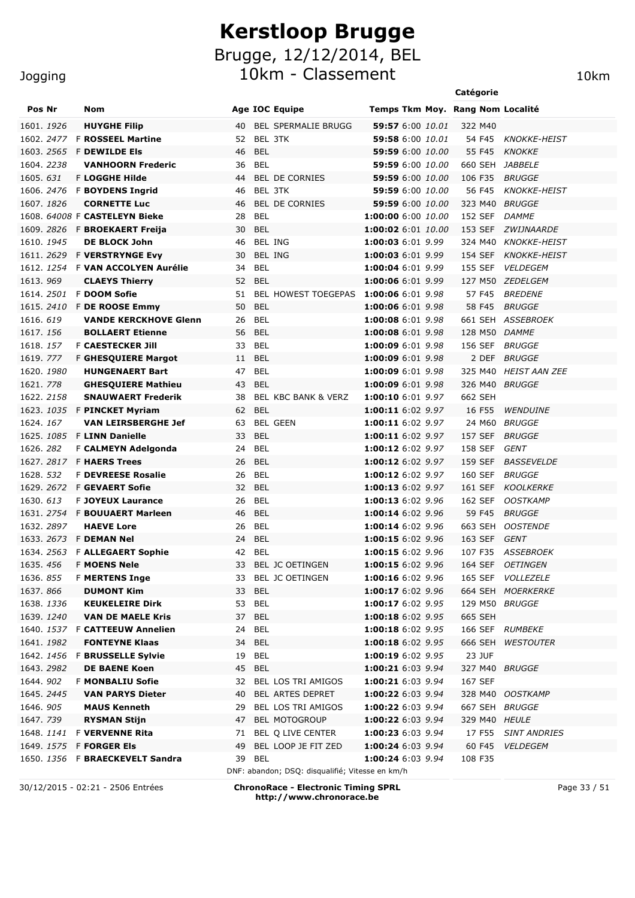10km - Classement 10km 10km

**Catégorie** Pos Nr Nom **Nome Age IOC Equipe** Temps Tkm Moy. Rang Nom Localité 1601. *1926* **HUYGHE Filip** 40 BEL SPERMALIE BRUGG **59:57** 6:00 *10.01* 322 M40 1602. *2477* F **ROSSEEL Martine** 52 BEL 3TK **59:58** 6:00 *10.01* 54 F45 *KNOKKE-HEIST* 1603. *2565* F **DEWILDE Els** 46 BEL **59:59** 6:00 *10.00* 55 F45 *KNOKKE* 1604. *2238* **VANHOORN Frederic** 36 BEL **59:59** 6:00 *10.00* 660 SEH *JABBELE* 1605. *631* F **LOGGHE Hilde** 44 BEL DE CORNIES **59:59** 6:00 *10.00* 106 F35 *BRUGGE* 1606. *2476* F **BOYDENS Ingrid** 46 BEL 3TK **59:59** 6:00 *10.00* 56 F45 *KNOKKE-HEIST* 1607. *1826* **CORNETTE Luc** 46 BEL DE CORNIES **59:59** 6:00 *10.00* 323 M40 *BRUGGE* 1608. *64008* F **CASTELEYN Bieke** 28 BEL **1:00:00** 6:00 *10.00* 152 SEF *DAMME* 1609. *2826* F **BROEKAERT Freija** 30 BEL **1:00:02** 6:01 *10.00* 153 SEF *ZWIJNAARDE* 1610. *1945* **DE BLOCK John** 46 BEL ING **1:00:03** 6:01 *9.99* 324 M40 *KNOKKE-HEIST* 1611. *2629* F **VERSTRYNGE Evy** 30 BEL ING **1:00:03** 6:01 *9.99* 154 SEF *KNOKKE-HEIST* 1612. *1254* F **VAN ACCOLYEN Aurélie** 34 BEL **1:00:04** 6:01 *9.99* 155 SEF *VELDEGEM* 1613. *969* **CLAEYS Thierry** 52 BEL **1:00:06** 6:01 *9.99* 127 M50 *ZEDELGEM* 1614. *2501* F **DOOM Sofie** 51 BEL HOWEST TOEGEPAS **1:00:06** 6:01 *9.98* 57 F45 *BREDENE* 1615. *2410* F **DE ROOSE Emmy** 50 BEL **1:00:06** 6:01 *9.98* 58 F45 *BRUGGE* 1616. *619* **VANDE KERCKHOVE Glenn** 26 BEL **1:00:08** 6:01 *9.98* 661 SEH *ASSEBROEK* 1617. *156* **BOLLAERT Etienne** 56 BEL **1:00:08** 6:01 *9.98* 128 M50 *DAMME* 1618. *157* F **CAESTECKER Jill** 33 BEL **1:00:09** 6:01 *9.98* 156 SEF *BRUGGE* 1619. *777* F **GHESQUIERE Margot** 11 BEL **1:00:09** 6:01 *9.98* 2 DEF *BRUGGE* 1620. *1980* **HUNGENAERT Bart** 47 BEL **1:00:09** 6:01 *9.98* 325 M40 *HEIST AAN ZEE* 1621. *778* **GHESQUIERE Mathieu** 43 BEL **1:00:09** 6:01 *9.98* 326 M40 *BRUGGE* 1622. *2158* **SNAUWAERT Frederik** 38 BEL KBC BANK & VERZ **1:00:10** 6:01 *9.97* 662 SEH 1623. *1035* F **PINCKET Myriam** 62 BEL **1:00:11** 6:02 *9.97* 16 F55 *WENDUINE* 1624. *167* **VAN LEIRSBERGHE Jef** 63 BEL GEEN **1:00:11** 6:02 *9.97* 24 M60 *BRUGGE* 1625. *1085* F **LINN Danielle** 33 BEL **1:00:11** 6:02 *9.97* 157 SEF *BRUGGE* 1626. *282* F **CALMEYN Adelgonda** 24 BEL **1:00:12** 6:02 *9.97* 158 SEF *GENT* 1627. *2817* F **HAERS Trees** 26 BEL **1:00:12** 6:02 *9.97* 159 SEF *BASSEVELDE* 1628. *532* F **DEVREESE Rosalie** 26 BEL **1:00:12** 6:02 *9.97* 160 SEF *BRUGGE* 1629. *2672* F **GEVAERT Sofie** 32 BEL **1:00:13** 6:02 *9.97* 161 SEF *KOOLKERKE* 1630. *613* F **JOYEUX Laurance** 26 BEL **1:00:13** 6:02 *9.96* 162 SEF *OOSTKAMP* 1631. *2754* F **BOUUAERT Marleen** 46 BEL **1:00:14** 6:02 *9.96* 59 F45 *BRUGGE* 1632. *2897* **HAEVE Lore** 26 BEL **1:00:14** 6:02 *9.96* 663 SEH *OOSTENDE* 1633. *2673* F **DEMAN Nel** 24 BEL **1:00:15** 6:02 *9.96* 163 SEF *GENT*

1634. *2563* F **ALLEGAERT Sophie** 42 BEL **1:00:15** 6:02 *9.96* 107 F35 *ASSEBROEK* 1635. *456* F **MOENS Nele** 33 BEL JC OETINGEN **1:00:15** 6:02 *9.96* 164 SEF *OETINGEN* 1636. *855* F **MERTENS Inge** 33 BEL JC OETINGEN **1:00:16** 6:02 *9.96* 165 SEF *VOLLEZELE* 1637. *866* **DUMONT Kim** 33 BEL **1:00:17** 6:02 *9.96* 664 SEH *MOERKERKE* 1638. *1336* **KEUKELEIRE Dirk** 53 BEL **1:00:17** 6:02 *9.95* 129 M50 *BRUGGE*

1640. *1537* F **CATTEEUW Annelien** 24 BEL **1:00:18** 6:02 *9.95* 166 SEF *RUMBEKE* 1641. *1982* **FONTEYNE Klaas** 34 BEL **1:00:18** 6:02 *9.95* 666 SEH *WESTOUTER*

1643. *2982* **DE BAENE Koen** 45 BEL **1:00:21** 6:03 *9.94* 327 M40 *BRUGGE*

1645. *2445* **VAN PARYS Dieter** 40 BEL ARTES DEPRET **1:00:22** 6:03 *9.94* 328 M40 *OOSTKAMP* 1646. *905* **MAUS Kenneth** 29 BEL LOS TRI AMIGOS **1:00:22** 6:03 *9.94* 667 SEH *BRUGGE* 1647. *739* **RYSMAN Stijn** 47 BEL MOTOGROUP **1:00:22** 6:03 *9.94* 329 M40 *HEULE* 1648. *1141* F **VERVENNE Rita** 71 BEL Q LIVE CENTER **1:00:23** 6:03 *9.94* 17 F55 *SINT ANDRIES*

1639. *1240* **VAN DE MAELE Kris** 37 BEL **1:00:18** 6:02 *9.95* 665 SEH

1642. *1456* F **BRUSSELLE Sylvie** 19 BEL **1:00:19** 6:02 *9.95* 23 JUF

1644. *902* F **MONBALIU Sofie** 32 BEL LOS TRI AMIGOS **1:00:21** 6:03 *9.94* 167 SEF

**Jogging** 

| 30/12/2015 - 02:21 - 2506 Entrées | <b>ChronoRace - Electronic Timing SPRL</b>      |                          |         |                 |
|-----------------------------------|-------------------------------------------------|--------------------------|---------|-----------------|
|                                   | DNF: abandon; DSQ: disqualifié; Vitesse en km/h |                          |         |                 |
| 1650. 1356 F BRAECKEVELT Sandra   | 39 BEL                                          | <b>1:00:24</b> 6:03 9.94 | 108 F35 |                 |
| 1649. 1575 F <b>FORGER Els</b>    | 49 BEL LOOP JE FIT ZED                          | 1:00:24 6:03 9.94        |         | 60 F45 VELDEGEM |
|                                   |                                                 |                          |         |                 |

**http://www.chronorace.be**

Page 33 / 51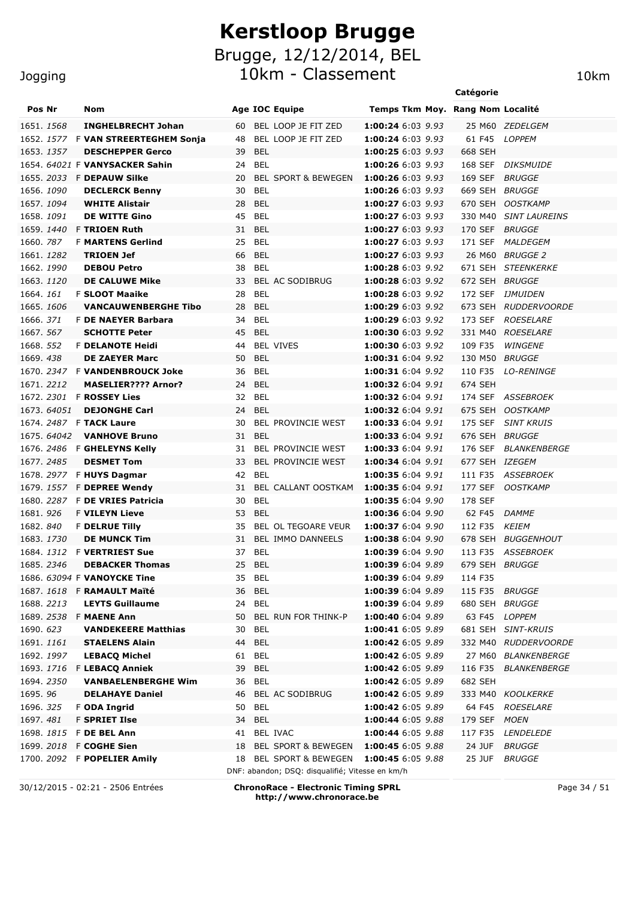10km - Classement 10km

### Jogging

|            |             |                                                  |                                                 |                                               | Catégorie                 |                        |
|------------|-------------|--------------------------------------------------|-------------------------------------------------|-----------------------------------------------|---------------------------|------------------------|
| Pos Nr     |             | Nom                                              | Age IOC Equipe                                  | Temps Tkm Moy. Rang Nom Localité              |                           |                        |
| 1651. 1568 |             | <b>INGHELBRECHT Johan</b>                        | BEL LOOP JE FIT ZED<br>60                       | 1:00:24 6:03 9.93                             |                           | 25 M60 ZEDELGEM        |
|            |             | 1652. 1577 F VAN STREERTEGHEM Sonja              | BEL LOOP JE FIT ZED<br>48                       | 1:00:24 6:03 9.93                             | 61 F45 LOPPEM             |                        |
| 1653. 1357 |             | <b>DESCHEPPER Gerco</b>                          | <b>BEL</b><br>39                                | 1:00:25 6:03 9.93                             | 668 SEH                   |                        |
|            |             | 1654. 64021 F VANYSACKER Sahin                   | <b>BEL</b><br>24                                | 1:00:26 6:03 9.93                             | 168 SEF                   | <i>DIKSMUIDE</i>       |
|            |             | 1655. 2033 F DEPAUW Silke                        | 20<br><b>BEL SPORT &amp; BEWEGEN</b>            | 1:00:26 6:03 9.93                             | 169 SEF                   | <i>BRUGGE</i>          |
| 1656. 1090 |             | <b>DECLERCK Benny</b>                            | <b>BEL</b><br>30                                | 1:00:26 6:03 9.93                             | 669 SEH                   | <i>BRUGGE</i>          |
| 1657.1094  |             | <b>WHITE Alistair</b>                            | <b>BEL</b><br>28                                | 1:00:27 6:03 9.93                             | 670 SEH                   | <b>OOSTKAMP</b>        |
| 1658, 1091 |             | <b>DE WITTE Gino</b>                             | 45<br>BEL                                       | 1:00:27 6:03 9.93                             | 330 M40                   | <b>SINT LAUREINS</b>   |
|            |             | 1659. 1440 F TRIOEN Ruth                         | 31<br>BEL                                       | 1:00:27 6:03 9.93                             | 170 SEF                   | <b>BRUGGE</b>          |
| 1660. 787  |             | <b>F MARTENS Gerlind</b>                         | <b>BEL</b><br>25                                | 1:00:27 6:03 9.93                             | 171 SEF                   | <i>MALDEGEM</i>        |
| 1661. 1282 |             | <b>TRIOEN Jef</b>                                | 66<br><b>BEL</b>                                | 1:00:27 6:03 9.93                             |                           | 26 M60 BRUGGE 2        |
| 1662. 1990 |             | <b>DEBOU Petro</b>                               | <b>BEL</b><br>38                                | 1:00:28 6:03 9.92                             |                           | 671 SEH STEENKERKE     |
| 1663. 1120 |             | <b>DE CALUWE Mike</b>                            | 33<br>BEL AC SODIBRUG                           | 1:00:28 6:03 9.92                             | 672 SEH BRUGGE            |                        |
| 1664.161   |             | <b>F SLOOT Maaike</b>                            | 28<br><b>BEL</b>                                | 1:00:28 6:03 9.92                             | 172 SEF                   | <i><b>IJMUIDEN</b></i> |
| 1665.1606  |             | <b>VANCAUWENBERGHE Tibo</b>                      | 28<br><b>BEL</b>                                | 1:00:29 6:03 9.92                             |                           | 673 SEH RUDDERVOORDE   |
| 1666. 371  |             | <b>F DE NAEYER Barbara</b>                       | <b>BEL</b><br>34                                | 1:00:29 6:03 9.92                             | 173 SEF                   | <b>ROESELARE</b>       |
| 1667, 567  |             | <b>SCHOTTE Peter</b>                             | 45<br>BEL                                       | 1:00:30 6:03 9.92                             | 331 M40                   | <b>ROESELARE</b>       |
| 1668. 552  |             | <b>F DELANOTE Heidi</b>                          | <b>BEL VIVES</b><br>44                          | 1:00:30 6:03 9.92                             | 109 F35                   | <b>WINGENE</b>         |
| 1669.438   |             | <b>DE ZAEYER Marc</b>                            | <b>BEL</b><br>50                                | 1:00:31 6:04 9.92                             | 130 M50                   | <i>BRUGGE</i>          |
|            |             | 1670. 2347 F VANDENBROUCK Joke                   | <b>BEL</b><br>36                                | 1:00:31 6:04 9.92                             | 110 F35                   | <b>LO-RENINGE</b>      |
| 1671. 2212 |             | <b>MASELIER???? Arnor?</b>                       | 24<br>BEL                                       | 1:00:32 6:04 9.91                             | 674 SEH                   |                        |
|            |             | 1672. 2301 F ROSSEY Lies                         | <b>BEL</b><br>32                                | <b>1:00:32</b> 6:04 9.91                      |                           | 174 SEF ASSEBROEK      |
|            | 1673.64051  | <b>DEJONGHE Carl</b>                             | <b>BEL</b><br>24                                | 1:00:32 6:04 9.91                             |                           | 675 SEH OOSTKAMP       |
|            | 1675. 64042 | 1674. 2487 F TACK Laure                          | 30<br><b>BEL PROVINCIE WEST</b><br><b>BEL</b>   | 1:00:33 6:04 9.91                             | 175 SEF                   | SINT KRUIS             |
|            |             | <b>VANHOVE Bruno</b>                             | 31<br>BEL PROVINCIE WEST<br>31                  | 1:00:33 6:04 9.91<br><b>1:00:33</b> 6:04 9.91 | 676 SEH BRUGGE<br>176 SEF | <i>BLANKENBERGE</i>    |
| 1677.2485  |             | 1676. 2486 F GHELEYNS Kelly<br><b>DESMET Tom</b> | BEL PROVINCIE WEST<br>33                        | 1:00:34 6:04 9.91                             | 677 SEH IZEGEM            |                        |
|            |             | 1678. 2977 F HUYS Dagmar                         | 42<br><b>BEL</b>                                | 1:00:35 6:04 9.91                             |                           | 111 F35 ASSEBROEK      |
|            |             | 1679. 1557 F DEPREE Wendy                        | 31 BEL CALLANT OOSTKAM                          | 1:00:35 6:04 9.91                             |                           | 177 SEF OOSTKAMP       |
|            |             | 1680, 2287 F DE VRIES Patricia                   | BEL<br>30                                       | 1:00:35 6:04 9.90                             | 178 SEF                   |                        |
| 1681.926   |             | <b>F VILEYN Lieve</b>                            | 53<br>BEL                                       | 1:00:36 6:04 9.90                             | 62 F45                    | <i>DAMME</i>           |
| 1682.840   |             | <b>F DELRUE Tilly</b>                            | BEL OL TEGOARE VEUR<br>35                       | 1:00:37 6:04 9.90                             | 112 F35                   | KEIEM                  |
| 1683. 1730 |             | <b>DE MUNCK Tim</b>                              | 31 BEL IMMO DANNEELS                            | 1:00:38 6:04 9.90                             |                           | 678 SEH BUGGENHOUT     |
|            |             | 1684. 1312 F VERTRIEST Sue                       | 37 BEL                                          | 1:00:39 6:04 9.90                             |                           | 113 F35 ASSEBROEK      |
| 1685.2346  |             | <b>DEBACKER Thomas</b>                           | 25 BEL                                          | 1:00:39 6:04 9.89                             | 679 SEH BRUGGE            |                        |
|            |             | 1686. 63094 F VANOYCKE Tine                      | 35 BEL                                          | 1:00:39 6:04 9.89                             | 114 F35                   |                        |
|            |             | 1687. 1618 F RAMAULT Maïté                       | 36 BEL                                          | 1:00:39 6:04 9.89                             | 115 F35 BRUGGE            |                        |
| 1688. 2213 |             | <b>LEYTS Guillaume</b>                           | 24 BEL                                          | 1:00:39 6:04 9.89                             | 680 SEH BRUGGE            |                        |
|            |             | 1689. 2538 F MAENE Ann                           | BEL RUN FOR THINK-P<br>50                       | 1:00:40 6:04 9.89                             | 63 F45 LOPPEM             |                        |
| 1690. 623  |             | <b>VANDEKEERE Matthias</b>                       | <b>BEL</b><br>30                                | 1:00:41 6:05 9.89                             |                           | 681 SEH SINT-KRUIS     |
| 1691. 1161 |             | <b>STAELENS Alain</b>                            | 44<br><b>BEL</b>                                | 1:00:42 6:05 9.89                             |                           | 332 M40 RUDDERVOORDE   |
| 1692. 1997 |             | <b>LEBACQ Michel</b>                             | <b>BEL</b><br>61                                | 1:00:42 6:05 9.89                             |                           | 27 M60 BLANKENBERGE    |
|            |             | 1693. 1716 F LEBACQ Anniek                       | <b>BEL</b><br>39                                | 1:00:42 6:05 9.89                             |                           | 116 F35 BLANKENBERGE   |
| 1694. 2350 |             | <b>VANBAELENBERGHE Wim</b>                       | BEL<br>36                                       | 1:00:42 6:05 9.89                             | 682 SEH                   |                        |
| 1695.96    |             | <b>DELAHAYE Daniel</b>                           | 46<br>BEL AC SODIBRUG                           | 1:00:42 6:05 9.89                             |                           | 333 M40 KOOLKERKE      |
| 1696. 325  |             | F ODA Ingrid                                     | <b>BEL</b><br>50                                | 1:00:42 6:05 9.89                             |                           | 64 F45 ROESELARE       |
| 1697.481   |             | <b>F SPRIET Ilse</b>                             | <b>BEL</b><br>34                                | 1:00:44 6:05 9.88                             | 179 SEF MOEN              |                        |
|            |             | 1698. 1815 F DE BEL Ann                          | BEL IVAC<br>41                                  | 1:00:44 6:05 9.88                             | 117 F35                   | <i>LENDELEDE</i>       |
|            |             | 1699. 2018 F COGHE Sien                          | BEL SPORT & BEWEGEN<br>18                       | 1:00:45 6:05 9.88                             | 24 JUF                    | <i>BRUGGE</i>          |
|            |             | 1700. 2092 F POPELIER Amily                      | <b>BEL SPORT &amp; BEWEGEN</b><br>18            | 1:00:45 6:05 9.88                             | 25 JUF                    | <i>BRUGGE</i>          |
|            |             |                                                  | DNF: abandon; DSQ: disqualifié; Vitesse en km/h |                                               |                           |                        |
|            |             |                                                  |                                                 |                                               |                           |                        |

30/12/2015 - 02:21 - 2506 Entrées **ChronoRace - Electronic Timing SPRL http://www.chronorace.be**

Page 34 / 51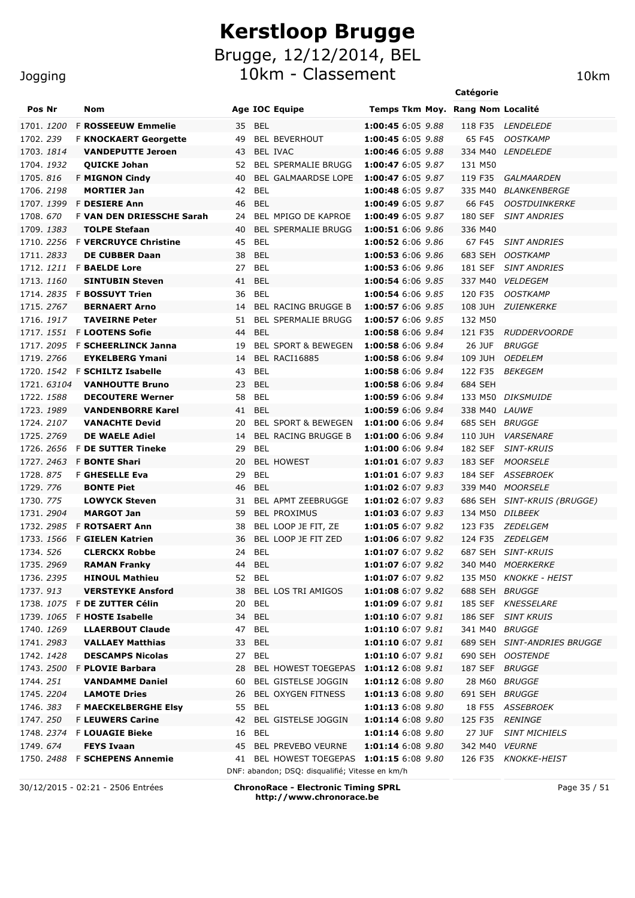Jogging

|                          |                                                    |          |                                                 |                                        | Catégorie          |                                              |
|--------------------------|----------------------------------------------------|----------|-------------------------------------------------|----------------------------------------|--------------------|----------------------------------------------|
| Pos Nr                   | Nom                                                |          | Age IOC Equipe                                  | Temps Tkm Moy. Rang Nom Localité       |                    |                                              |
| 1701. 1200               | <b>F ROSSEEUW Emmelie</b>                          | 35 BEL   |                                                 | 1:00:45 6:05 9.88                      | 118 F35            | <i>LENDELEDE</i>                             |
| 1702.239                 | <b>F KNOCKAERT Georgette</b>                       | 49       | <b>BEL BEVERHOUT</b>                            | 1:00:45 6:05 9.88                      | 65 F45             | <b>OOSTKAMP</b>                              |
| 1703. 1814               | <b>VANDEPUTTE Jeroen</b>                           | 43       | BEL IVAC                                        | 1:00:46 6:05 9.88                      | 334 M40            | <i>LENDELEDE</i>                             |
| 1704. 1932               | <b>QUICKE Johan</b>                                | 52       | <b>BEL SPERMALIE BRUGG</b>                      | 1:00:47 6:05 9.87                      | 131 M50            |                                              |
| 1705.816                 | <b>F MIGNON Cindy</b>                              | 40       | BEL GALMAARDSE LOPE                             | 1:00:47 6:05 9.87                      | 119 F35            | GALMAARDEN                                   |
| 1706. 2198               | <b>MORTIER Jan</b>                                 | 42       | <b>BEL</b>                                      | 1:00:48 6:05 9.87                      | 335 M40            | <i>BLANKENBERGE</i>                          |
| 1707. 1399               | <b>F DESIERE Ann</b>                               | 46       | <b>BEL</b>                                      | 1:00:49 6:05 9.87                      | 66 F45             | <b>OOSTDUINKERKE</b>                         |
| 1708.670                 | <b>F VAN DEN DRIESSCHE Sarah</b>                   | 24       | BEL MPIGO DE KAPROE                             | 1:00:49 6:05 9.87                      | 180 SEF            | <b>SINT ANDRIES</b>                          |
| 1709. 1383               | <b>TOLPE Stefaan</b>                               | 40       | <b>BEL SPERMALIE BRUGG</b>                      | 1:00:51 6:06 9.86                      | 336 M40            |                                              |
|                          | 1710. 2256 F VERCRUYCE Christine                   | 45       | <b>BEL</b>                                      | 1:00:52 6:06 9.86                      | 67 F45             | <b>SINT ANDRIES</b>                          |
| 1711.2833                | <b>DE CUBBER Daan</b>                              | 38       | <b>BEL</b>                                      | 1:00:53 6:06 9.86                      | 683 SEH            | <b>OOSTKAMP</b>                              |
|                          | 1712. 1211 F <b>BAELDE Lore</b>                    | 27       | <b>BEL</b>                                      | <b>1:00:53</b> 6:06 9.86               | 181 SEF            | <b>SINT ANDRIES</b>                          |
| 1713.1160                | <b>SINTUBIN Steven</b>                             | 41       | <b>BEL</b>                                      | 1:00:54 6:06 9.85                      | 337 M40            | <b>VELDEGEM</b>                              |
|                          | 1714. 2835 F <b>BOSSUYT Trien</b>                  | 36       | <b>BEL</b>                                      | 1:00:54 6:06 9.85                      | 120 F35            | <b>OOSTKAMP</b>                              |
| 1715.2767                | <b>BERNAERT Arno</b>                               | 14       | <b>BEL RACING BRUGGE B</b>                      | 1:00:57 6:06 9.85                      | 108 JUH            | <i>ZUIENKERKE</i>                            |
| 1716, 1917               | <b>TAVEIRNE Peter</b>                              | 51       | <b>BEL SPERMALIE BRUGG</b>                      | 1:00:57 6:06 9.85                      | 132 M50            |                                              |
| 1717. <i>1551</i>        | <b>F LOOTENS Sofie</b>                             | 44       | <b>BEL</b>                                      | 1:00:58 6:06 9.84                      | 121 F35            | <b>RUDDERVOORDE</b>                          |
|                          | 1717. 2095 F SCHEERLINCK Janna                     | 19       | <b>BEL SPORT &amp; BEWEGEN</b>                  | 1:00:58 6:06 9.84                      | 26 JUF             | <i>BRUGGE</i>                                |
| 1719.2766                | <b>EYKELBERG Ymani</b>                             | 14       | BEL RACI16885                                   | 1:00:58 6:06 9.84                      | 109 JUH            | <b>OEDELEM</b>                               |
|                          | 1720. 1542 F SCHILTZ Isabelle                      | 43       | <b>BEL</b>                                      | 1:00:58 6:06 9.84                      | 122 F35            | <i>BEKEGEM</i>                               |
| 1721. 63104              | <b>VANHOUTTE Bruno</b>                             | 23       | <b>BEL</b>                                      | 1:00:58 6:06 9.84                      | 684 SEH            |                                              |
| 1722. 1588               | <b>DECOUTERE Werner</b>                            | 58       | <b>BEL</b>                                      | 1:00:59 6:06 9.84                      |                    | 133 M50 DIKSMUIDE                            |
| 1723. 1989               | <b>VANDENBORRE Karel</b>                           | 41       | <b>BEL</b>                                      | 1:00:59 6:06 9.84                      | 338 M40 LAUWE      |                                              |
| 1724. 2107               | <b>VANACHTE Devid</b>                              | 20       | <b>BEL SPORT &amp; BEWEGEN</b>                  | 1:01:00 6:06 9.84                      | 685 SEH BRUGGE     |                                              |
| 1725. 2769               | <b>DE WAELE Adiel</b><br><b>F DE SUTTER Tineke</b> | 14<br>29 | <b>BEL RACING BRUGGE B</b><br><b>BEL</b>        | 1:01:00 6:06 9.84<br>1:01:00 6:06 9.84 | 110 JUH<br>182 SEF | <i><b>VARSENARE</b></i><br><b>SINT-KRUIS</b> |
| 1726. 2656<br>1727. 2463 | <b>F BONTE Shari</b>                               | 20       | <b>BEL HOWEST</b>                               | 1:01:01 6:07 9.83                      | 183 SEF            | <i>MOORSELE</i>                              |
| 1728.875                 | <b>F GHESELLE Eva</b>                              | 29       | <b>BEL</b>                                      | 1:01:01 6:07 9.83                      | 184 SEF            | <b>ASSEBROEK</b>                             |
| 1729. 776                | <b>BONTE Piet</b>                                  | 46       | <b>BEL</b>                                      | 1:01:02 6:07 9.83                      | 339 M40            | <i>MOORSELE</i>                              |
| 1730. 775                | <b>LOWYCK Steven</b>                               | 31       | BEL APMT ZEEBRUGGE                              | 1:01:02 6:07 9.83                      | 686 SEH            | SINT-KRUIS (BRUGGE)                          |
| 1731. 2904               | <b>MARGOT Jan</b>                                  | 59       | <b>BEL PROXIMUS</b>                             | 1:01:03 6:07 9.83                      | 134 M50            | <i>DILBEEK</i>                               |
| 1732. 2985               | <b>F ROTSAERT Ann</b>                              | 38       | BEL LOOP JE FIT, ZE                             | 1:01:05 6:07 9.82                      | 123 F35            | <i>ZEDELGEM</i>                              |
| 1733. 1566               | <b>F GIELEN Katrien</b>                            | 36       | BEL LOOP JE FIT ZED                             | 1:01:06 6:07 9.82                      | 124 F35            | ZEDELGEM                                     |
| 1734. 526                | <b>CLERCKX Robbe</b>                               | 24 BEL   |                                                 | 1:01:07 6:07 9.82                      |                    | 687 SEH SINT-KRUIS                           |
| 1735.2969                | <b>RAMAN Franky</b>                                | 44       | <b>BEL</b>                                      | 1:01:07 6:07 9.82                      |                    | 340 M40 MOERKERKE                            |
| 1736. 2395               | <b>HINOUL Mathieu</b>                              | 52       | BEL                                             | 1:01:07 6:07 9.82                      |                    | 135 M50 KNOKKE - HEIST                       |
| 1737.913                 | <b>VERSTEYKE Ansford</b>                           | 38       | BEL LOS TRI AMIGOS                              | 1:01:08 6:07 9.82                      | 688 SEH BRUGGE     |                                              |
|                          | 1738. 1075 F DE ZUTTER Célin                       | 20       | <b>BEL</b>                                      | 1:01:09 6:07 9.81                      |                    | 185 SEF KNESSELARE                           |
|                          | 1739. 1065 F <b>HOSTE Isabelle</b>                 | 34       | <b>BEL</b>                                      | 1:01:10 6:07 9.81                      |                    | 186 SEF SINT KRUIS                           |
| 1740. 1269               | <b>LLAERBOUT Claude</b>                            | 47       | <b>BEL</b>                                      | 1:01:10 6:07 9.81                      | 341 M40 BRUGGE     |                                              |
| 1741. 2983               | <b>VALLAEY Matthias</b>                            | 33       | <b>BEL</b>                                      | 1:01:10 6:07 9.81                      |                    | 689 SEH SINT-ANDRIES BRUGGE                  |
| 1742. 1428               | <b>DESCAMPS Nicolas</b>                            | 27       | BEL                                             | 1:01:10 6:07 9.81                      |                    | 690 SEH OOSTENDE                             |
|                          | 1743. 2500 F PLOVIE Barbara                        | 28       | BEL HOWEST TOEGEPAS 1:01:12 6:08 9.81           |                                        | 187 SEF BRUGGE     |                                              |
| 1744.251                 | <b>VANDAMME Daniel</b>                             | 60       | BEL GISTELSE JOGGIN                             | 1:01:12 6:08 9.80                      |                    | 28 M60 BRUGGE                                |
| 1745. 2204               | <b>LAMOTE Dries</b>                                | 26       | <b>BEL OXYGEN FITNESS</b>                       | 1:01:13 6:08 9.80                      | 691 SEH BRUGGE     |                                              |
| 1746.383                 | <b>F MAECKELBERGHE Elsy</b>                        | 55       | BEL                                             | 1:01:13 6:08 9.80                      | 18 F55             | <i>ASSEBROEK</i>                             |
| 1747.250                 | <b>F LEUWERS Carine</b>                            | 42       | <b>BEL GISTELSE JOGGIN</b>                      | 1:01:14 6:08 9.80                      | 125 F35            | <i>RENINGE</i>                               |
| 1748. 2374               | <b>F LOUAGIE Bieke</b>                             | 16       | BEL                                             | 1:01:14 6:08 9.80                      | 27 JUF             | <b>SINT MICHIELS</b>                         |
| 1749.674                 | <b>FEYS Ivaan</b>                                  |          | 45 BEL PREVEBO VEURNE                           | 1:01:14 6:08 9.80                      | 342 M40 VEURNE     |                                              |
|                          | 1750. 2488 F SCHEPENS Annemie                      | 41       | BEL HOWEST TOEGEPAS 1:01:15 6:08 9.80           |                                        | 126 F35            | <i>KNOKKE-HEIST</i>                          |
|                          |                                                    |          | DNF: abandon; DSQ: disqualifié; Vitesse en km/h |                                        |                    |                                              |

30/12/2015 - 02:21 - 2506 Entrées **ChronoRace - Electronic Timing SPRL http://www.chronorace.be**

Page 35 / 51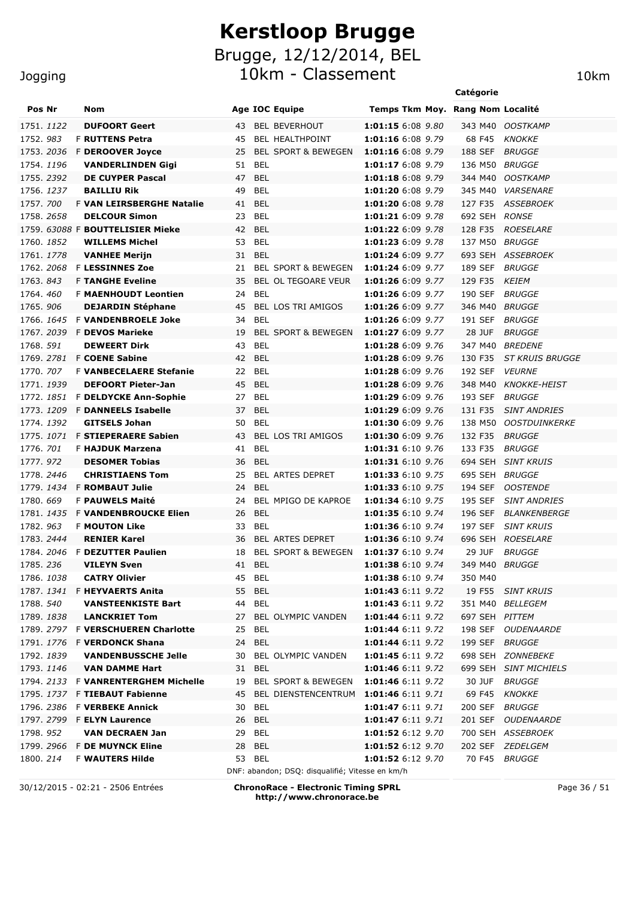#### Jogging

|            |                   |                                     |    |            |                                          |                                  | Catégorie             |                        |
|------------|-------------------|-------------------------------------|----|------------|------------------------------------------|----------------------------------|-----------------------|------------------------|
| Pos Nr     |                   | Nom                                 |    |            | <b>Age IOC Equipe</b>                    | Temps Tkm Moy. Rang Nom Localité |                       |                        |
| 1751, 1122 |                   | <b>DUFOORT Geert</b>                | 43 |            | <b>BEL BEVERHOUT</b>                     | 1:01:15 6:08 9.80                | 343 M40               | <b>OOSTKAMP</b>        |
| 1752.983   |                   | <b>F RUTTENS Petra</b>              | 45 |            | BEL HEALTHPOINT                          | 1:01:16 6:08 9.79                | 68 F45                | <b>KNOKKE</b>          |
| 1753.2036  |                   | <b>F DEROOVER Joyce</b>             | 25 |            | <b>BEL SPORT &amp; BEWEGEN</b>           | 1:01:16 6:08 9.79                | 188 SEF               | <b>BRUGGE</b>          |
| 1754.1196  |                   | <b>VANDERLINDEN Gigi</b>            | 51 | <b>BEL</b> |                                          | 1:01:17 6:08 9.79                | 136 M50               | <b>BRUGGE</b>          |
| 1755.2392  |                   | <b>DE CUYPER Pascal</b>             | 47 | <b>BEL</b> |                                          | 1:01:18 6:08 9.79                | 344 M40               | <b>OOSTKAMP</b>        |
| 1756. 1237 |                   | <b>BAILLIU Rik</b>                  | 49 | <b>BEL</b> |                                          | 1:01:20 6:08 9.79                | 345 M40               | <b>VARSENARE</b>       |
| 1757. 700  |                   | F VAN LEIRSBERGHE Natalie           | 41 | <b>BEL</b> |                                          | 1:01:20 6:08 9.78                | 127 F35               | ASSEBROEK              |
| 1758.2658  |                   | <b>DELCOUR Simon</b>                | 23 | <b>BEL</b> |                                          | 1:01:21 6:09 9.78                | 692 SEH RONSE         |                        |
|            |                   | 1759. 63088 F BOUTTELISIER Mieke    | 42 | <b>BEL</b> |                                          | 1:01:22 6:09 9.78                | 128 F35               | <b>ROESELARE</b>       |
| 1760, 1852 |                   | <b>WILLEMS Michel</b>               | 53 | <b>BEL</b> |                                          | 1:01:23 6:09 9.78                | 137 M50               | <i>BRUGGE</i>          |
| 1761, 1778 |                   | <b>VANHEE Merijn</b>                | 31 | <b>BEL</b> |                                          | 1:01:24 6:09 9.77                |                       | 693 SEH ASSEBROEK      |
| 1762. 2068 |                   | <b>F LESSINNES Zoe</b>              | 21 |            | <b>BEL SPORT &amp; BEWEGEN</b>           | 1:01:24 6:09 9.77                | 189 SEF               | <i>BRUGGE</i>          |
| 1763, 843  |                   | <b>F TANGHE Eveline</b>             | 35 |            | <b>BEL OL TEGOARE VEUR</b>               | 1:01:26 6:09 9.77                | 129 F35               | <b>KEIEM</b>           |
| 1764, 460  |                   | <b>F MAENHOUDT Leontien</b>         | 24 | <b>BEL</b> |                                          | 1:01:26 6:09 9.77                | 190 SEF               | <b>BRUGGE</b>          |
| 1765.906   |                   | <b>DEJARDIN Stéphane</b>            | 45 |            | <b>BEL LOS TRI AMIGOS</b>                | 1:01:26 6:09 9.77                | 346 M40               | <b>BRUGGE</b>          |
| 1766, 1645 |                   | <b>F VANDENBROELE Joke</b>          | 34 | <b>BEL</b> |                                          | 1:01:26 6:09 9.77                | 191 SEF               | <i>BRUGGE</i>          |
| 1767. 2039 |                   | <b>F DEVOS Marieke</b>              | 19 |            | <b>BEL SPORT &amp; BEWEGEN</b>           | 1:01:27 6:09 9.77                | <b>28 JUF</b>         | <b>BRUGGE</b>          |
| 1768. 591  |                   | <b>DEWEERT Dirk</b>                 | 43 | <b>BEL</b> |                                          | 1:01:28 6:09 9.76                | 347 M40               | <i>BREDENE</i>         |
| 1769. 2781 |                   | <b>F COENE Sabine</b>               | 42 | <b>BEL</b> |                                          | 1:01:28 6:09 9.76                | 130 F35               | <i>ST KRUIS BRUGGE</i> |
| 1770. 707  |                   | <b>F VANBECELAERE Stefanie</b>      | 22 | BEL        |                                          | 1:01:28 6:09 9.76                | 192 SEF               | <i><b>VEURNE</b></i>   |
| 1771. 1939 |                   | <b>DEFOORT Pieter-Jan</b>           | 45 | <b>BEL</b> |                                          | 1:01:28 6:09 9.76                | 348 M40               | <b>KNOKKE-HEIST</b>    |
| 1772. 1851 |                   | <b>F DELDYCKE Ann-Sophie</b>        | 27 | BEL        |                                          | 1:01:29 6:09 9.76                | 193 SEF               | <i>BRUGGE</i>          |
| 1773, 1209 |                   | <b>F DANNEELS Isabelle</b>          | 37 | <b>BEL</b> |                                          | 1:01:29 6:09 9.76                | 131 F35               | <b>SINT ANDRIES</b>    |
| 1774. 1392 |                   | <b>GITSELS Johan</b>                | 50 | <b>BEL</b> |                                          | 1:01:30 6:09 9.76                | 138 M50               | <b>OOSTDUINKERKE</b>   |
| 1775. 1071 |                   | <b>F STIEPERAERE Sabien</b>         | 43 |            | BEL LOS TRI AMIGOS                       | 1:01:30 6:09 9.76                | 132 F35               | <b>BRUGGE</b>          |
| 1776. 701  |                   | F HAJDUK Marzena                    | 41 | <b>BEL</b> |                                          | 1:01:31 6:10 9.76                | 133 F35               | <i>BRUGGE</i>          |
| 1777.972   |                   | <b>DESOMER Tobias</b>               | 36 | <b>BEL</b> |                                          | 1:01:31 6:10 9.76                | 694 SEH               | <b>SINT KRUIS</b>      |
| 1778.2446  |                   | <b>CHRISTIAENS Tom</b>              | 25 |            | BEL ARTES DEPRET                         | 1:01:33 6:10 9.75                | 695 SEH               | <b>BRUGGE</b>          |
| 1779. 1434 |                   | <b>F ROMBAUT Julie</b>              | 24 | <b>BEL</b> |                                          | 1:01:33 6:10 9.75                | 194 SEF               | <b>OOSTENDE</b>        |
| 1780, 669  |                   | F PAUWELS Maité                     | 24 |            | BEL MPIGO DE KAPROE                      | 1:01:34 6:10 9.75                | 195 SEF               | <b>SINT ANDRIES</b>    |
| 1781. 1435 |                   | <b>F VANDENBROUCKE Elien</b>        | 26 | <b>BEL</b> |                                          | 1:01:35 6:10 9.74                | 196 SEF               | <b>BLANKENBERGE</b>    |
| 1782.963   |                   | <b>F MOUTON Like</b>                | 33 | BEL        |                                          | 1:01:36 6:10 9.74                | 197 SEF               | <b>SINT KRUIS</b>      |
| 1783, 2444 |                   | <b>RENIER Karel</b>                 | 36 |            | <b>BEL ARTES DEPRET</b>                  | 1:01:36 6:10 9.74                | 696 SEH               | <b>ROESELARE</b>       |
|            |                   | 1784, 2046 F DEZUTTER Paulien       | 18 |            | <b>BEL SPORT &amp; BEWEGEN</b>           | 1:01:37 6:10 9.74                | 29 JUF                | <b>BRUGGE</b>          |
| 1785.236   |                   | <b>VILEYN Sven</b>                  |    | 41 BEL     |                                          | 1:01:38 6:10 9.74                | 349 M40 <i>BRUGGE</i> |                        |
| 1786. 1038 |                   | <b>CATRY Olivier</b>                |    | 45 BEL     |                                          | 1:01:38 6:10 9.74                | 350 M40               |                        |
|            |                   | 1787. 1341 F HEYVAERTS Anita        |    | 55 BEL     |                                          | 1:01:43 6:11 9.72                |                       | 19 F55 SINT KRUIS      |
| 1788. 540  |                   | <b>VANSTEENKISTE Bart</b>           |    | 44 BEL     |                                          | 1:01:43 6:11 9.72                |                       | 351 M40 BELLEGEM       |
|            | 1789. <i>1838</i> | <b>LANCKRIET Tom</b>                |    |            | 27 BEL OLYMPIC VANDEN                    | 1:01:44 6:11 9.72                | 697 SEH PITTEM        |                        |
|            |                   | 1789. 2797 F VERSCHUEREN Charlotte  |    | 25 BEL     |                                          | 1:01:44 6:11 9.72                |                       | 198 SEF OUDENAARDE     |
|            |                   | 1791. 1776 F VERDONCK Shana         |    | 24 BEL     |                                          | 1:01:44 6:11 9.72                | 199 SEF BRUGGE        |                        |
|            | 1792. 1839        | <b>VANDENBUSSCHE Jelle</b>          |    |            | 30 BEL OLYMPIC VANDEN                    | 1:01:45 6:11 9.72                |                       | 698 SEH ZONNEBEKE      |
|            | 1793. <i>1146</i> | <b>VAN DAMME Hart</b>               |    | 31 BEL     |                                          | 1:01:46 6:11 9.72                |                       | 699 SEH SINT MICHIELS  |
|            |                   | 1794. 2133 F VANRENTERGHEM Michelle |    |            | 19 BEL SPORT & BEWEGEN 1:01:46 6:11 9.72 |                                  |                       | 30 JUF BRUGGE          |
|            |                   | 1795. 1737 F TIEBAUT Fabienne       |    |            | 45 BEL DIENSTENCENTRUM 1:01:46 6:11 9.71 |                                  |                       | 69 F45 KNOKKE          |
|            |                   | 1796. 2386 F VERBEKE Annick         |    | 30 BEL     |                                          | 1:01:47 6:11 9.71                | 200 SEF BRUGGE        |                        |
|            |                   | 1797. 2799 F ELYN Laurence          |    | 26 BEL     |                                          | 1:01:47 6:11 9.71                |                       | 201 SEF OUDENAARDE     |
| 1798.952   |                   | <b>VAN DECRAEN Jan</b>              |    | 29 BEL     |                                          | 1:01:52 6:12 9.70                |                       | 700 SEH ASSEBROEK      |
|            |                   | 1799. 2966 F DE MUYNCK Eline        |    | 28 BEL     |                                          | 1:01:52 6:12 9.70                |                       | 202 SEF ZEDELGEM       |
| 1800. 214  |                   | <b>F WAUTERS Hilde</b>              |    | 53 BEL     |                                          | 1:01:52 6:12 9.70                |                       | 70 F45 BRUGGE          |

DNF: abandon; DSQ: disqualifié; Vitesse en km/h 30/12/2015 - 02:21 - 2506 Entrées **ChronoRace - Electronic Timing SPRL http://www.chronorace.be**

Page 36 / 51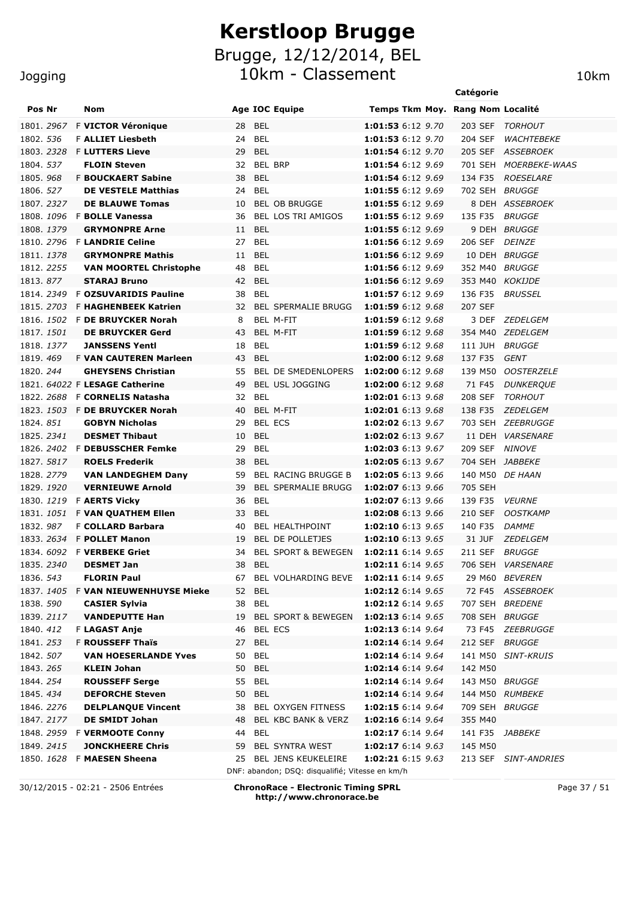Brugge, 12/12/2014, BEL

10km - Classement 10km

|                          |  |                                                        |          |                |                                                                           |                                        | Catégorie          |                       |
|--------------------------|--|--------------------------------------------------------|----------|----------------|---------------------------------------------------------------------------|----------------------------------------|--------------------|-----------------------|
| Pos Nr                   |  | Nom                                                    |          |                | <b>Age IOC Equipe</b>                                                     | Temps Tkm Moy. Rang Nom Localité       |                    |                       |
| 1801. 2967               |  | F VICTOR Véronique                                     |          | 28 BEL         |                                                                           | 1:01:53 6:12 9.70                      | 203 SEF            | TORHOUT               |
| 1802. 536                |  | <b>F ALLIET Liesbeth</b>                               |          | 24 BEL         |                                                                           | 1:01:53 6:12 9.70                      | 204 SEF            | WACHTEBEKE            |
| 1803. 2328               |  | <b>F LUTTERS Lieve</b>                                 | 29       | <b>BEL</b>     |                                                                           | 1:01:54 6:12 9.70                      |                    | 205 SEF ASSEBROEK     |
| 1804. 537                |  | <b>FLOIN Steven</b>                                    |          | 32 BEL BRP     |                                                                           | 1:01:54 6:12 9.69                      |                    | 701 SEH MOERBEKE-WAAS |
| 1805.968                 |  | <b>F BOUCKAERT Sabine</b>                              | 38       | <b>BEL</b>     |                                                                           | 1:01:54 6:12 9.69                      | 134 F35            | <b>ROESELARE</b>      |
| 1806. 527                |  | <b>DE VESTELE Matthias</b>                             | 24       | <b>BEL</b>     |                                                                           | 1:01:55 6:12 9.69                      | 702 SEH BRUGGE     |                       |
| 1807. 2327               |  | <b>DE BLAUWE Tomas</b>                                 | 10       |                | <b>BEL OB BRUGGE</b>                                                      | 1:01:55 6:12 9.69                      |                    | 8 DEH ASSEBROEK       |
|                          |  | 1808. 1096 F BOLLE Vanessa                             | 36       |                | BEL LOS TRI AMIGOS                                                        | 1:01:55 6:12 9.69                      | 135 F35            | <b>BRUGGE</b>         |
| 1808. 1379               |  | <b>GRYMONPRE Arne</b>                                  | 11       | <b>BEL</b>     |                                                                           | 1:01:55 6:12 9.69                      |                    | 9 DEH BRUGGE          |
|                          |  | 1810. 2796 F LANDRIE Celine                            | 27       | <b>BEL</b>     |                                                                           | 1:01:56 6:12 9.69                      | 206 SEF            | <i>DEINZE</i>         |
| 1811. 1378               |  | <b>GRYMONPRE Mathis</b>                                | 11       | <b>BEL</b>     |                                                                           | 1:01:56 6:12 9.69                      |                    | 10 DEH BRUGGE         |
| 1812. 2255               |  | <b>VAN MOORTEL Christophe</b>                          | 48       | <b>BEL</b>     |                                                                           | 1:01:56 6:12 9.69                      | 352 M40            | <i>BRUGGE</i>         |
| 1813.877                 |  | <b>STARAJ Bruno</b>                                    | 42       | BEL            |                                                                           | 1:01:56 6:12 9.69                      | 353 M40 KOKIJDE    |                       |
| 1814.2349                |  | <b>F OZSUVARIDIS Pauline</b>                           | 38       | <b>BEL</b>     |                                                                           | 1:01:57 6:12 9.69                      | 136 F35            | <i>BRUSSEL</i>        |
|                          |  | 1815. 2703 F HAGHENBEEK Katrien                        |          |                | 32 BEL SPERMALIE BRUGG                                                    | 1:01:59 6:12 9.68                      | 207 SEF            |                       |
|                          |  | 1816, 1502 F DE BRUYCKER Norah                         | 8        |                | BEL M-FIT                                                                 | 1:01:59 6:12 9.68                      | 3 DEF              | <i>ZEDELGEM</i>       |
| 1817, 1501<br>1818, 1377 |  | <b>DE BRUYCKER Gerd</b>                                | 43<br>18 | <b>BEL</b>     | BEL M-FIT                                                                 | 1:01:59 6:12 9.68                      |                    | 354 M40 ZEDELGEM      |
| 1819.469                 |  | <b>JANSSENS Yentl</b><br><b>F VAN CAUTEREN Marleen</b> | 43       | BEL            |                                                                           | 1:01:59 6:12 9.68<br>1:02:00 6:12 9.68 | 111 JUH<br>137 F35 | <i>BRUGGE</i><br>GENT |
| 1820, 244                |  | <b>GHEYSENS Christian</b>                              | 55       |                | BEL DE SMEDENLOPERS                                                       | 1:02:00 6:12 9.68                      |                    | 139 M50 OOSTERZELE    |
|                          |  | 1821. 64022 F LESAGE Catherine                         | 49       |                | <b>BEL USL JOGGING</b>                                                    | 1:02:00 6:12 9.68                      |                    | 71 F45 DUNKERQUE      |
|                          |  | 1822. 2688 F CORNELIS Natasha                          |          | 32 BEL         |                                                                           | 1:02:01 6:13 9.68                      | 208 SEF            | TORHOUT               |
|                          |  | 1823. 1503 F DE BRUYCKER Norah                         | 40       |                | BEL M-FIT                                                                 | 1:02:01 6:13 9.68                      | 138 F35            | <i>ZEDELGEM</i>       |
| 1824. 851                |  | <b>GOBYN Nicholas</b>                                  | 29       | <b>BEL ECS</b> |                                                                           | 1:02:02 6:13 9.67                      |                    | 703 SEH ZEEBRUGGE     |
| 1825. 2341               |  | <b>DESMET Thibaut</b>                                  | 10       | <b>BEL</b>     |                                                                           | 1:02:02 6:13 9.67                      |                    | 11 DEH VARSENARE      |
|                          |  | 1826. 2402 F DEBUSSCHER Femke                          | 29       | BEL            |                                                                           | 1:02:03 6:13 9.67                      | 209 SEF NINOVE     |                       |
| 1827. 5817               |  | <b>ROELS Frederik</b>                                  | 38       | BEL            |                                                                           | 1:02:05 6:13 9.67                      | 704 SEH JABBEKE    |                       |
| 1828. 2779               |  | <b>VAN LANDEGHEM Dany</b>                              | 59       |                | BEL RACING BRUGGE B                                                       | 1:02:05 6:13 9.66                      |                    | 140 M50 DE HAAN       |
| 1829. 1920               |  | <b>VERNIEUWE Arnold</b>                                | 39       |                | <b>BEL SPERMALIE BRUGG</b>                                                | 1:02:07 6:13 9.66                      | 705 SEH            |                       |
| 1830.1219                |  | <b>F AERTS Vickv</b>                                   | 36       | BEL            |                                                                           | 1:02:07 6:13 9.66                      | 139 F35            | <i><b>VEURNE</b></i>  |
| 1831. <i>1051</i>        |  | F VAN QUATHEM Ellen                                    | 33       | BEL            |                                                                           | 1:02:08 6:13 9.66                      | 210 SEF            | OOSTKAMP              |
| 1832.987                 |  | <b>F COLLARD Barbara</b>                               | 40       |                | <b>BEL HEALTHPOINT</b>                                                    | 1:02:10 6:13 9.65                      | 140 F35            | <i>DAMME</i>          |
| 1833. 2634               |  | <b>F POLLET Manon</b>                                  | 19       |                | <b>BEL DE POLLETJES</b>                                                   | 1:02:10 6:13 9.65                      | 31 JUF             | ZEDELGEM              |
|                          |  | 1834. 6092 F VERBEKE Griet                             |          |                | 34 BEL SPORT & BEWEGEN                                                    | 1:02:11 6:14 9.65                      | 211 SEF BRUGGE     |                       |
| 1835.2340                |  | <b>DESMET Jan</b>                                      | 38       | <b>BEL</b>     |                                                                           | 1:02:11 6:14 9.65                      |                    | 706 SEH VARSENARE     |
| 1836. 543                |  | <b>FLORIN Paul</b>                                     | 67       |                | BEL VOLHARDING BEVE                                                       | 1:02:11 6:14 9.65                      |                    | 29 M60 BEVEREN        |
| 1837. 1405               |  | <b>F VAN NIEUWENHUYSE Mieke</b>                        | 52       | BEL            |                                                                           | 1:02:12 6:14 9.65                      |                    | 72 F45 ASSEBROEK      |
| 1838. 590                |  | <b>CASIER Sylvia</b>                                   | 38       | BEL            |                                                                           | 1:02:12 6:14 9.65                      |                    | 707 SEH BREDENE       |
| 1839. 2117               |  | <b>VANDEPUTTE Han</b>                                  | 19       |                | BEL SPORT & BEWEGEN                                                       | 1:02:13 6:14 9.65                      | 708 SEH BRUGGE     |                       |
| 1840. 412                |  | F LAGAST Anje                                          | 46       | BEL ECS        |                                                                           | 1:02:13 6:14 9.64                      | 73 F45             | <i>ZEEBRUGGE</i>      |
| 1841. 253                |  | <b>F ROUSSEFF Thaïs</b>                                | 27       | <b>BEL</b>     |                                                                           | 1:02:14 6:14 9.64                      | 212 SEF BRUGGE     |                       |
| 1842. 507                |  | <b>VAN HOESERLANDE Yves</b>                            | 50       | BEL            |                                                                           | 1:02:14 6:14 9.64                      |                    | 141 M50 SINT-KRUIS    |
| 1843. 265                |  | <b>KLEIN Johan</b>                                     | 50       | BEL            |                                                                           | 1:02:14 6:14 9.64                      | 142 M50            |                       |
| 1844. 254                |  | <b>ROUSSEFF Serge</b>                                  |          | 55 BEL         |                                                                           | 1:02:14 6:14 9.64                      | 143 M50 BRUGGE     |                       |
| 1845.434                 |  | <b>DEFORCHE Steven</b>                                 | 50       | <b>BEL</b>     |                                                                           | 1:02:14 6:14 9.64                      |                    | 144 M50 RUMBEKE       |
| 1846. 2276               |  | <b>DELPLANQUE Vincent</b>                              | 38       |                | BEL OXYGEN FITNESS                                                        | 1:02:15 6:14 9.64                      | 709 SEH BRUGGE     |                       |
| 1847. 2177               |  | <b>DE SMIDT Johan</b>                                  | 48       |                | BEL KBC BANK & VERZ                                                       | 1:02:16 6:14 9.64                      | 355 M40            |                       |
|                          |  | 1848. 2959 F VERMOOTE Conny                            | 44       | <b>BEL</b>     |                                                                           | 1:02:17 6:14 9.64                      | 141 F35            | <i>JABBEKE</i>        |
| 1849. 2415               |  | <b>JONCKHEERE Chris</b>                                | 59       |                | BEL SYNTRA WEST                                                           | 1:02:17 6:14 9.63                      | 145 M50            |                       |
|                          |  | 1850. 1628 F MAESEN Sheena                             |          |                | 25 BEL JENS KEUKELEIRE<br>DNF: abandon; DSQ: disqualifié; Vitesse en km/h | 1:02:21 6:15 9.63                      |                    | 213 SEF SINT-ANDRIES  |
|                          |  |                                                        |          |                |                                                                           |                                        |                    |                       |

30/12/2015 - 02:21 - 2506 Entrées **ChronoRace - Electronic Timing SPRL http://www.chronorace.be**

Page 37 / 51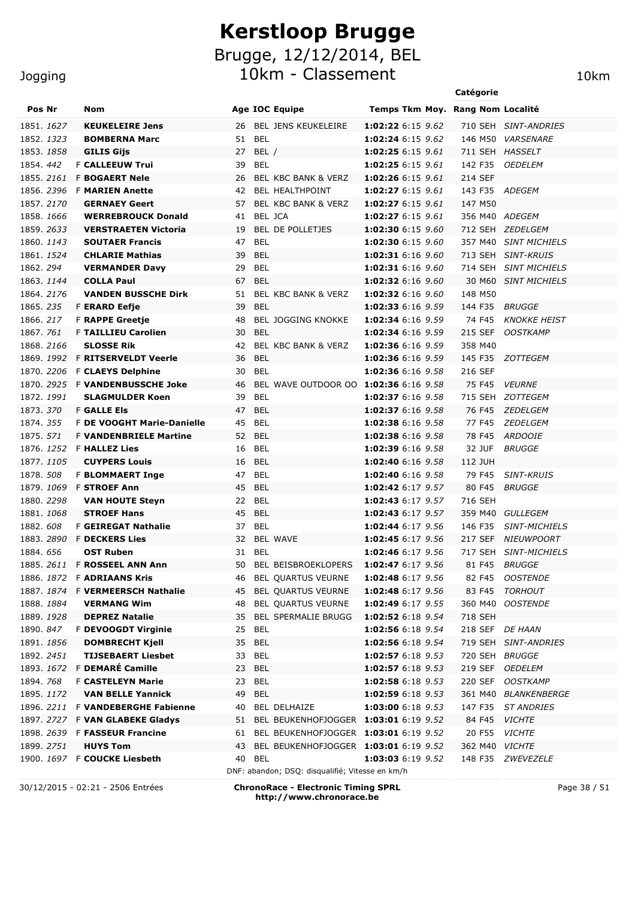#### Jogging

| Pos Nr     | Nom                                |    | <b>Age IOC Equipe</b>                           | Temps Tkm Moy. Rang Nom Localité |                       |                       |
|------------|------------------------------------|----|-------------------------------------------------|----------------------------------|-----------------------|-----------------------|
| 1851. 1627 | <b>KEUKELEIRE Jens</b>             |    | 26 BEL JENS KEUKELEIRE                          | <b>1:02:22</b> 6:15 9.62         |                       | 710 SEH SINT-ANDRIES  |
| 1852. 1323 | <b>BOMBERNA Marc</b>               | 51 | BEL                                             | 1:02:24 6:15 9.62                |                       | 146 M50 VARSENARE     |
| 1853. 1858 | <b>GILIS Gijs</b>                  | 27 | BEL /                                           | 1:02:25 6:15 9.61                | 711 SEH HASSELT       |                       |
| 1854, 442  | <b>F CALLEEUW Trui</b>             | 39 | <b>BEL</b>                                      | 1:02:25 6:15 9.61                | 142 F35               | <i><b>OEDELEM</b></i> |
| 1855.2161  | <b>F BOGAERT Nele</b>              | 26 | <b>BEL KBC BANK &amp; VERZ</b>                  | 1:02:26 6:15 9.61                | 214 SEF               |                       |
|            | 1856. 2396 F <b>MARIEN Anette</b>  | 42 | BEL HEALTHPOINT                                 | 1:02:27 6:15 9.61                | 143 F35 ADEGEM        |                       |
| 1857.2170  | <b>GERNAEY Geert</b>               | 57 | <b>BEL KBC BANK &amp; VERZ</b>                  | 1:02:27 6:15 9.61                | 147 M50               |                       |
| 1858, 1666 | <b>WERREBROUCK Donald</b>          | 41 | <b>BEL JCA</b>                                  | 1:02:27 6:15 9.61                | 356 M40 ADEGEM        |                       |
| 1859, 2633 | <b>VERSTRAETEN Victoria</b>        | 19 | BEL DE POLLETJES                                | 1:02:30 6:15 9.60                |                       | 712 SEH ZEDELGEM      |
| 1860. 1143 | <b>SOUTAER Francis</b>             | 47 | <b>BEL</b>                                      | 1:02:30 6:15 9.60                | 357 M40               | <b>SINT MICHIELS</b>  |
| 1861. 1524 | <b>CHLARIE Mathias</b>             | 39 | <b>BEL</b>                                      | 1:02:31 6:16 9.60                | 713 SEH               | SINT-KRUIS            |
| 1862.294   | <b>VERMANDER Davy</b>              | 29 | <b>BEL</b>                                      | 1:02:31 6:16 9.60                | 714 SEH               | <b>SINT MICHIELS</b>  |
| 1863. 1144 | <b>COLLA Paul</b>                  | 67 | <b>BEL</b>                                      | 1:02:32 6:16 9.60                | 30 M60                | <i>SINT MICHIELS</i>  |
| 1864.2176  | <b>VANDEN BUSSCHE Dirk</b>         | 51 | <b>BEL KBC BANK &amp; VERZ</b>                  | 1:02:32 6:16 9.60                | 148 M50               |                       |
| 1865.235   | <b>F ERARD Eefje</b>               | 39 | <b>BEL</b>                                      | 1:02:33 6:16 9.59                | 144 F35               | BRUGGE                |
| 1866. 217  | <b>F RAPPE Greetje</b>             | 48 | <b>BEL JOGGING KNOKKE</b>                       | 1:02:34 6:16 9.59                | 74 F45                | <b>KNOKKE HEIST</b>   |
| 1867, 761  | <b>F TAILLIEU Carolien</b>         | 30 | <b>BEL</b>                                      | 1:02:34 6:16 9.59                | 215 SEF               | <b>OOSTKAMP</b>       |
| 1868.2166  | <b>SLOSSE Rik</b>                  | 42 | BEL KBC BANK & VERZ                             | 1:02:36 6:16 9.59                | 358 M40               |                       |
|            | 1869. 1992 F RITSERVELDT Veerle    | 36 | <b>BEL</b>                                      | 1:02:36 6:16 9.59                |                       | 145 F35 ZOTTEGEM      |
|            | 1870. 2206 F CLAEYS Delphine       | 30 | <b>BEL</b>                                      | 1:02:36 6:16 9.58                | 216 SEF               |                       |
|            | 1870, 2925 F VANDENBUSSCHE Joke    | 46 | BEL WAVE OUTDOOR OO 1:02:36 6:16 9.58           |                                  | 75 F45                | <b>VEURNE</b>         |
| 1872. 1991 | <b>SLAGMULDER Koen</b>             | 39 | <b>BEL</b>                                      | 1:02:37 6:16 9.58                | 715 SEH               | <i>ZOTTEGEM</i>       |
| 1873, 370  | <b>F GALLE Els</b>                 | 47 | <b>BEL</b>                                      | 1:02:37 6:16 9.58                | 76 F45                | <i>ZEDELGEM</i>       |
| 1874. 355  | <b>F DE VOOGHT Marie-Danielle</b>  | 45 | <b>BEL</b>                                      | 1:02:38 6:16 9.58                | 77 F45                | <i>ZEDELGEM</i>       |
| 1875. 571  | <b>F VANDENBRIELE Martine</b>      | 52 | <b>BEL</b>                                      | 1:02:38 6:16 9.58                | 78 F45                | <b>ARDOOIE</b>        |
|            | 1876. 1252 F HALLEZ Lies           | 16 | <b>BEL</b>                                      | 1:02:39 6:16 9.58                | 32 JUF                | <b>BRUGGE</b>         |
| 1877. 1105 | <b>CUYPERS Louis</b>               | 16 | <b>BEL</b>                                      | 1:02:40 6:16 9.58                | 112 JUH               |                       |
| 1878. 508  | <b>F BLOMMAERT Inge</b>            | 47 | <b>BEL</b>                                      | 1:02:40 6:16 9.58                | 79 F45                | SINT-KRUIS            |
|            | 1879. 1069 F STROEF Ann            | 45 | <b>BEL</b>                                      | 1:02:42 6:17 9.57                | 80 F45                | BRUGGE                |
| 1880. 2298 | <b>VAN HOUTE Steyn</b>             | 22 | <b>BEL</b>                                      | 1:02:43 6:17 9.57                | 716 SEH               |                       |
| 1881. 1068 | <b>STROEF Hans</b>                 | 45 | <b>BEL</b>                                      | 1:02:43 6:17 9.57                |                       | 359 M40 GULLEGEM      |
| 1882. 608  | <b>F GEIREGAT Nathalie</b>         | 37 | <b>BEL</b>                                      | 1:02:44 6:17 9.56                | 146 F35               | <b>SINT-MICHIELS</b>  |
|            | 1883. 2890 F DECKERS Lies          | 32 | <b>BEL WAVE</b>                                 | 1:02:45 6:17 9.56                | 217 SEF               | <b>NIEUWPOORT</b>     |
| 1884, 656  | <b>OST Ruben</b>                   | 31 | <b>BEL</b>                                      | 1:02:46 6:17 9.56                | 717 SEH               | <i>SINT-MICHIELS</i>  |
|            | 1885. 2611 F ROSSEEL ANN Ann       | 50 | <b>BEL BEISBROEKLOPERS</b>                      | 1:02:47 6:17 9.56                | 81 F45                | <i>BRUGGE</i>         |
|            | 1886. 1872  F <b>ADRIAANS Kris</b> | 46 | BEL QUARTUS VEURNE                              | 1:02:48 6:17 9.56                |                       | 82 F45 OOSTENDE       |
|            | 1887. 1874 F VERMEERSCH Nathalie   |    | 45 BEL QUARTUS VEURNE                           | 1:02:48 6:17 9.56                |                       | 83 F45 TORHOUT        |
| 1888. 1884 | <b>VERMANG Wim</b>                 | 48 | BEL QUARTUS VEURNE                              | 1:02:49 6:17 9.55                |                       | 360 M40 OOSTENDE      |
| 1889. 1928 | <b>DEPREZ Natalie</b>              | 35 | <b>BEL SPERMALIE BRUGG</b>                      | <b>1:02:52</b> 6:18 9.54         | 718 SEH               |                       |
| 1890. 847  | F DEVOOGDT Virginie                | 25 | BEL                                             | 1:02:56 6:18 9.54                |                       | 218 SEF DE HAAN       |
| 1891. 1856 | <b>DOMBRECHT Kjell</b>             |    | 35 BEL                                          | 1:02:56 6:18 9.54                |                       | 719 SEH SINT-ANDRIES  |
| 1892. 2451 | <b>TIJSEBAERT Liesbet</b>          | 33 | BEL                                             | 1:02:57 6:18 9.53                | 720 SEH BRUGGE        |                       |
|            | 1893. 1672 F DEMARÉ Camille        |    | 23 BEL                                          | 1:02:57 6:18 9.53                |                       | 219 SEF OEDELEM       |
| 1894. 768  | <b>F CASTELEYN Marie</b>           | 23 | BEL                                             | 1:02:58 6:18 9.53                |                       | 220 SEF OOSTKAMP      |
| 1895. 1172 | <b>VAN BELLE Yannick</b>           | 49 | BEL                                             | 1:02:59 6:18 9.53                |                       | 361 M40 BLANKENBERGE  |
|            | 1896. 2211 F VANDEBERGHE Fabienne  | 40 | <b>BEL DELHAIZE</b>                             | 1:03:00 6:18 9.53                |                       | 147 F35 ST ANDRIES    |
|            | 1897. 2727 F VAN GLABEKE Gladys    |    | 51 BEL BEUKENHOFJOGGER 1:03:01 6:19 9.52        |                                  | 84 F45 VICHTE         |                       |
|            | 1898. 2639 F FASSEUR Francine      |    | 61 BEL BEUKENHOFJOGGER 1:03:01 6:19 9.52        |                                  | 20 F55 VICHTE         |                       |
| 1899. 2751 | <b>HUYS Tom</b>                    | 43 | BEL BEUKENHOFJOGGER 1:03:01 6:19 9.52           |                                  | 362 M40 <i>VICHTE</i> |                       |
|            | 1900. 1697 F COUCKE Liesbeth       | 40 | BEL                                             | <b>1:03:03</b> 6:19 9.52         |                       | 148 F35 ZWEVEZELE     |
|            |                                    |    | DNF: abandon; DSQ: disqualifié; Vitesse en km/h |                                  |                       |                       |

30/12/2015 - 02:21 - 2506 Entrées **ChronoRace - Electronic Timing SPRL http://www.chronorace.be**

Page 38 / 51

**Catégorie**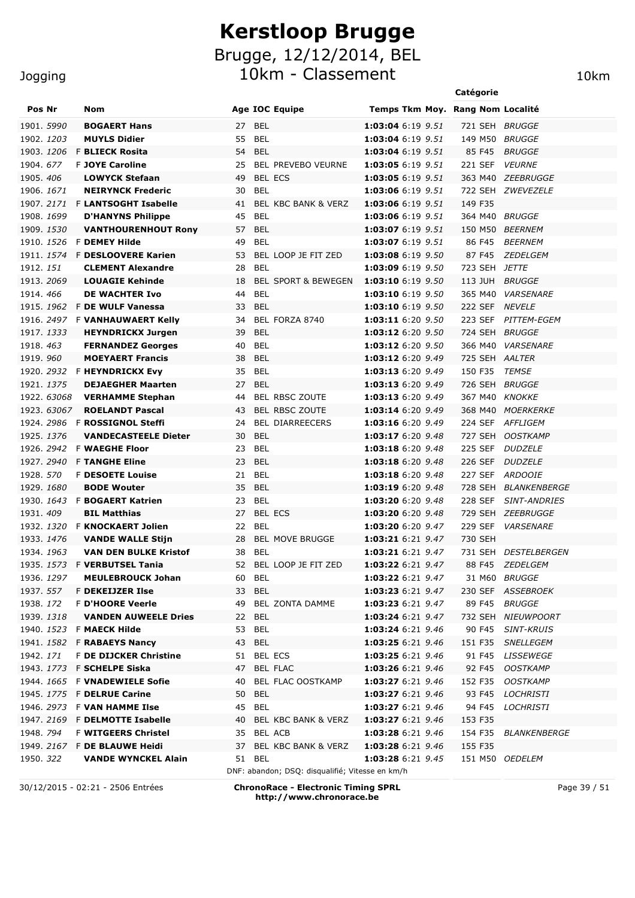Brugge, 12/12/2014, BEL 10km - Classement 10km

|                  |             |                                                              |          |                |                                                 |                                        | Catégorie                        |                                       |
|------------------|-------------|--------------------------------------------------------------|----------|----------------|-------------------------------------------------|----------------------------------------|----------------------------------|---------------------------------------|
| Pos Nr           |             | Nom                                                          |          |                | <b>Age IOC Equipe</b>                           |                                        | Temps Tkm Moy. Rang Nom Localité |                                       |
| 1901. 5990       |             | <b>BOGAERT Hans</b>                                          | 27       | <b>BEL</b>     |                                                 | 1:03:04 6:19 9.51                      | 721 SEH BRUGGE                   |                                       |
| 1902. 1203       |             | <b>MUYLS Didier</b>                                          | 55       | <b>BEL</b>     |                                                 | 1:03:04 6:19 9.51                      | 149 M50 BRUGGE                   |                                       |
| 1903. 1206       |             | <b>F BLIECK Rosita</b>                                       | 54       | <b>BEL</b>     |                                                 | 1:03:04 6:19 9.51                      | 85 F45                           | <b>BRUGGE</b>                         |
| 1904. 677        |             | <b>F JOYE Caroline</b>                                       | 25       |                | <b>BEL PREVEBO VEURNE</b>                       | 1:03:05 6:19 9.51                      | 221 SEF                          | <b>VEURNE</b>                         |
| 1905. 406        |             | <b>LOWYCK Stefaan</b>                                        | 49       | <b>BEL ECS</b> |                                                 | 1:03:05 6:19 9.51                      |                                  | 363 M40 ZEEBRUGGE                     |
| 1906. 1671       |             | <b>NEIRYNCK Frederic</b>                                     | 30       | <b>BEL</b>     |                                                 | 1:03:06 6:19 9.51                      |                                  | 722 SEH ZWEVEZELE                     |
|                  |             | 1907. 2171 F LANTSOGHT Isabelle                              | 41       |                | BEL KBC BANK & VERZ                             | 1:03:06 6:19 9.51                      | 149 F35                          |                                       |
| 1908. 1699       |             | <b>D'HANYNS Philippe</b>                                     | 45       | <b>BEL</b>     |                                                 | 1:03:06 6:19 9.51                      | 364 M40 BRUGGE                   |                                       |
| 1909. 1530       |             | <b>VANTHOURENHOUT Rony</b>                                   | 57       | <b>BEL</b>     |                                                 | 1:03:07 6:19 9.51                      |                                  | 150 M50 BEERNEM                       |
|                  |             | 1910. 1526 F DEMEY Hilde                                     | 49       | <b>BEL</b>     |                                                 | 1:03:07 6:19 9.51                      | 86 F45                           | <b>BEERNEM</b>                        |
|                  |             | 1911. 1574 F DESLOOVERE Karien                               | 53       |                | BEL LOOP JE FIT ZED                             | 1:03:08 6:19 9.50                      | 87 F45                           | ZEDELGEM                              |
| 1912. 151        |             | <b>CLEMENT Alexandre</b>                                     | 28       | <b>BEL</b>     |                                                 | 1:03:09 6:19 9.50                      | 723 SEH JETTE                    |                                       |
| 1913. 2069       |             | <b>LOUAGIE Kehinde</b>                                       | 18       |                | <b>BEL SPORT &amp; BEWEGEN</b>                  | 1:03:10 6:19 9.50                      | 113 JUH BRUGGE                   |                                       |
| 1914.466         |             | <b>DE WACHTER Ivo</b>                                        | 44       | <b>BEL</b>     |                                                 | 1:03:10 6:19 9.50                      |                                  | 365 M40 VARSENARE                     |
|                  |             | 1915. 1962 F DE WULF Vanessa                                 | 33       | BEL            |                                                 | 1:03:10 6:19 9.50                      | 222 SEF NEVELE                   |                                       |
|                  |             | 1916. 2497 F VANHAUWAERT Kelly                               | 34       |                | BEL FORZA 8740                                  | 1:03:11 6:20 9.50                      |                                  | 223 SEF PITTEM-EGEM                   |
| 1917. 1333       |             | <b>HEYNDRICKX Jurgen</b>                                     | 39       | <b>BEL</b>     |                                                 | 1:03:12 6:20 9.50                      | 724 SEH BRUGGE                   |                                       |
| 1918. 463        |             | <b>FERNANDEZ Georges</b>                                     | 40       | <b>BEL</b>     |                                                 | 1:03:12 6:20 9.50                      |                                  | 366 M40 VARSENARE                     |
| 1919.960         |             | <b>MOEYAERT Francis</b>                                      | 38       | <b>BEL</b>     |                                                 | 1:03:12 6:20 9.49                      | 725 SEH AALTER                   |                                       |
|                  |             | 1920. 2932 F HEYNDRICKX Evy                                  | 35       | <b>BEL</b>     |                                                 | 1:03:13 6:20 9.49                      | 150 F35                          | <b>TEMSE</b>                          |
| 1921. 1375       |             | <b>DEJAEGHER Maarten</b>                                     | 27       | <b>BEL</b>     |                                                 | 1:03:13 6:20 9.49                      | 726 SEH BRUGGE                   |                                       |
|                  | 1922. 63068 | <b>VERHAMME Stephan</b>                                      | 44       |                | BEL RBSC ZOUTE                                  | 1:03:13 6:20 9.49                      | 367 M40 KNOKKE                   |                                       |
|                  | 1923. 63067 | <b>ROELANDT Pascal</b>                                       | 43<br>24 |                | <b>BEL RBSC ZOUTE</b><br><b>BEL DIARREECERS</b> | 1:03:14 6:20 9.49<br>1:03:16 6:20 9.49 |                                  | 368 M40 MOERKERKE<br>224 SEF AFFLIGEM |
| 1925. 1376       |             | 1924. 2986 F ROSSIGNOL Steffi<br><b>VANDECASTEELE Dieter</b> | 30       | <b>BEL</b>     |                                                 | 1:03:17 6:20 9.48                      | 727 SEH                          | <b>OOSTKAMP</b>                       |
|                  |             | 1926. 2942 F WAEGHE Floor                                    | 23       | <b>BEL</b>     |                                                 | 1:03:18 6:20 9.48                      |                                  | 225 SEF DUDZELE                       |
| 1927. 2940       |             | <b>F TANGHE Eline</b>                                        | 23       | <b>BEL</b>     |                                                 | 1:03:18 6:20 9.48                      | 226 SEF                          | <i>DUDZELE</i>                        |
| 1928. 570        |             | <b>F DESOETE Louise</b>                                      | 21       | <b>BEL</b>     |                                                 | 1:03:18 6:20 9.48                      | 227 SEF                          | <i>ARDOOIE</i>                        |
| 1929. 1680       |             | <b>BODE Wouter</b>                                           | 35       | <b>BEL</b>     |                                                 | 1:03:19 6:20 9.48                      |                                  | 728 SEH BLANKENBERGE                  |
|                  |             | 1930. 1643 F BOGAERT Katrien                                 | 23       | <b>BEL</b>     |                                                 | 1:03:20 6:20 9.48                      | 228 SEF                          | <b>SINT-ANDRIES</b>                   |
| 1931. 409        |             | <b>BIL Matthias</b>                                          | 27       | <b>BEL ECS</b> |                                                 | 1:03:20 6:20 9.48                      |                                  | 729 SEH ZEEBRUGGE                     |
|                  |             | 1932. 1320 F KNOCKAERT Jolien                                | 22       | BEL            |                                                 | 1:03:20 6:20 9.47                      | 229 SEF                          | <i><b>VARSENARE</b></i>               |
| 1933. 1476       |             | <b>VANDE WALLE Stijn</b>                                     | 28       |                | <b>BEL MOVE BRUGGE</b>                          | 1:03:21 6:21 9.47                      | 730 SEH                          |                                       |
| 1934. 1963       |             | <b>VAN DEN BULKE Kristof</b>                                 | 38       | BEL            |                                                 | 1:03:21 6:21 9.47                      |                                  | 731 SEH DESTELBERGEN                  |
|                  |             | 1935. 1573 F VERBUTSEL Tania                                 | 52       |                | BEL LOOP JE FIT ZED                             | 1:03:22 6:21 9.47                      |                                  | 88 F45 ZEDELGEM                       |
| 1936. 1297       |             | <b>MEULEBROUCK Johan</b>                                     | 60       | BEL            |                                                 | 1:03:22 6:21 9.47                      |                                  | 31 M60 BRUGGE                         |
| 1937. 557        |             | F DEKEIJZER Ilse                                             | 33       | <b>BEL</b>     |                                                 | 1:03:23 6:21 9.47                      |                                  | 230 SEF ASSEBROEK                     |
| 1938. 172        |             | F D'HOORE Veerle                                             | 49       |                | BEL ZONTA DAMME                                 | 1:03:23 6:21 9.47                      | 89 F45                           | <i>BRUGGE</i>                         |
| 1939. 1318       |             | <b>VANDEN AUWEELE Dries</b>                                  | 22       | BEL            |                                                 | 1:03:24 6:21 9.47                      |                                  | 732 SEH NIEUWPOORT                    |
|                  |             | 1940. 1523 F MAECK Hilde                                     | 53       | <b>BEL</b>     |                                                 | 1:03:24 6:21 9.46                      | 90 F45                           | <i>SINT-KRUIS</i>                     |
|                  |             | 1941. 1582 F RABAEYS Nancy                                   | 43       | BEL            |                                                 | 1:03:25 6:21 9.46                      | 151 F35                          | SNELLEGEM                             |
| 1942. <i>171</i> |             | F DE DIJCKER Christine                                       | 51       |                | BEL ECS                                         | 1:03:25 6:21 9.46                      | 91 F45                           | <i>LISSEWEGE</i>                      |
|                  |             | 1943. 1773 F SCHELPE Siska                                   | 47       |                | <b>BEL FLAC</b>                                 | 1:03:26 6:21 9.46                      | 92 F45                           | <b>OOSTKAMP</b>                       |
|                  |             | 1944. 1665 F <b>VNADEWIELE Sofie</b>                         | 40       |                | BEL FLAC OOSTKAMP                               | 1:03:27 6:21 9.46                      | 152 F35                          | <b>OOSTKAMP</b>                       |
|                  |             | 1945. 1775 F DELRUE Carine                                   | 50       | <b>BEL</b>     |                                                 | 1:03:27 6:21 9.46                      | 93 F45                           | <b>LOCHRISTI</b>                      |
|                  |             | 1946. 2973 F VAN HAMME Ilse                                  | 45       | BEL            |                                                 | 1:03:27 6:21 9.46                      | 94 F45                           | <b>LOCHRISTI</b>                      |
|                  |             | 1947. 2169 F DELMOTTE Isabelle                               | 40       |                | BEL KBC BANK & VERZ                             | 1:03:27 6:21 9.46                      | 153 F35                          |                                       |
| 1948. 794        |             | <b>F WITGEERS Christel</b>                                   | 35       |                | BEL ACB                                         | 1:03:28 6:21 9.46                      | 154 F35                          | BLANKENBERGE                          |
|                  |             | 1949. 2167 F DE BLAUWE Heidi                                 | 37       |                | BEL KBC BANK & VERZ                             | 1:03:28 6:21 9.46                      | 155 F35                          |                                       |
| 1950. 322        |             | <b>VANDE WYNCKEL Alain</b>                                   |          | 51 BEL         | DNF: abandon; DSQ: disqualifié; Vitesse en km/h | 1:03:28 6:21 9.45                      |                                  | 151 M50 OEDELEM                       |

30/12/2015 - 02:21 - 2506 Entrées **ChronoRace - Electronic Timing SPRL http://www.chronorace.be**

Page 39 / 51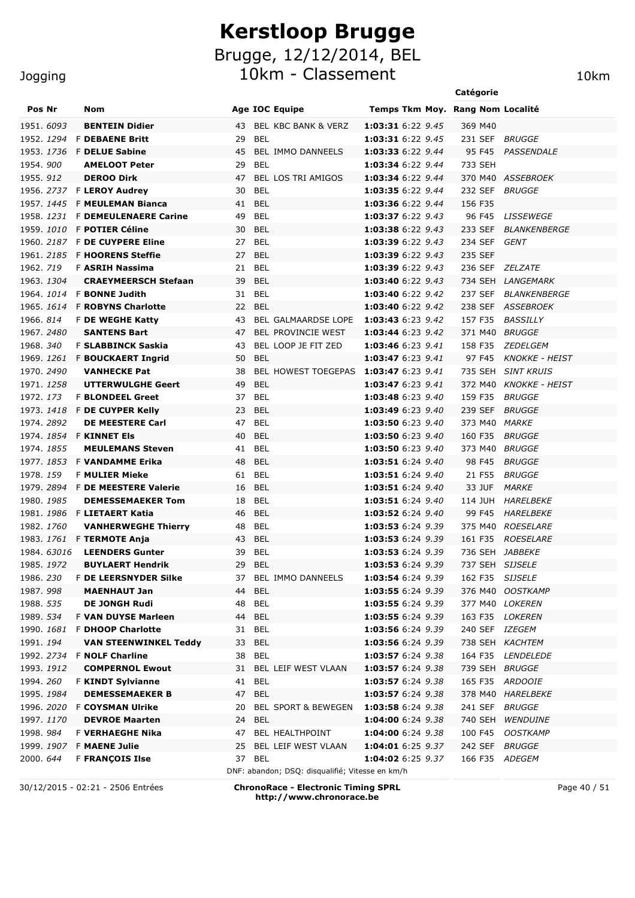10km - Classement 10km

|                        |  |                                         |          |                                                           |                                        | Catégorie                 |                        |
|------------------------|--|-----------------------------------------|----------|-----------------------------------------------------------|----------------------------------------|---------------------------|------------------------|
| Pos Nr                 |  | Nom                                     |          | Age IOC Equipe                                            | Temps Tkm Moy. Rang Nom Localité       |                           |                        |
| 1951. 6093             |  | <b>BENTEIN Didier</b>                   | 43       | BEL KBC BANK & VERZ                                       | 1:03:31 6:22 9.45                      | 369 M40                   |                        |
|                        |  | 1952. 1294 F DEBAENE Britt              | 29       | BEL                                                       | 1:03:31 6:22 9.45                      | 231 SEF                   | <b>BRUGGE</b>          |
|                        |  | 1953. 1736 F DELUE Sabine               | 45       | BEL IMMO DANNEELS                                         | 1:03:33 6:22 9.44                      | 95 F45                    | <b>PASSENDALE</b>      |
| 1954.900               |  | <b>AMELOOT Peter</b>                    | 29       | <b>BEL</b>                                                | 1:03:34 6:22 9.44                      | 733 SEH                   |                        |
| 1955. 912              |  | <b>DEROO Dirk</b>                       | 47       | BEL LOS TRI AMIGOS                                        | 1:03:34 6:22 9.44                      |                           | 370 M40 ASSEBROEK      |
|                        |  | 1956. 2737 F LEROY Audrey               | 30       | <b>BEL</b>                                                | 1:03:35 6:22 9.44                      | 232 SEF                   | <i>BRUGGE</i>          |
| 1957, 1445             |  | <b>F MEULEMAN Bianca</b>                | 41       | <b>BEL</b>                                                | 1:03:36 6:22 9.44                      | 156 F35                   |                        |
|                        |  | 1958. 1231 F DEMEULENAERE Carine        | 49       | <b>BEL</b>                                                | 1:03:37 6:22 9.43                      | 96 F45                    | LISSEWEGE              |
|                        |  | 1959. 1010 F POTIER Céline              | 30       | <b>BEL</b>                                                | 1:03:38 6:22 9.43                      | 233 SEF                   | <i>BLANKENBERGE</i>    |
|                        |  | 1960. 2187 F DE CUYPERE Eline           | 27       | <b>BEL</b>                                                | 1:03:39 6:22 9.43                      | 234 SEF                   | GENT                   |
|                        |  | 1961. 2185 F HOORENS Steffie            | 27       | <b>BEL</b>                                                | 1:03:39 6:22 9.43                      | 235 SEF                   |                        |
| 1962. 719              |  | <b>F ASRIH Nassima</b>                  | 21       | <b>BEL</b>                                                | <b>1:03:39</b> 6:22 9.43               | 236 SEF                   | ZELZATE                |
| 1963. 1304             |  | <b>CRAEYMEERSCH Stefaan</b>             | 39       | <b>BEL</b>                                                | 1:03:40 6:22 9.43                      |                           | 734 SEH LANGEMARK      |
|                        |  | 1964. 1014 F BONNE Judith               | 31       | <b>BEL</b>                                                | <b>1:03:40</b> 6:22 9.42               | 237 SEF                   | <i>BLANKENBERGE</i>    |
|                        |  | 1965. 1614 F ROBYNS Charlotte           | 22       | BEL<br><b>BEL GALMAARDSE LOPE</b>                         | 1:03:40 6:22 9.42<br>1:03:43 6:23 9.42 |                           | 238 SEF ASSEBROEK      |
| 1966. 814              |  | F DE WEGHE Katty<br><b>SANTENS Bart</b> | 43       |                                                           | 1:03:44 6:23 9.42                      | 157 F35                   | <i>BASSILLY</i>        |
| 1967.2480<br>1968. 340 |  | F SLABBINCK Saskia                      | 47<br>43 | BEL PROVINCIE WEST<br>BEL LOOP JE FIT ZED                 | 1:03:46 6:23 9.41                      | 371 M40 BRUGGE<br>158 F35 | <i>ZEDELGEM</i>        |
|                        |  | 1969. 1261 F BOUCKAERT Ingrid           | 50       | <b>BEL</b>                                                | 1:03:47 6:23 9.41                      | 97 F45                    | KNOKKE - HEIST         |
| 1970, 2490             |  | <b>VANHECKE Pat</b>                     | 38       | BEL HOWEST TOEGEPAS 1:03:47 6:23 9.41                     |                                        |                           | 735 SEH SINT KRUIS     |
| 1971. 1258             |  | UTTERWULGHE Geert                       | 49       | <b>BEL</b>                                                | 1:03:47 6:23 9.41                      |                           | 372 M40 KNOKKE - HEIST |
| 1972. 173              |  | <b>F BLONDEEL Greet</b>                 | 37       | BEL                                                       | 1:03:48 6:23 9.40                      | 159 F35                   | <i>BRUGGE</i>          |
|                        |  | 1973. 1418 F DE CUYPER Kelly            | 23       | <b>BEL</b>                                                | 1:03:49 6:23 9.40                      | 239 SEF                   | <i>BRUGGE</i>          |
| 1974.2892              |  | <b>DE MEESTERE Carl</b>                 | 47       | BEL                                                       | 1:03:50 6:23 9.40                      | 373 M40 MARKE             |                        |
|                        |  | 1974. 1854 F KINNET Els                 | 40       | <b>BEL</b>                                                | 1:03:50 6:23 9.40                      | 160 F35                   | <i>BRUGGE</i>          |
| 1974. 1855             |  | <b>MEULEMANS Steven</b>                 | 41 BEL   |                                                           | 1:03:50 6:23 9.40                      | 373 M40                   | <i>BRUGGE</i>          |
|                        |  | 1977. 1853 F VANDAMME Erika             | 48       | <b>BEL</b>                                                | 1:03:51 6:24 9.40                      | 98 F45                    | <i>BRUGGE</i>          |
| 1978. 159              |  | <b>F MULIER Mieke</b>                   | 61       | BEL                                                       | 1:03:51 6:24 9.40                      | 21 F55                    | <i>BRUGGE</i>          |
|                        |  | 1979. 2894 F DE MEESTERE Valerie        | 16       | <b>BEL</b>                                                | 1:03:51 6:24 9.40                      | 33 JUF                    | <i>MARKE</i>           |
| 1980, 1985             |  | <b>DEMESSEMAEKER Tom</b>                | 18       | <b>BEL</b>                                                | 1:03:51 6:24 9.40                      | 114 JUH                   | HARELBEKE              |
|                        |  | 1981. 1986 F LIETAERT Katia             | 46       | <b>BEL</b>                                                | 1:03:52 6:24 9.40                      | 99 F45                    | <i>HARELBEKE</i>       |
| 1982, 1760             |  | <b>VANHERWEGHE Thierry</b>              | 48       | BEL                                                       | 1:03:53 6:24 9.39                      |                           | 375 M40 ROESELARE      |
|                        |  | 1983. 1761 F TERMOTE Anja               | 43       | BEL                                                       | 1:03:53 6:24 9.39                      | 161 F35                   | ROESELARE              |
|                        |  | 1984. 63016 LEENDERS Gunter             |          | 39 BEL                                                    | 1:03:53 6:24 9.39                      | 736 SEH JABBEKE           |                        |
| 1985. 1972             |  | <b>BUYLAERT Hendrik</b>                 | 29 BEL   |                                                           | 1:03:53 6:24 9.39                      | 737 SEH SIJSELE           |                        |
| 1986. 230              |  | <b>F DE LEERSNYDER Silke</b>            | 37       | BEL IMMO DANNEELS                                         | 1:03:54 6:24 9.39                      | 162 F35                   | <i>SIJSELE</i>         |
| 1987.998               |  | <b>MAENHAUT Jan</b>                     | 44       | <b>BEL</b>                                                | 1:03:55 6:24 9.39                      |                           | 376 M40 OOSTKAMP       |
| 1988. 535              |  | <b>DE JONGH Rudi</b>                    | 48       | <b>BEL</b>                                                | 1:03:55 6:24 9.39                      |                           | 377 M40 LOKEREN        |
| 1989. 534              |  | F VAN DUYSE Marleen                     | 44       | <b>BEL</b>                                                | 1:03:55 6:24 9.39                      |                           | 163 F35 LOKEREN        |
| 1990. 1681             |  | <b>F DHOOP Charlotte</b>                | 31       | BEL                                                       | 1:03:56 6:24 9.39                      | 240 SEF IZEGEM            |                        |
| 1991. 194              |  | <b>VAN STEENWINKEL Teddy</b>            | 33       | <b>BEL</b>                                                | 1:03:56 6:24 9.39                      |                           | 738 SEH KACHTEM        |
| 1992. 2734             |  | <b>F NOLF Charline</b>                  | 38       | <b>BEL</b>                                                | 1:03:57 6:24 9.38                      |                           | 164 F35 LENDELEDE      |
| 1993. 1912             |  | <b>COMPERNOL Ewout</b>                  | 31       | BEL LEIF WEST VLAAN                                       | 1:03:57 6:24 9.38                      | 739 SEH BRUGGE            |                        |
| 1994.260               |  | <b>F KINDT Sylvianne</b>                | 41       | <b>BEL</b>                                                | 1:03:57 6:24 9.38                      |                           | 165 F35 ARDOOIE        |
| 1995. 1984             |  | <b>DEMESSEMAEKER B</b>                  | 47       | BEL                                                       | 1:03:57 6:24 9.38                      |                           | 378 M40 HARELBEKE      |
|                        |  | 1996. 2020 F COYSMAN Ulrike             | 20       | <b>BEL SPORT &amp; BEWEGEN</b>                            | 1:03:58 6:24 9.38                      | 241 SEF                   | <i>BRUGGE</i>          |
| 1997. 1170             |  | <b>DEVROE Maarten</b>                   | 24       | <b>BEL</b>                                                | 1:04:00 6:24 9.38                      | 740 SEH                   | <i><b>WENDUINE</b></i> |
| 1998.984               |  | F VERHAEGHE Nika                        | 47       | BEL HEALTHPOINT                                           | 1:04:00 6:24 9.38                      | 100 F45                   | <b>OOSTKAMP</b>        |
|                        |  | 1999. 1907 F MAENE Julie                | 25       | BEL LEIF WEST VLAAN                                       | 1:04:01 6:25 9.37                      | 242 SEF BRUGGE            |                        |
| 2000. <i>644</i>       |  | <b>F FRANÇOIS Ilse</b>                  |          | 37 BEL<br>DNF: abandon; DSQ: disqualifié; Vitesse en km/h | 1:04:02 6:25 9.37                      | 166 F35 ADEGEM            |                        |
|                        |  |                                         |          |                                                           |                                        |                           |                        |

30/12/2015 - 02:21 - 2506 Entrées **ChronoRace - Electronic Timing SPRL http://www.chronorace.be**

Page 40 / 51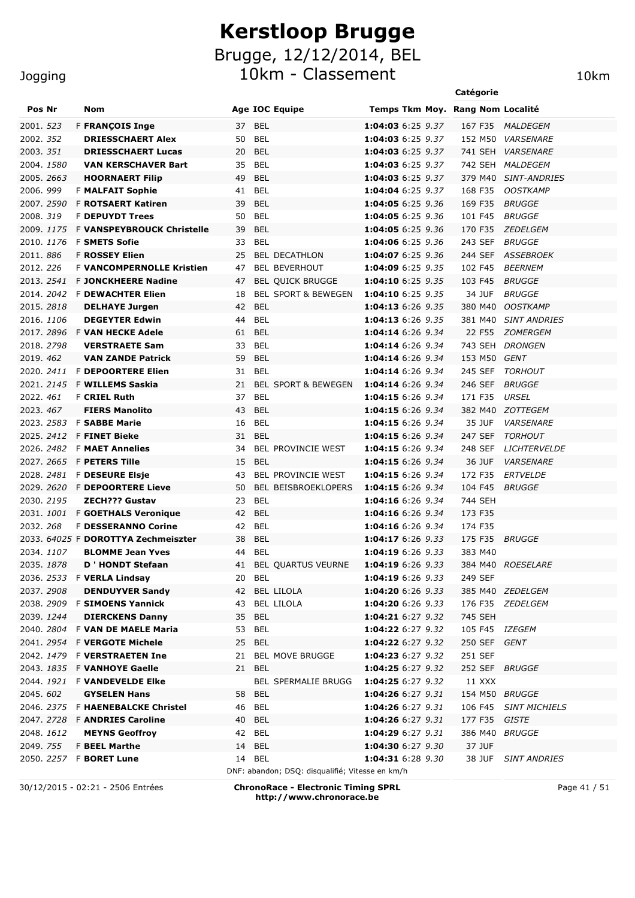Brugge, 12/12/2014, BEL

10km - Classement 10km

|                                |                                                 |                                                 |                                        | Catégorie         |                                     |
|--------------------------------|-------------------------------------------------|-------------------------------------------------|----------------------------------------|-------------------|-------------------------------------|
| Pos Nr                         | Nom                                             | <b>Age IOC Equipe</b>                           | Temps Tkm Moy. Rang Nom Localité       |                   |                                     |
| 2001. <i>523</i>               | <b>F FRANÇOIS Inge</b>                          | 37 BEL                                          | 1:04:03 6:25 9.37                      |                   | 167 F35 MALDEGEM                    |
| 2002. <i>352</i>               | <b>DRIESSCHAERT Alex</b>                        | 50 BEL                                          | 1:04:03 6:25 9.37                      |                   | 152 M50 VARSENARE                   |
| 2003. <i>351</i>               | <b>DRIESSCHAERT Lucas</b>                       | 20 BEL                                          | 1:04:03 6:25 9.37                      | 741 SEH           | <i><b>VARSENARE</b></i>             |
| 2004. <i>1580</i>              | <b>VAN KERSCHAVER Bart</b>                      | 35 BEL                                          | 1:04:03 6:25 9.37                      |                   | 742 SEH MALDEGEM                    |
| 2005. <i>2663</i>              | <b>HOORNAERT Filip</b>                          | 49 BEL                                          | 1:04:03 6:25 9.37                      |                   | 379 M40 SINT-ANDRIES                |
| 2006.999                       | <b>F MALFAIT Sophie</b>                         | 41 BEL                                          | 1:04:04 6:25 9.37                      | 168 F35           | <b>OOSTKAMP</b>                     |
| 2007. 2590                     | <b>F ROTSAERT Katiren</b>                       | <b>BEL</b><br>39                                | 1:04:05 6:25 9.36                      | 169 F35           | <b>BRUGGE</b>                       |
| 2008. <i>319</i>               | <b>F DEPUYDT Trees</b>                          | 50<br>BEL                                       | 1:04:05 6:25 9.36                      | 101 F45           | <b>BRUGGE</b>                       |
| 2009. <i>1175</i>              | <b>F VANSPEYBROUCK Christelle</b>               | <b>BEL</b><br>39                                | 1:04:05 6:25 9.36                      | 170 F35           | ZEDELGEM                            |
| 2010. <i>1176</i>              | <b>F SMETS Sofie</b>                            | <b>BEL</b><br>33                                | 1:04:06 6:25 9.36                      | 243 SEF           | <i>BRUGGE</i>                       |
| 2011.886                       | <b>F ROSSEY Elien</b>                           | <b>BEL DECATHLON</b><br>25                      | 1:04:07 6:25 9.36                      | 244 SEF           | ASSEBROEK                           |
| 2012. 226                      | <b>F VANCOMPERNOLLE Kristien</b>                | <b>BEL BEVERHOUT</b><br>47                      | 1:04:09 6:25 9.35                      | 102 F45           | <b>BEERNEM</b>                      |
| 2013. <i>2541</i>              | <b>F JONCKHEERE Nadine</b>                      | <b>BEL QUICK BRUGGE</b><br>47                   | 1:04:10 6:25 9.35                      | 103 F45           | <b>BRUGGE</b>                       |
| 2014. 2042                     | <b>F DEWACHTER Elien</b>                        | <b>BEL SPORT &amp; BEWEGEN</b><br>18            | 1:04:10 6:25 9.35                      | 34 JUF            | <b>BRUGGE</b>                       |
| 2015. <i>2818</i>              | <b>DELHAYE Jurgen</b>                           | 42 BEL                                          | 1:04:13 6:26 9.35                      | 380 M40           | <b>OOSTKAMP</b>                     |
| 2016, 1106                     | <b>DEGEYTER Edwin</b>                           | <b>BEL</b><br>44                                | 1:04:13 6:26 9.35                      | 381 M40           | <b>SINT ANDRIES</b>                 |
| 2017. 2896                     | <b>F VAN HECKE Adele</b>                        | BEL<br>61                                       | 1:04:14 6:26 9.34                      | 22 F55            | <b>ZOMERGEM</b>                     |
| 2018. 2798                     | <b>VERSTRAETE Sam</b>                           | <b>BEL</b><br>33                                | 1:04:14 6:26 9.34                      | 743 SEH           | <b>DRONGEN</b>                      |
| 2019. 462                      | <b>VAN ZANDE Patrick</b>                        | 59 BEL                                          | 1:04:14 6:26 9.34                      | 153 M50           | GENT                                |
| 2020. <i>2411</i>              | <b>F DEPOORTERE Elien</b>                       | <b>BEL</b><br>31                                | 1:04:14 6:26 9.34                      | 245 SEF           | <b>TORHOUT</b>                      |
|                                | 2021. <i>2145</i> F <b>WILLEMS Saskia</b>       | 21<br><b>BEL SPORT &amp; BEWEGEN</b>            | 1:04:14 6:26 9.34                      | 246 SEF           | BRUGGE                              |
| 2022. <i>461</i>               | <b>F CRIEL Ruth</b>                             | 37 BEL                                          | <b>1:04:15</b> 6:26 9.34               | 171 F35           | URSEL                               |
| 2023.467                       | <b>FIERS Manolito</b>                           | 43<br>BEL                                       | 1:04:15 6:26 9.34                      |                   | 382 M40 ZOTTEGEM                    |
| 2023. <i>2583</i>              | <b>F SABBE Marie</b>                            | BEL<br>16                                       | 1:04:15 6:26 9.34                      | 35 JUF            | <b>VARSENARE</b>                    |
| 2025. 2412                     | <b>F FINET Bieke</b>                            | 31 BEL                                          | 1:04:15 6:26 9.34                      | 247 SEF           | TORHOUT                             |
| 2026.2482                      | <b>F MAET Annelies</b>                          | BEL PROVINCIE WEST<br>34                        | 1:04:15 6:26 9.34                      | 248 SEF           | <b>LICHTERVELDE</b>                 |
| 2027.2665<br>2028. <i>2481</i> | <b>F PETERS Tille</b><br><b>F DESEURE Elsje</b> | 15 BEL<br>43 BEL PROVINCIE WEST                 | 1:04:15 6:26 9.34<br>1:04:15 6:26 9.34 | 36 JUF<br>172 F35 | <b>VARSENARE</b><br><b>ERTVELDE</b> |
|                                | 2029. <i>2620</i> F <b>DEPOORTERE Lieve</b>     | 50 BEL BEISBROEKLOPERS                          | 1:04:15 6:26 9.34                      | 104 F45           | BRUGGE                              |
| 2030. <i>2195</i>              | <b>ZECH??? Gustav</b>                           | 23<br>BEL                                       | 1:04:16 6:26 9.34                      | 744 SEH           |                                     |
|                                | 2031. 1001 F GOETHALS Veronique                 | 42 BEL                                          | 1:04:16 6:26 9.34                      | 173 F35           |                                     |
| 2032. 268                      | <b>F DESSERANNO Corine</b>                      | 42 BEL                                          | 1:04:16 6:26 9.34                      | 174 F35           |                                     |
|                                | 2033. 64025 F DOROTTYA Zechmeiszter             | 38 BEL                                          | 1:04:17 6:26 9.33                      | 175 F35           | BRUGGE                              |
| 2034. <i>1107</i>              | <b>BLOMME Jean Yves</b>                         | 44 BEL                                          | 1:04:19 6:26 9.33                      | 383 M40           |                                     |
| 2035. <i>1878</i>              | <b>D</b> ' HONDT Stefaan                        | 41 BEL QUARTUS VEURNE                           | 1:04:19 6:26 9.33                      |                   | 384 M40 ROESELARE                   |
|                                | 2036. 2533 F <b>VERLA Lindsay</b>               | 20 BEL                                          | 1:04:19 6:26 9.33                      | 249 SEF           |                                     |
| 2037.2908                      | <b>DENDUYVER Sandy</b>                          | 42 BEL LILOLA                                   | 1:04:20 6:26 9.33                      | 385 M40 ZEDELGEM  |                                     |
|                                | 2038. 2909 F SIMOENS Yannick                    | <b>BEL LILOLA</b><br>43                         | 1:04:20 6:26 9.33                      | 176 F35 ZEDELGEM  |                                     |
| 2039. <i>1244</i>              | <b>DIERCKENS Danny</b>                          | 35 BEL                                          | 1:04:21 6:27 9.32                      | 745 SEH           |                                     |
|                                | 2040, 2804 F VAN DE MAELE Maria                 | BEL<br>53                                       | 1:04:22 6:27 9.32                      | 105 F45 IZEGEM    |                                     |
|                                | 2041. 2954 F VERGOTE Michele                    | 25 BEL                                          | 1:04:22 6:27 9.32                      | 250 SEF           | GENT                                |
|                                | 2042. 1479 F VERSTRAETEN Ine                    | 21 BEL MOVE BRUGGE                              | 1:04:23 6:27 9.32                      | 251 SEF           |                                     |
|                                | 2043. 1835 F <b>VANHOYE Gaelle</b>              | 21 BEL                                          | 1:04:25 6:27 9.32                      | 252 SEF           | <i>BRUGGE</i>                       |
| 2044. 1921                     | <b>F VANDEVELDE EIKe</b>                        | <b>BEL SPERMALIE BRUGG</b>                      | 1:04:25 6:27 9.32                      | 11 XXX            |                                     |
| 2045. <i>602</i>               | <b>GYSELEN Hans</b>                             | 58 BEL                                          | 1:04:26 6:27 9.31                      | 154 M50 BRUGGE    |                                     |
|                                | 2046. <i>2375</i> F <b>HAENEBALCKE Christel</b> | 46 BEL                                          | 1:04:26 6:27 9.31                      | 106 F45           | <b>SINT MICHIELS</b>                |
|                                | 2047. 2728 F ANDRIES Caroline                   | BEL<br>40                                       | 1:04:26 6:27 9.31                      | 177 F35           | GISTE                               |
| 2048. <i>1612</i>              | <b>MEYNS Geoffroy</b>                           | 42 BEL                                          | 1:04:29 6:27 9.31                      | 386 M40           | <i>BRUGGE</i>                       |
| 2049. 755                      | <b>F BEEL Marthe</b>                            | 14 BEL                                          | 1:04:30 6:27 9.30                      | 37 JUF            |                                     |
|                                | 2050. 2257 F BORET Lune                         | 14 BEL                                          | 1:04:31 6:28 9.30                      | 38 JUF            | <b>SINT ANDRIES</b>                 |
|                                |                                                 | DNF: abandon; DSQ: disqualifié; Vitesse en km/h |                                        |                   |                                     |

30/12/2015 - 02:21 - 2506 Entrées **ChronoRace - Electronic Timing SPRL http://www.chronorace.be**

Page 41 / 51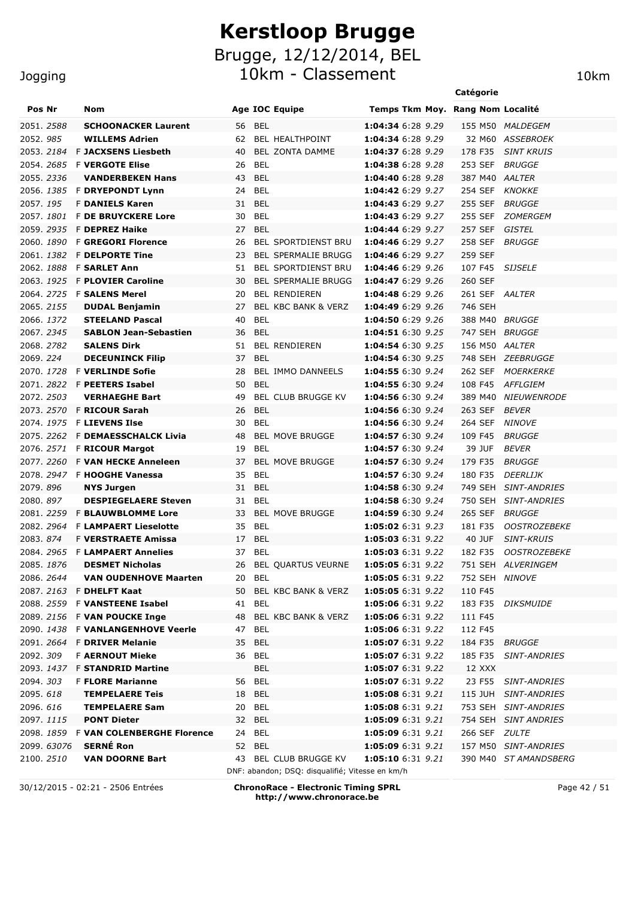#### **Jogging**

|                   |                                                           |    |                                |                                        | Catégorie                 |                       |
|-------------------|-----------------------------------------------------------|----|--------------------------------|----------------------------------------|---------------------------|-----------------------|
| Pos Nr            | Nom                                                       |    | <b>Age IOC Equipe</b>          | Temps Tkm Moy. Rang Nom Localité       |                           |                       |
| 2051. <i>2588</i> | <b>SCHOONACKER Laurent</b>                                | 56 | <b>BEL</b>                     | 1:04:34 6:28 9.29                      |                           | 155 M50 MALDEGEM      |
| 2052, 985         | <b>WILLEMS Adrien</b>                                     | 62 | <b>BEL HEALTHPOINT</b>         | 1:04:34 6:28 9.29                      |                           | 32 M60 ASSEBROEK      |
| 2053. 2184        | <b>F JACXSENS Liesbeth</b>                                | 40 | <b>BEL ZONTA DAMME</b>         | 1:04:37 6:28 9.29                      | 178 F35                   | <b>SINT KRUIS</b>     |
| 2054, 2685        | <b>F VERGOTE Elise</b>                                    | 26 | <b>BEL</b>                     | 1:04:38 6:28 9.28                      | 253 SEF                   | <b>BRUGGE</b>         |
| 2055, 2336        | <b>VANDERBEKEN Hans</b>                                   | 43 | <b>BEL</b>                     | 1:04:40 6:28 9.28                      | 387 M40 AALTER            |                       |
|                   | 2056. 1385 F DRYEPONDT Lynn                               | 24 | BEL                            | 1:04:42 6:29 9.27                      | 254 SEF                   | <b>KNOKKE</b>         |
| 2057, 195         | <b>F DANIELS Karen</b>                                    | 31 | <b>BEL</b>                     | 1:04:43 6:29 9.27                      | 255 SEF                   | <b>BRUGGE</b>         |
| 2057.1801         | <b>F DE BRUYCKERE Lore</b>                                | 30 | <b>BEL</b>                     | 1:04:43 6:29 9.27                      | 255 SEF                   | <b>ZOMERGEM</b>       |
|                   | 2059. 2935 F DEPREZ Haike                                 | 27 | <b>BEL</b>                     | 1:04:44 6:29 9.27                      | 257 SEF                   | GISTEL                |
|                   | 2060. 1890 F GREGORI Florence                             | 26 | <b>BEL SPORTDIENST BRU</b>     | 1:04:46 6:29 9.27                      | 258 SEF                   | <b>BRUGGE</b>         |
| 2061. 1382        | <b>F DELPORTE Tine</b>                                    | 23 | <b>BEL SPERMALIE BRUGG</b>     | 1:04:46 6:29 9.27                      | 259 SEF                   |                       |
| 2062.1888         | <b>F SARLET Ann</b>                                       | 51 | <b>BEL SPORTDIENST BRU</b>     | 1:04:46 6:29 9.26                      | 107 F45                   | <i><b>SIJSELE</b></i> |
| 2063. 1925        | <b>F PLOVIER Caroline</b>                                 | 30 | <b>BEL SPERMALIE BRUGG</b>     | 1:04:47 6:29 9.26                      | 260 SEF                   |                       |
| 2064, 2725        | <b>F SALENS Merel</b>                                     | 20 | <b>BEL RENDIEREN</b>           | 1:04:48 6:29 9.26                      | 261 SEF AALTER            |                       |
| 2065, 2155        | <b>DUDAL Benjamin</b>                                     | 27 | <b>BEL KBC BANK &amp; VERZ</b> | 1:04:49 6:29 9.26                      | 746 SEH                   |                       |
| 2066. 1372        | <b>STEELAND Pascal</b>                                    | 40 | <b>BEL</b>                     | 1:04:50 6:29 9.26                      | 388 M40 BRUGGE            |                       |
| 2067.2345         | <b>SABLON Jean-Sebastien</b>                              | 36 | <b>BEL</b>                     | 1:04:51 6:30 9.25                      | 747 SEH BRUGGE            |                       |
| 2068.2782         | <b>SALENS Dirk</b>                                        | 51 | <b>BEL RENDIEREN</b>           | 1:04:54 6:30 9.25                      | 156 M50 AALTER            |                       |
| 2069.224          | <b>DECEUNINCK Filip</b>                                   | 37 | <b>BEL</b>                     | 1:04:54 6:30 9.25                      |                           | 748 SEH ZEEBRUGGE     |
| 2070, 1728        | <b>F VERLINDE Sofie</b>                                   | 28 | <b>BEL IMMO DANNEELS</b>       | 1:04:55 6:30 9.24                      | 262 SEF                   | <i>MOERKERKE</i>      |
|                   | 2071. 2822 F PEETERS Isabel                               | 50 | <b>BEL</b>                     | 1:04:55 6:30 9.24                      | 108 F45                   | AFFLGIEM              |
| 2072. 2503        | <b>VERHAEGHE Bart</b>                                     | 49 | <b>BEL CLUB BRUGGE KV</b>      | 1:04:56 6:30 9.24                      | 389 M40                   | <i>NIEUWENRODE</i>    |
| 2073. 2570        | <b>F RICOUR Sarah</b>                                     | 26 | <b>BEL</b>                     | 1:04:56 6:30 9.24                      | 263 SEF                   | <i>BEVER</i>          |
| 2074.1975         | <b>F LIEVENS Ilse</b>                                     | 30 | <b>BEL</b>                     | 1:04:56 6:30 9.24                      | 264 SEF                   | <i>NINOVE</i>         |
|                   | 2075. 2262 F DEMAESSCHALCK Livia                          | 48 | <b>BEL MOVE BRUGGE</b>         | 1:04:57 6:30 9.24                      | 109 F45                   | <i>BRUGGE</i>         |
|                   | 2076. 2571 F RICOUR Margot                                | 19 | <b>BEL</b>                     | 1:04:57 6:30 9.24                      | 39 JUF                    | BEVER                 |
| 2077.2260         | <b>F VAN HECKE Anneleen</b>                               | 37 | <b>BEL MOVE BRUGGE</b>         | 1:04:57 6:30 9.24                      | 179 F35                   | <i>BRUGGE</i>         |
|                   | 2078. 2947 F <b>HOOGHE Vanessa</b>                        | 35 | BEL                            | 1:04:57 6:30 9.24                      | 180 F35                   | <i>DEERLIJK</i>       |
| 2079.896          | <b>NYS Jurgen</b>                                         | 31 | BEL                            | 1:04:58 6:30 9.24                      |                           | 749 SEH SINT-ANDRIES  |
| 2080.897          | <b>DESPIEGELAERE Steven</b>                               | 31 | <b>BEL</b>                     | 1:04:58 6:30 9.24                      |                           | 750 SEH SINT-ANDRIES  |
| 2081, 2259        | <b>F BLAUWBLOMME Lore</b>                                 | 33 | <b>BEL MOVE BRUGGE</b>         | 1:04:59 6:30 9.24                      | 265 SEF                   | BRUGGE                |
|                   | 2082. 2964 F LAMPAERT Lieselotte                          | 35 | BEL                            | 1:05:02 6:31 9.23                      | 181 F35                   | <b>OOSTROZEBEKE</b>   |
| 2083.874          | <b>F VERSTRAETE Amissa</b>                                | 17 | <b>BEL</b>                     | 1:05:03 6:31 9.22                      | 40 JUF                    | <b>SINT-KRUIS</b>     |
|                   | 2084. 2965 F LAMPAERT Annelies                            | 37 | BEL                            | 1:05:03 6:31 9.22                      | 182 F35                   | <b>OOSTROZEBEKE</b>   |
| 2085. 1876        | <b>DESMET Nicholas</b>                                    |    | 26 BEL QUARTUS VEURNE          | 1:05:05 6:31 9.22                      |                           | 751 SEH ALVERINGEM    |
| 2086. 2644        | <b>VAN OUDENHOVE Maarten</b>                              |    | 20 BEL                         | 1:05:05 6:31 9.22                      | 752 SEH NINOVE            |                       |
|                   | 2087. 2163 F DHELFT Kaat<br>2088. 2559 F VANSTEENE Isabel | 50 | BEL KBC BANK & VERZ<br>41 BEL  | 1:05:05 6:31 9.22<br>1:05:06 6:31 9.22 | 110 F45                   |                       |
|                   | 2089. 2156 F VAN POUCKE Inge                              | 48 | BEL KBC BANK & VERZ            | 1:05:06 6:31 9.22                      | 111 F45                   | 183 F35 DIKSMUIDE     |
|                   | 2090. 1438 F VANLANGENHOVE Veerle                         |    |                                | 1:05:06 6:31 9.22                      | 112 F45                   |                       |
|                   | 2091. 2664 F DRIVER Melanie                               |    | 47 BEL<br>35 BEL               |                                        |                           |                       |
| 2092. 309         | <b>F AERNOUT Mieke</b>                                    |    | 36 BEL                         | 1:05:07 6:31 9.22<br>1:05:07 6:31 9.22 | 184 F35 BRUGGE<br>185 F35 | <i>SINT-ANDRIES</i>   |
|                   | 2093. 1437 F STANDRID Martine                             |    | BEL                            | 1:05:07 6:31 9.22                      | 12 XXX                    |                       |
| 2094.303          | <b>F FLORE Marianne</b>                                   |    | 56 BEL                         | 1:05:07 6:31 9.22                      |                           | 23 F55 SINT-ANDRIES   |
| 2095.618          | <b>TEMPELAERE Teis</b>                                    |    | 18 BEL                         | 1:05:08 6:31 9.21                      |                           | 115 JUH SINT-ANDRIES  |
| 2096. 616         | <b>TEMPELAERE Sam</b>                                     |    | 20 BEL                         | 1:05:08 6:31 9.21                      |                           | 753 SEH SINT-ANDRIES  |
| 2097.1115         | <b>PONT Dieter</b>                                        |    | 32 BEL                         | 1:05:09 6:31 9.21                      |                           | 754 SEH SINT ANDRIES  |
|                   | 2098. 1859 F VAN COLENBERGHE Florence                     | 24 | BEL                            | 1:05:09 6:31 9.21                      | 266 SEF ZULTE             |                       |
| 2099. 63076       | <b>SERNÉ Ron</b>                                          |    | 52 BEL                         | 1:05:09 6:31 9.21                      |                           | 157 M50 SINT-ANDRIES  |
|                   |                                                           |    |                                |                                        |                           |                       |

DNF: abandon; DSQ: disqualifié; Vitesse en km/h 30/12/2015 - 02:21 - 2506 Entrées **ChronoRace - Electronic Timing SPRL http://www.chronorace.be**

2099. *63076* **SERNÉ Ron** 52 BEL **1:05:09** 6:31 *9.21* 157 M50 *SINT-ANDRIES* 2100. *2510* **VAN DOORNE Bart** 43 BEL CLUB BRUGGE KV **1:05:10** 6:31 *9.21* 390 M40 *ST AMANDSBERG*

Page 42 / 51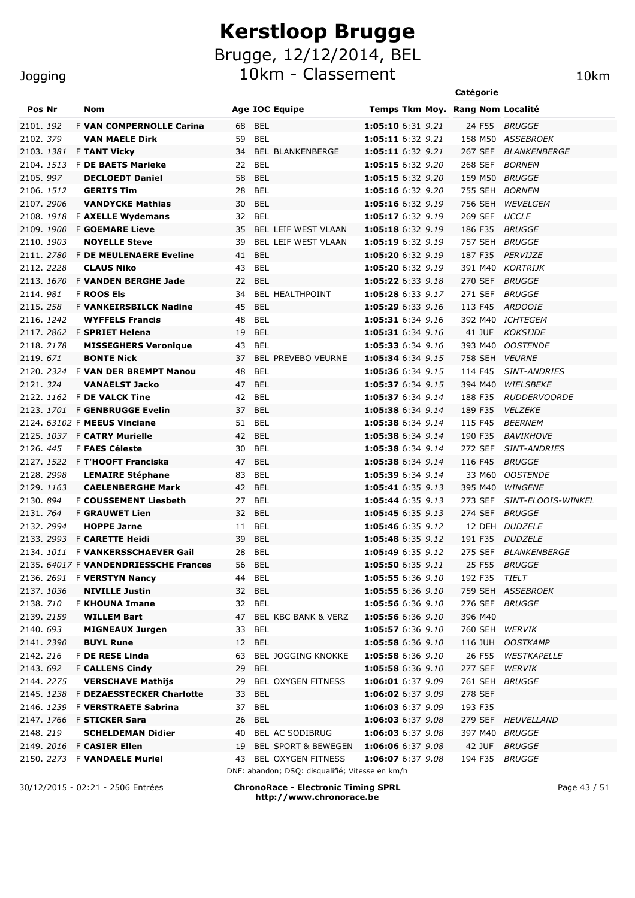10km - Classement 10km

# Jogging

|            |  |                                                                     |              |                                                 |                                        | Catégorie          |                                    |
|------------|--|---------------------------------------------------------------------|--------------|-------------------------------------------------|----------------------------------------|--------------------|------------------------------------|
| Pos Nr     |  | Nom                                                                 |              | <b>Age IOC Equipe</b>                           | Temps Tkm Moy. Rang Nom Localité       |                    |                                    |
| 2101.192   |  | F VAN COMPERNOLLE Carina                                            | 68           | <b>BEL</b>                                      | 1:05:10 6:31 9.21                      | 24 F55             | <i>BRUGGE</i>                      |
| 2102.379   |  | <b>VAN MAELE Dirk</b>                                               | 59           | BEL                                             | 1:05:11 6:32 9.21                      |                    | 158 M50 ASSEBROEK                  |
| 2103. 1381 |  | <b>F TANT Vicky</b>                                                 | 34           | <b>BEL BLANKENBERGE</b>                         | 1:05:11 6:32 9.21                      | 267 SEF            | <b>BLANKENBERGE</b>                |
|            |  | 2104. 1513 F DE BAETS Marieke                                       | 22           | BEL                                             | 1:05:15 6:32 9.20                      | 268 SEF            | <b>BORNEM</b>                      |
| 2105.997   |  | <b>DECLOEDT Daniel</b>                                              | 58           | <b>BEL</b>                                      | 1:05:15 6:32 9.20                      | 159 M50 BRUGGE     |                                    |
| 2106. 1512 |  | <b>GERITS Tim</b>                                                   | 28           | <b>BEL</b>                                      | 1:05:16 6:32 9.20                      | 755 SEH            | <b>BORNEM</b>                      |
| 2107.2906  |  | <b>VANDYCKE Mathias</b>                                             | 30           | <b>BEL</b>                                      | 1:05:16 6:32 9.19                      | 756 SEH            | WEVELGEM                           |
|            |  | 2108. 1918 F AXELLE Wydemans                                        | 32           | <b>BEL</b>                                      | 1:05:17 6:32 9.19                      | 269 SEF            | <b>UCCLE</b>                       |
| 2109.1900  |  | <b>F GOEMARE Lieve</b>                                              | 35           | BEL LEIF WEST VLAAN                             | 1:05:18 6:32 9.19                      | 186 F35            | <b>BRUGGE</b>                      |
| 2110. 1903 |  | <b>NOYELLE Steve</b>                                                | 39           | BEL LEIF WEST VLAAN                             | 1:05:19 6:32 9.19                      | 757 SEH            | <b>BRUGGE</b>                      |
|            |  | 2111. 2780 F DE MEULENAERE Eveline                                  | 41           | <b>BEL</b>                                      | 1:05:20 6:32 9.19                      | 187 F35            | PERVIJZE                           |
| 2112. 2228 |  | <b>CLAUS Niko</b>                                                   | 43           | <b>BEL</b>                                      | 1:05:20 6:32 9.19                      | 391 M40            | KORTRIJK                           |
|            |  | 2113. 1670 F VANDEN BERGHE Jade                                     | 22           | <b>BEL</b>                                      | 1:05:22 6:33 9.18                      | 270 SEF            | BRUGGE                             |
| 2114.981   |  | <b>F ROOS Els</b>                                                   | 34           | BEL HEALTHPOINT                                 | 1:05:28 6:33 9.17                      | 271 SEF            | BRUGGE                             |
| 2115.258   |  | <b>F VANKEIRSBILCK Nadine</b><br><b>WYFFELS Francis</b>             | 45<br>48     | <b>BEL</b><br><b>BEL</b>                        | 1:05:29 6:33 9.16<br>1:05:31 6:34 9.16 | 113 F45            | <i>ARDOOIE</i><br>392 M40 ICHTEGEM |
| 2116. 1242 |  | 2117. 2862 F SPRIET Helena                                          | 19           | <b>BEL</b>                                      | 1:05:31 6:34 9.16                      |                    | 41 JUF KOKSIJDE                    |
| 2118.2178  |  | <b>MISSEGHERS Veronique</b>                                         | 43           | <b>BEL</b>                                      | 1:05:33 6:34 9.16                      | 393 M40            | <i><b>OOSTENDE</b></i>             |
| 2119.671   |  | <b>BONTE Nick</b>                                                   | 37           | <b>BEL PREVEBO VEURNE</b>                       | 1:05:34 6:34 9.15                      | 758 SEH            | <i><b>VEURNE</b></i>               |
|            |  | 2120. 2324 F VAN DER BREMPT Manou                                   | 48           | <b>BEL</b>                                      | 1:05:36 6:34 9.15                      | 114 F45            | <b>SINT-ANDRIES</b>                |
| 2121.324   |  | <b>VANAELST Jacko</b>                                               | 47           | <b>BEL</b>                                      | 1:05:37 6:34 9.15                      | 394 M40            | WIELSBEKE                          |
|            |  | 2122. 1162 F DE VALCK Tine                                          | 42           | BEL                                             | 1:05:37 6:34 9.14                      | 188 F35            | <b>RUDDERVOORDE</b>                |
|            |  | 2123. 1701 F GENBRUGGE Evelin                                       | 37 BEL       |                                                 | 1:05:38 6:34 9.14                      | 189 F35            | <b>VELZEKE</b>                     |
|            |  | 2124. 63102 F MEEUS Vinciane                                        | 51 BEL       |                                                 | 1:05:38 6:34 9.14                      | 115 F45            | <b>BEERNEM</b>                     |
|            |  | 2125. 1037 F CATRY Murielle                                         | 42 BEL       |                                                 | 1:05:38 6:34 9.14                      |                    | 190 F35 BAVIKHOVE                  |
| 2126.445   |  | <b>F FAES Céleste</b>                                               | 30           | BEL                                             | 1:05:38 6:34 9.14                      | 272 SEF            | <b>SINT-ANDRIES</b>                |
|            |  | 2127. 1522 F T'HOOFT Franciska                                      | 47 BEL       |                                                 | 1:05:38 6:34 9.14                      | 116 F45            | <b>BRUGGE</b>                      |
| 2128.2998  |  | <b>LEMAIRE Stéphane</b>                                             | 83           | BEL                                             | 1:05:39 6:34 9.14                      | 33 M60             | <b>OOSTENDE</b>                    |
| 2129.1163  |  | <b>CAELENBERGHE Mark</b>                                            | 42 BEL       |                                                 | 1:05:41 6:35 9.13                      | 395 M40            | WINGENE                            |
| 2130, 894  |  | <b>F COUSSEMENT Liesbeth</b>                                        | 27 BEL       |                                                 | 1:05:44 6:35 9.13                      | 273 SEF            | SINT-ELOOIS-WINKEL                 |
| 2131. 764  |  | <b>F GRAUWET Lien</b>                                               | 32           | <b>BEL</b>                                      | 1:05:45 6:35 9.13                      | 274 SEF            | <b>BRUGGE</b>                      |
| 2132. 2994 |  | <b>HOPPE Jarne</b>                                                  | 11 BEL       |                                                 | 1:05:46 6:35 9.12                      |                    | 12 DEH DUDZELE                     |
|            |  | 2133. 2993 F CARETTE Heidi                                          | 39           | <b>BEL</b>                                      | 1:05:48 6:35 9.12                      | 191 F35            | <b>DUDZELE</b>                     |
|            |  | 2134. 1011 F VANKERSSCHAEVER Gail                                   | 28 BEL       |                                                 | 1:05:49 6:35 9.12                      |                    | 275 SEF BLANKENBERGE               |
|            |  | 2135. 64017 F VANDENDRIESSCHE Frances                               | 56 BEL       |                                                 | 1:05:50 6:35 9.11                      |                    | 25 F55 BRUGGE                      |
| 2136. 2691 |  | <b>F VERSTYN Nancy</b>                                              | 44           | BEL                                             | 1:05:55 6:36 9.10                      | 192 F35            | TIELT                              |
| 2137.1036  |  | <b>NIVILLE Justin</b>                                               | 32 BEL       |                                                 | 1:05:55 6:36 9.10                      |                    | 759 SEH ASSEBROEK                  |
| 2138.710   |  | <b>F KHOUNA Imane</b>                                               | 32 BEL       |                                                 | 1:05:56 6:36 9.10                      | 276 SEF            | <i>BRUGGE</i>                      |
| 2139. 2159 |  | <b>WILLEM Bart</b>                                                  | 47           | BEL KBC BANK & VERZ                             | 1:05:56 6:36 9.10                      | 396 M40            |                                    |
| 2140.693   |  | <b>MIGNEAUX Jurgen</b>                                              | 33           | <b>BEL</b>                                      | 1:05:57 6:36 9.10                      | 760 SEH            | WERVIK                             |
| 2141.2390  |  | <b>BUYL Rune</b>                                                    | 12           | <b>BEL</b>                                      | 1:05:58 6:36 9.10                      | 116 JUH            | <b>OOSTKAMP</b>                    |
| 2142.216   |  | F DE RESE Linda                                                     | 63           | <b>BEL JOGGING KNOKKE</b>                       | 1:05:58 6:36 9.10                      | 26 F55             | WESTKAPELLE                        |
| 2143.692   |  | <b>F CALLENS Cindy</b>                                              | 29           | BEL                                             | 1:05:58 6:36 9.10                      | 277 SEF            | WERVIK                             |
| 2144.2275  |  | <b>VERSCHAVE Mathijs</b>                                            | 29           | <b>BEL OXYGEN FITNESS</b><br><b>BEL</b>         | 1:06:01 6:37 9.09<br>1:06:02 6:37 9.09 | 761 SEH<br>278 SEF | <i>BRUGGE</i>                      |
| 2146. 1239 |  | 2145. 1238 F DEZAESSTECKER Charlotte<br><b>F VERSTRAETE Sabrina</b> | 33<br>37 BEL |                                                 | 1:06:03 6:37 9.09                      | 193 F35            |                                    |
|            |  | 2147. 1766 F STICKER Sara                                           | 26           | <b>BEL</b>                                      | 1:06:03 6:37 9.08                      |                    | 279 SEF HEUVELLAND                 |
| 2148.219   |  | <b>SCHELDEMAN Didier</b>                                            | 40           | BEL AC SODIBRUG                                 | 1:06:03 6:37 9.08                      | 397 M40 BRUGGE     |                                    |
|            |  | 2149. 2016 F CASIER Ellen                                           | 19           | <b>BEL SPORT &amp; BEWEGEN</b>                  | 1:06:06 6:37 9.08                      | 42 JUF             | <b>BRUGGE</b>                      |
|            |  | 2150. 2273 F VANDAELE Muriel                                        | 43           | <b>BEL OXYGEN FITNESS</b>                       | 1:06:07 6:37 9.08                      | 194 F35            | <i>BRUGGE</i>                      |
|            |  |                                                                     |              | DNF: abandon; DSQ: disqualifié; Vitesse en km/h |                                        |                    |                                    |

30/12/2015 - 02:21 - 2506 Entrées **ChronoRace - Electronic Timing SPRL http://www.chronorace.be**

Page 43 / 51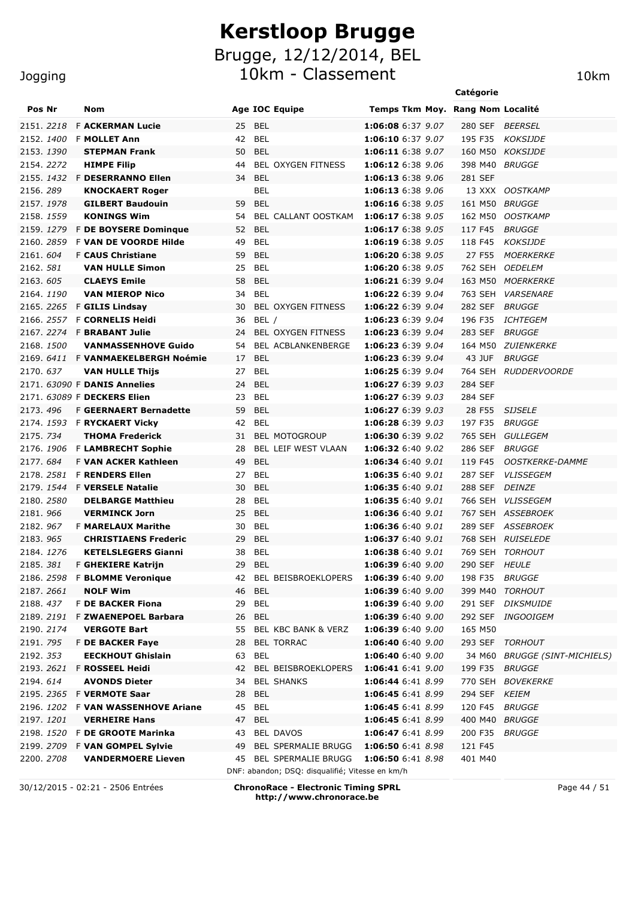Brugge, 12/12/2014, BEL

10km - Classement 10km

|                          |           |                                                             |          |                                                 |                                        | Catégorie          |                                    |
|--------------------------|-----------|-------------------------------------------------------------|----------|-------------------------------------------------|----------------------------------------|--------------------|------------------------------------|
| Pos Nr                   |           | Nom                                                         |          | <b>Age IOC Equipe</b>                           | Temps Tkm Moy. Rang Nom Localité       |                    |                                    |
| 2151.2218                |           | <b>F ACKERMAN Lucie</b>                                     |          | 25 BEL                                          | 1:06:08 6:37 9.07                      | 280 SEF            | <i>BEERSEL</i>                     |
| 2152.1400                |           | <b>F MOLLET Ann</b>                                         |          | 42 BEL                                          | 1:06:10 6:37 9.07                      | 195 F35            | KOKSIJDE                           |
| 2153.1390                |           | <b>STEPMAN Frank</b>                                        |          | 50 BEL                                          | 1:06:11 6:38 9.07                      |                    | 160 M50 KOKSIJDE                   |
| 2154.2272                |           | <b>HIMPE Filip</b>                                          | 44       | <b>BEL OXYGEN FITNESS</b>                       | 1:06:12 6:38 9.06                      | 398 M40            | <i>BRUGGE</i>                      |
|                          |           | 2155. 1432 F DESERRANNO Ellen                               | 34       | <b>BEL</b>                                      | 1:06:13 6:38 9.06                      | 281 SEF            |                                    |
| 2156.289                 |           | <b>KNOCKAERT Roger</b>                                      |          | BEL                                             | 1:06:13 6:38 9.06                      |                    | 13 XXX OOSTKAMP                    |
| 2157. 1978               |           | <b>GILBERT Baudouin</b>                                     |          | 59 BEL                                          | 1:06:16 6:38 9.05                      | 161 M50            | <i>BRUGGE</i>                      |
| 2158. 1559               |           | <b>KONINGS Wim</b>                                          | 54       | <b>BEL CALLANT OOSTKAM</b>                      | 1:06:17 6:38 9.05                      | 162 M50            | <b>OOSTKAMP</b>                    |
|                          | 2159.1279 | F DE BOYSERE Dominque                                       | 52       | <b>BEL</b>                                      | 1:06:17 6:38 9.05                      | 117 F45            | <b>BRUGGE</b>                      |
| 2160. 2859               |           | F VAN DE VOORDE Hilde                                       | 49       | <b>BEL</b>                                      | 1:06:19 6:38 9.05                      | 118 F45            | KOKSIJDE                           |
| 2161.604                 |           | <b>F CAUS Christiane</b>                                    | 59       | <b>BEL</b>                                      | 1:06:20 6:38 9.05                      | 27 F55             | <b>MOERKERKE</b>                   |
| 2162. 581                |           | <b>VAN HULLE Simon</b>                                      | 25       | <b>BEL</b>                                      | 1:06:20 6:38 9.05                      | 762 SEH            | <i><b>OEDELEM</b></i>              |
| 2163.605                 |           | <b>CLAEYS Emile</b>                                         | 58       | <b>BEL</b>                                      | 1:06:21 6:39 9.04                      |                    | 163 M50 MOERKERKE                  |
| 2164, 1190               |           | <b>VAN MIEROP Nico</b>                                      | 34       | <b>BEL</b>                                      | 1:06:22 6:39 9.04                      | 763 SEH            | <i><b>VARSENARE</b></i>            |
|                          |           | 2165. 2265 F GILIS Lindsay                                  | 30       | <b>BEL OXYGEN FITNESS</b>                       | <b>1:06:22</b> 6:39 9.04               | 282 SEF            | <b>BRUGGE</b>                      |
|                          |           | 2166. 2557 F CORNELIS Heidi                                 | 36       | BEL /                                           | 1:06:23 6:39 9.04                      | 196 F35            | <i>ICHTEGEM</i>                    |
| 2168.1500                |           | 2167. 2274 F BRABANT Julie<br><b>VANMASSENHOVE Guido</b>    | 24<br>54 | BEL OXYGEN FITNESS                              | 1:06:23 6:39 9.04<br>1:06:23 6:39 9.04 | 283 SEF<br>164 M50 | <i>BRUGGE</i>                      |
|                          |           | 2169. 6411 F VANMAEKELBERGH Noémie                          | 17 BEL   | BEL ACBLANKENBERGE                              | 1:06:23 6:39 9.04                      | 43 JUF             | <i>ZUIENKERKE</i><br><i>BRUGGE</i> |
| 2170.637                 |           | <b>VAN HULLE Thiis</b>                                      | 27       | <b>BEL</b>                                      | 1:06:25 6:39 9.04                      |                    | 764 SEH RUDDERVOORDE               |
|                          |           | 2171. 63090 F DANIS Annelies                                | 24       | <b>BEL</b>                                      | 1:06:27 6:39 9.03                      | 284 SEF            |                                    |
|                          |           | 2171. 63089 F DECKERS Elien                                 | 23       | BEL                                             | 1:06:27 6:39 9.03                      | 284 SEF            |                                    |
| 2173.496                 |           | <b>F GEERNAERT Bernadette</b>                               | 59       | <b>BEL</b>                                      | 1:06:27 6:39 9.03                      | 28 F55             | <b>SIJSELE</b>                     |
|                          |           | 2174. 1593 F RYCKAERT Vicky                                 | 42       | BEL                                             | 1:06:28 6:39 9.03                      | 197 F35            | <i>BRUGGE</i>                      |
| 2175. 734                |           | <b>THOMA Frederick</b>                                      |          | 31 BEL MOTOGROUP                                | 1:06:30 6:39 9.02                      | 765 SEH            | GULLEGEM                           |
| 2176.1906                |           | <b>F LAMBRECHT Sophie</b>                                   | 28       | BEL LEIF WEST VLAAN                             | 1:06:32 6:40 9.02                      | 286 SEF            | <i>BRUGGE</i>                      |
| 2177.684                 |           | <b>F VAN ACKER Kathleen</b>                                 | 49       | <b>BEL</b>                                      | 1:06:34 6:40 9.01                      | 119 F45            | <b>OOSTKERKE-DAMME</b>             |
| 2178.2581                |           | <b>F RENDERS Ellen</b>                                      |          | 27 BEL                                          | 1:06:35 6:40 9.01                      | 287 SEF            | <b>VLISSEGEM</b>                   |
| 2179.1544                |           | <b>F VERSELE Natalie</b>                                    | 30       | BEL                                             | 1:06:35 6:40 9.01                      | 288 SEF            | <i>DEINZE</i>                      |
| 2180. 2580               |           | <b>DELBARGE Matthieu</b>                                    | 28       | BEL                                             | 1:06:35 6:40 9.01                      | 766 SEH            | <i><b>VLISSEGEM</b></i>            |
| 2181.966                 |           | <b>VERMINCK Jorn</b>                                        | 25       | <b>BEL</b>                                      | 1:06:36 6:40 9.01                      |                    | 767 SEH ASSEBROEK                  |
| 2182.967                 |           | <b>F MARELAUX Marithe</b>                                   | 30       | BEL                                             | 1:06:36 6:40 9.01                      | 289 SEF            | <b>ASSEBROEK</b>                   |
| 2183.965                 |           | <b>CHRISTIAENS Frederic</b>                                 | 29       | <b>BEL</b>                                      | 1:06:37 6:40 9.01                      |                    | 768 SEH RUISELEDE                  |
| 2184. 1276               |           | <b>KETELSLEGERS Gianni</b>                                  |          | 38 BEL                                          | 1:06:38 6:40 9.01                      |                    | 769 SEH TORHOUT                    |
| 2185.381                 |           | F GHEKIERE Katrijn                                          | 29       | <b>BEL</b>                                      | 1:06:39 6:40 9.00                      | 290 SEF HEULE      |                                    |
| 2186. 2598               |           | <b>F BLOMME Veronique</b>                                   | 42       | BEL BEISBROEKLOPERS                             | 1:06:39 6:40 9.00                      | 198 F35            | <i>BRUGGE</i>                      |
| 2187. 2661               |           | <b>NOLF Wim</b>                                             | 46       | <b>BEL</b>                                      | 1:06:39 6:40 9.00                      | 399 M40            | TORHOUT                            |
| 2188.437                 |           | F DE BACKER Fiona                                           | 29       | <b>BEL</b>                                      | 1:06:39 6:40 9.00                      | 291 SEF            | <i>DIKSMUIDE</i>                   |
| 2189. 2191               |           | F ZWAENEPOEL Barbara                                        | 26       | <b>BEL</b>                                      | 1:06:39 6:40 9.00                      | 292 SEF            | <i>INGOOIGEM</i>                   |
| 2190. 2174               |           | <b>VERGOTE Bart</b>                                         | 55       | BEL KBC BANK & VERZ                             | 1:06:39 6:40 9.00                      | 165 M50            |                                    |
| 2191. 795                |           | <b>F DE BACKER Faye</b>                                     | 28       | <b>BEL TORRAC</b>                               | 1:06:40 6:40 9.00                      | 293 SEF            | TORHOUT                            |
| 2192. 353                |           | <b>EECKHOUT Ghislain</b>                                    | 63       | BEL                                             | 1:06:40 6:40 9.00                      |                    | 34 M60 BRUGGE (SINT-MICHIELS)      |
| 2193. 2621               |           | F ROSSEEL Heidi                                             | 42       | BEL BEISBROEKLOPERS                             | 1:06:41 6:41 9.00                      | 199 F35            | <i>BRUGGE</i>                      |
| 2194.614                 |           | <b>AVONDS Dieter</b>                                        | 34       | <b>BEL SHANKS</b>                               | 1:06:44 6:41 8.99                      | 770 SEH            | <i>BOVEKERKE</i>                   |
|                          |           | 2195. 2365 F VERMOTE Saar<br><b>F VAN WASSENHOVE Ariane</b> | 28       | <b>BEL</b><br><b>BEL</b>                        | 1:06:45 6:41 8.99<br>1:06:45 6:41 8.99 | 294 SEF KEIEM      |                                    |
| 2196. 1202<br>2197. 1201 |           | <b>VERHEIRE Hans</b>                                        | 45<br>47 | <b>BEL</b>                                      | 1:06:45 6:41 8.99                      | 120 F45<br>400 M40 | <i>BRUGGE</i><br><i>BRUGGE</i>     |
|                          |           | 2198. 1520 F DE GROOTE Marinka                              | 43       | BEL DAVOS                                       | 1:06:47 6:41 8.99                      | 200 F35            | <b>BRUGGE</b>                      |
|                          |           | 2199. 2709 F VAN GOMPEL Sylvie                              | 49       | <b>BEL SPERMALIE BRUGG</b>                      | 1:06:50 6:41 8.98                      | 121 F45            |                                    |
| 2200. 2708               |           | <b>VANDERMOERE Lieven</b>                                   |          | 45 BEL SPERMALIE BRUGG                          | 1:06:50 6:41 8.98                      | 401 M40            |                                    |
|                          |           |                                                             |          | DNF: abandon; DSQ: disqualifié; Vitesse en km/h |                                        |                    |                                    |

Jogging

30/12/2015 - 02:21 - 2506 Entrées **ChronoRace - Electronic Timing SPRL http://www.chronorace.be**

Page 44 / 51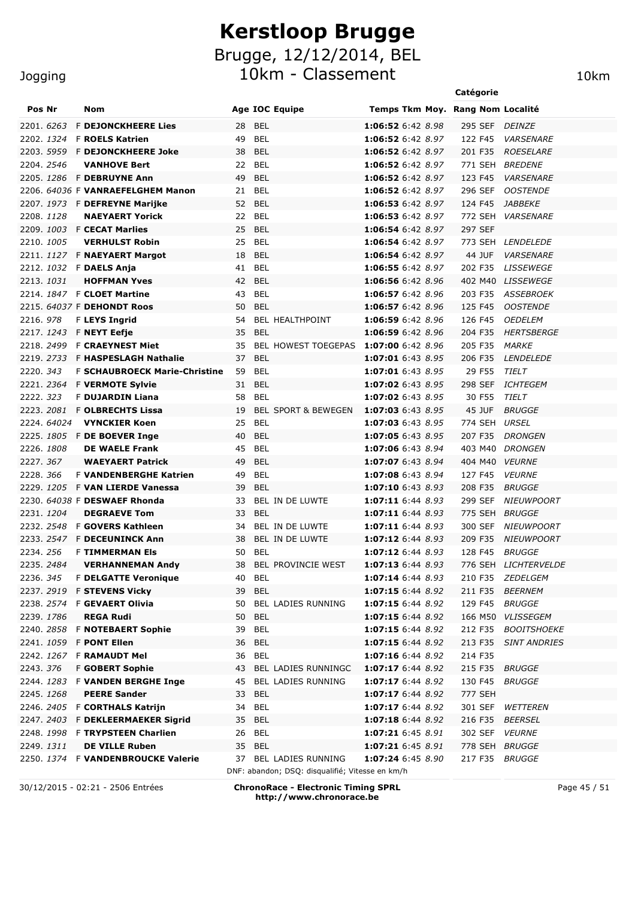Brugge, 12/12/2014, BEL

10km - Classement 10km

|                   |                   |                                                                                 |          |                                                                          |                                        | Catégorie |         |                          |
|-------------------|-------------------|---------------------------------------------------------------------------------|----------|--------------------------------------------------------------------------|----------------------------------------|-----------|---------|--------------------------|
| Pos Nr            |                   | Nom                                                                             |          | <b>Age IOC Equipe</b>                                                    | Temps Tkm Moy. Rang Nom Localité       |           |         |                          |
| 2201. 6263        |                   | <b>F DEJONCKHEERE Lies</b>                                                      | 28       | <b>BEL</b>                                                               | 1:06:52 6:42 8.98                      | 295 SEF   |         | <i>DEINZE</i>            |
|                   | 2202. <i>1324</i> | <b>F ROELS Katrien</b>                                                          | 49       | BEL                                                                      | 1:06:52 6:42 8.97                      | 122 F45   |         | <b>VARSENARE</b>         |
|                   | 2203. 5959        | <b>F DEJONCKHEERE Joke</b>                                                      | 38       | <b>BEL</b>                                                               | 1:06:52 6:42 8.97                      | 201 F35   |         | <b>ROESELARE</b>         |
| 2204. 2546        |                   | <b>VANHOVE Bert</b>                                                             | 22       | <b>BEL</b>                                                               | 1:06:52 6:42 8.97                      |           | 771 SEH | <b>BREDENE</b>           |
|                   |                   | 2205. 1286 F DEBRUYNE Ann                                                       | 49       | <b>BEL</b>                                                               | 1:06:52 6:42 8.97                      | 123 F45   |         | <b>VARSENARE</b>         |
|                   |                   | 2206. 64036 F VANRAEFELGHEM Manon                                               | 21       | BEL                                                                      | 1:06:52 6:42 8.97                      | 296 SEF   |         | <b>OOSTENDE</b>          |
|                   |                   | 2207. 1973 F DEFREYNE Marijke                                                   | 52       | <b>BEL</b>                                                               | 1:06:53 6:42 8.97                      | 124 F45   |         | <i>JABBEKE</i>           |
| 2208.1128         |                   | <b>NAEYAERT Yorick</b>                                                          | 22       | <b>BEL</b>                                                               | 1:06:53 6:42 8.97                      |           | 772 SEH | <b>VARSENARE</b>         |
|                   |                   | 2209. 1003 F CECAT Marlies                                                      | 25       | <b>BEL</b>                                                               | 1:06:54 6:42 8.97                      | 297 SEF   |         |                          |
| 2210. <i>1005</i> |                   | <b>VERHULST Robin</b>                                                           | 25       | <b>BEL</b>                                                               | 1:06:54 6:42 8.97                      |           |         | 773 SEH LENDELEDE        |
|                   |                   | 2211. 1127 F <b>NAEYAERT Margot</b>                                             | 18       | BEL                                                                      | 1:06:54 6:42 8.97                      |           | 44 JUF  | <b>VARSENARE</b>         |
|                   |                   | 2212. 1032 F DAELS Anja                                                         | 41       | BEL                                                                      | 1:06:55 6:42 8.97                      | 202 F35   |         | <b>LISSEWEGE</b>         |
| 2213. <i>1031</i> |                   | <b>HOFFMAN Yves</b>                                                             | 42       | <b>BEL</b>                                                               | 1:06:56 6:42 8.96                      | 402 M40   |         | <i>LISSEWEGE</i>         |
|                   |                   | 2214. 1847 F CLOET Martine                                                      | 43       | <b>BEL</b>                                                               | 1:06:57 6:42 8.96                      | 203 F35   |         | <i>ASSEBROEK</i>         |
|                   |                   | 2215. 64037 F DEHONDT Roos                                                      | 50       | BEL                                                                      | 1:06:57 6:42 8.96                      | 125 F45   |         | <b>OOSTENDE</b>          |
| 2216, 978         |                   | <b>F LEYS Ingrid</b>                                                            | 54       | <b>BEL HEALTHPOINT</b>                                                   | 1:06:59 6:42 8.96                      | 126 F45   |         | <i><b>OEDELEM</b></i>    |
| 2217. <i>1243</i> |                   | <b>F NEYT Eefje</b>                                                             | 35       | <b>BEL</b>                                                               | 1:06:59 6:42 8.96                      | 204 F35   |         | HERTSBERGE               |
|                   |                   | 2218. 2499 F <b>CRAEYNEST Miet</b>                                              | 35       | BEL HOWEST TOEGEPAS 1:07:00 6:42 8.96                                    |                                        | 205 F35   |         | <i>MARKE</i>             |
|                   |                   | 2219. 2733 F <b>HASPESLAGH Nathalie</b><br><b>F SCHAUBROECK Marie-Christine</b> | 37<br>59 | <b>BEL</b><br><b>BEL</b>                                                 | 1:07:01 6:43 8.95<br>1:07:01 6:43 8.95 | 206 F35   |         | <b>LENDELEDE</b>         |
| 2220.343          |                   | 2221. 2364 F VERMOTE Sylvie                                                     | 31       | BEL                                                                      | 1:07:02 6:43 8.95                      | 298 SEF   | 29 F55  | TIELT<br><i>ICHTEGEM</i> |
| 2222.323          |                   | F DUJARDIN Liana                                                                | 58       | <b>BEL</b>                                                               | 1:07:02 6:43 8.95                      |           | 30 F55  | TIELT                    |
|                   |                   | 2223. 2081 F OLBRECHTS Lissa                                                    | 19       | <b>BEL SPORT &amp; BEWEGEN</b>                                           | 1:07:03 6:43 8.95                      |           | 45 JUF  | <b>BRUGGE</b>            |
|                   | 2224. 64024       | <b>VYNCKIER Koen</b>                                                            | 25       | <b>BEL</b>                                                               | 1:07:03 6:43 8.95                      | 774 SEH   |         | URSEL                    |
|                   |                   | 2225. 1805 F DE BOEVER Inge                                                     | 40       | BEL                                                                      | 1:07:05 6:43 8.95                      | 207 F35   |         | <b>DRONGEN</b>           |
| 2226.1808         |                   | <b>DE WAELE Frank</b>                                                           | 45       | BEL                                                                      | 1:07:06 6:43 8.94                      | 403 M40   |         | <i>DRONGEN</i>           |
| 2227.367          |                   | <b>WAEYAERT Patrick</b>                                                         | 49       | BEL                                                                      | 1:07:07 6:43 8.94                      | 404 M40   |         | <b>VEURNE</b>            |
| 2228.366          |                   | <b>F VANDENBERGHE Katrien</b>                                                   | 49       | <b>BEL</b>                                                               | 1:07:08 6:43 8.94                      | 127 F45   |         | <b>VEURNE</b>            |
| 2229. <i>1205</i> |                   | <b>F VAN LIERDE Vanessa</b>                                                     | 39       | BEL                                                                      | 1:07:10 6:43 8.93                      | 208 F35   |         | <b>BRUGGE</b>            |
|                   |                   | 2230. 64038 F DESWAEF Rhonda                                                    | 33       | BEL IN DE LUWTE                                                          | 1:07:11 6:44 8.93                      | 299 SEF   |         | <i>NIEUWPOORT</i>        |
| 2231. <i>1204</i> |                   | <b>DEGRAEVE Tom</b>                                                             | 33       | BEL                                                                      | $1:07:11$ 6:44 8.93                    | 775 SEH   |         | <i>BRUGGE</i>            |
| 2232. <i>2548</i> |                   | <b>F GOVERS Kathleen</b>                                                        | 34       | BEL IN DE LUWTE                                                          | 1:07:11 6:44 8.93                      | 300 SEF   |         | NIEUWPOORT               |
| 2233. <i>2547</i> |                   | <b>F DECEUNINCK Ann</b>                                                         | 38       | BEL IN DE LUWTE                                                          | 1:07:12 6:44 8.93                      | 209 F35   |         | <b>NIEUWPOORT</b>        |
| 2234.256          |                   | <b>F TIMMERMAN EIS</b>                                                          | 50       | BEL                                                                      | 1:07:12 6:44 8.93                      | 128 F45   |         | <i>BRUGGE</i>            |
| 2235.2484         |                   | <b>VERHANNEMAN Andy</b>                                                         | 38       | BEL PROVINCIE WEST                                                       | 1:07:13 6:44 8.93                      |           |         | 776 SEH LICHTERVELDE     |
| 2236. <i>345</i>  |                   | <b>F DELGATTE Veronique</b>                                                     | 40       | BEL                                                                      | 1:07:14 6:44 8.93                      | 210 F35   |         | <i>ZEDELGEM</i>          |
|                   |                   | 2237. 2919 F STEVENS Vicky                                                      | 39       | <b>BEL</b>                                                               | 1:07:15 6:44 8.92                      | 211 F35   |         | <i>BEERNEM</i>           |
| 2238. 2574        |                   | F GEVAERT Olivia                                                                | 50       | BEL LADIES RUNNING                                                       | 1:07:15 6:44 8.92                      | 129 F45   |         | BRUGGE                   |
| 2239. <i>1786</i> |                   | <b>REGA Rudi</b>                                                                | 50       | <b>BEL</b>                                                               | 1:07:15 6:44 8.92                      | 166 M50   |         | <b>VLISSEGEM</b>         |
| 2240. <i>2858</i> |                   | <b>F NOTEBAERT Sophie</b>                                                       | 39       | <b>BEL</b>                                                               | 1:07:15 6:44 8.92                      | 212 F35   |         | <b>BOOITSHOEKE</b>       |
| 2241. <i>1059</i> |                   | <b>F PONT Ellen</b>                                                             | 36       | <b>BEL</b>                                                               | 1:07:15 6:44 8.92                      | 213 F35   |         | <b>SINT ANDRIES</b>      |
| 2242. 1267        |                   | <b>F RAMAUDT Mel</b>                                                            | 36       | <b>BEL</b>                                                               | 1:07:16 6:44 8.92                      | 214 F35   |         |                          |
| 2243.376          |                   | <b>F GOBERT Sophie</b>                                                          | 43       | BEL LADIES RUNNINGC                                                      | 1:07:17 6:44 8.92                      | 215 F35   |         | <i>BRUGGE</i>            |
| 2244.1283         |                   | <b>F VANDEN BERGHE Inge</b>                                                     | 45       | BEL LADIES RUNNING                                                       | 1:07:17 6:44 8.92                      | 130 F45   |         | <i>BRUGGE</i>            |
| 2245.1268         |                   | <b>PEERE Sander</b>                                                             | 33       | <b>BEL</b>                                                               | 1:07:17 6:44 8.92                      | 777 SEH   |         |                          |
|                   |                   | 2246. 2405 F CORTHALS Katrijn                                                   | 34       | BEL                                                                      | 1:07:17 6:44 8.92                      | 301 SEF   |         | <i>WETTEREN</i>          |
|                   |                   | 2247. 2403 F DEKLEERMAEKER Sigrid                                               | 35       | <b>BEL</b>                                                               | 1:07:18 6:44 8.92                      | 216 F35   |         | <i>BEERSEL</i>           |
|                   |                   | 2248. 1998 F TRYPSTEEN Charlien                                                 | 26       | BEL                                                                      | 1:07:21 6:45 8.91                      | 302 SEF   |         | <i>VEURNE</i>            |
| 2249. <i>1311</i> |                   | <b>DE VILLE Ruben</b>                                                           | 35 BEL   |                                                                          | 1:07:21 6:45 8.91                      |           |         | 778 SEH BRUGGE           |
|                   |                   | 2250. 1374 F VANDENBROUCKE Valerie                                              |          | 37 BEL LADIES RUNNING<br>DNF: abandon; DSQ: disqualifié; Vitesse en km/h | 1:07:24 6:45 8.90                      | 217 F35   |         | <i>BRUGGE</i>            |
|                   |                   |                                                                                 |          |                                                                          |                                        |           |         |                          |

30/12/2015 - 02:21 - 2506 Entrées **ChronoRace - Electronic Timing SPRL http://www.chronorace.be**

Page 45 / 51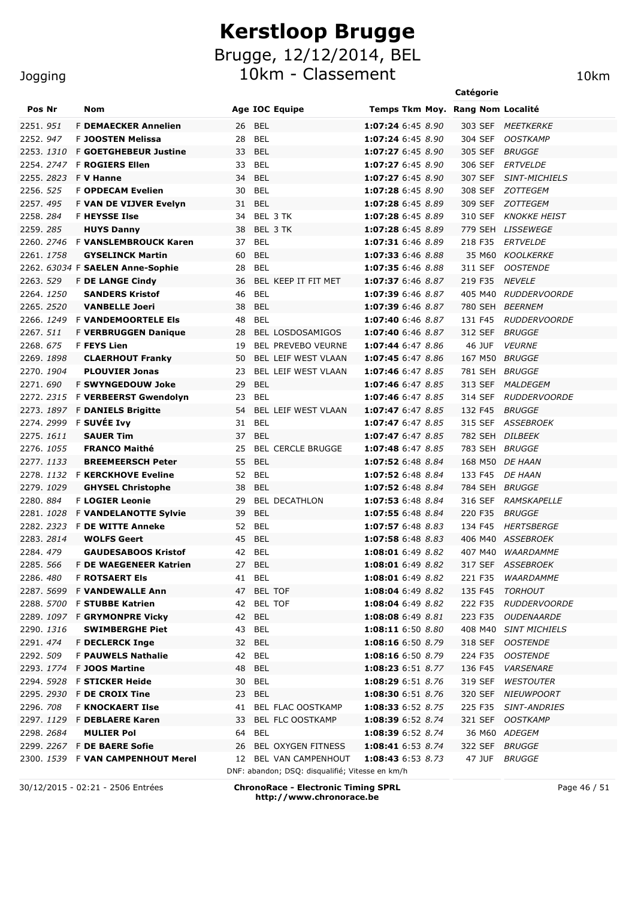Brugge, 12/12/2014, BEL

10km - Classement 10km

|                   |                                   |                                                                          |                                  | Catégorie      |                         |
|-------------------|-----------------------------------|--------------------------------------------------------------------------|----------------------------------|----------------|-------------------------|
| Pos Nr            | <b>Nom</b>                        | <b>Age IOC Equipe</b>                                                    | Temps Tkm Moy. Rang Nom Localité |                |                         |
| 2251.951          | <b>F DEMAECKER Annelien</b>       | <b>BEL</b><br>26                                                         | 1:07:24 6:45 8.90                | 303 SEF        | <i>MEETKERKE</i>        |
| 2252.947          | F JOOSTEN Melissa                 | <b>BEL</b><br>28                                                         | 1:07:24 6:45 8.90                | 304 SEF        | <b>OOSTKAMP</b>         |
| 2253. <i>1310</i> | <b>F GOETGHEBEUR Justine</b>      | <b>BEL</b><br>33                                                         | 1:07:27 6:45 8.90                | 305 SEF        | <b>BRUGGE</b>           |
|                   | 2254. 2747 F ROGIERS Ellen        | <b>BEL</b><br>33                                                         | 1:07:27 6:45 8.90                | 306 SEF        | <b>ERTVELDE</b>         |
| 2255.2823         | <b>F V Hanne</b>                  | <b>BEL</b><br>34                                                         | 1:07:27 6:45 8.90                | 307 SEF        | <b>SINT-MICHIELS</b>    |
| 2256. 525         | <b>F OPDECAM Evelien</b>          | <b>BEL</b><br>30                                                         | 1:07:28 6:45 8.90                | 308 SEF        | <i>ZOTTEGEM</i>         |
| 2257.495          | <b>F VAN DE VIJVER Evelyn</b>     | <b>BEL</b><br>31                                                         | 1:07:28 6:45 8.89                | 309 SEF        | <i>ZOTTEGEM</i>         |
| 2258.284          | <b>F HEYSSE Ilse</b>              | BEL 3 TK<br>34                                                           | 1:07:28 6:45 8.89                | 310 SEF        | <b>KNOKKE HEIST</b>     |
| 2259. <i>285</i>  | <b>HUYS Danny</b>                 | 38<br>BEL 3 TK                                                           | 1:07:28 6:45 8.89                |                | 779 SEH LISSEWEGE       |
| 2260. 2746        | <b>F VANSLEMBROUCK Karen</b>      | 37<br><b>BEL</b>                                                         | 1:07:31 6:46 8.89                | 218 F35        | <b>ERTVELDE</b>         |
| 2261, 1758        | <b>GYSELINCK Martin</b>           | <b>BEL</b><br>60                                                         | 1:07:33 6:46 8.88                | 35 M60         | KOOLKERKE               |
|                   | 2262. 63034 F SAELEN Anne-Sophie  | <b>BEL</b><br>28                                                         | 1:07:35 6:46 8.88                | 311 SEF        | <i><b>OOSTENDE</b></i>  |
| 2263. 529         | <b>F DE LANGE Cindy</b>           | BEL KEEP IT FIT MET<br>36                                                | 1:07:37 6:46 8.87                | 219 F35        | <b>NEVELE</b>           |
| 2264.1250         | <b>SANDERS Kristof</b>            | <b>BEL</b><br>46                                                         | 1:07:39 6:46 8.87                | 405 M40        | <b>RUDDERVOORDE</b>     |
| 2265.2520         | <b>VANBELLE Joeri</b>             | <b>BEL</b><br>38                                                         | 1:07:39 6:46 8.87                | 780 SEH        | <i>BEERNEM</i>          |
| 2266. 1249        | <b>F VANDEMOORTELE EIS</b>        | <b>BEL</b><br>48                                                         | 1:07:40 6:46 8.87                | 131 F45        | <b>RUDDERVOORDE</b>     |
| 2267. 511         | <b>F VERBRUGGEN Danique</b>       | <b>BEL LOSDOSAMIGOS</b><br>28                                            | 1:07:40 6:46 8.87                | 312 SEF        | <b>BRUGGE</b>           |
| 2268.675          | F FEYS Lien                       | BEL PREVEBO VEURNE<br>19                                                 | 1:07:44 6:47 8.86                | 46 JUF         | <b>VEURNE</b>           |
| 2269. <i>1898</i> | <b>CLAERHOUT Franky</b>           | BEL LEIF WEST VLAAN<br>50                                                | 1:07:45 6:47 8.86                | 167 M50 BRUGGE |                         |
| 2270. 1904        | <b>PLOUVIER Jonas</b>             | BEL LEIF WEST VLAAN<br>23                                                | 1:07:46 6:47 8.85                | 781 SEH        | <i>BRUGGE</i>           |
| 2271.690          | <b>F SWYNGEDOUW Joke</b>          | <b>BEL</b><br>29                                                         | 1:07:46 6:47 8.85                | 313 SEF        | MALDEGEM                |
|                   | 2272. 2315 F VERBEERST Gwendolyn  | 23<br><b>BEL</b>                                                         | 1:07:46 6:47 8.85                | 314 SEF        | <i>RUDDERVOORDE</i>     |
|                   | 2273. 1897 F DANIELS Brigitte     | BEL LEIF WEST VLAAN<br>54                                                | 1:07:47 6:47 8.85                | 132 F45        | <b>BRUGGE</b>           |
|                   | 2274. 2999 F SUVÉE Ivy            | 31<br><b>BEL</b>                                                         | 1:07:47 6:47 8.85                | 315 SEF        | ASSEBROEK               |
| 2275. 1611        | <b>SAUER Tim</b>                  | 37<br><b>BEL</b>                                                         | 1:07:47 6:47 8.85                | 782 SEH        | <i>DILBEEK</i>          |
| 2276. 1055        | <b>FRANCO Maithé</b>              | <b>BEL CERCLE BRUGGE</b><br>25                                           | 1:07:48 6:47 8.85                | 783 SEH        | <b>BRUGGE</b>           |
| 2277.1133         | <b>BREEMEERSCH Peter</b>          | 55<br><b>BEL</b>                                                         | 1:07:52 6:48 8.84                | 168 M50        | <b>DE HAAN</b>          |
|                   | 2278. 1132 F KERCKHOVE Eveline    | <b>BEL</b><br>52                                                         | 1:07:52 6:48 8.84                | 133 F45        | <b>DE HAAN</b>          |
| 2279.1029         | <b>GHYSEL Christophe</b>          | 38<br><b>BEL</b>                                                         | 1:07:52 6:48 8.84                | 784 SEH        | BRUGGE                  |
| 2280.884          | <b>F LOGIER Leonie</b>            | <b>BEL DECATHLON</b><br>29                                               | 1:07:53 6:48 8.84                | 316 SEF        | <b>RAMSKAPELLE</b>      |
| 2281. <i>1028</i> | <b>F VANDELANOTTE Sylvie</b>      | <b>BEL</b><br>39                                                         | 1:07:55 6:48 8.84                | 220 F35        | <b>BRUGGE</b>           |
|                   | 2282. 2323 F DE WITTE Anneke      | <b>BEL</b><br>52                                                         | 1:07:57 6:48 8.83                | 134 F45        | <b>HERTSBERGE</b>       |
| 2283.2814         | <b>WOLFS Geert</b>                | 45<br>BEL                                                                | 1:07:58 6:48 8.83                |                | 406 M40 ASSEBROEK       |
| 2284.479          | <b>GAUDESABOOS Kristof</b>        | <b>BEL</b><br>42                                                         | 1:08:01 6:49 8.82                | 407 M40        | <i><b>WAARDAMME</b></i> |
|                   | 2285. 566 F DE WAEGENEER Katrien  | 27 BEL                                                                   | 1:08:01 6:49 8.82                |                | 317 SEF ASSEBROEK       |
| 2286. <i>480</i>  | <b>F ROTSAERT EIS</b>             | 41 BEL                                                                   | 1:08:01 6:49 8.82                | 221 F35        | <i>WAARDAMME</i>        |
|                   | 2287. 5699 F VANDEWALLE Ann       | 47 BEL TOF                                                               | 1:08:04 6:49 8.82                |                | 135 F45 TORHOUT         |
|                   | 2288. 5700 F STUBBE Katrien       | 42 BEL TOF                                                               | 1:08:04 6:49 8.82                |                | 222 F35 RUDDERVOORDE    |
|                   | 2289. 1097 F GRYMONPRE Vicky      | 42 BEL                                                                   | 1:08:08 6:49 8.81                |                | 223 F35 OUDENAARDE      |
| 2290.1316         | <b>SWIMBERGHE Piet</b>            | 43 BEL                                                                   | 1:08:11 6:50 8.80                |                | 408 M40 SINT MICHIELS   |
| 2291.474          | <b>F DECLERCK Inge</b>            | 32 BEL                                                                   | 1:08:16 6:50 8.79                |                | 318 SEF OOSTENDE        |
| 2292. 509         | <b>F PAUWELS Nathalie</b>         | 42 BEL                                                                   | 1:08:16 6:50 8.79                | 224 F35        | <i>OOSTENDE</i>         |
|                   | 2293. 1774 F JOOS Martine         | 48 BEL                                                                   | 1:08:23 6:51 8.77                | 136 F45        | <i><b>VARSENARE</b></i> |
|                   | 2294. 5928 F STICKER Heide        | 30 BEL                                                                   | 1:08:29 6:51 8.76                | 319 SEF        | <i>WESTOUTER</i>        |
|                   | 2295. 2930 F DE CROIX Tine        | 23 BEL                                                                   | 1:08:30 6:51 8.76                |                | 320 SEF NIEUWPOORT      |
| 2296. 708         | <b>F KNOCKAERT IIse</b>           | 41 BEL FLAC OOSTKAMP                                                     | 1:08:33 6:52 8.75                |                | 225 F35 SINT-ANDRIES    |
|                   | 2297. 1129 F DEBLAERE Karen       | 33 BEL FLC OOSTKAMP                                                      | 1:08:39 6:52 8.74                |                | 321 SEF OOSTKAMP        |
| 2298.2684         | <b>MULIER Pol</b>                 | 64 BEL                                                                   | 1:08:39 6:52 8.74                |                | 36 M60 ADEGEM           |
|                   | 2299. 2267 F DE BAERE Sofie       | BEL OXYGEN FITNESS<br>26                                                 | 1:08:41 6:53 8.74                | 322 SEF BRUGGE |                         |
|                   | 2300. 1539 F VAN CAMPENHOUT Merel | 12 BEL VAN CAMPENHOUT<br>DNF: abandon; DSQ: disqualifié; Vitesse en km/h | 1:08:43 6:53 8.73                | 47 JUF         | <i>BRUGGE</i>           |

30/12/2015 - 02:21 - 2506 Entrées **ChronoRace - Electronic Timing SPRL http://www.chronorace.be**

Page 46 / 51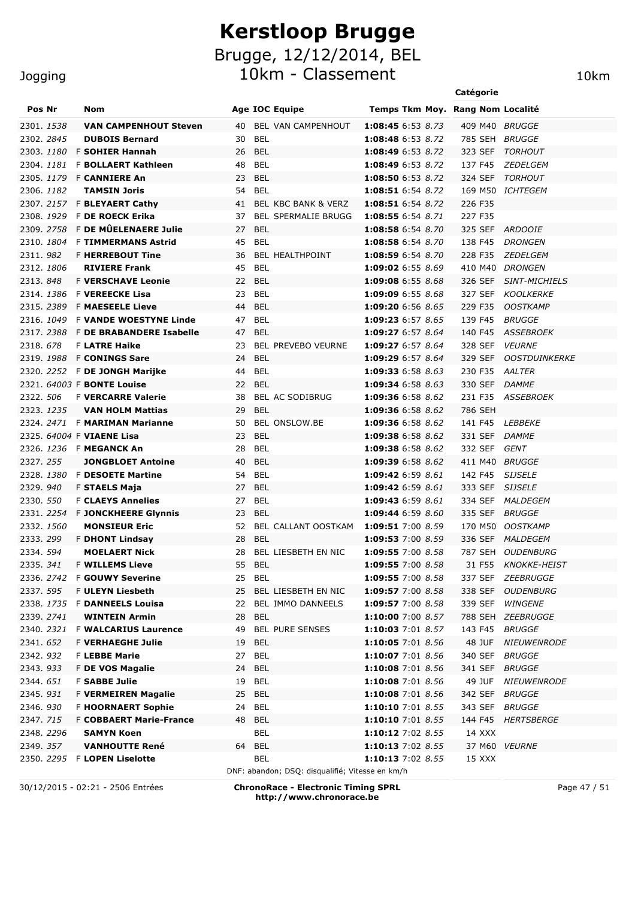10km - Classement 10km

|  | Jogging |  |  |
|--|---------|--|--|
|  |         |  |  |

|                        |                                                |          |                                                 |                                        | Catégorie          |                                  |
|------------------------|------------------------------------------------|----------|-------------------------------------------------|----------------------------------------|--------------------|----------------------------------|
| Pos Nr                 | <b>Nom</b>                                     |          | <b>Age IOC Equipe</b>                           | Temps Tkm Moy. Rang Nom Localité       |                    |                                  |
| 2301. 1538             | <b>VAN CAMPENHOUT Steven</b>                   | 40       | BEL VAN CAMPENHOUT                              | 1:08:45 6:53 8.73                      | 409 M40 BRUGGE     |                                  |
| 2302. 2845             | <b>DUBOIS Bernard</b>                          | 30       | <b>BEL</b>                                      | 1:08:48 6:53 8.72                      | 785 SEH            | <i>BRUGGE</i>                    |
|                        | 2303. 1180 F SOHIER Hannah                     | 26       | BEL                                             | 1:08:49 6:53 8.72                      | 323 SEF            | <b>TORHOUT</b>                   |
|                        | 2304. 1181 F BOLLAERT Kathleen                 | 48       | <b>BEL</b>                                      | 1:08:49 6:53 8.72                      | 137 F45            | <i>ZEDELGEM</i>                  |
|                        | 2305. 1179 F CANNIERE An                       | 23       | BEL                                             | 1:08:50 6:53 8.72                      | 324 SEF            | TORHOUT                          |
| 2306. 1182             | <b>TAMSIN Joris</b>                            | 54       | <b>BEL</b>                                      | 1:08:51 6:54 8.72                      |                    | 169 M50 ICHTEGEM                 |
|                        | 2307. 2157 F BLEYAERT Cathy                    | 41       | BEL KBC BANK & VERZ                             | 1:08:51 6:54 8.72                      | 226 F35            |                                  |
|                        | 2308. 1929 F DE ROECK Erika                    | 37       | <b>BEL SPERMALIE BRUGG</b>                      | 1:08:55 6:54 8.71                      | 227 F35            |                                  |
|                        | 2309. 2758 F DE MÛELENAERE Julie               | 27       | <b>BEL</b>                                      | 1:08:58 6:54 8.70                      |                    | 325 SEF ARDOOIE                  |
|                        | 2310, 1804 F TIMMERMANS Astrid                 | 45       | <b>BEL</b>                                      | 1:08:58 6:54 8.70                      | 138 F45            | <i>DRONGEN</i>                   |
| 2311, 982              | <b>F HERREBOUT Tine</b>                        | 36       | BEL HEALTHPOINT                                 | 1:08:59 6:54 8.70                      | 228 F35            | <i>ZEDELGEM</i>                  |
| 2312. 1806             | <b>RIVIERE Frank</b>                           | 45       | <b>BEL</b>                                      | 1:09:02 6:55 8.69                      | 410 M40            | <i>DRONGEN</i>                   |
| 2313.848               | <b>F VERSCHAVE Leonie</b>                      | 22       | <b>BEL</b>                                      | 1:09:08 6:55 8.68                      | 326 SEF            | <b>SINT-MICHIELS</b>             |
|                        | 2314. 1386 F VEREECKE Lisa                     | 23       | <b>BEL</b>                                      | 1:09:09 6:55 8.68                      | 327 SEF            | <b>KOOLKERKE</b>                 |
|                        | 2315. 2389 F MAESEELE Lieve                    | 44       | <b>BEL</b>                                      | 1:09:20 6:56 8.65                      | 229 F35            | <b>OOSTKAMP</b>                  |
|                        | 2316. 1049 F VANDE WOESTYNE Linde              | 47       | <b>BEL</b>                                      | 1:09:23 6:57 8.65                      | 139 F45            | <i>BRUGGE</i>                    |
|                        | 2317, 2388 F DE BRABANDERE Isabelle            | 47       | <b>BEL</b>                                      | 1:09:27 6:57 8.64                      | 140 F45            | ASSEBROEK                        |
| 2318, 678              | <b>F LATRE Haike</b>                           | 23       | <b>BEL PREVEBO VEURNE</b>                       | 1:09:27 6:57 8.64                      | 328 SEF            | <i><b>VEURNE</b></i>             |
|                        | 2319, 1988 F CONINGS Sare                      | 24       | BEL                                             | 1:09:29 6:57 8.64                      | 329 SEF            | <b>OOSTDUINKERKE</b>             |
|                        | 2320. 2252 F DE JONGH Marijke                  | 44       | <b>BEL</b>                                      | 1:09:33 6:58 8.63                      | 230 F35            | AALTER                           |
|                        | 2321. 64003 F BONTE Louise                     | 22       | BEL                                             | 1:09:34 6:58 8.63                      | 330 SEF            | <b>DAMME</b>                     |
| 2322. 506              | <b>F VERCARRE Valerie</b>                      | 38       | BEL AC SODIBRUG                                 | 1:09:36 6:58 8.62                      | 231 F35            | <b>ASSEBROEK</b>                 |
| 2323. 1235             | <b>VAN HOLM Mattias</b>                        | 29       | <b>BEL</b>                                      | 1:09:36 6:58 8.62                      | 786 SEH            |                                  |
|                        | 2324. 2471 F MARIMAN Marianne                  | 50       | <b>BEL ONSLOW.BE</b>                            | 1:09:36 6:58 8.62                      | 141 F45            | <b>LEBBEKE</b>                   |
|                        | 2325. 64004 F VIAENE Lisa                      | 23       | <b>BEL</b>                                      | 1:09:38 6:58 8.62                      | 331 SEF            | <i>DAMME</i>                     |
|                        | 2326. 1236 F MEGANCK An                        | 28       | <b>BEL</b>                                      | 1:09:38 6:58 8.62                      | 332 SEF            | <b>GENT</b>                      |
| 2327.255               | <b>JONGBLOET Antoine</b>                       | 40       | <b>BEL</b>                                      | 1:09:39 6:58 8.62                      | 411 M40            | BRUGGE                           |
| 2328.1380              | <b>F DESOETE Martine</b>                       | 54       | <b>BEL</b>                                      | <b>1:09:42</b> 6:59 8.61               | 142 F45            | <b>SIJSELE</b>                   |
| 2329.940               | <b>F STAELS Maja</b>                           | 27       | <b>BEL</b>                                      | 1:09:42 6:59 8.61                      | 333 SEF            | <b>SIJSELE</b>                   |
| 2330. 550              | <b>F CLAEYS Annelies</b>                       | 27       | <b>BEL</b>                                      | 1:09:43 6:59 8.61                      | 334 SEF            | <i>MALDEGEM</i>                  |
|                        | 2331. 2254 F JONCKHEERE Glynnis                | 23       | <b>BEL</b>                                      | 1:09:44 6:59 8.60                      | 335 SEF<br>170 M50 | <i>BRUGGE</i><br><i>OOSTKAMP</i> |
| 2332. 1560<br>2333.299 | <b>MONSIEUR Eric</b>                           | 52       | BEL CALLANT OOSTKAM<br><b>BEL</b>               | 1:09:51 7:00 8.59<br>1:09:53 7:00 8.59 |                    |                                  |
| 2334.594               | <b>F DHONT Lindsay</b><br><b>MOELAERT Nick</b> | 28<br>28 | BEL LIESBETH EN NIC                             | 1:09:55 7:00 8.58                      | 336 SEF<br>787 SEH | MALDEGEM<br>OUDENBURG            |
| 2335. 341              | <b>F WILLEMS Lieve</b>                         | 55       | <b>BEL</b>                                      | 1:09:55 7:00 8.58                      | 31 F55             | <b>KNOKKE-HEIST</b>              |
|                        | 2336. 2742 F GOUWY Severine                    |          | 25 BEL                                          | 1:09:55 7:00 8.58                      |                    | 337 SEF ZEEBRUGGE                |
| 2337. 595              | <b>F ULEYN Liesbeth</b>                        | 25       | BEL LIESBETH EN NIC                             | 1:09:57 7:00 8.58                      | 338 SEF            | <b>OUDENBURG</b>                 |
|                        | 2338. 1735 F DANNEELS Louisa                   | 22       | BEL IMMO DANNEELS                               | <b>1:09:57</b> 7:00 8.58               | 339 SEF            | <b>WINGENE</b>                   |
| 2339. 2741             | <b>WINTEIN Armin</b>                           | 28       | BEL                                             | <b>1:10:00</b> 7:00 8.57               |                    | 788 SEH ZEEBRUGGE                |
|                        | 2340. 2321 F WALCARIUS Laurence                | 49       | <b>BEL PURE SENSES</b>                          | 1:10:03 7:01 8.57                      | 143 F45            | <b>BRUGGE</b>                    |
| 2341.652               | <b>F VERHAEGHE Julie</b>                       | 19       | <b>BEL</b>                                      | 1:10:05 7:01 8.56                      | 48 JUF             | <b>NIEUWENRODE</b>               |
| 2342.932               | <b>F LEBBE Marie</b>                           | 27       | BEL                                             | 1:10:07 7:01 8.56                      | 340 SEF            | <b>BRUGGE</b>                    |
| 2343.933               | F DE VOS Magalie                               |          | 24 BEL                                          | 1:10:08 7:01 8.56                      | 341 SEF            | <i>BRUGGE</i>                    |
| 2344. <i>651</i>       | <b>F SABBE Julie</b>                           | 19       | <b>BEL</b>                                      | 1:10:08 7:01 8.56                      | 49 JUF             | <b>NIEUWENRODE</b>               |
| 2345.931               | <b>F VERMEIREN Magalie</b>                     |          | 25 BEL                                          | 1:10:08 7:01 8.56                      | 342 SEF            | <i>BRUGGE</i>                    |
| 2346.930               | <b>F HOORNAERT Sophie</b>                      | 24       | BEL                                             | 1:10:10 7:01 8.55                      | 343 SEF            | <i>BRUGGE</i>                    |
| 2347.715               | <b>F COBBAERT Marie-France</b>                 | 48       | <b>BEL</b>                                      | 1:10:10 7:01 8.55                      | 144 F45            | HERTSBERGE                       |
| 2348. 2296             | <b>SAMYN Koen</b>                              |          | <b>BEL</b>                                      | 1:10:12 7:02 8.55                      | 14 XXX             |                                  |
| 2349. 357              | <b>VANHOUTTE René</b>                          | 64       | BEL                                             | 1:10:13 7:02 8.55                      |                    | 37 M60 VEURNE                    |
|                        | 2350. 2295 F LOPEN Liselotte                   |          | BEL                                             | 1:10:13 7:02 8.55                      | 15 XXX             |                                  |
|                        |                                                |          | DNF: abandon; DSQ: disqualifié; Vitesse en km/h |                                        |                    |                                  |
|                        |                                                |          |                                                 |                                        |                    |                                  |

30/12/2015 - 02:21 - 2506 Entrées **ChronoRace - Electronic Timing SPRL http://www.chronorace.be**

Page 47 / 51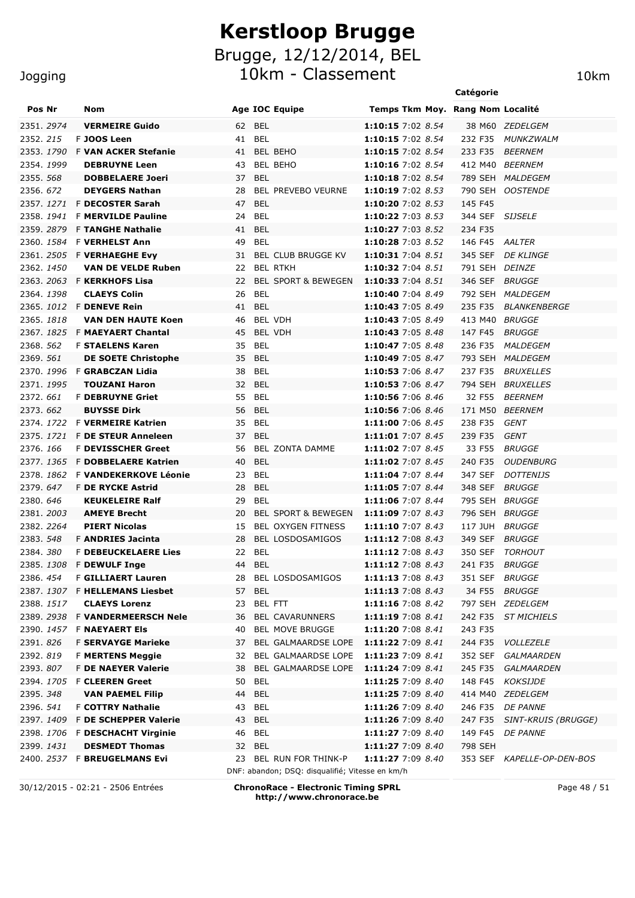10km - Classement 10km

|                  |  |                                                       |    |                                                 |                                        | Catégorie      |                                   |
|------------------|--|-------------------------------------------------------|----|-------------------------------------------------|----------------------------------------|----------------|-----------------------------------|
| Pos Nr           |  | Nom                                                   |    | <b>Age IOC Equipe</b>                           | Temps Tkm Moy. Rang Nom Localité       |                |                                   |
| 2351. 2974       |  | <b>VERMEIRE Guido</b>                                 | 62 | <b>BEL</b>                                      | 1:10:15 7:02 8.54                      |                | 38 M60 ZEDELGEM                   |
| 2352.215         |  | F JOOS Leen                                           | 41 | <b>BEL</b>                                      | 1:10:15 7:02 8.54                      | 232 F35        | MUNKZWALM                         |
| 2353.1790        |  | <b>F VAN ACKER Stefanie</b>                           | 41 | <b>BEL BEHO</b>                                 | 1:10:15 7:02 8.54                      | 233 F35        | <b>BEERNEM</b>                    |
| 2354, 1999       |  | <b>DEBRUYNE Leen</b>                                  | 43 | BEL BEHO                                        | 1:10:16 7:02 8.54                      | 412 M40        | <i>BEERNEM</i>                    |
| 2355. 568        |  | <b>DOBBELAERE Joeri</b>                               | 37 | <b>BEL</b>                                      | 1:10:18 7:02 8.54                      |                | 789 SEH MALDEGEM                  |
| 2356.672         |  | <b>DEYGERS Nathan</b>                                 | 28 | BEL PREVEBO VEURNE                              | 1:10:19 7:02 8.53                      | 790 SEH        | <i>OOSTENDE</i>                   |
| 2357.1271        |  | <b>F DECOSTER Sarah</b>                               | 47 | <b>BEL</b>                                      | 1:10:20 7:02 8.53                      | 145 F45        |                                   |
| 2358, 1941       |  | <b>F MERVILDE Pauline</b>                             | 24 | <b>BEL</b>                                      | 1:10:22 7:03 8.53                      | 344 SEF        | <i>SIJSELE</i>                    |
| 2359.2879        |  | F TANGHE Nathalie                                     | 41 | <b>BEL</b>                                      | 1:10:27 7:03 8.52                      | 234 F35        |                                   |
|                  |  | 2360. 1584 F VERHELST Ann                             | 49 | <b>BEL</b>                                      | 1:10:28 7:03 8.52                      | 146 F45 AALTER |                                   |
|                  |  | 2361. 2505 F VERHAEGHE Evy                            | 31 | <b>BEL CLUB BRUGGE KV</b>                       | 1:10:31 7:04 8.51                      |                | 345 SEF DE KLINGE                 |
| 2362. 1450       |  | <b>VAN DE VELDE Ruben</b>                             | 22 | <b>BEL RTKH</b>                                 | 1:10:32 7:04 8.51                      | 791 SEH DEINZE |                                   |
|                  |  | 2363. 2063 F KERKHOFS Lisa                            | 22 | <b>BEL SPORT &amp; BEWEGEN</b>                  | 1:10:33 7:04 8.51                      | 346 SEF        | <i>BRUGGE</i>                     |
| 2364.1398        |  | <b>CLAEYS Colin</b>                                   | 26 | <b>BEL</b>                                      | 1:10:40 7:04 8.49                      |                | 792 SEH MALDEGEM                  |
|                  |  | 2365. 1012 F DENEVE Rein                              | 41 | <b>BEL</b>                                      | 1:10:43 7:05 8.49                      | 235 F35        | <i>BLANKENBERGE</i>               |
| 2365.1818        |  | <b>VAN DEN HAUTE Koen</b>                             | 46 | BEL VDH                                         | 1:10:43 7:05 8.49                      | 413 M40        | <i>BRUGGE</i>                     |
|                  |  | 2367. 1825 F MAEYAERT Chantal                         | 45 | <b>BEL VDH</b>                                  | 1:10:43 7:05 8.48                      | 147 F45        | <i>BRUGGE</i>                     |
| 2368. 562        |  | <b>F STAELENS Karen</b>                               | 35 | <b>BEL</b>                                      | 1:10:47 7:05 8.48                      | 236 F35        | <i>MALDEGEM</i>                   |
| 2369. 561        |  | <b>DE SOETE Christophe</b>                            | 35 | <b>BEL</b>                                      | 1:10:49 7:05 8.47                      | 793 SEH        | MALDEGEM                          |
|                  |  | 2370. 1996 F GRABCZAN Lidia                           | 38 | BEL                                             | 1:10:53 7:06 8.47                      | 237 F35        | <b>BRUXELLES</b>                  |
| 2371.1995        |  | <b>TOUZANI Haron</b>                                  | 32 | <b>BEL</b>                                      | 1:10:53 7:06 8.47                      | 794 SEH        | <i>BRUXELLES</i>                  |
| 2372.661         |  | <b>F DEBRUYNE Griet</b>                               | 55 | BEL                                             | 1:10:56 7:06 8.46                      | 32 F55         | <b>BEERNEM</b>                    |
| 2373, 662        |  | <b>BUYSSE Dirk</b>                                    | 56 | <b>BEL</b>                                      | 1:10:56 7:06 8.46                      | 171 M50        | <i><b>BEERNEM</b></i>             |
| 2374, 1722       |  | <b>F VERMEIRE Katrien</b>                             | 35 | <b>BEL</b>                                      | 1:11:00 7:06 8.45                      | 238 F35        | GENT                              |
|                  |  | 2375. 1721 F DE STEUR Anneleen                        | 37 | <b>BEL</b>                                      | 1:11:01 7:07 8.45                      | 239 F35        | GENT                              |
| 2376, 166        |  | <b>F DEVISSCHER Greet</b>                             | 56 | BEL ZONTA DAMME                                 | 1:11:02 7:07 8.45                      | 33 F55         | <b>BRUGGE</b>                     |
| 2377, 1365       |  | <b>F DOBBELAERE Katrien</b>                           | 40 | <b>BEL</b>                                      | 1:11:02 7:07 8.45                      | 240 F35        | <b>OUDENBURG</b>                  |
| 2378, 1862       |  | <b>F VANDEKERKOVE Léonie</b>                          | 23 | <b>BEL</b>                                      | 1:11:04 7:07 8.44                      | 347 SEF        | <b>DOTTENIJS</b>                  |
| 2379.647         |  | F DE RYCKE Astrid                                     | 28 | <b>BEL</b>                                      | 1:11:05 7:07 8.44                      | 348 SEF        | <i>BRUGGE</i>                     |
| 2380.646         |  | <b>KEUKELEIRE Ralf</b>                                | 29 | <b>BEL</b>                                      | 1:11:06 7:07 8.44                      | 795 SEH        | <i>BRUGGE</i>                     |
| 2381, 2003       |  | <b>AMEYE Brecht</b>                                   | 20 | <b>BEL SPORT &amp; BEWEGEN</b>                  | 1:11:09 7:07 8.43                      | 796 SEH        | <i>BRUGGE</i>                     |
| 2382. 2264       |  | <b>PIERT Nicolas</b>                                  | 15 | <b>BEL OXYGEN FITNESS</b>                       | 1:11:10 7:07 8.43                      | 117 JUH        | <i>BRUGGE</i>                     |
| 2383. 548        |  | <b>F ANDRIES Jacinta</b>                              | 28 | <b>BEL LOSDOSAMIGOS</b>                         | 1:11:12 7:08 8.43                      | 349 SEF        | <i>BRUGGE</i>                     |
| 2384.380         |  | <b>F DEBEUCKELAERE Lies</b>                           | 22 | <b>BEL</b>                                      | 1:11:12 7:08 8.43                      | 350 SEF        | TORHOUT                           |
|                  |  | 2385. 1308 F DEWULF Inge<br><b>F GILLIAERT Lauren</b> | 44 | <b>BEL</b>                                      | 1:11:12 7:08 8.43<br>1:11:13 7:08 8.43 | 241 F35 BRUGGE |                                   |
| 2386. <i>454</i> |  | 2387. 1307 F HELLEMANS Liesbet                        |    | 28 BEL LOSDOSAMIGOS                             |                                        | 351 SEF BRUGGE |                                   |
| 2388.1517        |  | <b>CLAEYS Lorenz</b>                                  |    | 57 BEL<br>23 BEL FTT                            | 1:11:13 7:08 8.43<br>1:11:16 7:08 8.42 |                | 34 F55 BRUGGE<br>797 SEH ZEDELGEM |
|                  |  | 2389. 2938 F VANDERMEERSCH Nele                       | 36 | BEL CAVARUNNERS                                 | 1:11:19 7:08 8.41                      |                | 242 F35 ST MICHIELS               |
|                  |  | 2390. 1457 F NAEYAERT Els                             | 40 | <b>BEL MOVE BRUGGE</b>                          | 1:11:20 7:08 8.41                      | 243 F35        |                                   |
| 2391.826         |  | <b>F SERVAYGE Marieke</b>                             | 37 | BEL GALMAARDSE LOPE                             | <b>1:11:22</b> 7:09 8.41               |                | 244 F35 VOLLEZELE                 |
| 2392.819         |  | <b>F MERTENS Meggie</b>                               | 32 | BEL GALMAARDSE LOPE                             | <b>1:11:23</b> 7:09 8.41               |                | 352 SEF GALMAARDEN                |
| 2393.807         |  | <b>F DE NAEYER Valerie</b>                            | 38 | BEL GALMAARDSE LOPE                             | <b>1:11:24</b> 7:09 8.41               |                | 245 F35 GALMAARDEN                |
|                  |  | 2394. 1705 F CLEEREN Greet                            |    | 50 BEL                                          | 1:11:25 7:09 8.40                      |                | 148 F45 KOKSIJDE                  |
| 2395. <i>348</i> |  | <b>VAN PAEMEL Filip</b>                               | 44 | BEL                                             | 1:11:25 7:09 8.40                      |                | 414 M40 ZEDELGEM                  |
| 2396. <i>541</i> |  | <b>F COTTRY Nathalie</b>                              |    | 43 BEL                                          | 1:11:26 7:09 8.40                      |                | 246 F35 DE PANNE                  |
|                  |  | 2397. 1409 F DE SCHEPPER Valerie                      | 43 | BEL                                             | 1:11:26 7:09 8.40                      |                | 247 F35 SINT-KRUIS (BRUGGE)       |
|                  |  | 2398. 1706 F DESCHACHT Virginie                       | 46 | BEL                                             | 1:11:27 7:09 8.40                      |                | 149 F45 DE PANNE                  |
| 2399. 1431       |  | <b>DESMEDT Thomas</b>                                 |    | 32 BEL                                          | 1:11:27 7:09 8.40                      | 798 SEH        |                                   |
|                  |  | 2400. 2537 F BREUGELMANS Evi                          |    | 23 BEL RUN FOR THINK-P                          | 1:11:27 7:09 8.40                      |                | 353 SEF KAPELLE-OP-DEN-BOS        |
|                  |  |                                                       |    | DNF: abandon; DSQ: disqualifié; Vitesse en km/h |                                        |                |                                   |

30/12/2015 - 02:21 - 2506 Entrées **ChronoRace - Electronic Timing SPRL http://www.chronorace.be**

Page 48 / 51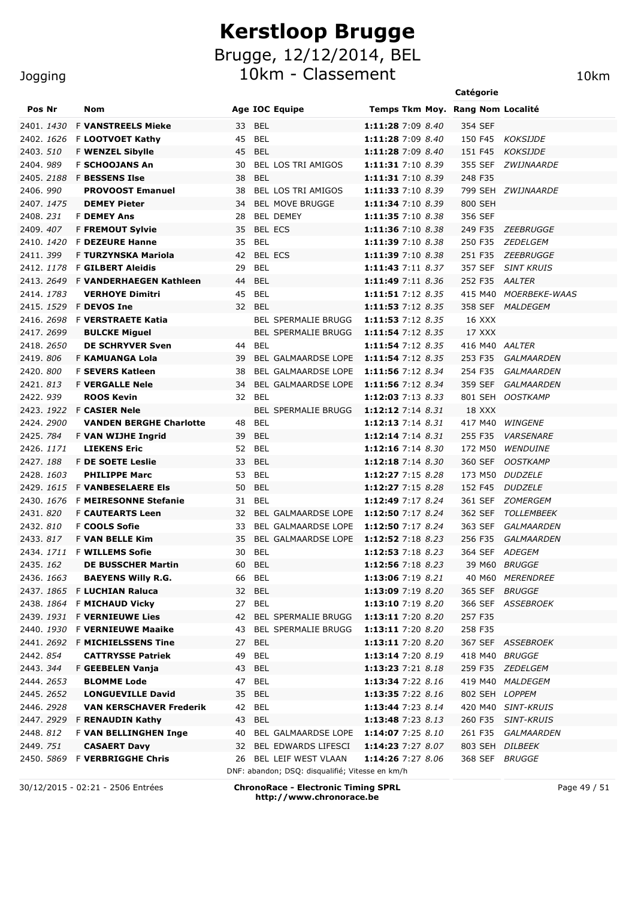10km - Classement 10km

|  | Jogging |  |  |
|--|---------|--|--|
|  |         |  |  |

|                        |                                           |                                                 |                                        | Catégorie                                               |                      |
|------------------------|-------------------------------------------|-------------------------------------------------|----------------------------------------|---------------------------------------------------------|----------------------|
| Pos Nr                 | Nom                                       | Age IOC Equipe                                  |                                        | Temps Tkm Moy. Rang Nom Localité                        |                      |
| 2401. 1430             | <b>F VANSTREELS Mieke</b>                 | 33<br>BEL                                       | 1:11:28 7:09 8.40                      | 354 SEF                                                 |                      |
| 2402. 1626             | F LOOTVOET Kathy                          | 45<br>BEL                                       | 1:11:28 7:09 8.40                      | 150 F45<br>KOKSIJDE                                     |                      |
| 2403. 510              | F WENZEL Sibylle                          | 45<br><b>BEL</b>                                | 1:11:28 7:09 8.40                      | 151 F45<br><b>KOKSIJDE</b>                              |                      |
| 2404.989               | <b>F SCHOOJANS An</b>                     | <b>BEL LOS TRI AMIGOS</b><br>30                 | 1:11:31 7:10 8.39                      | 355 SEF<br>ZWIJNAARDE                                   |                      |
| 2405.2188              | <b>F BESSENS Ilse</b>                     | 38<br><b>BEL</b>                                | 1:11:31 7:10 8.39                      | 248 F35                                                 |                      |
| 2406.990               | <b>PROVOOST Emanuel</b>                   | <b>BEL LOS TRI AMIGOS</b><br>38                 | 1:11:33 7:10 8.39                      | ZWIJNAARDE<br>799 SEH                                   |                      |
| 2407, 1475             | <b>DEMEY Pieter</b>                       | <b>BEL MOVE BRUGGE</b><br>34                    | 1:11:34 7:10 8.39                      | 800 SEH                                                 |                      |
| 2408.231               | <b>F DEMEY Ans</b>                        | <b>BEL DEMEY</b><br>28                          | 1:11:35 7:10 8.38                      | 356 SEF                                                 |                      |
| 2409, 407              | <b>F FREMOUT Sylvie</b>                   | <b>BEL ECS</b><br>35                            | 1:11:36 7:10 8.38                      | 249 F35<br>ZEEBRUGGE                                    |                      |
| 2410. 1420             | <b>F DEZEURE Hanne</b>                    | <b>BEL</b><br>35                                | 1:11:39 7:10 8.38                      | 250 F35<br>ZEDELGEM                                     |                      |
| 2411.399               | F TURZYNSKA Mariola                       | <b>BEL ECS</b><br>42                            | 1:11:39 7:10 8.38                      | 251 F35<br>ZEEBRUGGE                                    |                      |
| 2412. 1178             | <b>F GILBERT Aleidis</b>                  | <b>BEL</b><br>29                                | 1:11:43 7:11 8.37                      | 357 SEF<br><b>SINT KRUIS</b>                            |                      |
| 2413. 2649             | <b>F VANDERHAEGEN Kathleen</b>            | <b>BEL</b><br>44                                | 1:11:49 7:11 8.36                      | 252 F35<br>AALTER                                       |                      |
| 2414. 1783             | <b>VERHOYE Dimitri</b>                    | 45<br><b>BEL</b>                                | 1:11:51 7:12 8.35                      | 415 M40                                                 | <b>MOERBEKE-WAAS</b> |
|                        | 2415. 1529 F DEVOS Ine                    | 32<br>BEL                                       | 1:11:53 7:12 8.35                      | 358 SEF<br><i>MALDEGEM</i>                              |                      |
| 2416. 2698             | <b>F VERSTRAETE Katia</b>                 | <b>BEL SPERMALIE BRUGG</b>                      | 1:11:53 7:12 8.35                      | 16 XXX                                                  |                      |
| 2417, 2699             | <b>BULCKE Miguel</b>                      | <b>BEL SPERMALIE BRUGG</b>                      | 1:11:54 7:12 8.35                      | 17 XXX                                                  |                      |
| 2418, 2650             | <b>DE SCHRYVER Sven</b>                   | <b>BEL</b><br>44                                | 1:11:54 7:12 8.35                      | 416 M40 AALTER                                          |                      |
| 2419.806               | <b>F KAMUANGA Lola</b>                    | 39<br><b>BEL GALMAARDSE LOPE</b>                | 1:11:54 7:12 8.35                      | 253 F35<br>GALMAARDEN                                   |                      |
| 2420.800               | <b>F SEVERS Katleen</b>                   | <b>BEL GALMAARDSE LOPE</b><br>38                | 1:11:56 7:12 8.34                      | 254 F35<br><b>GALMAARDEN</b>                            |                      |
| 2421.813               | <b>F VERGALLE Nele</b>                    | <b>BEL GALMAARDSE LOPE</b><br>34                | 1:11:56 7:12 8.34                      | 359 SEF<br>GALMAARDEN                                   |                      |
| 2422.939               | <b>ROOS Kevin</b>                         | <b>BEL</b><br>32                                | 1:12:03 7:13 8.33                      | 801 SEH<br><b>OOSTKAMP</b>                              |                      |
|                        | 2423. 1922 F CASIER Nele                  | <b>BEL SPERMALIE BRUGG</b>                      | 1:12:12 7:14 8.31                      | 18 XXX                                                  |                      |
| 2424.2900              | <b>VANDEN BERGHE Charlotte</b>            | <b>BEL</b><br>48                                | 1:12:13 7:14 8.31                      | 417 M40<br><b>WINGENE</b>                               |                      |
| 2425.784               | F VAN WIJHE Ingrid<br><b>LIEKENS Eric</b> | <b>BEL</b><br>39                                | 1:12:14 7:14 8.31                      | 255 F35<br><b>VARSENARE</b>                             |                      |
| 2426. 1171             |                                           | <b>BEL</b><br>52                                | 1:12:16 7:14 8.30                      | 172 M50<br><b>WENDUINE</b>                              |                      |
| 2427.188<br>2428. 1603 | F DE SOETE Leslie<br><b>PHILIPPE Marc</b> | 33<br>BEL<br>53<br>BEL                          | 1:12:18 7:14 8.30<br>1:12:27 7:15 8.28 | 360 SEF<br><b>OOSTKAMP</b><br>173 M50<br><i>DUDZELE</i> |                      |
|                        | 2429. 1615 F VANBESELAERE EIS             | 50<br>BEL                                       | 1:12:27 7:15 8.28                      | 152 F45<br><b>DUDZELE</b>                               |                      |
| 2430, 1676             | <b>F MEIRESONNE Stefanie</b>              | <b>BEL</b><br>31                                | 1:12:49 7:17 8.24                      | 361 SEF<br>ZOMERGEM                                     |                      |
| 2431.820               | <b>F CAUTEARTS Leen</b>                   | 32<br>BEL GALMAARDSE LOPE                       | 1:12:50 7:17 8.24                      | 362 SEF<br><b>TOLLEMBEEK</b>                            |                      |
| 2432.810               | <b>F COOLS Sofie</b>                      | BEL GALMAARDSE LOPE<br>33                       | 1:12:50 7:17 8.24                      | 363 SEF<br>GALMAARDEN                                   |                      |
| 2433. 817              | <b>F VAN BELLE Kim</b>                    | 35<br><b>BEL GALMAARDSE LOPE</b>                | 1:12:52 7:18 8.23                      | 256 F35<br>GALMAARDEN                                   |                      |
| 2434. <i>1711</i>      | <b>F WILLEMS Sofie</b>                    | 30<br><b>BEL</b>                                | 1:12:53 7:18 8.23                      | 364 SEF<br><i>ADEGEM</i>                                |                      |
| 2435. <i>162</i>       | <b>DE BUSSCHER Martin</b>                 | <b>BEL</b><br>60                                | 1:12:56 7:18 8.23                      | 39 M60 BRUGGE                                           |                      |
| 2436. <i>1663</i>      | <b>BAEYENS Willy R.G.</b>                 | <b>BEL</b><br>66                                | 1:13:06 7:19 8.21                      | 40 M60 MERENDREE                                        |                      |
| 2437.1865              | <b>F LUCHIAN Raluca</b>                   | <b>BEL</b><br>32                                | 1:13:09 7:19 8.20                      | 365 SEF<br><i>BRUGGE</i>                                |                      |
|                        | 2438. 1864 F MICHAUD Vicky                | <b>BEL</b><br>27                                | 1:13:10 7:19 8.20                      | 366 SEF<br><i>ASSEBROEK</i>                             |                      |
|                        | 2439. 1931 F VERNIEUWE Lies               | <b>BEL SPERMALIE BRUGG</b><br>42                | 1:13:11 7:20 8.20                      | 257 F35                                                 |                      |
|                        | 2440. 1930 F VERNIEUWE Maaike             | <b>BEL SPERMALIE BRUGG</b><br>43                | 1:13:11 7:20 8.20                      | 258 F35                                                 |                      |
|                        | 2441, 2692 F MICHIELSSENS Tine            | 27<br>BEL                                       | 1:13:11 7:20 8.20                      | 367 SEF ASSEBROEK                                       |                      |
| 2442.854               | <b>CATTRYSSE Patriek</b>                  | 49<br>BEL                                       | 1:13:14 7:20 8.19                      | 418 M40<br><i>BRUGGE</i>                                |                      |
| 2443. <i>344</i>       | F GEEBELEN Vanja                          | 43<br>BEL                                       | 1:13:23 7:21 8.18                      | 259 F35<br><i>ZEDELGEM</i>                              |                      |
| 2444. 2653             | <b>BLOMME Lode</b>                        | <b>BEL</b><br>47                                | 1:13:34 7:22 8.16                      | 419 M40 MALDEGEM                                        |                      |
| 2445.2652              | <b>LONGUEVILLE David</b>                  | 35<br><b>BEL</b>                                | 1:13:35 7:22 8.16                      | 802 SEH LOPPEM                                          |                      |
| 2446. 2928             | <b>VAN KERSCHAVER Frederik</b>            | <b>BEL</b><br>42                                | 1:13:44 7:23 8.14                      | 420 M40 SINT-KRUIS                                      |                      |
|                        | 2447. 2929 F RENAUDIN Kathy               | <b>BEL</b><br>43                                | 1:13:48 7:23 8.13                      | 260 F35 SINT-KRUIS                                      |                      |
| 2448. 812              | <b>F VAN BELLINGHEN Inge</b>              | BEL GALMAARDSE LOPE<br>40                       | 1:14:07 7:25 8.10                      | 261 F35 GALMAARDEN                                      |                      |
| 2449. 751              | <b>CASAERT Davy</b>                       | BEL EDWARDS LIFESCI<br>32                       | 1:14:23 7:27 8.07                      | 803 SEH DILBEEK                                         |                      |
|                        | 2450. 5869 F VERBRIGGHE Chris             | BEL LEIF WEST VLAAN<br>26                       | 1:14:26 7:27 8.06                      | 368 SEF BRUGGE                                          |                      |
|                        |                                           | DNF: abandon; DSQ: disqualifié; Vitesse en km/h |                                        |                                                         |                      |

30/12/2015 - 02:21 - 2506 Entrées **ChronoRace - Electronic Timing SPRL http://www.chronorace.be**

Page 49 / 51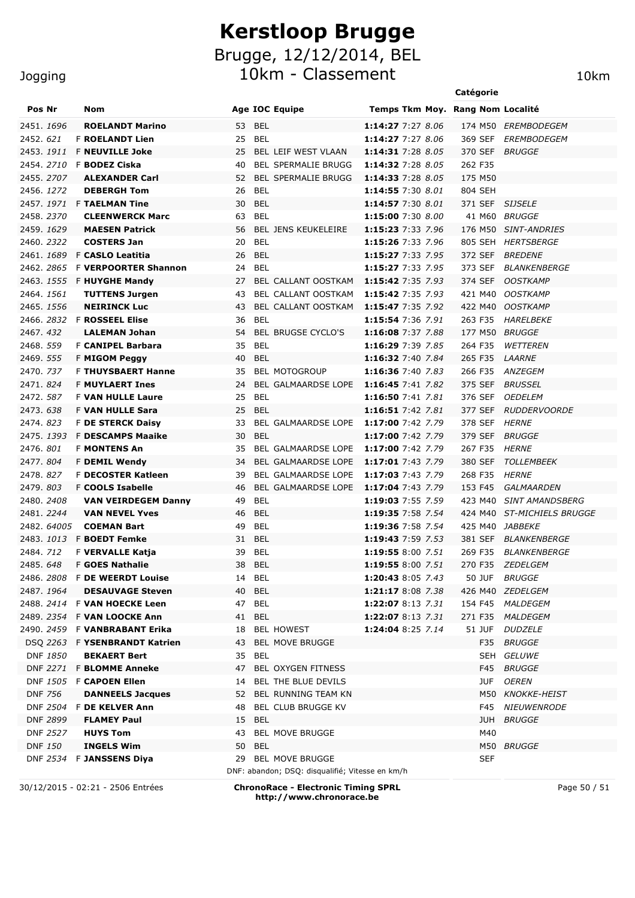10km - Classement 10km

|                   |                                                          |                              |                                                 | Catégorie          |                                   |
|-------------------|----------------------------------------------------------|------------------------------|-------------------------------------------------|--------------------|-----------------------------------|
| Pos Nr            | Nom                                                      | Age IOC Equipe               | Temps Tkm Moy. Rang Nom Localité                |                    |                                   |
| 2451. <i>1696</i> | <b>ROELANDT Marino</b>                                   | <b>BEL</b><br>53             | 1:14:27 7:27 8.06                               |                    | 174 M50 EREMBODEGEM               |
| 2452, 621         | <b>F ROELANDT Lien</b>                                   | 25<br>BEL                    | 1:14:27 7:27 8.06                               | 369 SEF            | EREMBODEGEM                       |
| 2453. <i>1911</i> | <b>F NEUVILLE Joke</b>                                   | 25                           | <b>BEL LEIF WEST VLAAN</b><br>1:14:31 7:28 8.05 | 370 SEF            | <b>BRUGGE</b>                     |
| 2454. <i>2710</i> | <b>F BODEZ Ciska</b>                                     | 40                           | 1:14:32 7:28 8.05<br><b>BEL SPERMALIE BRUGG</b> | 262 F35            |                                   |
| 2455.2707         | <b>ALEXANDER Carl</b>                                    | 52                           | <b>BEL SPERMALIE BRUGG</b><br>1:14:33 7:28 8.05 | 175 M50            |                                   |
| 2456. 1272        | <b>DEBERGH Tom</b>                                       | 26<br><b>BEL</b>             | 1:14:55 7:30 8.01                               | 804 SEH            |                                   |
|                   | 2457. 1971 F TAELMAN Tine                                | 30<br><b>BEL</b>             | 1:14:57 7:30 8.01                               | 371 SEF            | <b>SIJSELE</b>                    |
| 2458.2370         | <b>CLEENWERCK Marc</b>                                   | <b>BEL</b><br>63             | 1:15:00 7:30 8.00                               | 41 M60             | <i>BRUGGE</i>                     |
| 2459, 1629        | <b>MAESEN Patrick</b>                                    | 56                           | <b>BEL JENS KEUKELEIRE</b><br>1:15:23 7:33 7.96 | 176 M50            | <b>SINT-ANDRIES</b>               |
| 2460. 2322        | <b>COSTERS Jan</b>                                       | <b>BEL</b><br>20             | 1:15:26 7:33 7.96                               | 805 SEH            | HERTSBERGE                        |
| 2461. 1689        | F CASLO Leatitia                                         | 26<br><b>BEL</b>             | 1:15:27 7:33 7.95                               | 372 SEF            | <i>BREDENE</i>                    |
| 2462.2865         | <b>F VERPOORTER Shannon</b>                              | <b>BEL</b><br>24             | 1:15:27 7:33 7.95                               | 373 SEF            | <i><b>BLANKENBERGE</b></i>        |
|                   | 2463. 1555 F HUYGHE Mandy                                | 27                           | 1:15:42 7:35 7.93<br>BEL CALLANT OOSTKAM        | 374 SEF            | <b>OOSTKAMP</b>                   |
| 2464, 1561        | <b>TUTTENS Jurgen</b>                                    | 43                           | BEL CALLANT OOSTKAM<br>1:15:42 7:35 7.93        | 421 M40            | <b>OOSTKAMP</b>                   |
| 2465. 1556        | <b>NEIRINCK Luc</b>                                      | 43                           | BEL CALLANT OOSTKAM<br>1:15:47 7:35 7.92        | 422 M40            | <i>OOSTKAMP</i>                   |
|                   | 2466. 2832 F <b>ROSSEEL Elise</b>                        | <b>BEL</b><br>36             | 1:15:54 7:36 7.91                               | 263 F35            | HARELBEKE                         |
| 2467, 432         | <b>LALEMAN Johan</b>                                     | 54                           | <b>BEL BRUGSE CYCLO'S</b><br>1:16:08 7:37 7.88  | 177 M50            | <i>BRUGGE</i>                     |
| 2468.559          | <b>F CANIPEL Barbara</b>                                 | 35<br><b>BEL</b>             | 1:16:29 7:39 7.85                               | 264 F35            | <i>WETTEREN</i>                   |
| 2469. 555         | <b>F MIGOM Peggy</b>                                     | 40<br><b>BEL</b>             | 1:16:32 7:40 7.84                               | 265 F35            | <i>LAARNE</i>                     |
| 2470. 737         | <b>F THUYSBAERT Hanne</b>                                | <b>BEL MOTOGROUP</b><br>35   | 1:16:36 7:40 7.83                               | 266 F35            | <i>ANZEGEM</i>                    |
| 2471, 824         | <b>F MUYLAERT Ines</b>                                   | 24                           | BEL GALMAARDSE LOPE 1:16:45 7:41 7.82           | 375 SEF            | <i>BRUSSEL</i>                    |
| 2472.587          | <b>F VAN HULLE Laure</b>                                 | 25<br><b>BEL</b>             | 1:16:50 7:41 7.81                               | 376 SEF            | <b>OEDELEM</b>                    |
| 2473.638          | F VAN HULLE Sara                                         | 25<br><b>BEL</b>             | 1:16:51 7:42 7.81                               | 377 SEF            | <i>RUDDERVOORDE</i>               |
| 2474.823          | <b>F DE STERCK Daisy</b>                                 | 33                           | BEL GALMAARDSE LOPE<br>1:17:00 7:42 7.79        | 378 SEF            | HERNE                             |
| 2475. 1393        | <b>F DESCAMPS Maaike</b>                                 | 30<br><b>BEL</b>             | 1:17:00 7:42 7.79                               | 379 SEF            | <i>BRUGGE</i>                     |
| 2476.801          | <b>F MONTENS An</b>                                      | 35                           | BEL GALMAARDSE LOPE<br>1:17:00 7:42 7.79        | 267 F35            | <i>HERNE</i>                      |
| 2477.804          | <b>F DEMIL Wendy</b>                                     | 34                           | BEL GALMAARDSE LOPE<br>1:17:01 7:43 7.79        | 380 SEF            | <i>TOLLEMBEEK</i>                 |
| 2478.827          | <b>F DECOSTER Katleen</b>                                | 39                           | BEL GALMAARDSE LOPE<br>1:17:03 7:43 7.79        | 268 F35            | HERNE                             |
| 2479.803          | F COOLS Isabelle                                         | 46                           | BEL GALMAARDSE LOPE<br>1:17:04 7:43 7.79        | 153 F45            | GALMAARDEN                        |
| 2480. 2408        | <b>VAN VEIRDEGEM Danny</b>                               | 49<br>BEL                    | 1:19:03 7:55 7.59                               | 423 M40            | <b>SINT AMANDSBERG</b>            |
| 2481. 2244        | <b>VAN NEVEL Yves</b>                                    | 46<br><b>BEL</b>             | 1:19:35 7:58 7.54                               | 424 M40            | <b>ST-MICHIELS BRUGGE</b>         |
| 2482. 64005       | <b>COEMAN Bart</b>                                       | 49<br>BEL                    | 1:19:36 7:58 7.54                               | 425 M40            | <i>JABBEKE</i>                    |
|                   | 2483. 1013 F <b>BOEDT Femke</b>                          | <b>BEL</b><br>31             | 1:19:43 7:59 7.53                               | 381 SEF            | <i>BLANKENBERGE</i>               |
| 2484, 712         | <b>F VERVALLE Katja</b>                                  | 39<br>BEL<br>38 BEL          | 1:19:55 8:00 7.51                               | 269 F35<br>270 F35 | <i>BLANKENBERGE</i>               |
| 2485.648          | F GOES Nathalie                                          |                              | 1:19:55 8:00 7.51                               |                    | ZEDELGEM                          |
|                   | 2486. 2808 F DE WEERDT Louise<br><b>DESAUVAGE Steven</b> | 14 BEL<br>40 BEL             | 1:20:43 8:05 7.43                               | 50 JUF             | <i>BRUGGE</i><br>426 M40 ZEDELGEM |
| 2487.1964         | 2488. 2414 F VAN HOECKE Leen                             | 47 BEL                       | 1:21:17 8:08 7.38<br>1:22:07 8:13 7.31          |                    | 154 F45 MALDEGEM                  |
|                   | 2489. 2354 F VAN LOOCKE Ann                              | 41 BEL                       | 1:22:07 8:13 7.31                               |                    | 271 F35 MALDEGEM                  |
|                   | 2490. 2459 F <b>VANBRABANT Erika</b>                     | <b>BEL HOWEST</b><br>18      | 1:24:04 8:25 7.14                               | 51 JUF             | <i>DUDZELE</i>                    |
|                   | DSQ 2263 F YSENBRANDT Katrien                            | <b>BEL MOVE BRUGGE</b><br>43 |                                                 |                    | F35 BRUGGE                        |
| DNF 1850          | <b>BEKAERT Bert</b>                                      | 35 BEL                       |                                                 |                    | SEH GELUWE                        |
|                   | DNF 2271 F BLOMME Anneke                                 | 47                           | BEL OXYGEN FITNESS                              |                    | F45 BRUGGE                        |
|                   | DNF 1505 F CAPOEN Ellen                                  | 14                           | BEL THE BLUE DEVILS                             | JUF                | OEREN                             |
| <b>DNF 756</b>    | <b>DANNEELS Jacques</b>                                  | 52                           | <b>BEL RUNNING TEAM KN</b>                      |                    | M50 KNOKKE-HEIST                  |
|                   | DNF 2504 F DE KELVER Ann                                 | 48                           | <b>BEL CLUB BRUGGE KV</b>                       | F45                | <i>NIEUWENRODE</i>                |
| DNF 2899          | <b>FLAMEY Paul</b>                                       | 15 BEL                       |                                                 | JUH                | <i>BRUGGE</i>                     |
| <b>DNF 2527</b>   | <b>HUYS Tom</b>                                          | <b>BEL MOVE BRUGGE</b><br>43 |                                                 | M40                |                                   |
| DNF 150           | <b>INGELS Wim</b>                                        | 50 BEL                       |                                                 |                    | M50 BRUGGE                        |
|                   | DNF 2534 F JANSSENS Diya                                 | 29 BEL MOVE BRUGGE           |                                                 | SEF                |                                   |
|                   |                                                          |                              | DNF: abandon; DSQ: disqualifié; Vitesse en km/h |                    |                                   |
|                   | 30/12/2015 - 02:21 - 2506 Entrées                        |                              | <b>ChronoRace - Electronic Timing SPRL</b>      |                    | Page 50 / 51                      |

**http://www.chronorace.be**

### Jogging

Page 50 / 51